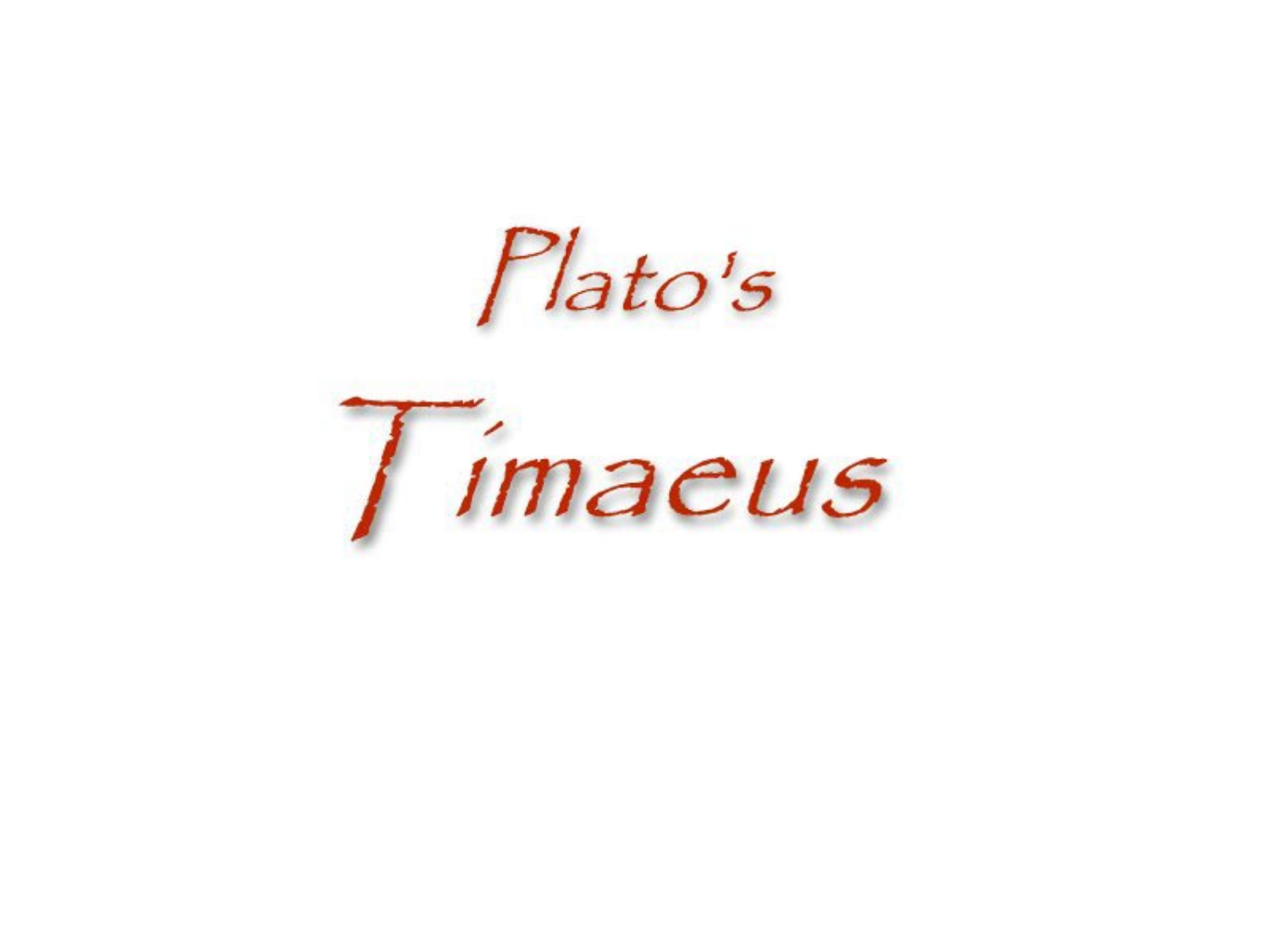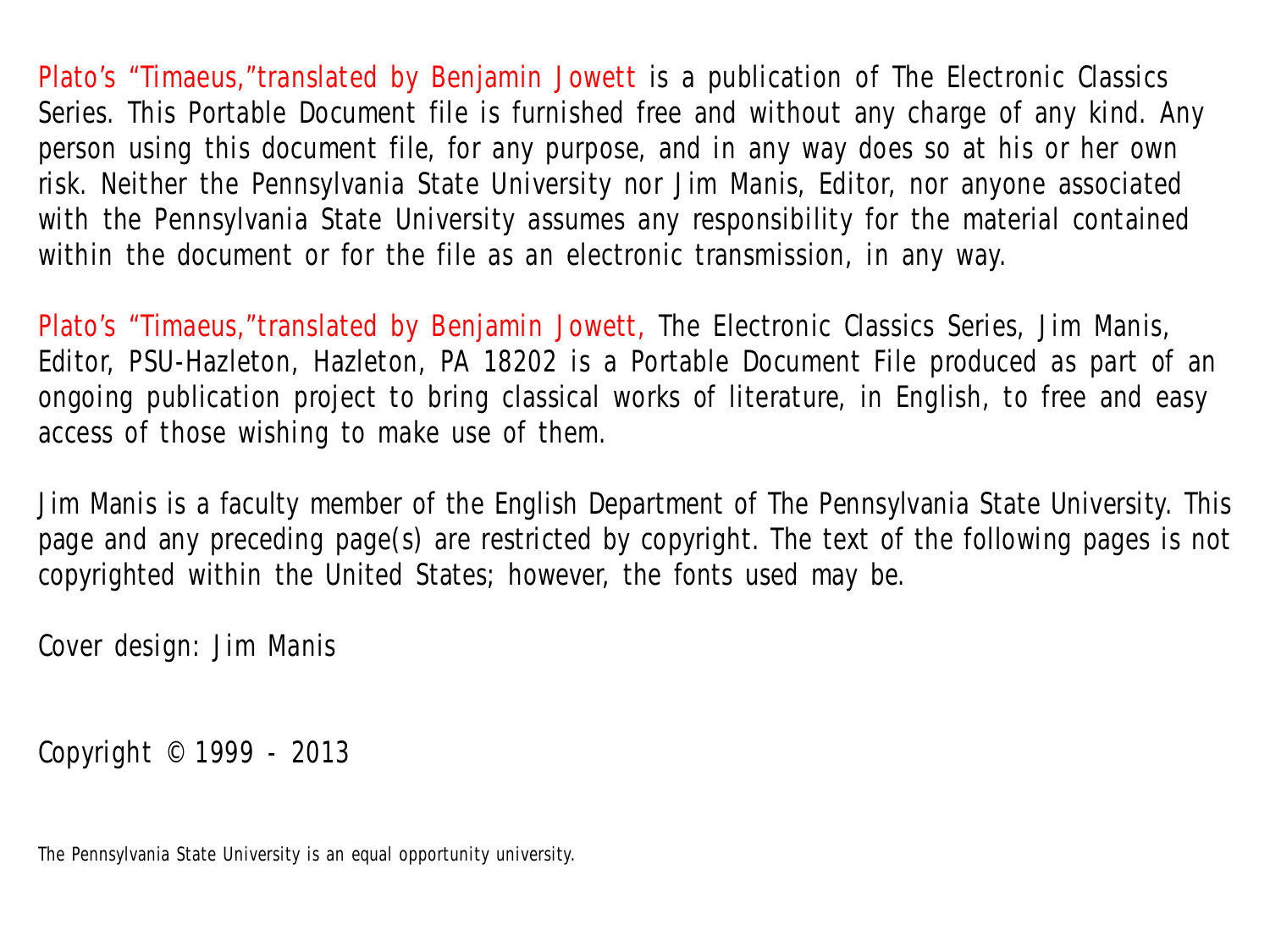Plato's "Timaeus,"translated by Benjamin Jowett is a publication of The Electronic Classics Series. This Portable Document file is furnished free and without any charge of any kind. Any person using this document file, for any purpose, and in any way does so at his or her own risk. Neither the Pennsylvania State University nor Jim Manis, Editor, nor anyone associated with the Pennsylvania State University assumes any responsibility for the material contained within the document or for the file as an electronic transmission, in any way.

Plato's "Timaeus,"translated by Benjamin Jowett, The Electronic Classics Series, Jim Manis, Editor, PSU-Hazleton, Hazleton, PA 18202 is a Portable Document File produced as part of an ongoing publication project to bring classical works of literature, in English, to free and easy access of those wishing to make use of them.

Jim Manis is a faculty member of the English Department of The Pennsylvania State University. This page and any preceding page(s) are restricted by copyright. The text of the following pages is not copyrighted within the United States; however, the fonts used may be.

Cover design: Jim Manis

Copyright © 1999 - 2013

The Pennsylvania State University is an equal opportunity university.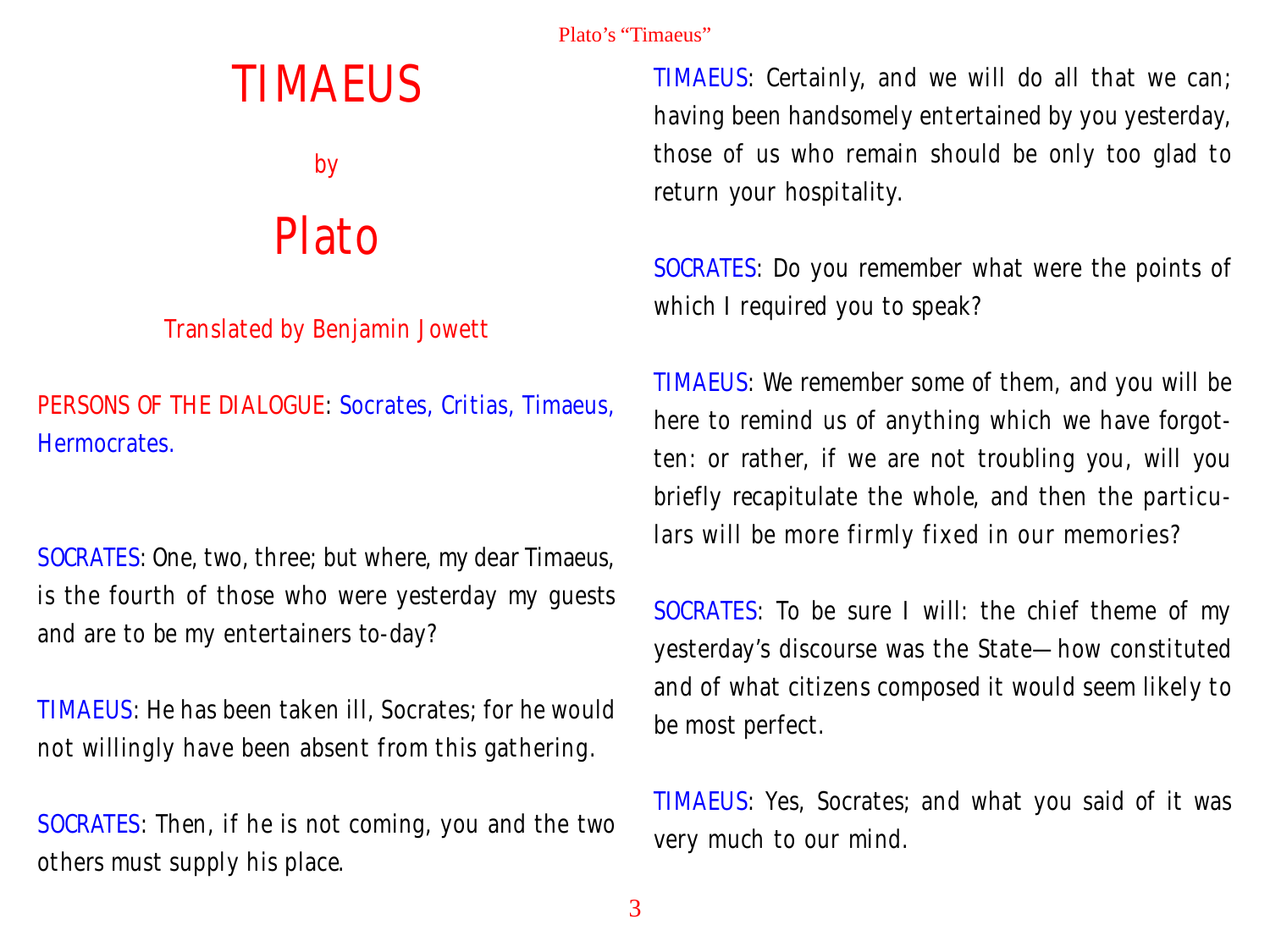# TIMAEUS

by

# Plato

# Translated by Benjamin Jowett

PERSONS OF THE DIALOGUE: Socrates, Critias, Timaeus, Hermocrates.

SOCRATES: One, two, three; but where, my dear Timaeus, is the fourth of those who were yesterday my guests and are to be my entertainers to-day?

TIMAEUS: He has been taken ill, Socrates; for he would not willingly have been absent from this gathering.

SOCRATES: Then, if he is not coming, you and the two others must supply his place.

TIMAEUS: Certainly, and we will do all that we can; having been handsomely entertained by you yesterday, those of us who remain should be only too glad to return your hospitality.

SOCRATES: Do you remember what were the points of which I required you to speak?

TIMAEUS: We remember some of them, and you will be here to remind us of anything which we have forgotten: or rather, if we are not troubling you, will you briefly recapitulate the whole, and then the particulars will be more firmly fixed in our memories?

SOCRATES: To be sure I will: the chief theme of my yesterday's discourse was the State—how constituted and of what citizens composed it would seem likely to be most perfect.

TIMAEUS: Yes, Socrates; and what you said of it was very much to our mind.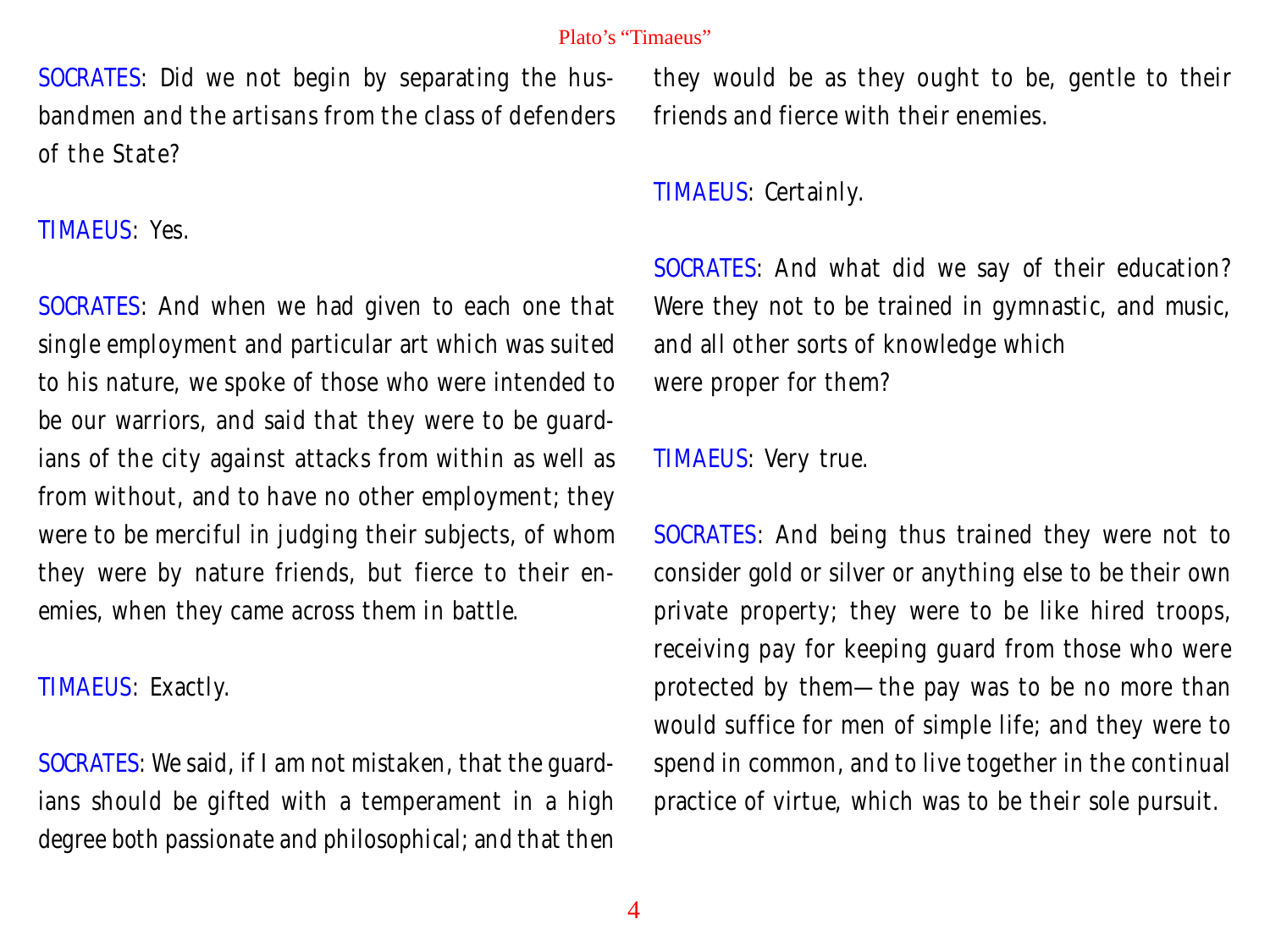SOCRATES: Did we not begin by separating the husbandmen and the artisans from the class of defenders of the State?

TIMAEUS: Yes.

SOCRATES: And when we had given to each one that single employment and particular art which was suited to his nature, we spoke of those who were intended to be our warriors, and said that they were to be guardians of the city against attacks from within as well as from without, and to have no other employment; they were to be merciful in judging their subjects, of whom they were by nature friends, but fierce to their enemies, when they came across them in battle.

TIMAEUS: Exactly.

SOCRATES: We said, if I am not mistaken, that the guardians should be gifted with a temperament in a high degree both passionate and philosophical; and that then they would be as they ought to be, gentle to their friends and fierce with their enemies.

TIMAEUS: Certainly.

SOCRATES: And what did we say of their education? Were they not to be trained in gymnastic, and music, and all other sorts of knowledge which were proper for them?

TIMAEUS: Very true.

SOCRATES: And being thus trained they were not to consider gold or silver or anything else to be their own private property; they were to be like hired troops, receiving pay for keeping guard from those who were protected by them—the pay was to be no more than would suffice for men of simple life; and they were to spend in common, and to live together in the continual practice of virtue, which was to be their sole pursuit.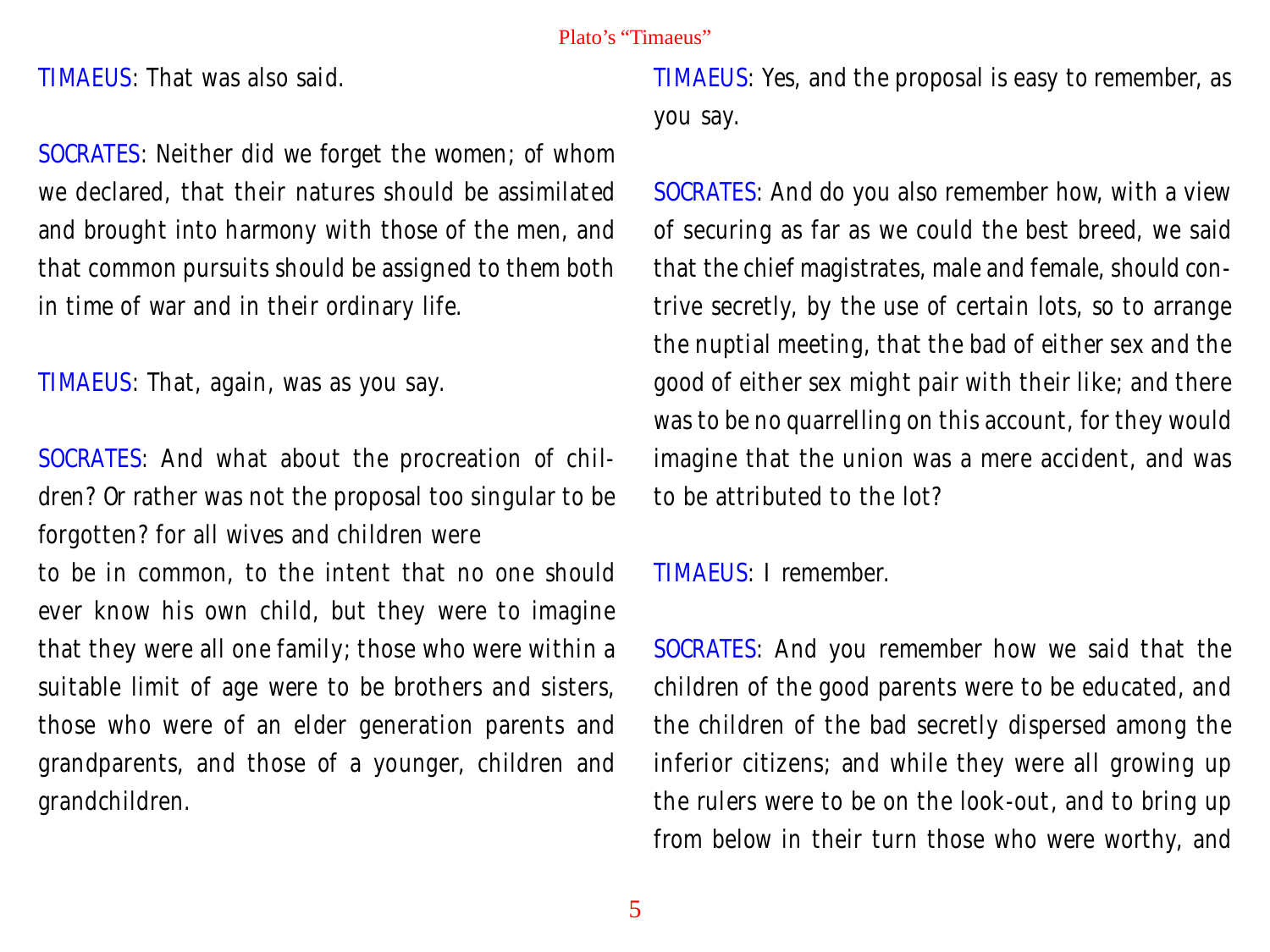TIMAEUS: That was also said.

SOCRATES: Neither did we forget the women; of whom we declared, that their natures should be assimilated and brought into harmony with those of the men, and that common pursuits should be assigned to them both in time of war and in their ordinary life.

TIMAEUS: That, again, was as you say.

SOCRATES: And what about the procreation of children? Or rather was not the proposal too singular to be forgotten? for all wives and children were

to be in common, to the intent that no one should ever know his own child, but they were to imagine that they were all one family; those who were within a suitable limit of age were to be brothers and sisters, those who were of an elder generation parents and grandparents, and those of a younger, children and grandchildren.

TIMAEUS: Yes, and the proposal is easy to remember, as you say.

SOCRATES: And do you also remember how, with a view of securing as far as we could the best breed, we said that the chief magistrates, male and female, should contrive secretly, by the use of certain lots, so to arrange the nuptial meeting, that the bad of either sex and the good of either sex might pair with their like; and there was to be no quarrelling on this account, for they would imagine that the union was a mere accident, and was to be attributed to the lot?

TIMAEUS: I remember.

SOCRATES: And you remember how we said that the children of the good parents were to be educated, and the children of the bad secretly dispersed among the inferior citizens; and while they were all growing up the rulers were to be on the look-out, and to bring up from below in their turn those who were worthy, and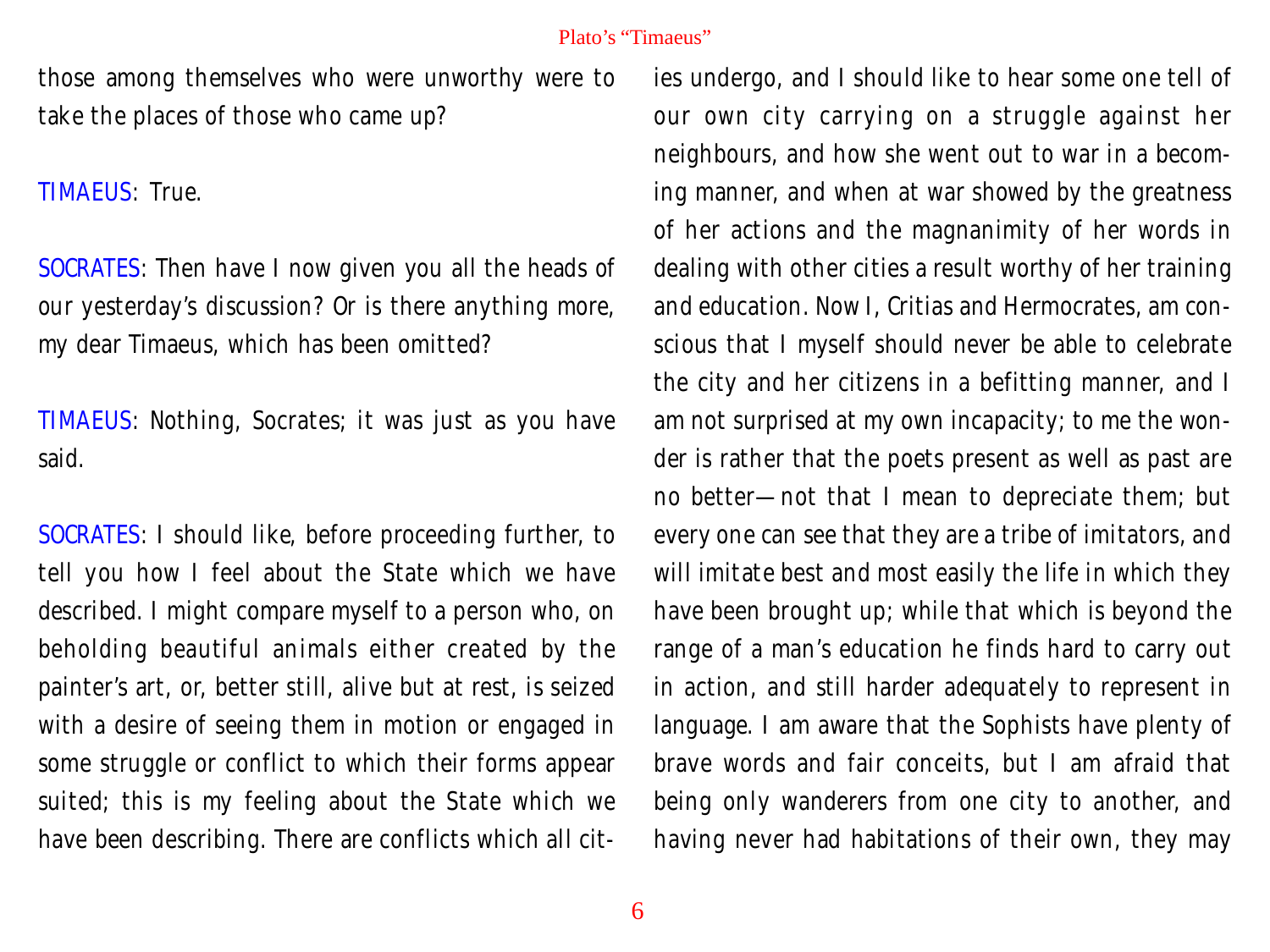those among themselves who were unworthy were to take the places of those who came up?

TIMAEUS: True.

SOCRATES: Then have I now given you all the heads of our yesterday's discussion? Or is there anything more, my dear Timaeus, which has been omitted?

TIMAEUS: Nothing, Socrates; it was just as you have said.

SOCRATES: I should like, before proceeding further, to tell you how I feel about the State which we have described. I might compare myself to a person who, on beholding beautiful animals either created by the painter's art, or, better still, alive but at rest, is seized with a desire of seeing them in motion or engaged in some struggle or conflict to which their forms appear suited; this is my feeling about the State which we have been describing. There are conflicts which all cities undergo, and I should like to hear some one tell of our own city carrying on a struggle against her neighbours, and how she went out to war in a becoming manner, and when at war showed by the greatness of her actions and the magnanimity of her words in dealing with other cities a result worthy of her training and education. Now I, Critias and Hermocrates, am conscious that I myself should never be able to celebrate the city and her citizens in a befitting manner, and I am not surprised at my own incapacity; to me the wonder is rather that the poets present as well as past are no better—not that I mean to depreciate them; but every one can see that they are a tribe of imitators, and will imitate best and most easily the life in which they have been brought up; while that which is beyond the range of a man's education he finds hard to carry out in action, and still harder adequately to represent in language. I am aware that the Sophists have plenty of brave words and fair conceits, but I am afraid that being only wanderers from one city to another, and having never had habitations of their own, they may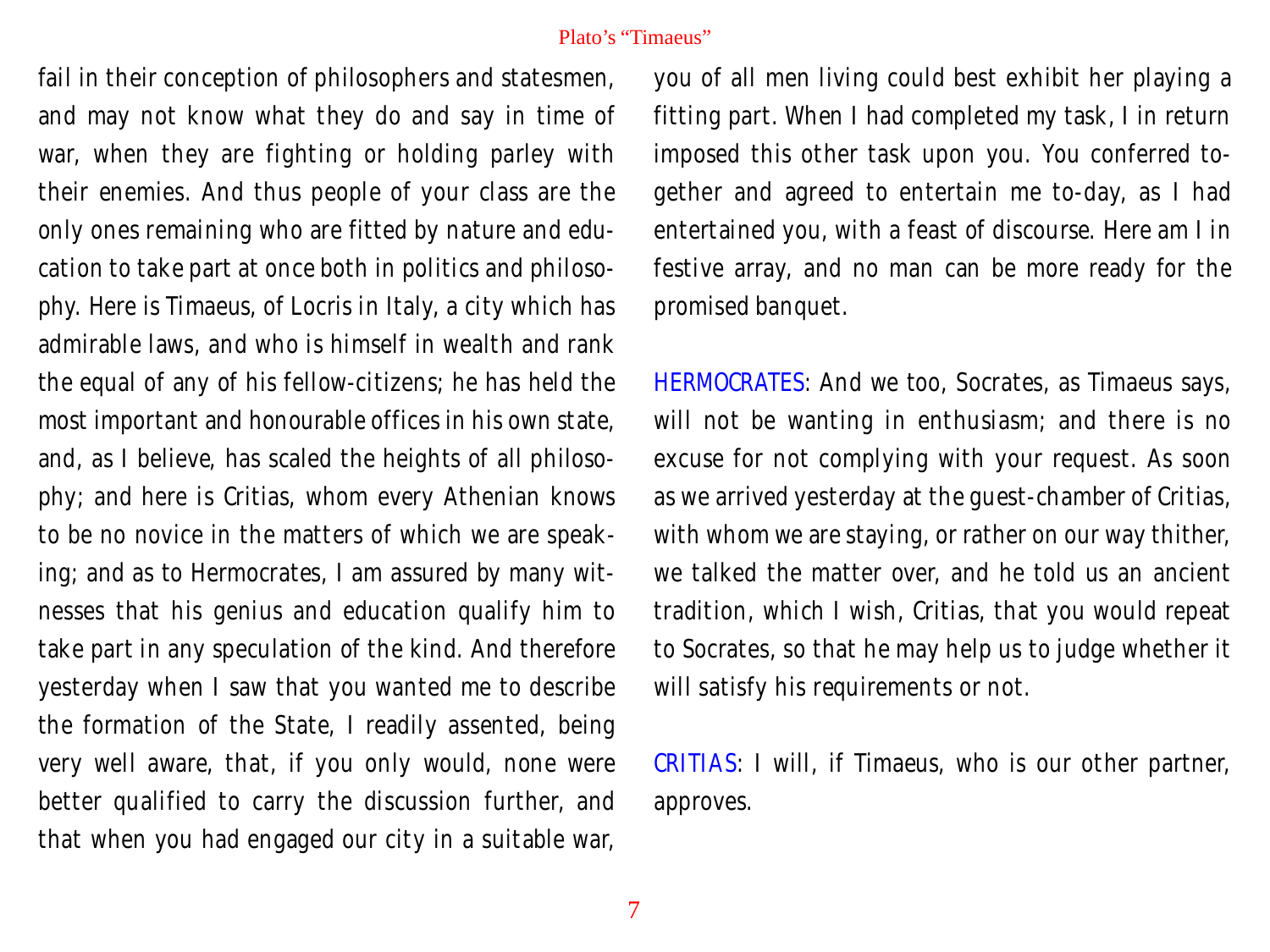fail in their conception of philosophers and statesmen, and may not know what they do and say in time of war, when they are fighting or holding parley with their enemies. And thus people of your class are the only ones remaining who are fitted by nature and education to take part at once both in politics and philosophy. Here is Timaeus, of Locris in Italy, a city which has admirable laws, and who is himself in wealth and rank the equal of any of his fellow-citizens; he has held the most important and honourable offices in his own state, and, as I believe, has scaled the heights of all philosophy; and here is Critias, whom every Athenian knows to be no novice in the matters of which we are speaking; and as to Hermocrates, I am assured by many witnesses that his genius and education qualify him to take part in any speculation of the kind. And therefore yesterday when I saw that you wanted me to describe the formation of the State, I readily assented, being very well aware, that, if you only would, none were better qualified to carry the discussion further, and that when you had engaged our city in a suitable war,

you of all men living could best exhibit her playing a fitting part. When I had completed my task, I in return imposed this other task upon you. You conferred together and agreed to entertain me to-day, as I had entertained you, with a feast of discourse. Here am I in festive array, and no man can be more ready for the promised banquet.

HERMOCRATES: And we too, Socrates, as Timaeus says, will not be wanting in enthusiasm; and there is no excuse for not complying with your request. As soon as we arrived yesterday at the guest-chamber of Critias, with whom we are staying, or rather on our way thither, we talked the matter over, and he told us an ancient tradition, which I wish, Critias, that you would repeat to Socrates, so that he may help us to judge whether it will satisfy his requirements or not.

CRITIAS: I will, if Timaeus, who is our other partner, approves.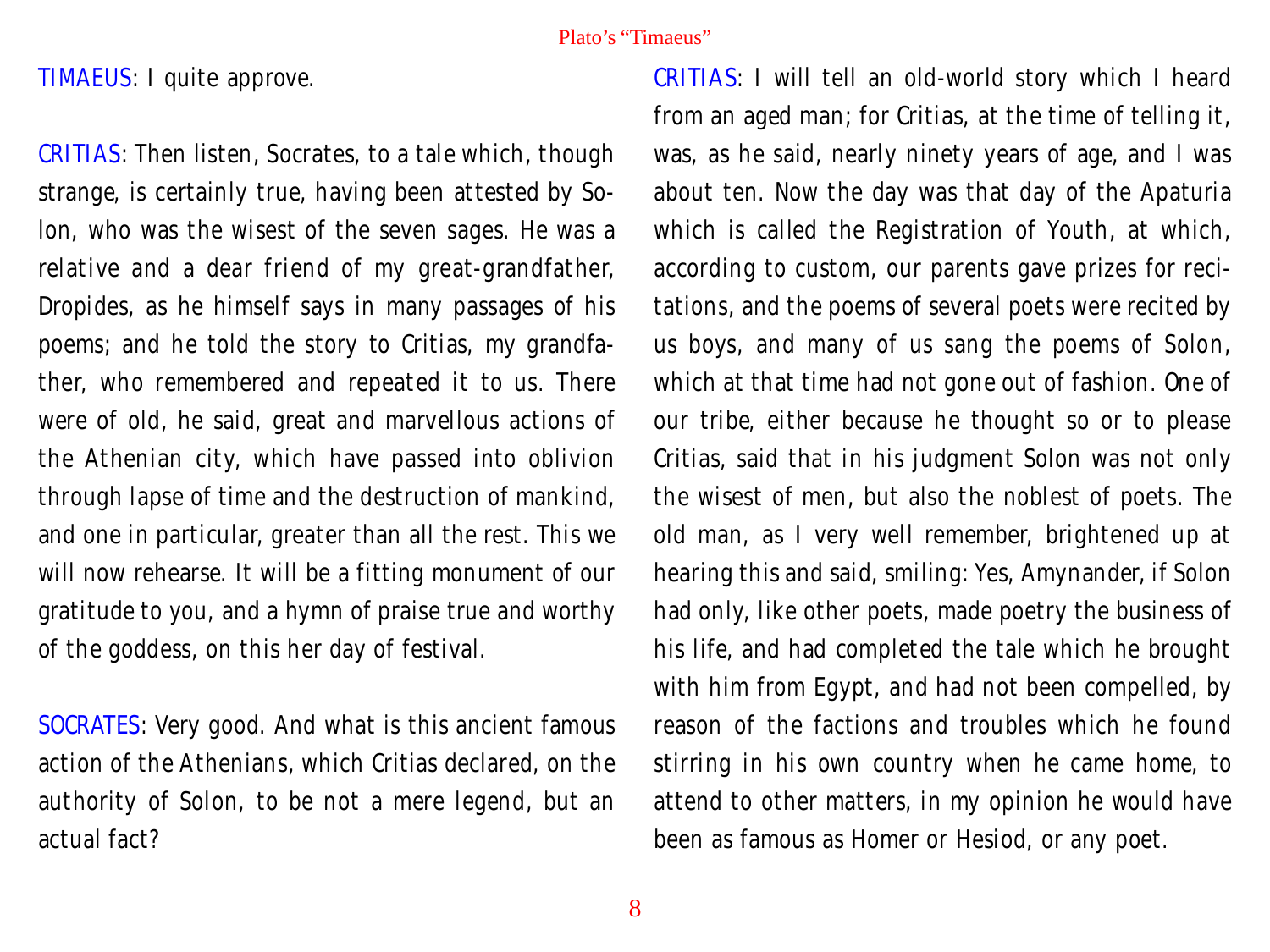TIMAEUS: I quite approve.

CRITIAS: Then listen, Socrates, to a tale which, though strange, is certainly true, having been attested by Solon, who was the wisest of the seven sages. He was a relative and a dear friend of my great-grandfather, Dropides, as he himself says in many passages of his poems; and he told the story to Critias, my grandfather, who remembered and repeated it to us. There were of old, he said, great and marvellous actions of the Athenian city, which have passed into oblivion through lapse of time and the destruction of mankind, and one in particular, greater than all the rest. This we will now rehearse. It will be a fitting monument of our gratitude to you, and a hymn of praise true and worthy of the goddess, on this her day of festival.

SOCRATES: Very good. And what is this ancient famous action of the Athenians, which Critias declared, on the authority of Solon, to be not a mere legend, but an actual fact?

CRITIAS: I will tell an old-world story which I heard from an aged man; for Critias, at the time of telling it, was, as he said, nearly ninety years of age, and I was about ten. Now the day was that day of the Apaturia which is called the Registration of Youth, at which, according to custom, our parents gave prizes for recitations, and the poems of several poets were recited by us boys, and many of us sang the poems of Solon, which at that time had not gone out of fashion. One of our tribe, either because he thought so or to please Critias, said that in his judgment Solon was not only the wisest of men, but also the noblest of poets. The old man, as I very well remember, brightened up at hearing this and said, smiling: Yes, Amynander, if Solon had only, like other poets, made poetry the business of his life, and had completed the tale which he brought with him from Egypt, and had not been compelled, by reason of the factions and troubles which he found stirring in his own country when he came home, to attend to other matters, in my opinion he would have been as famous as Homer or Hesiod, or any poet.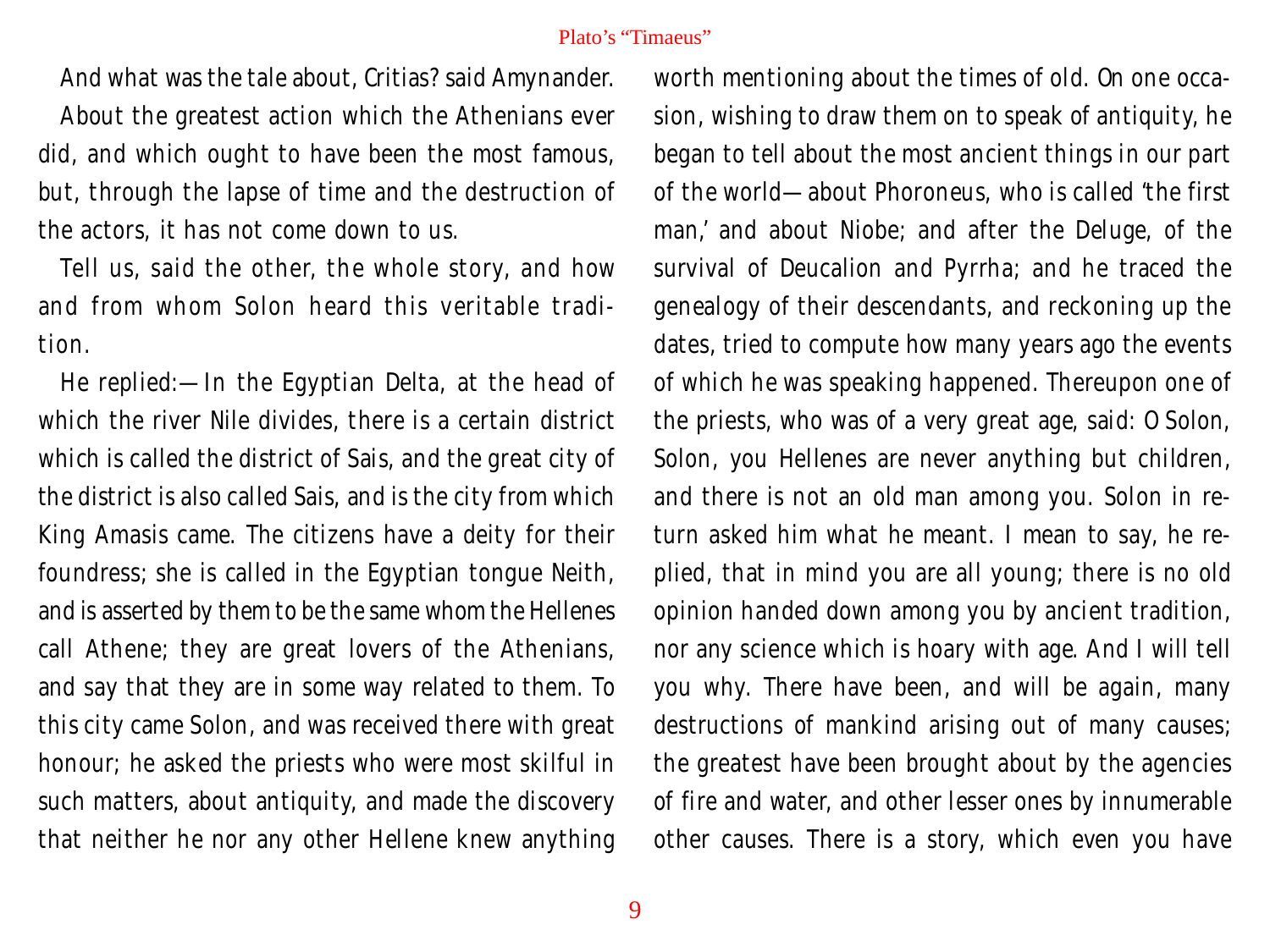And what was the tale about, Critias? said Amynander.

About the greatest action which the Athenians ever did, and which ought to have been the most famous, but, through the lapse of time and the destruction of the actors, it has not come down to us.

Tell us, said the other, the whole story, and how and from whom Solon heard this veritable tradition.

He replied:—In the Egyptian Delta, at the head of which the river Nile divides, there is a certain district which is called the district of Sais, and the great city of the district is also called Sais, and is the city from which King Amasis came. The citizens have a deity for their foundress; she is called in the Egyptian tongue Neith, and is asserted by them to be the same whom the Hellenes call Athene; they are great lovers of the Athenians, and say that they are in some way related to them. To this city came Solon, and was received there with great honour; he asked the priests who were most skilful in such matters, about antiquity, and made the discovery that neither he nor any other Hellene knew anything

worth mentioning about the times of old. On one occasion, wishing to draw them on to speak of antiquity, he began to tell about the most ancient things in our part of the world—about Phoroneus, who is called 'the first man,' and about Niobe; and after the Deluge, of the survival of Deucalion and Pyrrha; and he traced the genealogy of their descendants, and reckoning up the dates, tried to compute how many years ago the events of which he was speaking happened. Thereupon one of the priests, who was of a very great age, said: O Solon, Solon, you Hellenes are never anything but children, and there is not an old man among you. Solon in return asked him what he meant. I mean to say, he replied, that in mind you are all young; there is no old opinion handed down among you by ancient tradition, nor any science which is hoary with age. And I will tell you why. There have been, and will be again, many destructions of mankind arising out of many causes; the greatest have been brought about by the agencies of fire and water, and other lesser ones by innumerable other causes. There is a story, which even you have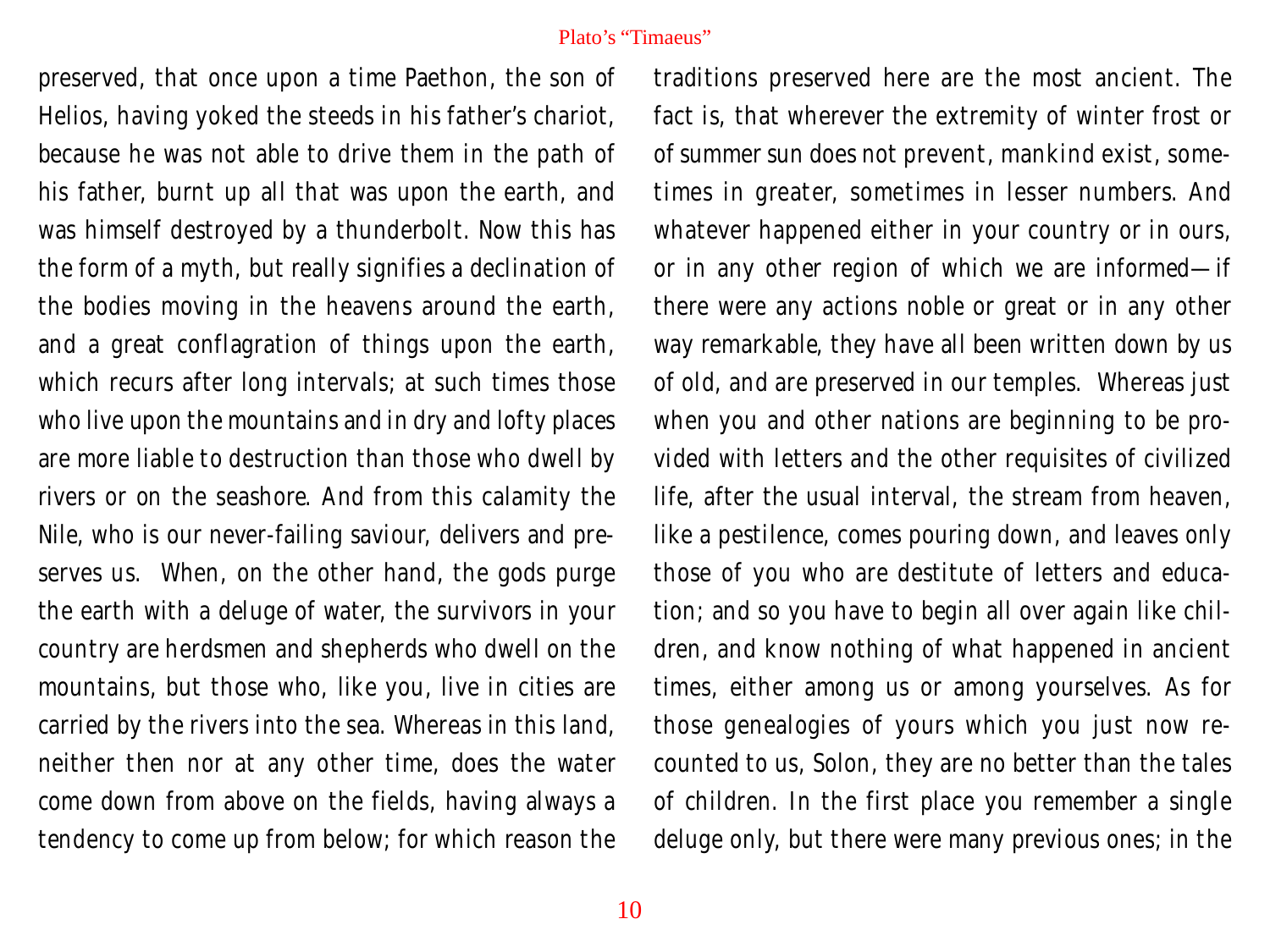preserved, that once upon a time Paethon, the son of Helios, having yoked the steeds in his father's chariot, because he was not able to drive them in the path of his father, burnt up all that was upon the earth, and was himself destroyed by a thunderbolt. Now this has the form of a myth, but really signifies a declination of the bodies moving in the heavens around the earth, and a great conflagration of things upon the earth, which recurs after long intervals; at such times those who live upon the mountains and in dry and lofty places are more liable to destruction than those who dwell by rivers or on the seashore. And from this calamity the Nile, who is our never-failing saviour, delivers and preserves us. When, on the other hand, the gods purge the earth with a deluge of water, the survivors in your country are herdsmen and shepherds who dwell on the mountains, but those who, like you, live in cities are carried by the rivers into the sea. Whereas in this land, neither then nor at any other time, does the water come down from above on the fields, having always a tendency to come up from below; for which reason the

traditions preserved here are the most ancient. The fact is, that wherever the extremity of winter frost or of summer sun does not prevent, mankind exist, sometimes in greater, sometimes in lesser numbers. And whatever happened either in your country or in ours, or in any other region of which we are informed—if there were any actions noble or great or in any other way remarkable, they have all been written down by us of old, and are preserved in our temples. Whereas just when you and other nations are beginning to be provided with letters and the other requisites of civilized life, after the usual interval, the stream from heaven, like a pestilence, comes pouring down, and leaves only those of you who are destitute of letters and education; and so you have to begin all over again like children, and know nothing of what happened in ancient times, either among us or among yourselves. As for those genealogies of yours which you just now recounted to us, Solon, they are no better than the tales of children. In the first place you remember a single deluge only, but there were many previous ones; in the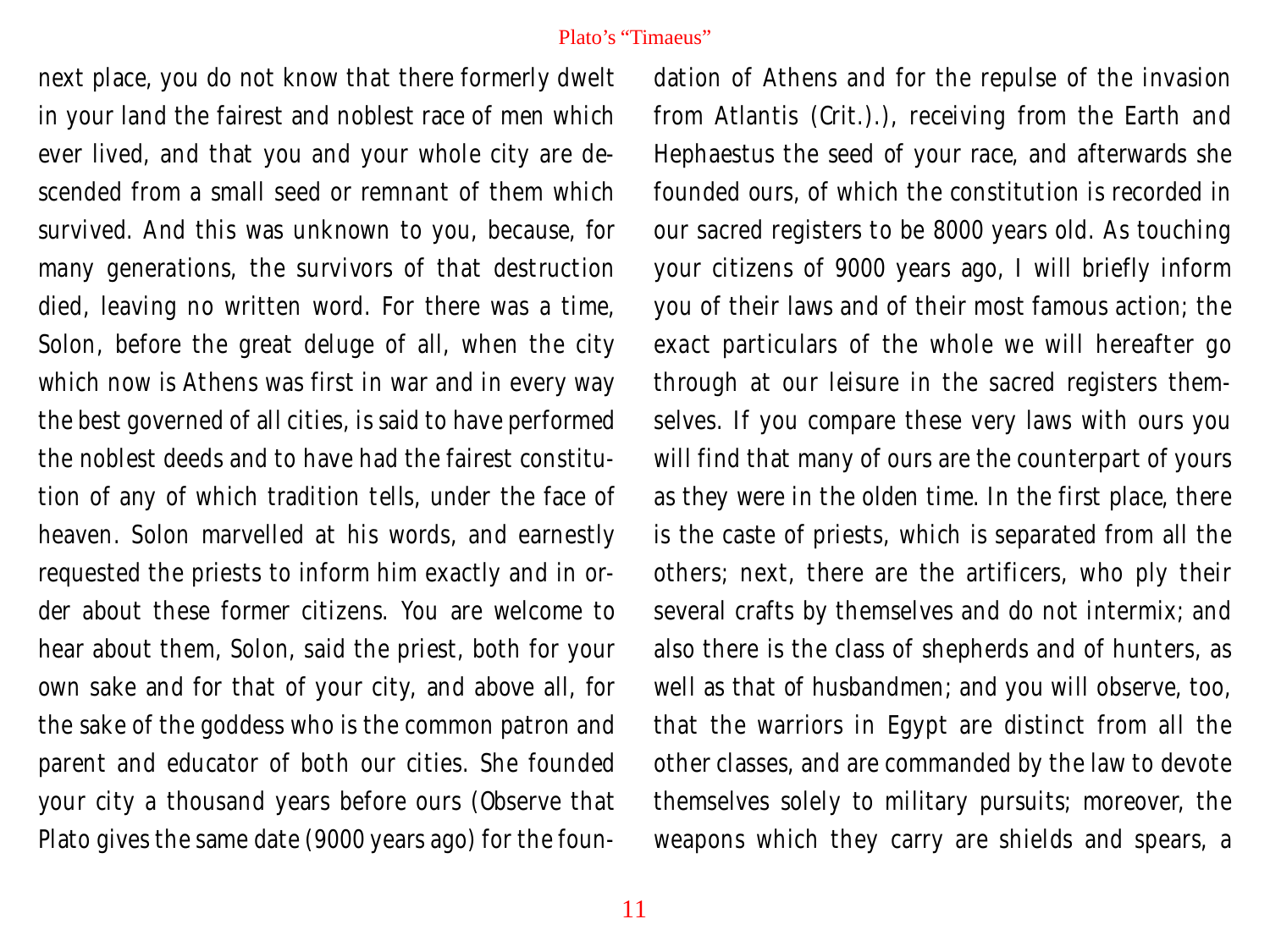next place, you do not know that there formerly dwelt in your land the fairest and noblest race of men which ever lived, and that you and your whole city are descended from a small seed or remnant of them which survived. And this was unknown to you, because, for many generations, the survivors of that destruction died, leaving no written word. For there was a time, Solon, before the great deluge of all, when the city which now is Athens was first in war and in every way the best governed of all cities, is said to have performed the noblest deeds and to have had the fairest constitution of any of which tradition tells, under the face of heaven. Solon marvelled at his words, and earnestly requested the priests to inform him exactly and in order about these former citizens. You are welcome to hear about them, Solon, said the priest, both for your own sake and for that of your city, and above all, for the sake of the goddess who is the common patron and parent and educator of both our cities. She founded your city a thousand years before ours (Observe that Plato gives the same date (9000 years ago) for the foundation of Athens and for the repulse of the invasion from Atlantis (Crit.).), receiving from the Earth and Hephaestus the seed of your race, and afterwards she founded ours, of which the constitution is recorded in our sacred registers to be 8000 years old. As touching your citizens of 9000 years ago, I will briefly inform you of their laws and of their most famous action; the exact particulars of the whole we will hereafter go through at our leisure in the sacred registers themselves. If you compare these very laws with ours you will find that many of ours are the counterpart of yours as they were in the olden time. In the first place, there is the caste of priests, which is separated from all the others; next, there are the artificers, who ply their several crafts by themselves and do not intermix; and also there is the class of shepherds and of hunters, as well as that of husbandmen; and you will observe, too, that the warriors in Egypt are distinct from all the other classes, and are commanded by the law to devote themselves solely to military pursuits; moreover, the weapons which they carry are shields and spears, a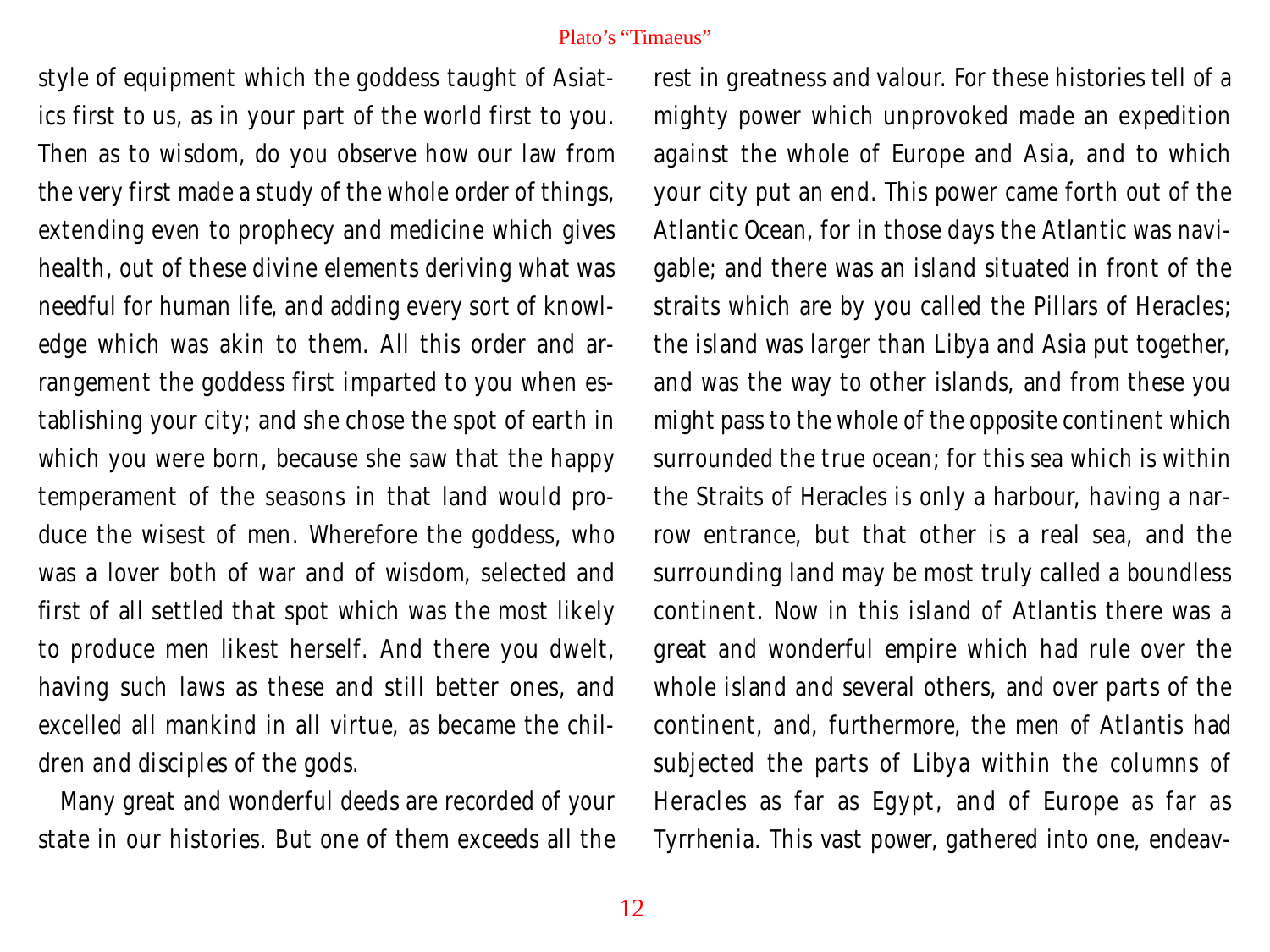style of equipment which the goddess taught of Asiatics first to us, as in your part of the world first to you. Then as to wisdom, do you observe how our law from the very first made a study of the whole order of things, extending even to prophecy and medicine which gives health, out of these divine elements deriving what was needful for human life, and adding every sort of knowledge which was akin to them. All this order and arrangement the goddess first imparted to you when establishing your city; and she chose the spot of earth in which you were born, because she saw that the happy temperament of the seasons in that land would produce the wisest of men. Wherefore the goddess, who was a lover both of war and of wisdom, selected and first of all settled that spot which was the most likely to produce men likest herself. And there you dwelt, having such laws as these and still better ones, and excelled all mankind in all virtue, as became the children and disciples of the gods.

Many great and wonderful deeds are recorded of your state in our histories. But one of them exceeds all the

rest in greatness and valour. For these histories tell of a mighty power which unprovoked made an expedition against the whole of Europe and Asia, and to which your city put an end. This power came forth out of the Atlantic Ocean, for in those days the Atlantic was navigable; and there was an island situated in front of the straits which are by you called the Pillars of Heracles; the island was larger than Libya and Asia put together, and was the way to other islands, and from these you might pass to the whole of the opposite continent which surrounded the true ocean; for this sea which is within the Straits of Heracles is only a harbour, having a narrow entrance, but that other is a real sea, and the surrounding land may be most truly called a boundless continent. Now in this island of Atlantis there was a great and wonderful empire which had rule over the whole island and several others, and over parts of the continent, and, furthermore, the men of Atlantis had subjected the parts of Libya within the columns of Heracles as far as Egypt, and of Europe as far as Tyrrhenia. This vast power, gathered into one, endeav-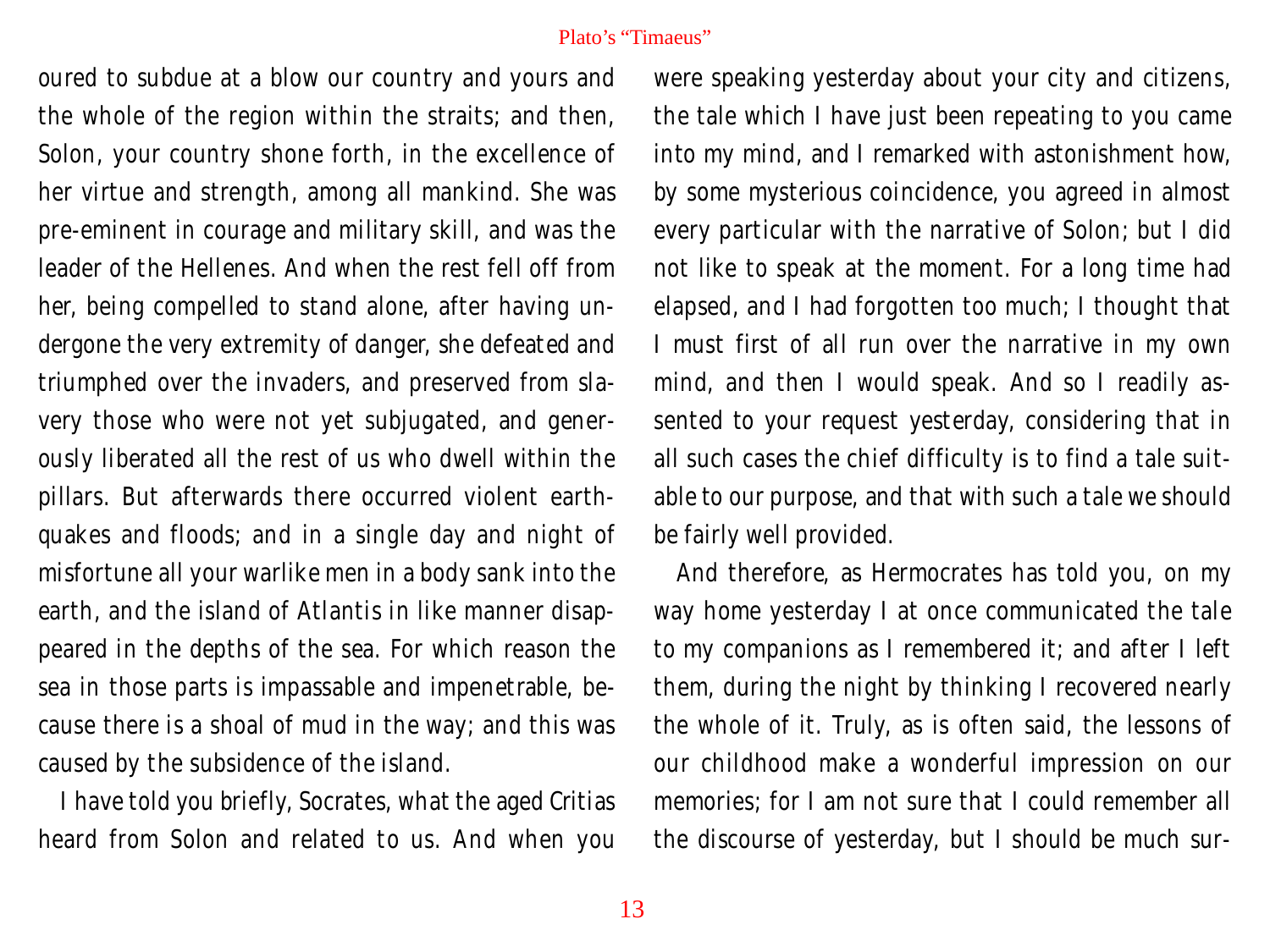oured to subdue at a blow our country and yours and the whole of the region within the straits; and then, Solon, your country shone forth, in the excellence of her virtue and strength, among all mankind. She was pre-eminent in courage and military skill, and was the leader of the Hellenes. And when the rest fell off from her, being compelled to stand alone, after having undergone the very extremity of danger, she defeated and triumphed over the invaders, and preserved from slavery those who were not yet subjugated, and generously liberated all the rest of us who dwell within the pillars. But afterwards there occurred violent earthquakes and floods; and in a single day and night of misfortune all your warlike men in a body sank into the earth, and the island of Atlantis in like manner disappeared in the depths of the sea. For which reason the sea in those parts is impassable and impenetrable, because there is a shoal of mud in the way; and this was caused by the subsidence of the island.

I have told you briefly, Socrates, what the aged Critias heard from Solon and related to us. And when you

were speaking yesterday about your city and citizens, the tale which I have just been repeating to you came into my mind, and I remarked with astonishment how, by some mysterious coincidence, you agreed in almost every particular with the narrative of Solon; but I did not like to speak at the moment. For a long time had elapsed, and I had forgotten too much; I thought that I must first of all run over the narrative in my own mind, and then I would speak. And so I readily assented to your request yesterday, considering that in all such cases the chief difficulty is to find a tale suitable to our purpose, and that with such a tale we should be fairly well provided.

And therefore, as Hermocrates has told you, on my way home yesterday I at once communicated the tale to my companions as I remembered it; and after I left them, during the night by thinking I recovered nearly the whole of it. Truly, as is often said, the lessons of our childhood make a wonderful impression on our memories; for I am not sure that I could remember all the discourse of yesterday, but I should be much sur-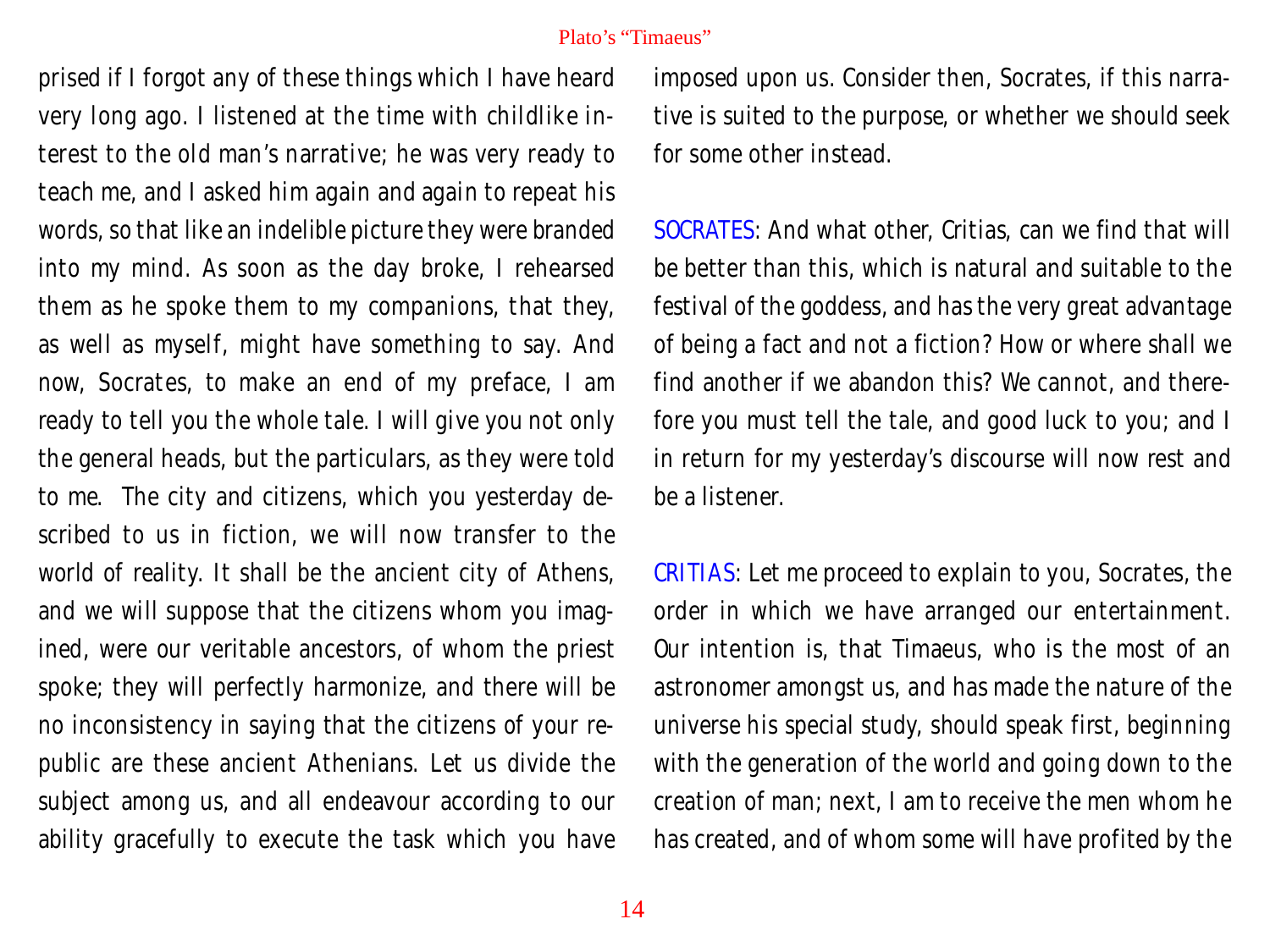prised if I forgot any of these things which I have heard very long ago. I listened at the time with childlike interest to the old man's narrative; he was very ready to teach me, and I asked him again and again to repeat his words, so that like an indelible picture they were branded into my mind. As soon as the day broke, I rehearsed them as he spoke them to my companions, that they, as well as myself, might have something to say. And now, Socrates, to make an end of my preface, I am ready to tell you the whole tale. I will give you not only the general heads, but the particulars, as they were told to me. The city and citizens, which you yesterday described to us in fiction, we will now transfer to the world of reality. It shall be the ancient city of Athens, and we will suppose that the citizens whom you imagined, were our veritable ancestors, of whom the priest spoke; they will perfectly harmonize, and there will be no inconsistency in saying that the citizens of your republic are these ancient Athenians. Let us divide the subject among us, and all endeavour according to our ability gracefully to execute the task which you have

imposed upon us. Consider then, Socrates, if this narrative is suited to the purpose, or whether we should seek for some other instead.

SOCRATES: And what other, Critias, can we find that will be better than this, which is natural and suitable to the festival of the goddess, and has the very great advantage of being a fact and not a fiction? How or where shall we find another if we abandon this? We cannot, and therefore you must tell the tale, and good luck to you; and I in return for my yesterday's discourse will now rest and be a listener.

CRITIAS: Let me proceed to explain to you, Socrates, the order in which we have arranged our entertainment. Our intention is, that Timaeus, who is the most of an astronomer amongst us, and has made the nature of the universe his special study, should speak first, beginning with the generation of the world and going down to the creation of man; next, I am to receive the men whom he has created, and of whom some will have profited by the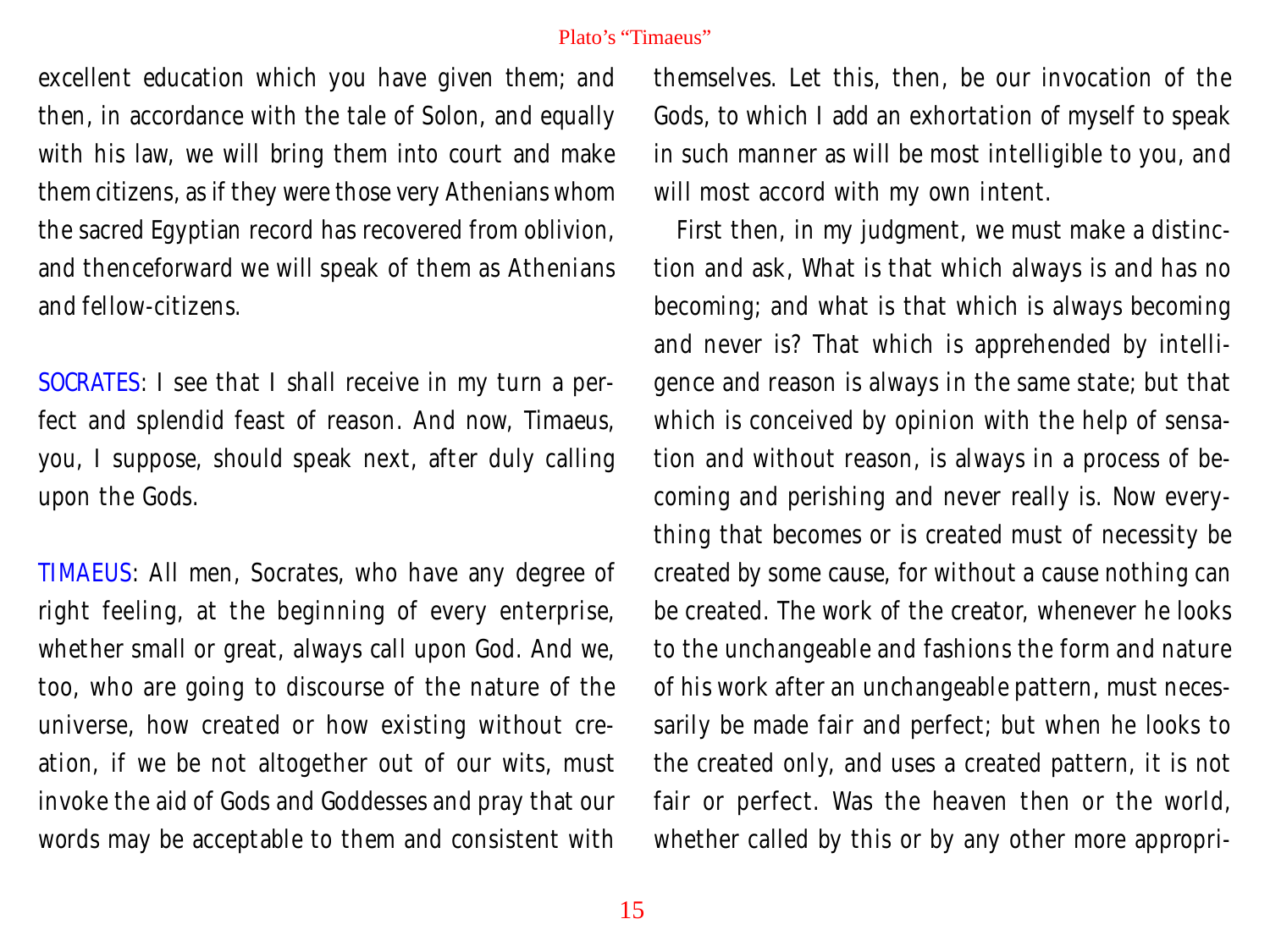excellent education which you have given them; and then, in accordance with the tale of Solon, and equally with his law, we will bring them into court and make them citizens, as if they were those very Athenians whom the sacred Egyptian record has recovered from oblivion, and thenceforward we will speak of them as Athenians and fellow-citizens.

SOCRATES: I see that I shall receive in my turn a perfect and splendid feast of reason. And now, Timaeus, you, I suppose, should speak next, after duly calling upon the Gods.

TIMAEUS: All men, Socrates, who have any degree of right feeling, at the beginning of every enterprise, whether small or great, always call upon God. And we, too, who are going to discourse of the nature of the universe, how created or how existing without creation, if we be not altogether out of our wits, must invoke the aid of Gods and Goddesses and pray that our words may be acceptable to them and consistent with

themselves. Let this, then, be our invocation of the Gods, to which I add an exhortation of myself to speak in such manner as will be most intelligible to you, and will most accord with my own intent.

First then, in my judgment, we must make a distinction and ask, What is that which always is and has no becoming; and what is that which is always becoming and never is? That which is apprehended by intelligence and reason is always in the same state; but that which is conceived by opinion with the help of sensation and without reason, is always in a process of becoming and perishing and never really is. Now everything that becomes or is created must of necessity be created by some cause, for without a cause nothing can be created. The work of the creator, whenever he looks to the unchangeable and fashions the form and nature of his work after an unchangeable pattern, must necessarily be made fair and perfect; but when he looks to the created only, and uses a created pattern, it is not fair or perfect. Was the heaven then or the world, whether called by this or by any other more appropri-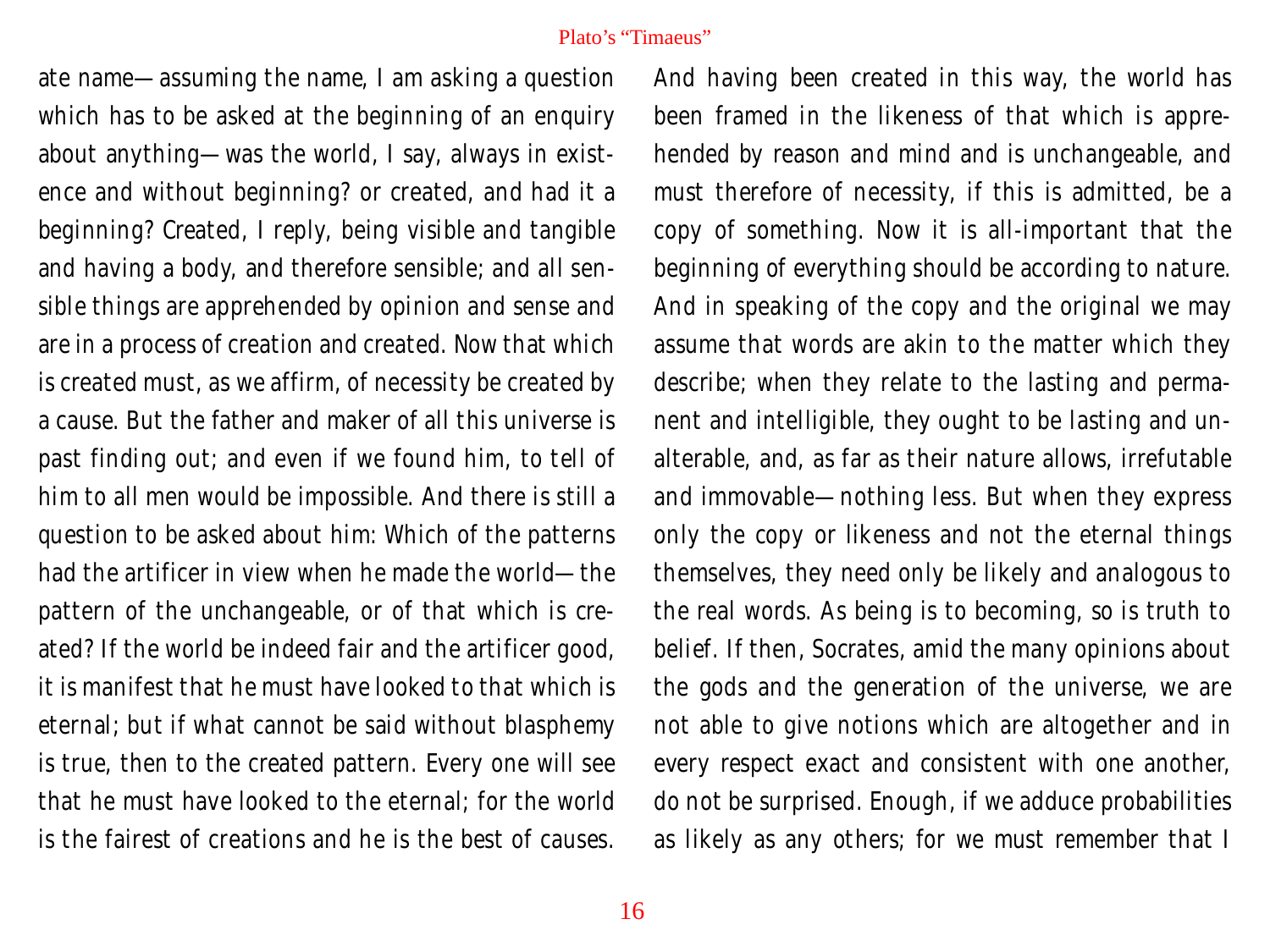ate name—assuming the name, I am asking a question which has to be asked at the beginning of an enquiry about anything—was the world, I say, always in existence and without beginning? or created, and had it a beginning? Created, I reply, being visible and tangible and having a body, and therefore sensible; and all sensible things are apprehended by opinion and sense and are in a process of creation and created. Now that which is created must, as we affirm, of necessity be created by a cause. But the father and maker of all this universe is past finding out; and even if we found him, to tell of him to all men would be impossible. And there is still a question to be asked about him: Which of the patterns had the artificer in view when he made the world—the pattern of the unchangeable, or of that which is created? If the world be indeed fair and the artificer good, it is manifest that he must have looked to that which is eternal; but if what cannot be said without blasphemy is true, then to the created pattern. Every one will see that he must have looked to the eternal; for the world is the fairest of creations and he is the best of causes.

And having been created in this way, the world has been framed in the likeness of that which is apprehended by reason and mind and is unchangeable, and must therefore of necessity, if this is admitted, be a copy of something. Now it is all-important that the beginning of everything should be according to nature. And in speaking of the copy and the original we may assume that words are akin to the matter which they describe; when they relate to the lasting and permanent and intelligible, they ought to be lasting and unalterable, and, as far as their nature allows, irrefutable and immovable—nothing less. But when they express only the copy or likeness and not the eternal things themselves, they need only be likely and analogous to the real words. As being is to becoming, so is truth to belief. If then, Socrates, amid the many opinions about the gods and the generation of the universe, we are not able to give notions which are altogether and in every respect exact and consistent with one another, do not be surprised. Enough, if we adduce probabilities as likely as any others; for we must remember that I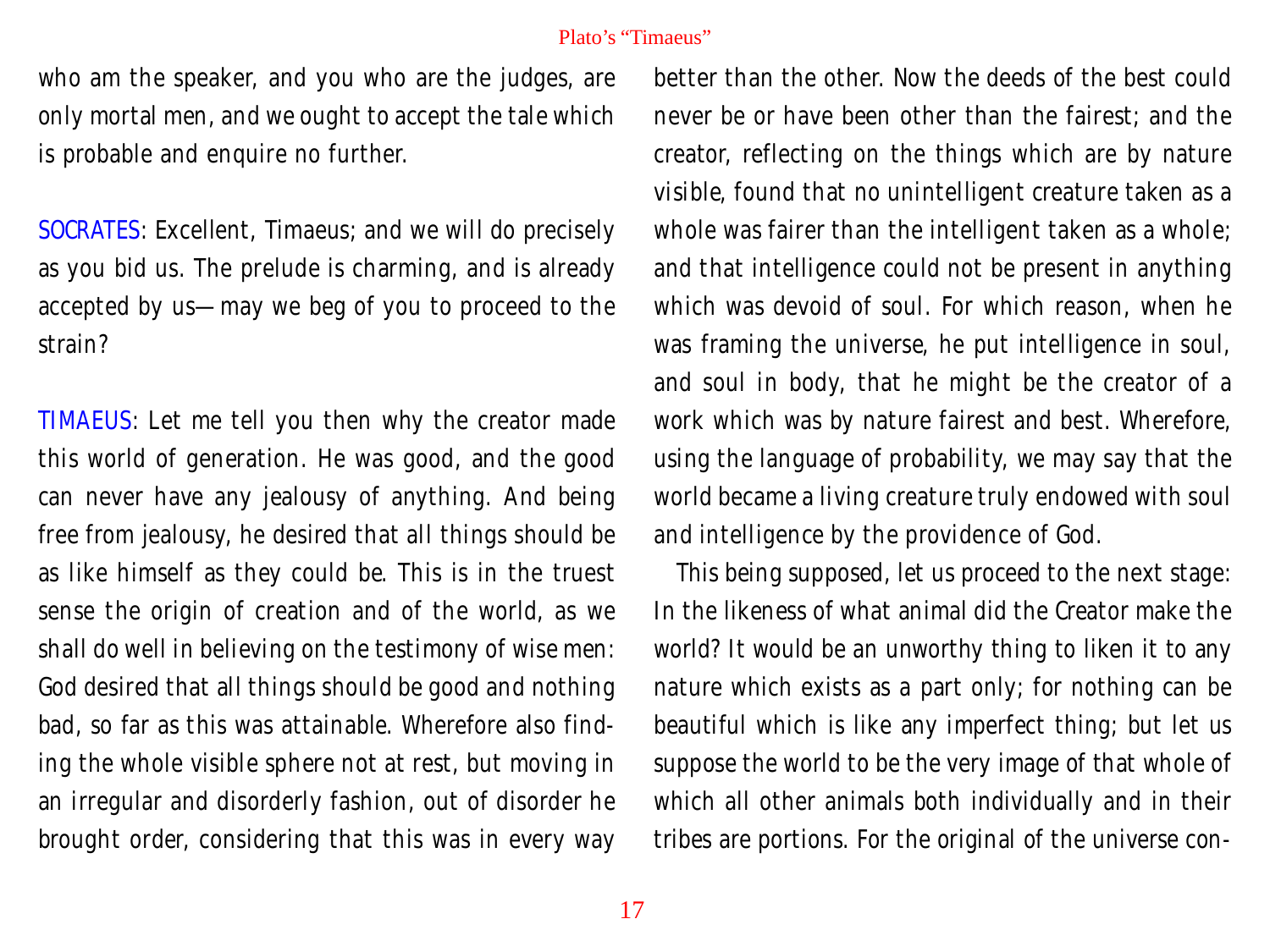who am the speaker, and you who are the judges, are only mortal men, and we ought to accept the tale which is probable and enquire no further.

SOCRATES: Excellent, Timaeus; and we will do precisely as you bid us. The prelude is charming, and is already accepted by us—may we beg of you to proceed to the strain?

TIMAEUS: Let me tell you then why the creator made this world of generation. He was good, and the good can never have any jealousy of anything. And being free from jealousy, he desired that all things should be as like himself as they could be. This is in the truest sense the origin of creation and of the world, as we shall do well in believing on the testimony of wise men: God desired that all things should be good and nothing bad, so far as this was attainable. Wherefore also finding the whole visible sphere not at rest, but moving in an irregular and disorderly fashion, out of disorder he brought order, considering that this was in every way

better than the other. Now the deeds of the best could never be or have been other than the fairest; and the creator, reflecting on the things which are by nature visible, found that no unintelligent creature taken as a whole was fairer than the intelligent taken as a whole; and that intelligence could not be present in anything which was devoid of soul. For which reason, when he was framing the universe, he put intelligence in soul, and soul in body, that he might be the creator of a work which was by nature fairest and best. Wherefore, using the language of probability, we may say that the world became a living creature truly endowed with soul and intelligence by the providence of God.

This being supposed, let us proceed to the next stage: In the likeness of what animal did the Creator make the world? It would be an unworthy thing to liken it to any nature which exists as a part only; for nothing can be beautiful which is like any imperfect thing; but let us suppose the world to be the very image of that whole of which all other animals both individually and in their tribes are portions. For the original of the universe con-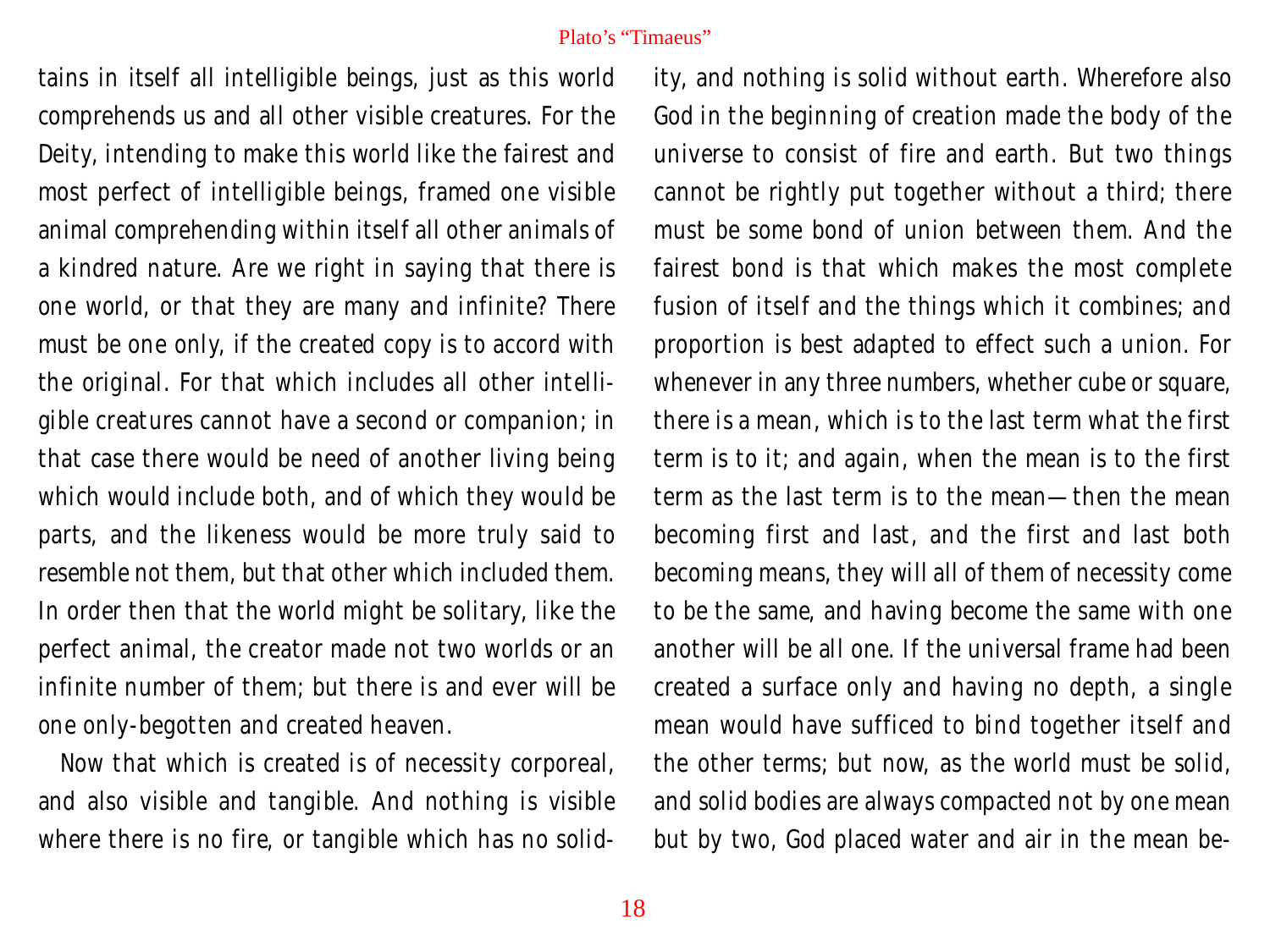tains in itself all intelligible beings, just as this world comprehends us and all other visible creatures. For the Deity, intending to make this world like the fairest and most perfect of intelligible beings, framed one visible animal comprehending within itself all other animals of a kindred nature. Are we right in saying that there is one world, or that they are many and infinite? There must be one only, if the created copy is to accord with the original. For that which includes all other intelligible creatures cannot have a second or companion; in that case there would be need of another living being which would include both, and of which they would be parts, and the likeness would be more truly said to resemble not them, but that other which included them. In order then that the world might be solitary, like the perfect animal, the creator made not two worlds or an infinite number of them; but there is and ever will be one only-begotten and created heaven.

Now that which is created is of necessity corporeal, and also visible and tangible. And nothing is visible where there is no fire, or tangible which has no solidity, and nothing is solid without earth. Wherefore also God in the beginning of creation made the body of the universe to consist of fire and earth. But two things cannot be rightly put together without a third; there must be some bond of union between them. And the fairest bond is that which makes the most complete fusion of itself and the things which it combines; and proportion is best adapted to effect such a union. For whenever in any three numbers, whether cube or square, there is a mean, which is to the last term what the first term is to it; and again, when the mean is to the first term as the last term is to the mean—then the mean becoming first and last, and the first and last both becoming means, they will all of them of necessity come to be the same, and having become the same with one another will be all one. If the universal frame had been created a surface only and having no depth, a single mean would have sufficed to bind together itself and the other terms; but now, as the world must be solid, and solid bodies are always compacted not by one mean but by two, God placed water and air in the mean be-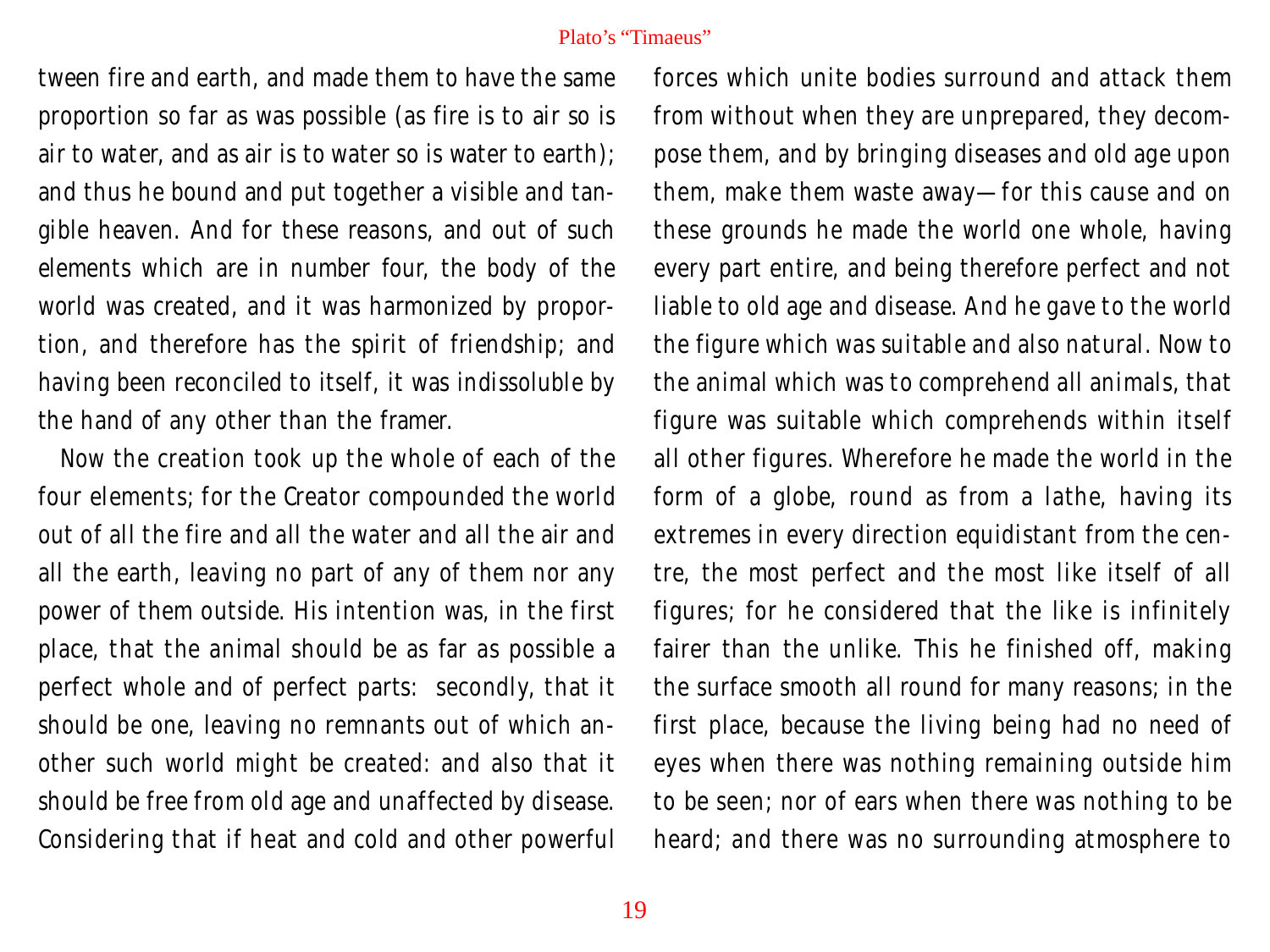tween fire and earth, and made them to have the same proportion so far as was possible (as fire is to air so is air to water, and as air is to water so is water to earth); and thus he bound and put together a visible and tangible heaven. And for these reasons, and out of such elements which are in number four, the body of the world was created, and it was harmonized by proportion, and therefore has the spirit of friendship; and having been reconciled to itself, it was indissoluble by the hand of any other than the framer.

Now the creation took up the whole of each of the four elements; for the Creator compounded the world out of all the fire and all the water and all the air and all the earth, leaving no part of any of them nor any power of them outside. His intention was, in the first place, that the animal should be as far as possible a perfect whole and of perfect parts: secondly, that it should be one, leaving no remnants out of which another such world might be created: and also that it should be free from old age and unaffected by disease. Considering that if heat and cold and other powerful forces which unite bodies surround and attack them from without when they are unprepared, they decompose them, and by bringing diseases and old age upon them, make them waste away—for this cause and on these grounds he made the world one whole, having every part entire, and being therefore perfect and not liable to old age and disease. And he gave to the world the figure which was suitable and also natural. Now to the animal which was to comprehend all animals, that figure was suitable which comprehends within itself all other figures. Wherefore he made the world in the form of a globe, round as from a lathe, having its extremes in every direction equidistant from the centre, the most perfect and the most like itself of all figures; for he considered that the like is infinitely fairer than the unlike. This he finished off, making the surface smooth all round for many reasons; in the first place, because the living being had no need of eyes when there was nothing remaining outside him to be seen; nor of ears when there was nothing to be heard; and there was no surrounding atmosphere to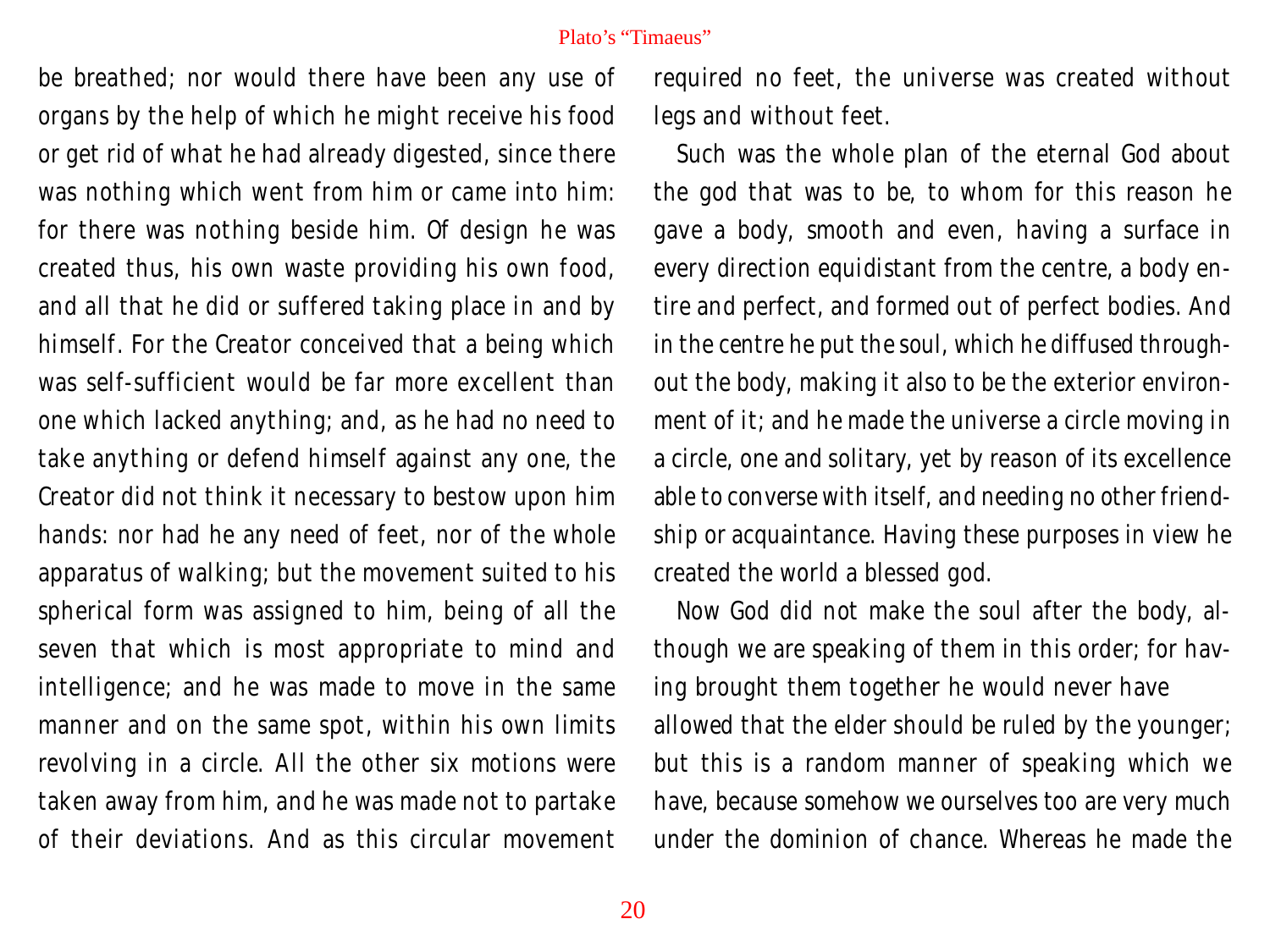be breathed; nor would there have been any use of organs by the help of which he might receive his food or get rid of what he had already digested, since there was nothing which went from him or came into him: for there was nothing beside him. Of design he was created thus, his own waste providing his own food, and all that he did or suffered taking place in and by himself. For the Creator conceived that a being which was self-sufficient would be far more excellent than one which lacked anything; and, as he had no need to take anything or defend himself against any one, the Creator did not think it necessary to bestow upon him hands: nor had he any need of feet, nor of the whole apparatus of walking; but the movement suited to his spherical form was assigned to him, being of all the seven that which is most appropriate to mind and intelligence; and he was made to move in the same manner and on the same spot, within his own limits revolving in a circle. All the other six motions were taken away from him, and he was made not to partake of their deviations. And as this circular movement

required no feet, the universe was created without legs and without feet.

Such was the whole plan of the eternal God about the god that was to be, to whom for this reason he gave a body, smooth and even, having a surface in every direction equidistant from the centre, a body entire and perfect, and formed out of perfect bodies. And in the centre he put the soul, which he diffused throughout the body, making it also to be the exterior environment of it; and he made the universe a circle moving in a circle, one and solitary, yet by reason of its excellence able to converse with itself, and needing no other friendship or acquaintance. Having these purposes in view he created the world a blessed god.

Now God did not make the soul after the body, although we are speaking of them in this order; for having brought them together he would never have allowed that the elder should be ruled by the younger; but this is a random manner of speaking which we have, because somehow we ourselves too are very much under the dominion of chance. Whereas he made the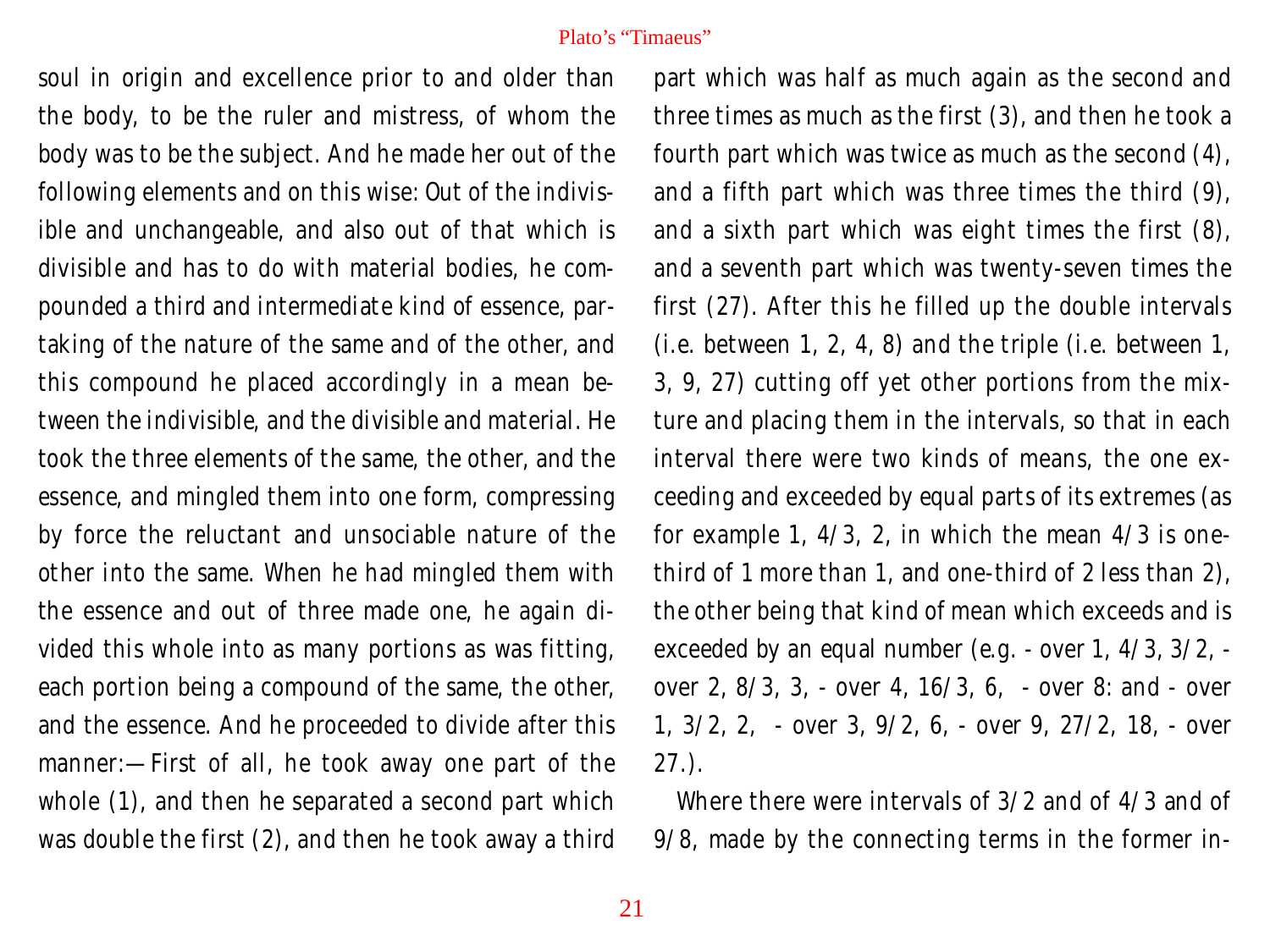soul in origin and excellence prior to and older than the body, to be the ruler and mistress, of whom the body was to be the subject. And he made her out of the following elements and on this wise: Out of the indivisible and unchangeable, and also out of that which is divisible and has to do with material bodies, he compounded a third and intermediate kind of essence, partaking of the nature of the same and of the other, and this compound he placed accordingly in a mean between the indivisible, and the divisible and material. He took the three elements of the same, the other, and the essence, and mingled them into one form, compressing by force the reluctant and unsociable nature of the other into the same. When he had mingled them with the essence and out of three made one, he again divided this whole into as many portions as was fitting, each portion being a compound of the same, the other, and the essence. And he proceeded to divide after this manner:—First of all, he took away one part of the whole (1), and then he separated a second part which was double the first (2), and then he took away a third

part which was half as much again as the second and three times as much as the first (3), and then he took a fourth part which was twice as much as the second (4), and a fifth part which was three times the third (9), and a sixth part which was eight times the first (8), and a seventh part which was twenty-seven times the first (27). After this he filled up the double intervals (i.e. between 1, 2, 4, 8) and the triple (i.e. between 1, 3, 9, 27) cutting off yet other portions from the mixture and placing them in the intervals, so that in each interval there were two kinds of means, the one exceeding and exceeded by equal parts of its extremes (as for example 1,  $4/3$ , 2, in which the mean  $4/3$  is onethird of 1 more than 1, and one-third of 2 less than 2), the other being that kind of mean which exceeds and is exceeded by an equal number (e.g. - over 1, 4/3, 3/2, over 2, 8/3, 3, - over 4, 16/3, 6, - over 8: and - over 1, 3/2, 2, - over 3, 9/2, 6, - over 9, 27/2, 18, - over 27.).

Where there were intervals of 3/2 and of 4/3 and of 9/8, made by the connecting terms in the former in-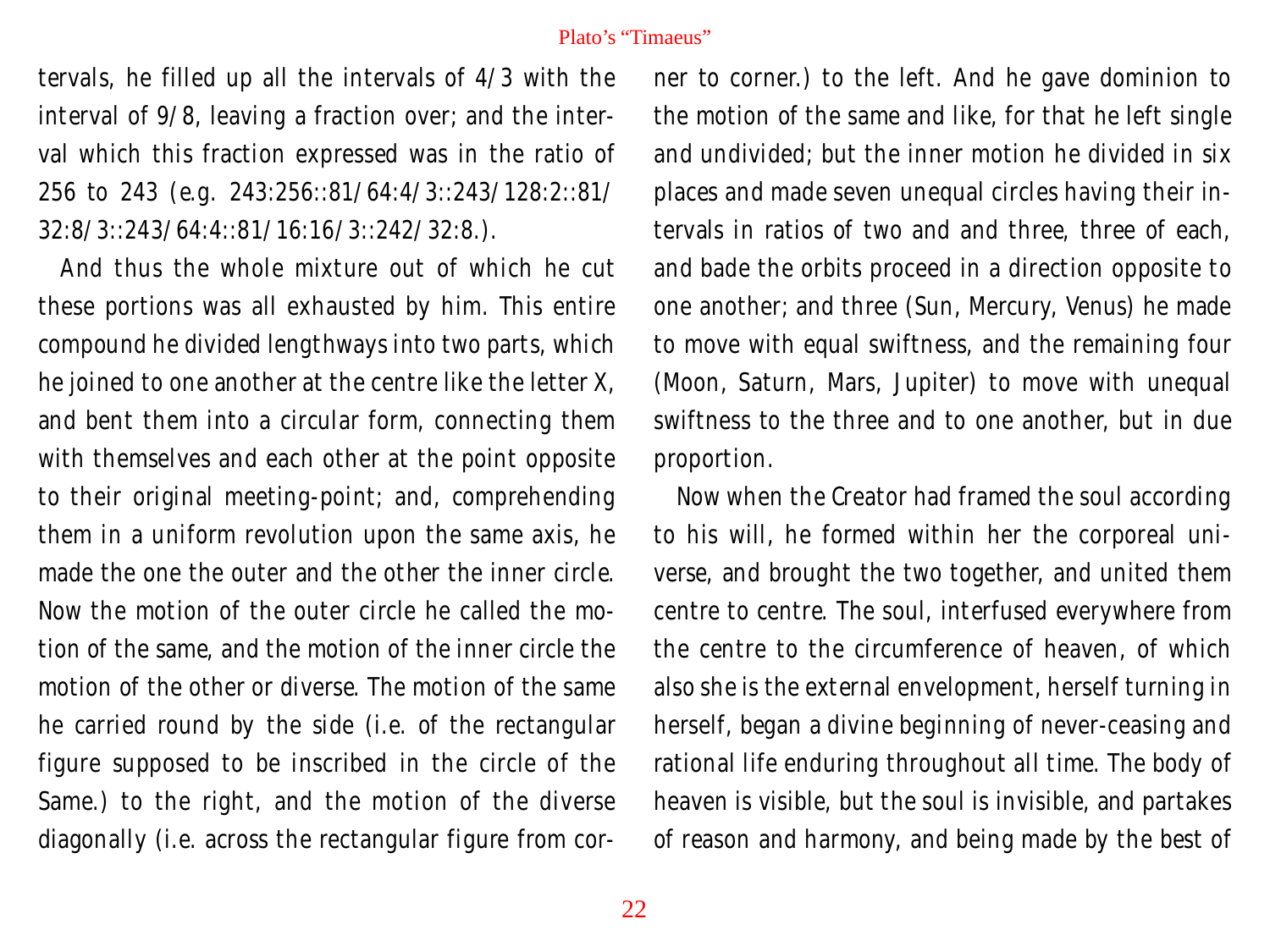tervals, he filled up all the intervals of 4/3 with the interval of 9/8, leaving a fraction over; and the interval which this fraction expressed was in the ratio of 256 to 243 (e.g. 243:256::81/64:4/3::243/128:2::81/ 32:8/3::243/64:4::81/16:16/3::242/32:8.).

And thus the whole mixture out of which he cut these portions was all exhausted by him. This entire compound he divided lengthways into two parts, which he joined to one another at the centre like the letter X, and bent them into a circular form, connecting them with themselves and each other at the point opposite to their original meeting-point; and, comprehending them in a uniform revolution upon the same axis, he made the one the outer and the other the inner circle. Now the motion of the outer circle he called the motion of the same, and the motion of the inner circle the motion of the other or diverse. The motion of the same he carried round by the side (i.e. of the rectangular figure supposed to be inscribed in the circle of the Same.) to the right, and the motion of the diverse diagonally (i.e. across the rectangular figure from corner to corner.) to the left. And he gave dominion to the motion of the same and like, for that he left single and undivided; but the inner motion he divided in six places and made seven unequal circles having their intervals in ratios of two and and three, three of each, and bade the orbits proceed in a direction opposite to one another; and three (Sun, Mercury, Venus) he made to move with equal swiftness, and the remaining four (Moon, Saturn, Mars, Jupiter) to move with unequal swiftness to the three and to one another, but in due proportion.

Now when the Creator had framed the soul according to his will, he formed within her the corporeal universe, and brought the two together, and united them centre to centre. The soul, interfused everywhere from the centre to the circumference of heaven, of which also she is the external envelopment, herself turning in herself, began a divine beginning of never-ceasing and rational life enduring throughout all time. The body of heaven is visible, but the soul is invisible, and partakes of reason and harmony, and being made by the best of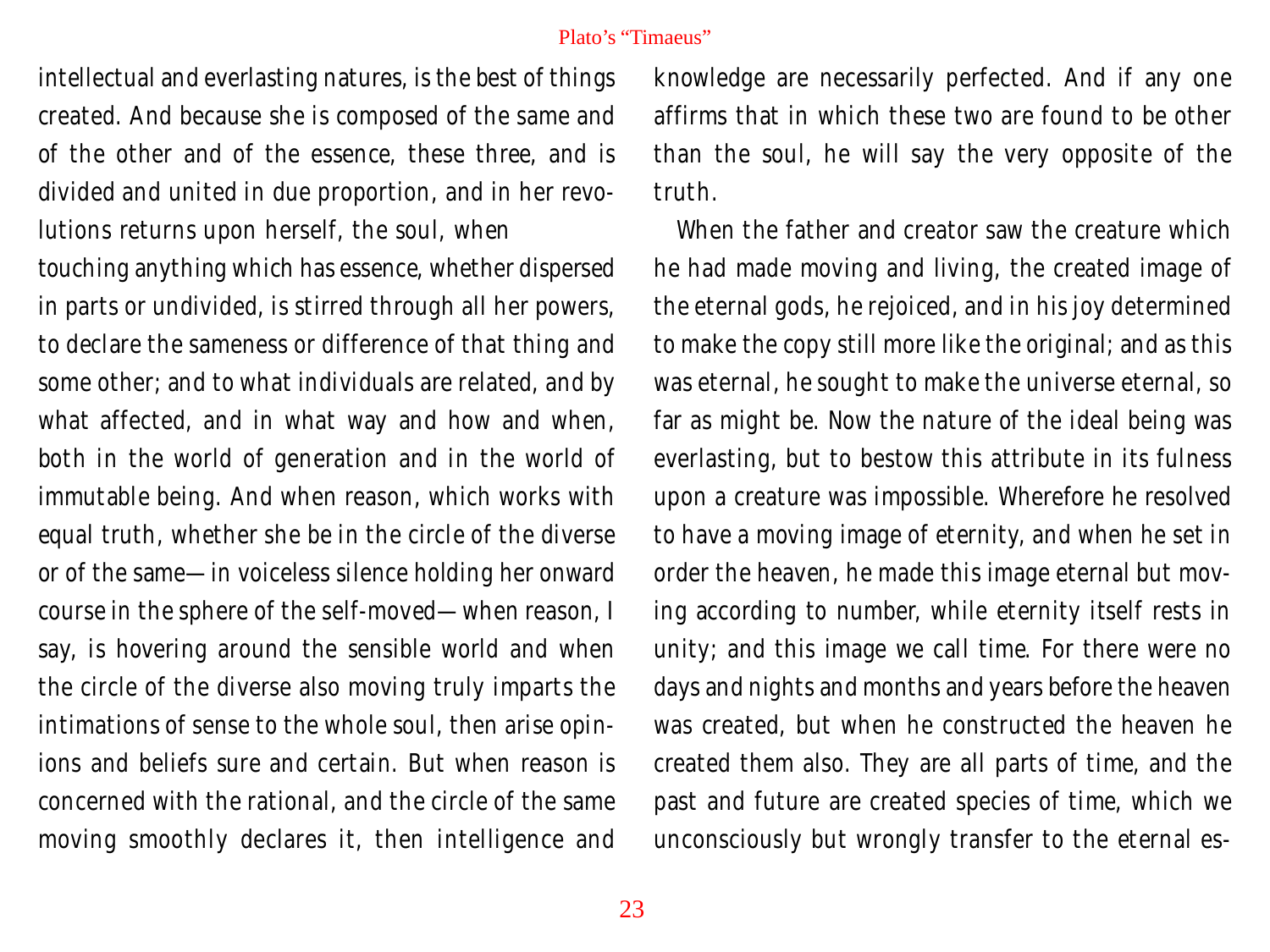intellectual and everlasting natures, is the best of things created. And because she is composed of the same and of the other and of the essence, these three, and is divided and united in due proportion, and in her revolutions returns upon herself, the soul, when touching anything which has essence, whether dispersed in parts or undivided, is stirred through all her powers, to declare the sameness or difference of that thing and some other; and to what individuals are related, and by what affected, and in what way and how and when, both in the world of generation and in the world of immutable being. And when reason, which works with equal truth, whether she be in the circle of the diverse or of the same—in voiceless silence holding her onward course in the sphere of the self-moved—when reason, I say, is hovering around the sensible world and when the circle of the diverse also moving truly imparts the intimations of sense to the whole soul, then arise opinions and beliefs sure and certain. But when reason is concerned with the rational, and the circle of the same moving smoothly declares it, then intelligence and

knowledge are necessarily perfected. And if any one affirms that in which these two are found to be other than the soul, he will say the very opposite of the truth.

When the father and creator saw the creature which he had made moving and living, the created image of the eternal gods, he rejoiced, and in his joy determined to make the copy still more like the original; and as this was eternal, he sought to make the universe eternal, so far as might be. Now the nature of the ideal being was everlasting, but to bestow this attribute in its fulness upon a creature was impossible. Wherefore he resolved to have a moving image of eternity, and when he set in order the heaven, he made this image eternal but moving according to number, while eternity itself rests in unity; and this image we call time. For there were no days and nights and months and years before the heaven was created, but when he constructed the heaven he created them also. They are all parts of time, and the past and future are created species of time, which we unconsciously but wrongly transfer to the eternal es-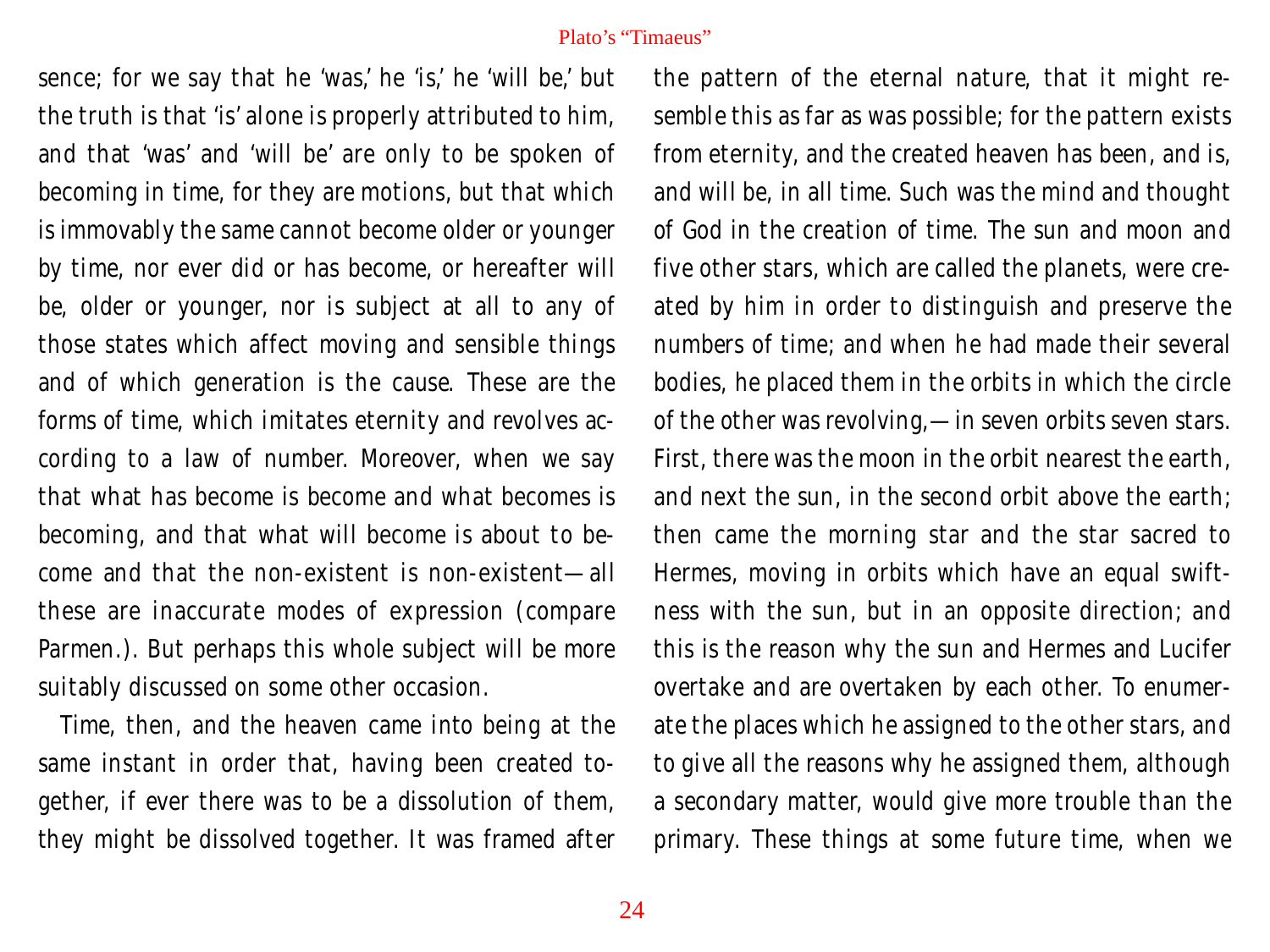sence; for we say that he 'was,' he 'is,' he 'will be,' but the truth is that 'is' alone is properly attributed to him, and that 'was' and 'will be' are only to be spoken of becoming in time, for they are motions, but that which is immovably the same cannot become older or younger by time, nor ever did or has become, or hereafter will be, older or younger, nor is subject at all to any of those states which affect moving and sensible things and of which generation is the cause. These are the forms of time, which imitates eternity and revolves according to a law of number. Moreover, when we say that what has become *is* become and what becomes *is* becoming, and that what will become *is* about to become and that the non-existent *is* non-existent—all these are inaccurate modes of expression (compare Parmen.). But perhaps this whole subject will be more suitably discussed on some other occasion.

Time, then, and the heaven came into being at the same instant in order that, having been created together, if ever there was to be a dissolution of them, they might be dissolved together. It was framed after

the pattern of the eternal nature, that it might resemble this as far as was possible; for the pattern exists from eternity, and the created heaven has been, and is, and will be, in all time. Such was the mind and thought of God in the creation of time. The sun and moon and five other stars, which are called the planets, were created by him in order to distinguish and preserve the numbers of time; and when he had made their several bodies, he placed them in the orbits in which the circle of the other was revolving,—in seven orbits seven stars. First, there was the moon in the orbit nearest the earth, and next the sun, in the second orbit above the earth; then came the morning star and the star sacred to Hermes, moving in orbits which have an equal swiftness with the sun, but in an opposite direction; and this is the reason why the sun and Hermes and Lucifer overtake and are overtaken by each other. To enumerate the places which he assigned to the other stars, and to give all the reasons why he assigned them, although a secondary matter, would give more trouble than the primary. These things at some future time, when we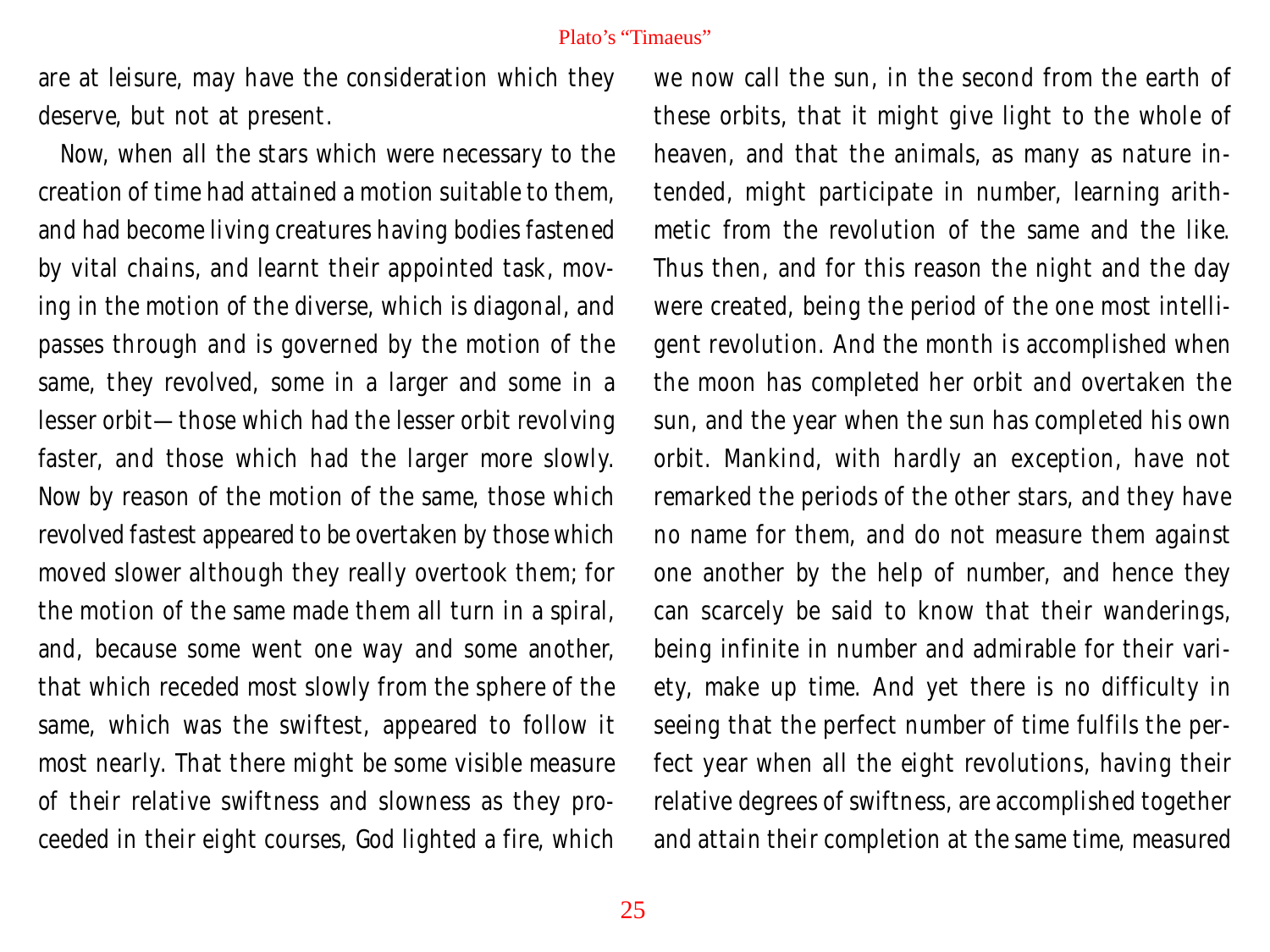are at leisure, may have the consideration which they deserve, but not at present.

Now, when all the stars which were necessary to the creation of time had attained a motion suitable to them, and had become living creatures having bodies fastened by vital chains, and learnt their appointed task, moving in the motion of the diverse, which is diagonal, and passes through and is governed by the motion of the same, they revolved, some in a larger and some in a lesser orbit—those which had the lesser orbit revolving faster, and those which had the larger more slowly. Now by reason of the motion of the same, those which revolved fastest appeared to be overtaken by those which moved slower although they really overtook them; for the motion of the same made them all turn in a spiral, and, because some went one way and some another, that which receded most slowly from the sphere of the same, which was the swiftest, appeared to follow it most nearly. That there might be some visible measure of their relative swiftness and slowness as they proceeded in their eight courses, God lighted a fire, which

we now call the sun, in the second from the earth of these orbits, that it might give light to the whole of heaven, and that the animals, as many as nature intended, might participate in number, learning arithmetic from the revolution of the same and the like. Thus then, and for this reason the night and the day were created, being the period of the one most intelligent revolution. And the month is accomplished when the moon has completed her orbit and overtaken the sun, and the year when the sun has completed his own orbit. Mankind, with hardly an exception, have not remarked the periods of the other stars, and they have no name for them, and do not measure them against one another by the help of number, and hence they can scarcely be said to know that their wanderings, being infinite in number and admirable for their variety, make up time. And yet there is no difficulty in seeing that the perfect number of time fulfils the perfect year when all the eight revolutions, having their relative degrees of swiftness, are accomplished together and attain their completion at the same time, measured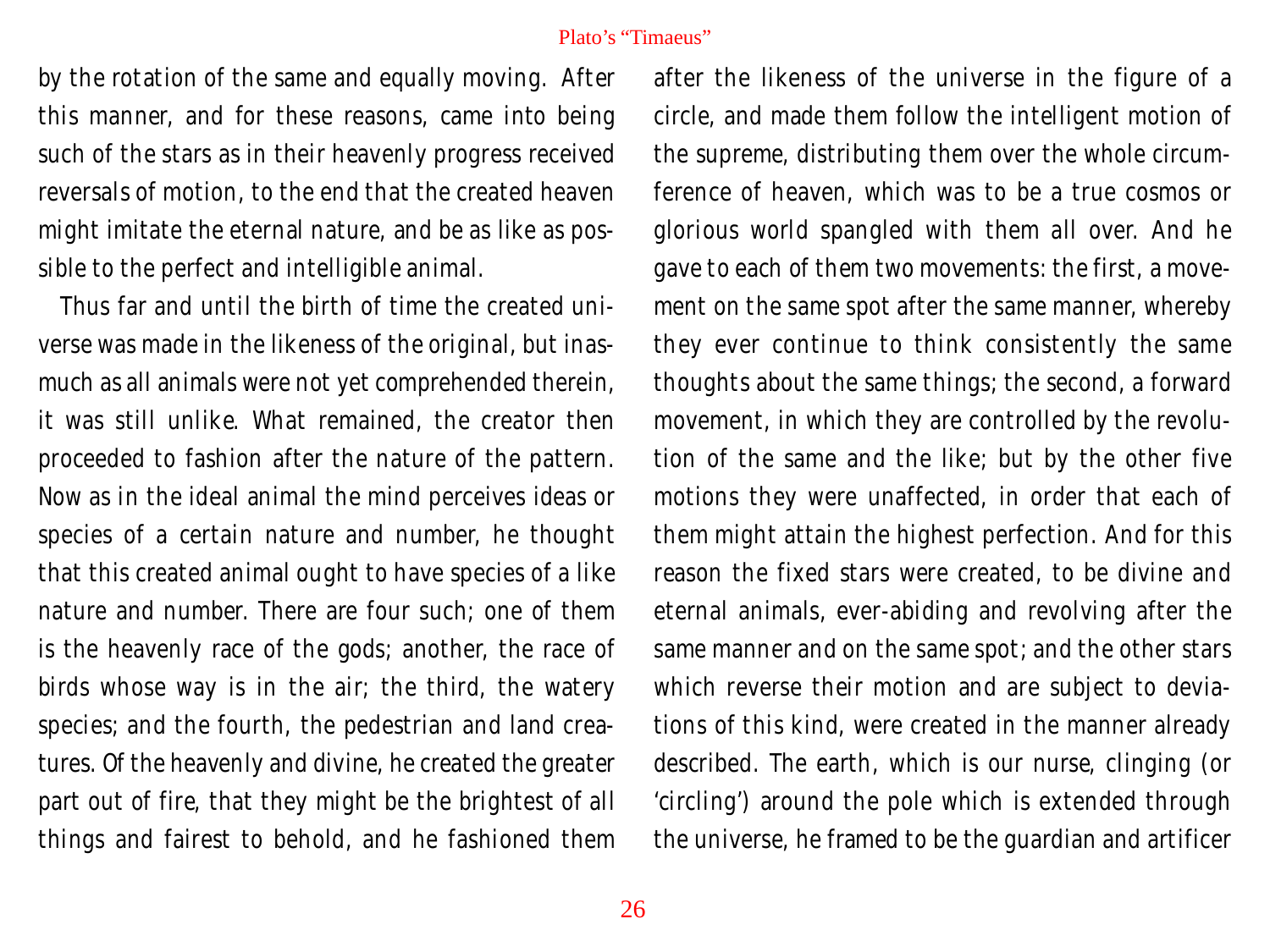by the rotation of the same and equally moving. After this manner, and for these reasons, came into being such of the stars as in their heavenly progress received reversals of motion, to the end that the created heaven might imitate the eternal nature, and be as like as possible to the perfect and intelligible animal.

Thus far and until the birth of time the created universe was made in the likeness of the original, but inasmuch as all animals were not yet comprehended therein, it was still unlike. What remained, the creator then proceeded to fashion after the nature of the pattern. Now as in the ideal animal the mind perceives ideas or species of a certain nature and number, he thought that this created animal ought to have species of a like nature and number. There are four such; one of them is the heavenly race of the gods; another, the race of birds whose way is in the air; the third, the watery species; and the fourth, the pedestrian and land creatures. Of the heavenly and divine, he created the greater part out of fire, that they might be the brightest of all things and fairest to behold, and he fashioned them

after the likeness of the universe in the figure of a circle, and made them follow the intelligent motion of the supreme, distributing them over the whole circumference of heaven, which was to be a true cosmos or glorious world spangled with them all over. And he gave to each of them two movements: the first, a movement on the same spot after the same manner, whereby they ever continue to think consistently the same thoughts about the same things; the second, a forward movement, in which they are controlled by the revolution of the same and the like; but by the other five motions they were unaffected, in order that each of them might attain the highest perfection. And for this reason the fixed stars were created, to be divine and eternal animals, ever-abiding and revolving after the same manner and on the same spot; and the other stars which reverse their motion and are subject to deviations of this kind, were created in the manner already described. The earth, which is our nurse, clinging (or 'circling') around the pole which is extended through the universe, he framed to be the guardian and artificer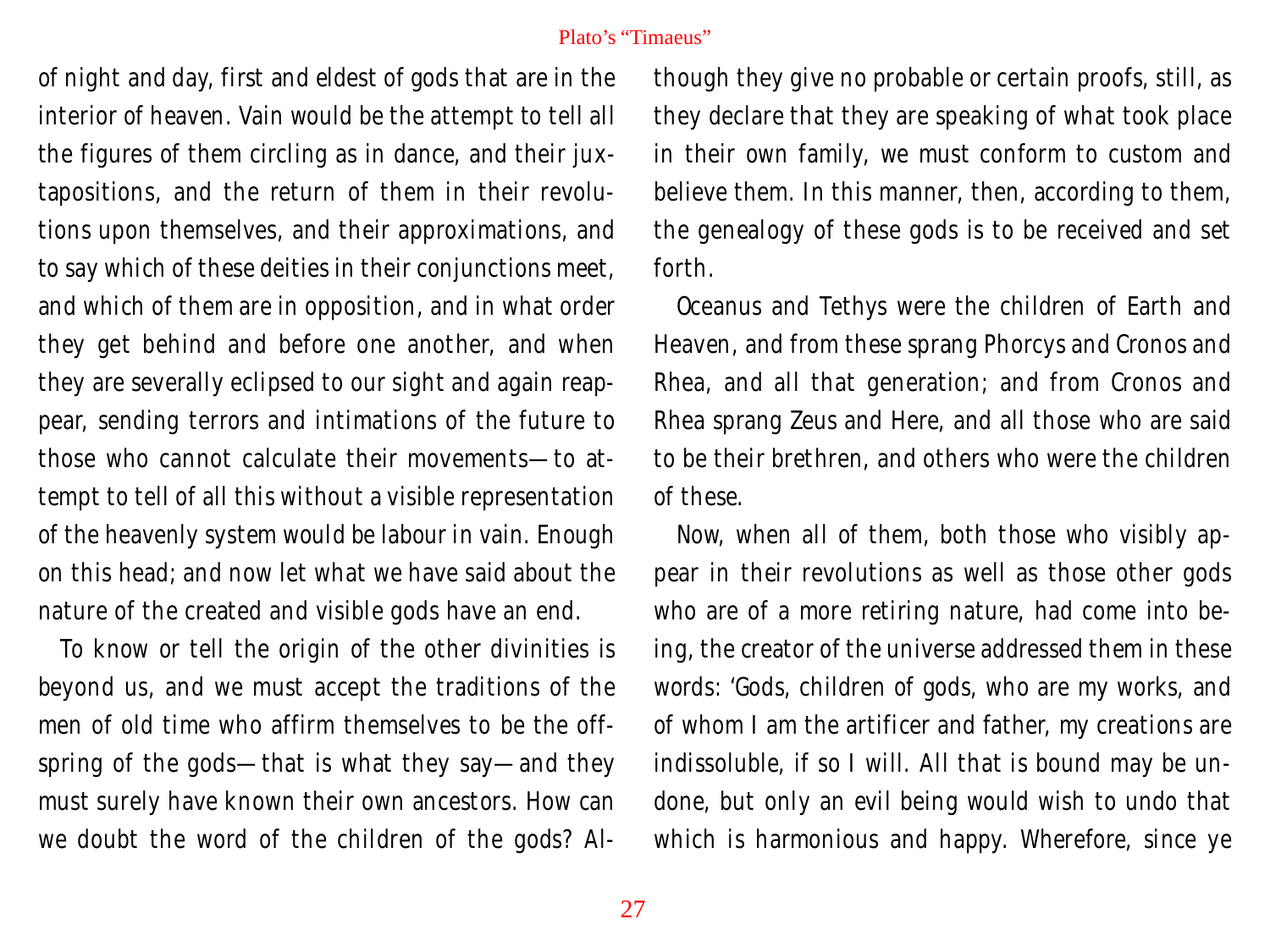of night and day, first and eldest of gods that are in the interior of heaven. Vain would be the attempt to tell all the figures of them circling as in dance, and their juxtapositions, and the return of them in their revolutions upon themselves, and their approximations, and to say which of these deities in their conjunctions meet, and which of them are in opposition, and in what order they get behind and before one another, and when they are severally eclipsed to our sight and again reappear, sending terrors and intimations of the future to those who cannot calculate their movements—to attempt to tell of all this without a visible representation of the heavenly system would be labour in vain. Enough on this head; and now let what we have said about the nature of the created and visible gods have an end.

To know or tell the origin of the other divinities is beyond us, and we must accept the traditions of the men of old time who affirm themselves to be the offspring of the gods—that is what they say—and they must surely have known their own ancestors. How can we doubt the word of the children of the gods? Although they give no probable or certain proofs, still, as they declare that they are speaking of what took place in their own family, we must conform to custom and believe them. In this manner, then, according to them, the genealogy of these gods is to be received and set forth.

Oceanus and Tethys were the children of Earth and Heaven, and from these sprang Phorcys and Cronos and Rhea, and all that generation; and from Cronos and Rhea sprang Zeus and Here, and all those who are said to be their brethren, and others who were the children of these.

Now, when all of them, both those who visibly appear in their revolutions as well as those other gods who are of a more retiring nature, had come into being, the creator of the universe addressed them in these words: 'Gods, children of gods, who are my works, and of whom I am the artificer and father, my creations are indissoluble, if so I will. All that is bound may be undone, but only an evil being would wish to undo that which is harmonious and happy. Wherefore, since ye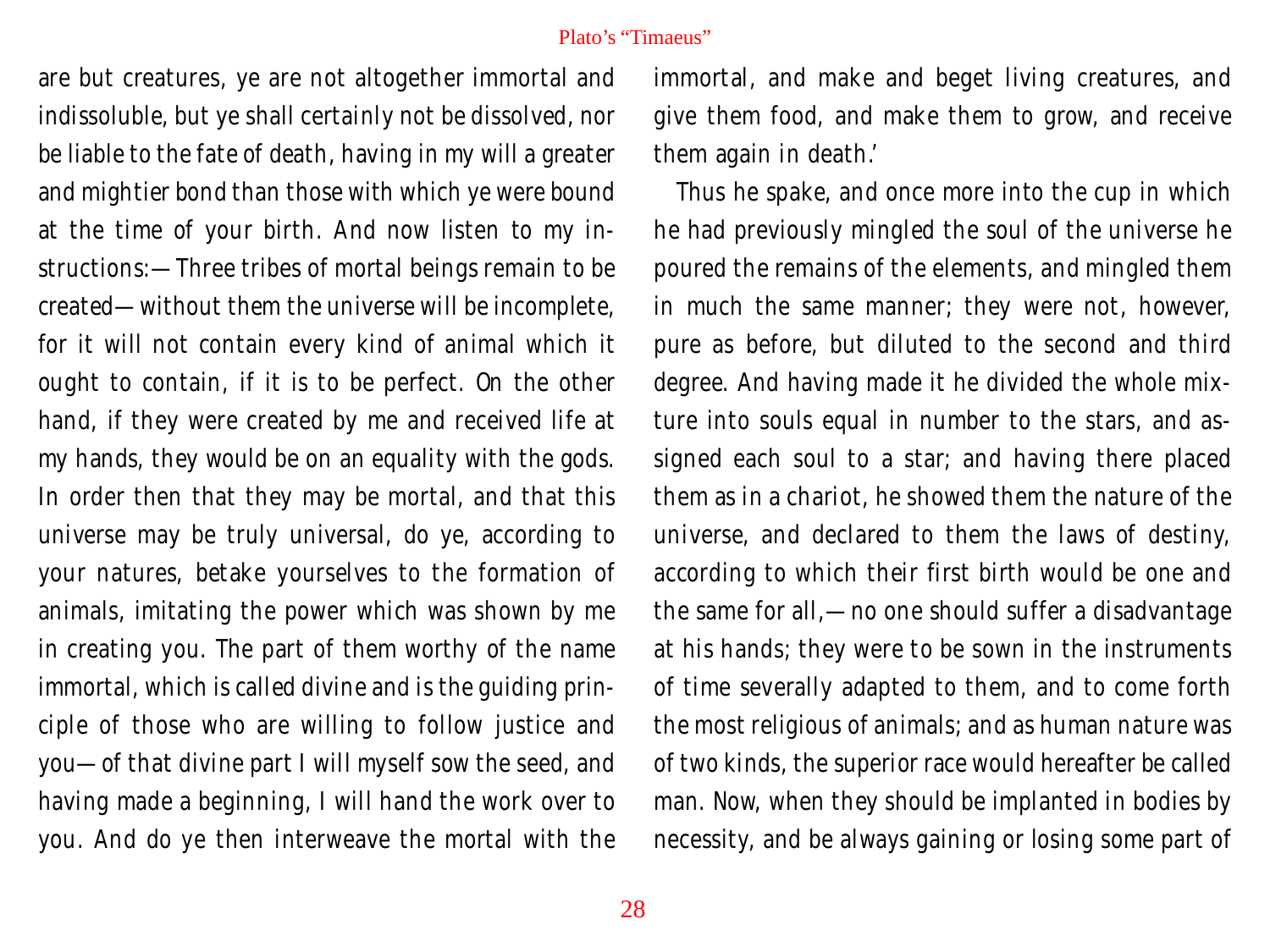are but creatures, ye are not altogether immortal and indissoluble, but ye shall certainly not be dissolved, nor be liable to the fate of death, having in my will a greater and mightier bond than those with which ye were bound at the time of your birth. And now listen to my instructions:—Three tribes of mortal beings remain to be created—without them the universe will be incomplete, for it will not contain every kind of animal which it ought to contain, if it is to be perfect. On the other hand, if they were created by me and received life at my hands, they would be on an equality with the gods. In order then that they may be mortal, and that this universe may be truly universal, do ye, according to your natures, betake yourselves to the formation of animals, imitating the power which was shown by me in creating you. The part of them worthy of the name immortal, which is called divine and is the guiding principle of those who are willing to follow justice and you—of that divine part I will myself sow the seed, and having made a beginning, I will hand the work over to you. And do ye then interweave the mortal with the

immortal, and make and beget living creatures, and give them food, and make them to grow, and receive them again in death.'

Thus he spake, and once more into the cup in which he had previously mingled the soul of the universe he poured the remains of the elements, and mingled them in much the same manner; they were not, however, pure as before, but diluted to the second and third degree. And having made it he divided the whole mixture into souls equal in number to the stars, and assigned each soul to a star; and having there placed them as in a chariot, he showed them the nature of the universe, and declared to them the laws of destiny, according to which their first birth would be one and the same for all,—no one should suffer a disadvantage at his hands; they were to be sown in the instruments of time severally adapted to them, and to come forth the most religious of animals; and as human nature was of two kinds, the superior race would hereafter be called man. Now, when they should be implanted in bodies by necessity, and be always gaining or losing some part of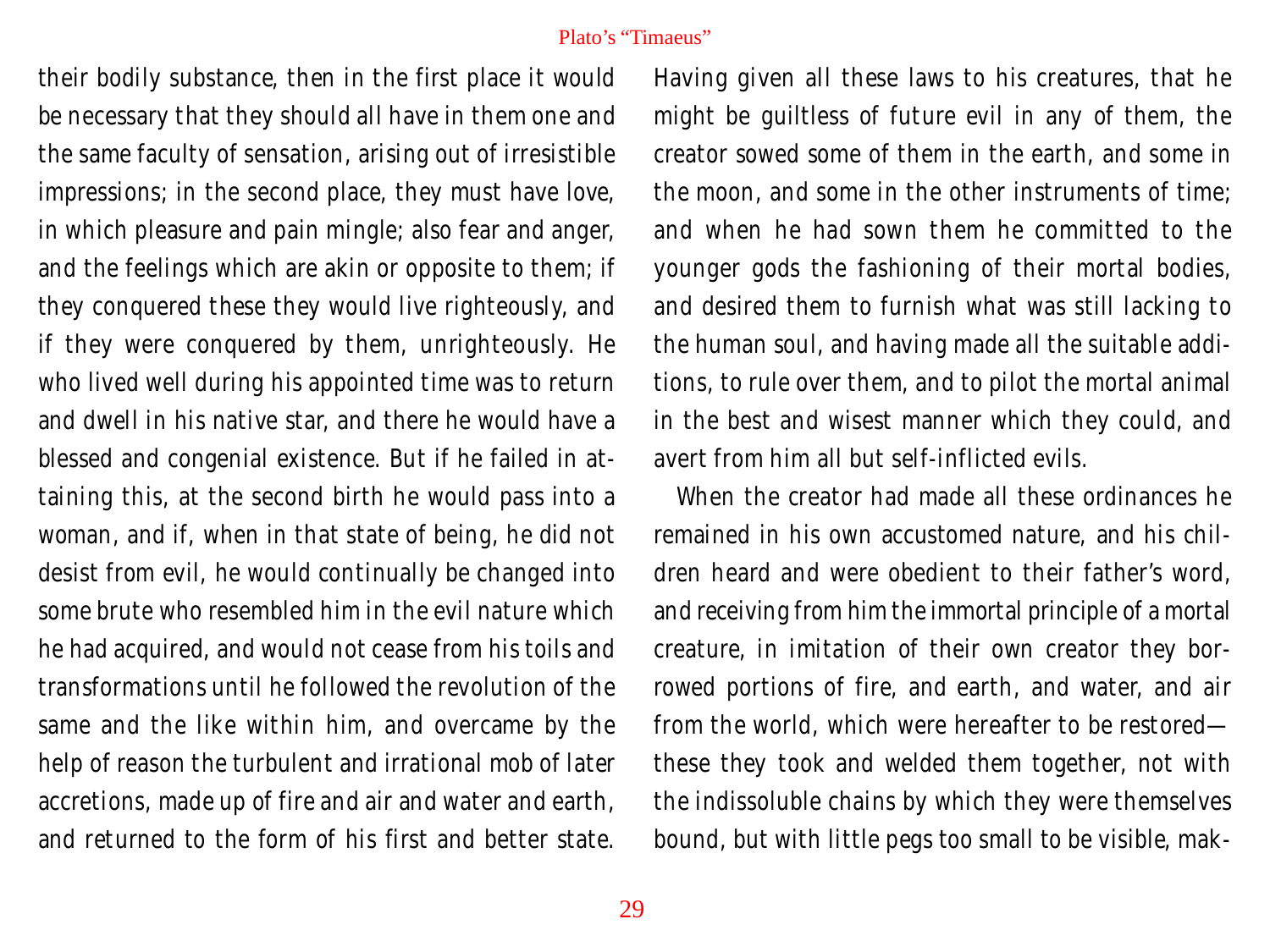their bodily substance, then in the first place it would be necessary that they should all have in them one and the same faculty of sensation, arising out of irresistible impressions; in the second place, they must have love, in which pleasure and pain mingle; also fear and anger, and the feelings which are akin or opposite to them; if they conquered these they would live righteously, and if they were conquered by them, unrighteously. He who lived well during his appointed time was to return and dwell in his native star, and there he would have a blessed and congenial existence. But if he failed in attaining this, at the second birth he would pass into a woman, and if, when in that state of being, he did not desist from evil, he would continually be changed into some brute who resembled him in the evil nature which he had acquired, and would not cease from his toils and transformations until he followed the revolution of the same and the like within him, and overcame by the help of reason the turbulent and irrational mob of later accretions, made up of fire and air and water and earth, and returned to the form of his first and better state.

Having given all these laws to his creatures, that he might be guiltless of future evil in any of them, the creator sowed some of them in the earth, and some in the moon, and some in the other instruments of time; and when he had sown them he committed to the younger gods the fashioning of their mortal bodies, and desired them to furnish what was still lacking to the human soul, and having made all the suitable additions, to rule over them, and to pilot the mortal animal in the best and wisest manner which they could, and avert from him all but self-inflicted evils.

When the creator had made all these ordinances he remained in his own accustomed nature, and his children heard and were obedient to their father's word, and receiving from him the immortal principle of a mortal creature, in imitation of their own creator they borrowed portions of fire, and earth, and water, and air from the world, which were hereafter to be restored these they took and welded them together, not with the indissoluble chains by which they were themselves bound, but with little pegs too small to be visible, mak-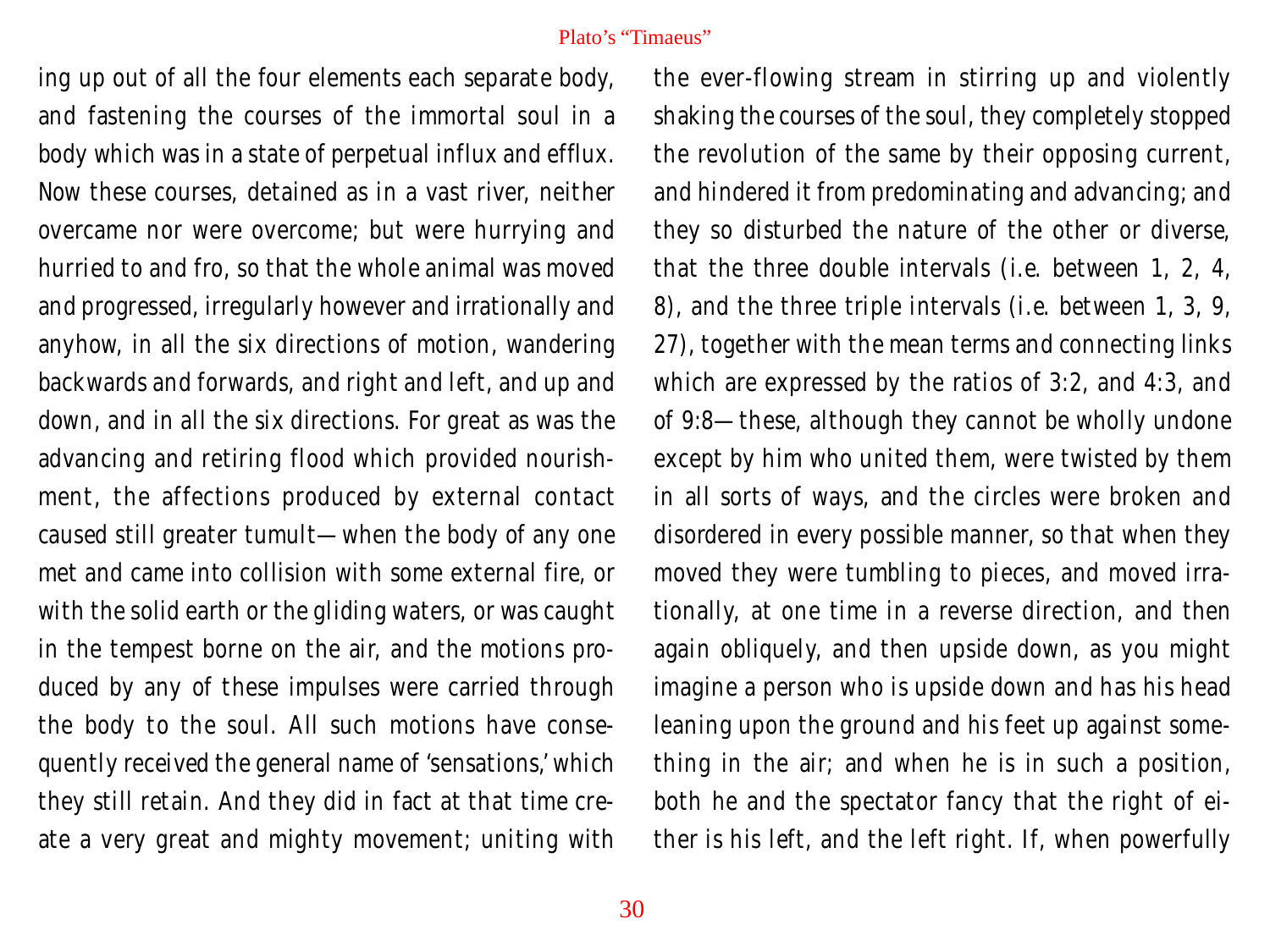ing up out of all the four elements each separate body, and fastening the courses of the immortal soul in a body which was in a state of perpetual influx and efflux. Now these courses, detained as in a vast river, neither overcame nor were overcome; but were hurrying and hurried to and fro, so that the whole animal was moved and progressed, irregularly however and irrationally and anyhow, in all the six directions of motion, wandering backwards and forwards, and right and left, and up and down, and in all the six directions. For great as was the advancing and retiring flood which provided nourishment, the affections produced by external contact caused still greater tumult—when the body of any one met and came into collision with some external fire, or with the solid earth or the gliding waters, or was caught in the tempest borne on the air, and the motions produced by any of these impulses were carried through the body to the soul. All such motions have consequently received the general name of 'sensations,' which they still retain. And they did in fact at that time create a very great and mighty movement; uniting with the ever-flowing stream in stirring up and violently shaking the courses of the soul, they completely stopped the revolution of the same by their opposing current, and hindered it from predominating and advancing; and they so disturbed the nature of the other or diverse, that the three double intervals (i.e. between 1, 2, 4, 8), and the three triple intervals (i.e. between 1, 3, 9, 27), together with the mean terms and connecting links which are expressed by the ratios of 3:2, and 4:3, and of 9:8—these, although they cannot be wholly undone except by him who united them, were twisted by them in all sorts of ways, and the circles were broken and disordered in every possible manner, so that when they moved they were tumbling to pieces, and moved irrationally, at one time in a reverse direction, and then again obliquely, and then upside down, as you might imagine a person who is upside down and has his head leaning upon the ground and his feet up against something in the air; and when he is in such a position, both he and the spectator fancy that the right of either is his left, and the left right. If, when powerfully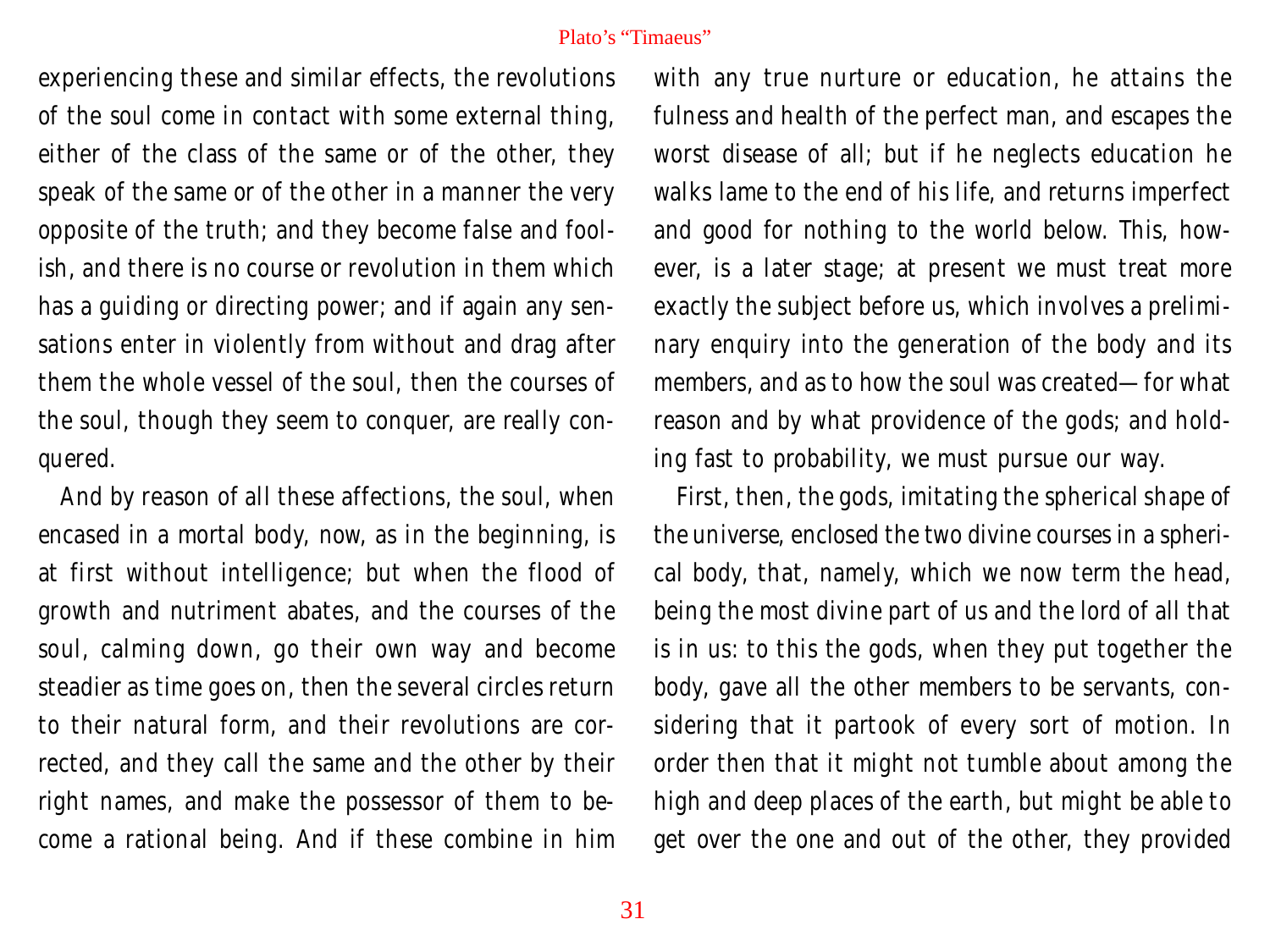experiencing these and similar effects, the revolutions of the soul come in contact with some external thing, either of the class of the same or of the other, they speak of the same or of the other in a manner the very opposite of the truth; and they become false and foolish, and there is no course or revolution in them which has a guiding or directing power; and if again any sensations enter in violently from without and drag after them the whole vessel of the soul, then the courses of the soul, though they seem to conquer, are really conquered.

And by reason of all these affections, the soul, when encased in a mortal body, now, as in the beginning, is at first without intelligence; but when the flood of growth and nutriment abates, and the courses of the soul, calming down, go their own way and become steadier as time goes on, then the several circles return to their natural form, and their revolutions are corrected, and they call the same and the other by their right names, and make the possessor of them to become a rational being. And if these combine in him

with any true nurture or education, he attains the fulness and health of the perfect man, and escapes the worst disease of all; but if he neglects education he walks lame to the end of his life, and returns imperfect and good for nothing to the world below. This, however, is a later stage; at present we must treat more exactly the subject before us, which involves a preliminary enquiry into the generation of the body and its members, and as to how the soul was created—for what reason and by what providence of the gods; and holding fast to probability, we must pursue our way.

First, then, the gods, imitating the spherical shape of the universe, enclosed the two divine courses in a spherical body, that, namely, which we now term the head, being the most divine part of us and the lord of all that is in us: to this the gods, when they put together the body, gave all the other members to be servants, considering that it partook of every sort of motion. In order then that it might not tumble about among the high and deep places of the earth, but might be able to get over the one and out of the other, they provided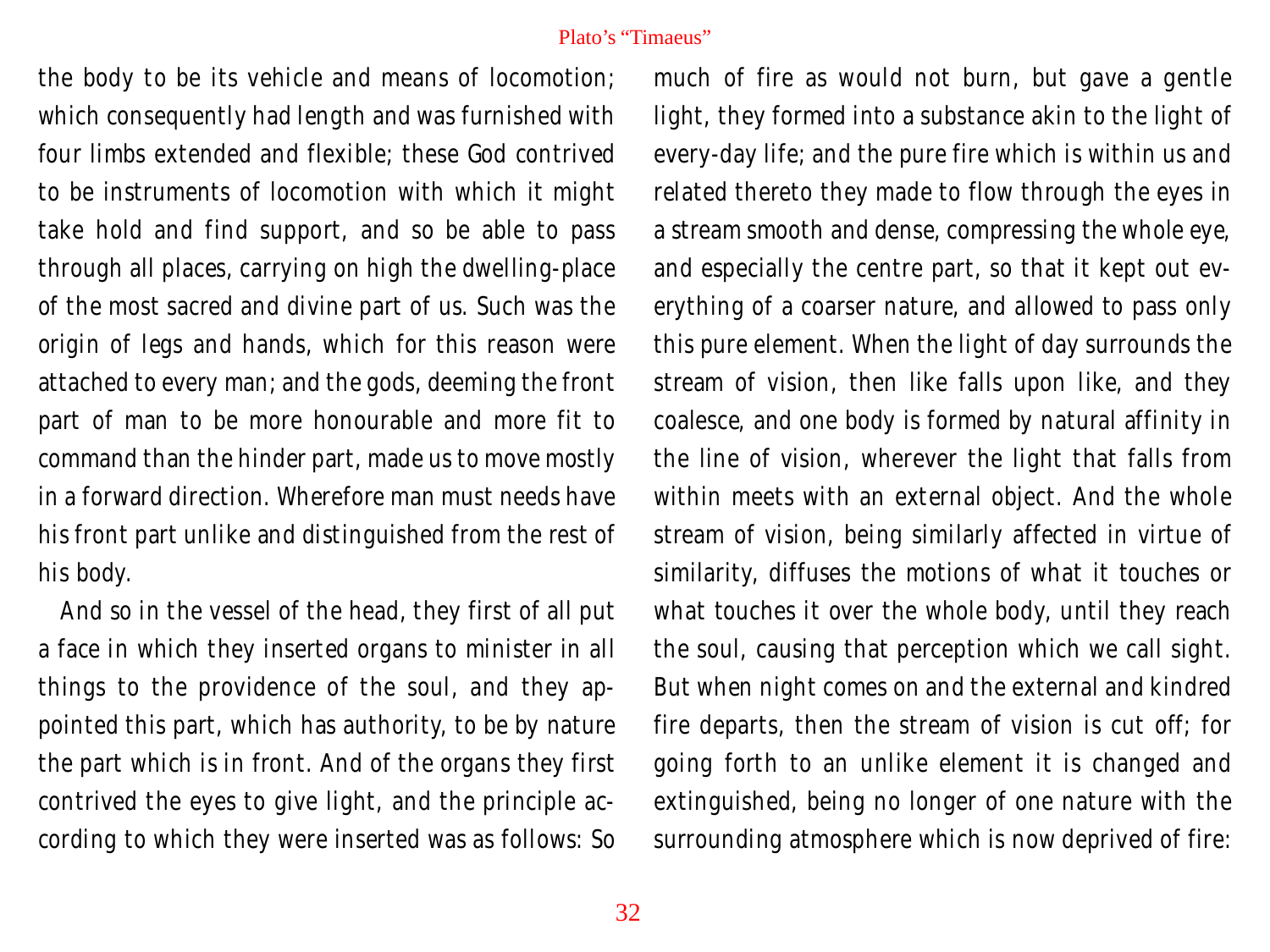the body to be its vehicle and means of locomotion; which consequently had length and was furnished with four limbs extended and flexible; these God contrived to be instruments of locomotion with which it might take hold and find support, and so be able to pass through all places, carrying on high the dwelling-place of the most sacred and divine part of us. Such was the origin of legs and hands, which for this reason were attached to every man; and the gods, deeming the front part of man to be more honourable and more fit to command than the hinder part, made us to move mostly in a forward direction. Wherefore man must needs have his front part unlike and distinguished from the rest of his body.

And so in the vessel of the head, they first of all put a face in which they inserted organs to minister in all things to the providence of the soul, and they appointed this part, which has authority, to be by nature the part which is in front. And of the organs they first contrived the eyes to give light, and the principle according to which they were inserted was as follows: So much of fire as would not burn, but gave a gentle light, they formed into a substance akin to the light of every-day life; and the pure fire which is within us and related thereto they made to flow through the eyes in a stream smooth and dense, compressing the whole eye, and especially the centre part, so that it kept out everything of a coarser nature, and allowed to pass only this pure element. When the light of day surrounds the stream of vision, then like falls upon like, and they coalesce, and one body is formed by natural affinity in the line of vision, wherever the light that falls from within meets with an external object. And the whole stream of vision, being similarly affected in virtue of similarity, diffuses the motions of what it touches or what touches it over the whole body, until they reach the soul, causing that perception which we call sight. But when night comes on and the external and kindred fire departs, then the stream of vision is cut off; for going forth to an unlike element it is changed and extinguished, being no longer of one nature with the surrounding atmosphere which is now deprived of fire: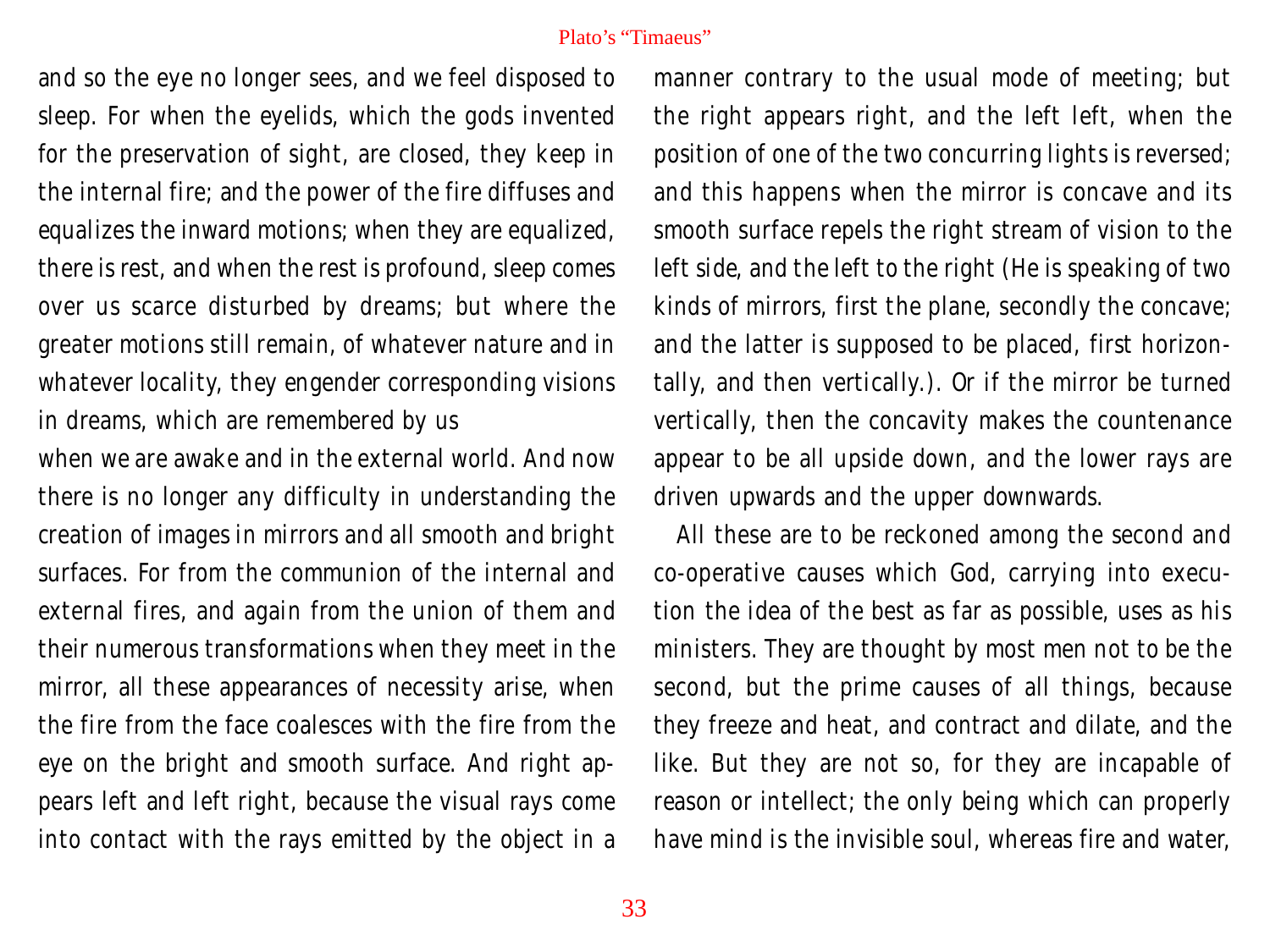and so the eye no longer sees, and we feel disposed to sleep. For when the eyelids, which the gods invented for the preservation of sight, are closed, they keep in the internal fire; and the power of the fire diffuses and equalizes the inward motions; when they are equalized, there is rest, and when the rest is profound, sleep comes over us scarce disturbed by dreams; but where the greater motions still remain, of whatever nature and in whatever locality, they engender corresponding visions in dreams, which are remembered by us

when we are awake and in the external world. And now there is no longer any difficulty in understanding the creation of images in mirrors and all smooth and bright surfaces. For from the communion of the internal and external fires, and again from the union of them and their numerous transformations when they meet in the mirror, all these appearances of necessity arise, when the fire from the face coalesces with the fire from the eye on the bright and smooth surface. And right appears left and left right, because the visual rays come into contact with the rays emitted by the object in a

manner contrary to the usual mode of meeting; but the right appears right, and the left left, when the position of one of the two concurring lights is reversed; and this happens when the mirror is concave and its smooth surface repels the right stream of vision to the left side, and the left to the right (He is speaking of two kinds of mirrors, first the plane, secondly the concave; and the latter is supposed to be placed, first horizontally, and then vertically.). Or if the mirror be turned vertically, then the concavity makes the countenance appear to be all upside down, and the lower rays are driven upwards and the upper downwards.

All these are to be reckoned among the second and co-operative causes which God, carrying into execution the idea of the best as far as possible, uses as his ministers. They are thought by most men not to be the second, but the prime causes of all things, because they freeze and heat, and contract and dilate, and the like. But they are not so, for they are incapable of reason or intellect; the only being which can properly have mind is the invisible soul, whereas fire and water,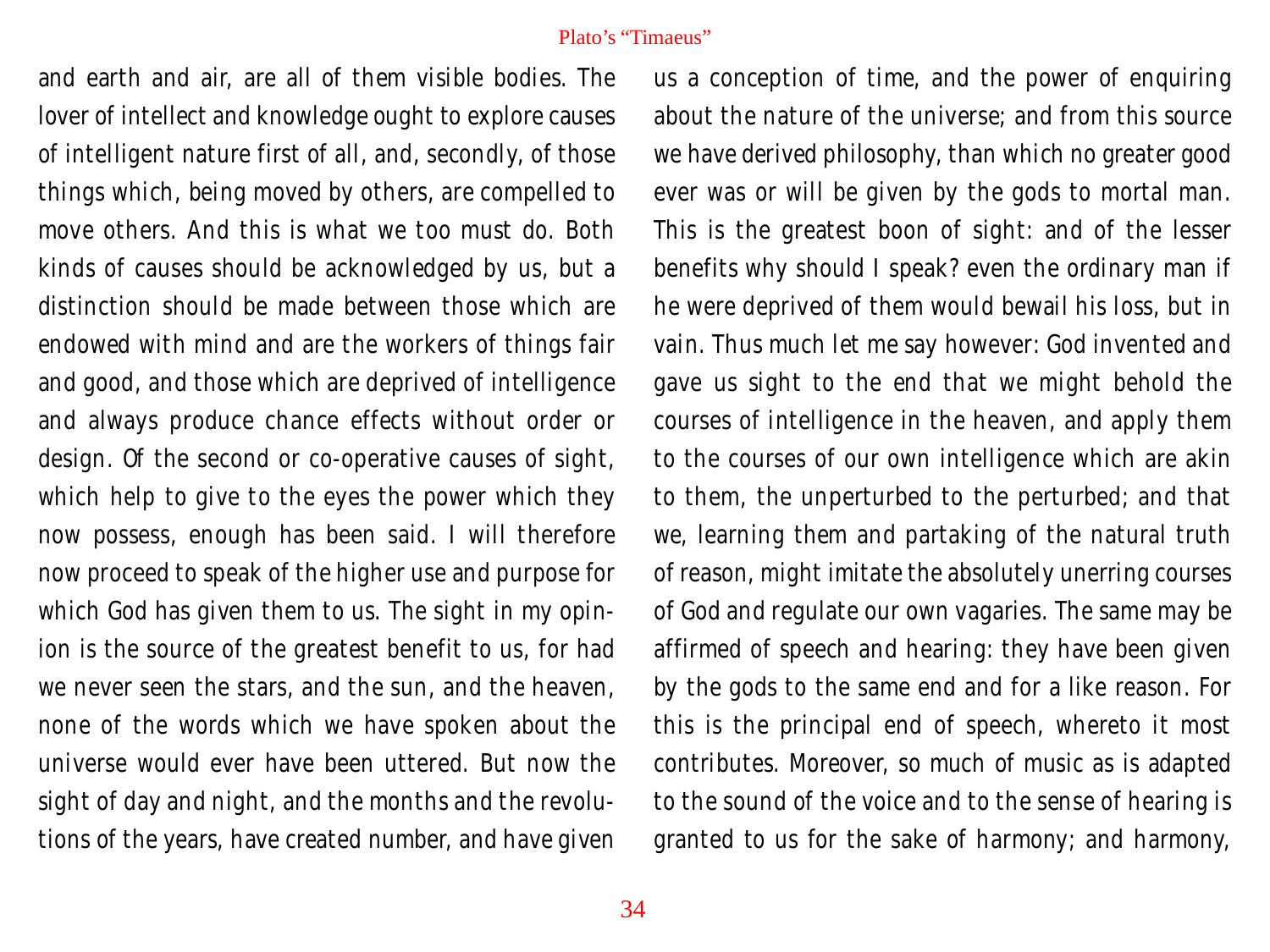and earth and air, are all of them visible bodies. The lover of intellect and knowledge ought to explore causes of intelligent nature first of all, and, secondly, of those things which, being moved by others, are compelled to move others. And this is what we too must do. Both kinds of causes should be acknowledged by us, but a distinction should be made between those which are endowed with mind and are the workers of things fair and good, and those which are deprived of intelligence and always produce chance effects without order or design. Of the second or co-operative causes of sight, which help to give to the eyes the power which they now possess, enough has been said. I will therefore now proceed to speak of the higher use and purpose for which God has given them to us. The sight in my opinion is the source of the greatest benefit to us, for had we never seen the stars, and the sun, and the heaven, none of the words which we have spoken about the universe would ever have been uttered. But now the sight of day and night, and the months and the revolutions of the years, have created number, and have given us a conception of time, and the power of enquiring about the nature of the universe; and from this source we have derived philosophy, than which no greater good ever was or will be given by the gods to mortal man. This is the greatest boon of sight: and of the lesser benefits why should I speak? even the ordinary man if he were deprived of them would bewail his loss, but in vain. Thus much let me say however: God invented and gave us sight to the end that we might behold the courses of intelligence in the heaven, and apply them to the courses of our own intelligence which are akin to them, the unperturbed to the perturbed; and that we, learning them and partaking of the natural truth of reason, might imitate the absolutely unerring courses of God and regulate our own vagaries. The same may be affirmed of speech and hearing: they have been given by the gods to the same end and for a like reason. For this is the principal end of speech, whereto it most contributes. Moreover, so much of music as is adapted to the sound of the voice and to the sense of hearing is granted to us for the sake of harmony; and harmony,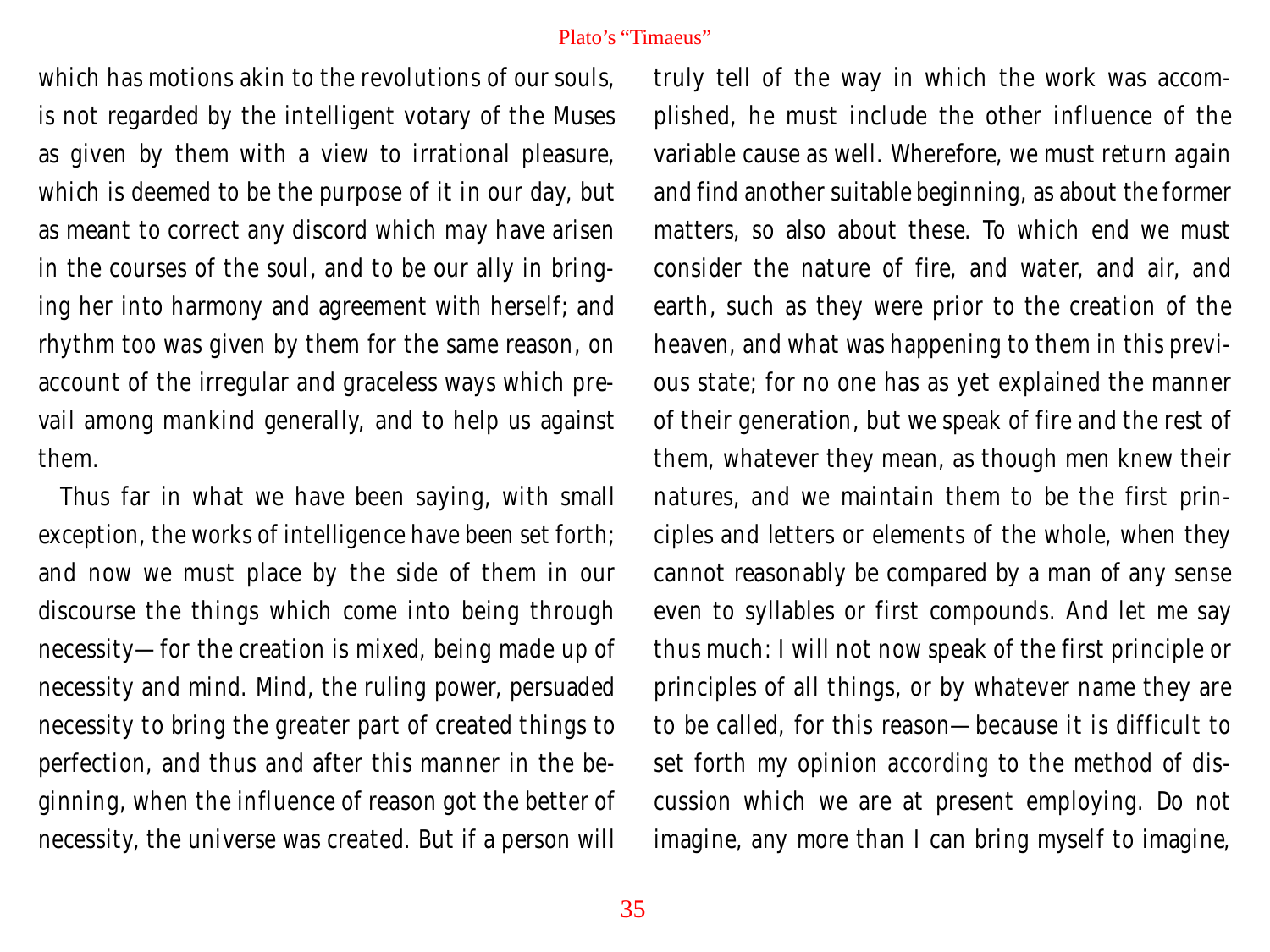which has motions akin to the revolutions of our souls. is not regarded by the intelligent votary of the Muses as given by them with a view to irrational pleasure, which is deemed to be the purpose of it in our day, but as meant to correct any discord which may have arisen in the courses of the soul, and to be our ally in bringing her into harmony and agreement with herself; and rhythm too was given by them for the same reason, on account of the irregular and graceless ways which prevail among mankind generally, and to help us against them.

Thus far in what we have been saying, with small exception, the works of intelligence have been set forth; and now we must place by the side of them in our discourse the things which come into being through necessity—for the creation is mixed, being made up of necessity and mind. Mind, the ruling power, persuaded necessity to bring the greater part of created things to perfection, and thus and after this manner in the beginning, when the influence of reason got the better of necessity, the universe was created. But if a person will

truly tell of the way in which the work was accomplished, he must include the other influence of the variable cause as well. Wherefore, we must return again and find another suitable beginning, as about the former matters, so also about these. To which end we must consider the nature of fire, and water, and air, and earth, such as they were prior to the creation of the heaven, and what was happening to them in this previous state; for no one has as yet explained the manner of their generation, but we speak of fire and the rest of them, whatever they mean, as though men knew their natures, and we maintain them to be the first principles and letters or elements of the whole, when they cannot reasonably be compared by a man of any sense even to syllables or first compounds. And let me say thus much: I will not now speak of the first principle or principles of all things, or by whatever name they are to be called, for this reason—because it is difficult to set forth my opinion according to the method of discussion which we are at present employing. Do not imagine, any more than I can bring myself to imagine,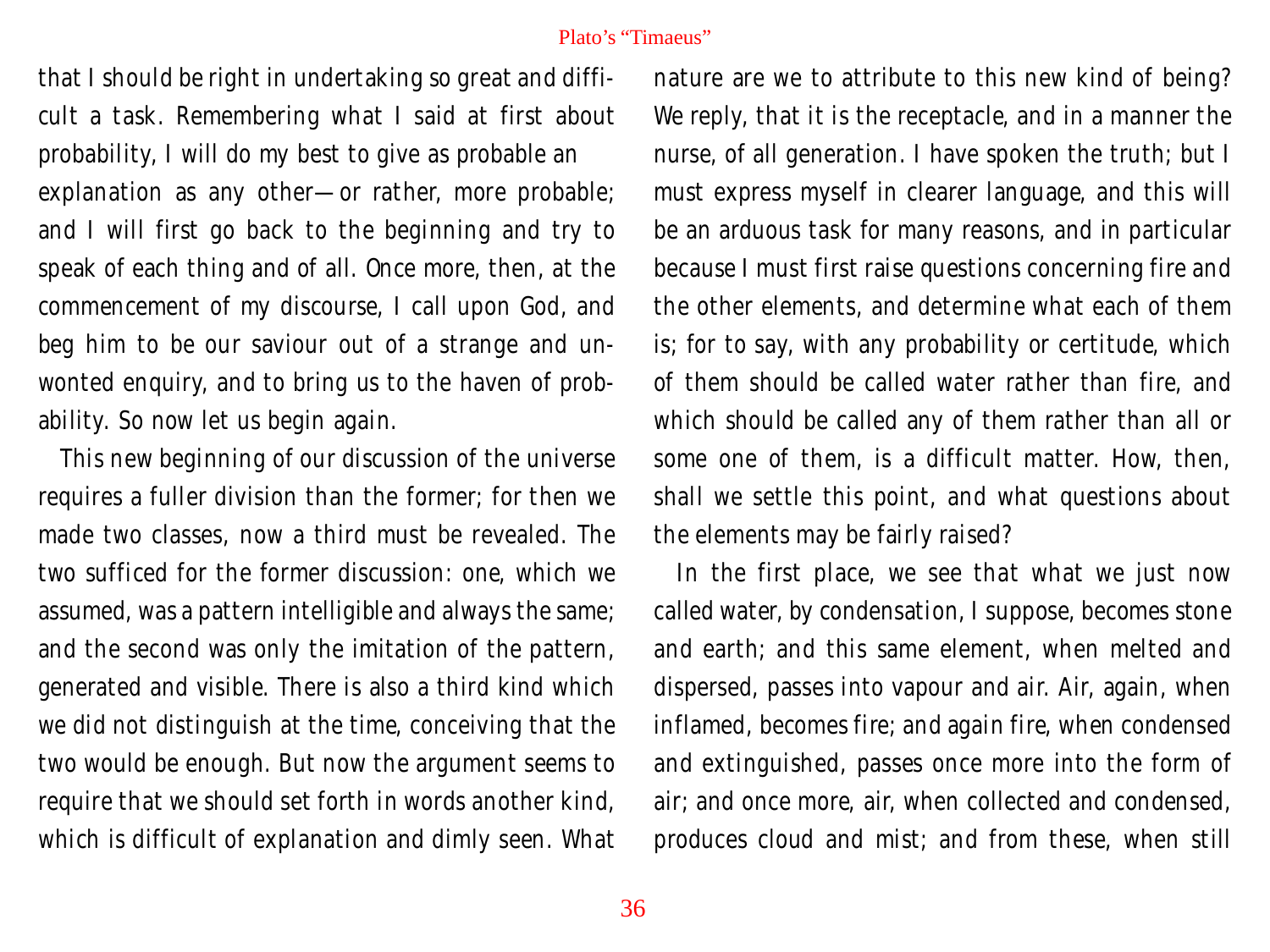that I should be right in undertaking so great and difficult a task. Remembering what I said at first about probability, I will do my best to give as probable an explanation as any other—or rather, more probable; and I will first go back to the beginning and try to speak of each thing and of all. Once more, then, at the commencement of my discourse, I call upon God, and beg him to be our saviour out of a strange and unwonted enquiry, and to bring us to the haven of probability. So now let us begin again.

This new beginning of our discussion of the universe requires a fuller division than the former; for then we made two classes, now a third must be revealed. The two sufficed for the former discussion: one, which we assumed, was a pattern intelligible and always the same; and the second was only the imitation of the pattern, generated and visible. There is also a third kind which we did not distinguish at the time, conceiving that the two would be enough. But now the argument seems to require that we should set forth in words another kind, which is difficult of explanation and dimly seen. What nature are we to attribute to this new kind of being? We reply, that it is the receptacle, and in a manner the nurse, of all generation. I have spoken the truth; but I must express myself in clearer language, and this will be an arduous task for many reasons, and in particular because I must first raise questions concerning fire and the other elements, and determine what each of them is; for to say, with any probability or certitude, which of them should be called water rather than fire, and which should be called any of them rather than all or some one of them, is a difficult matter. How, then, shall we settle this point, and what questions about the elements may be fairly raised?

In the first place, we see that what we just now called water, by condensation, I suppose, becomes stone and earth; and this same element, when melted and dispersed, passes into vapour and air. Air, again, when inflamed, becomes fire; and again fire, when condensed and extinguished, passes once more into the form of air; and once more, air, when collected and condensed, produces cloud and mist; and from these, when still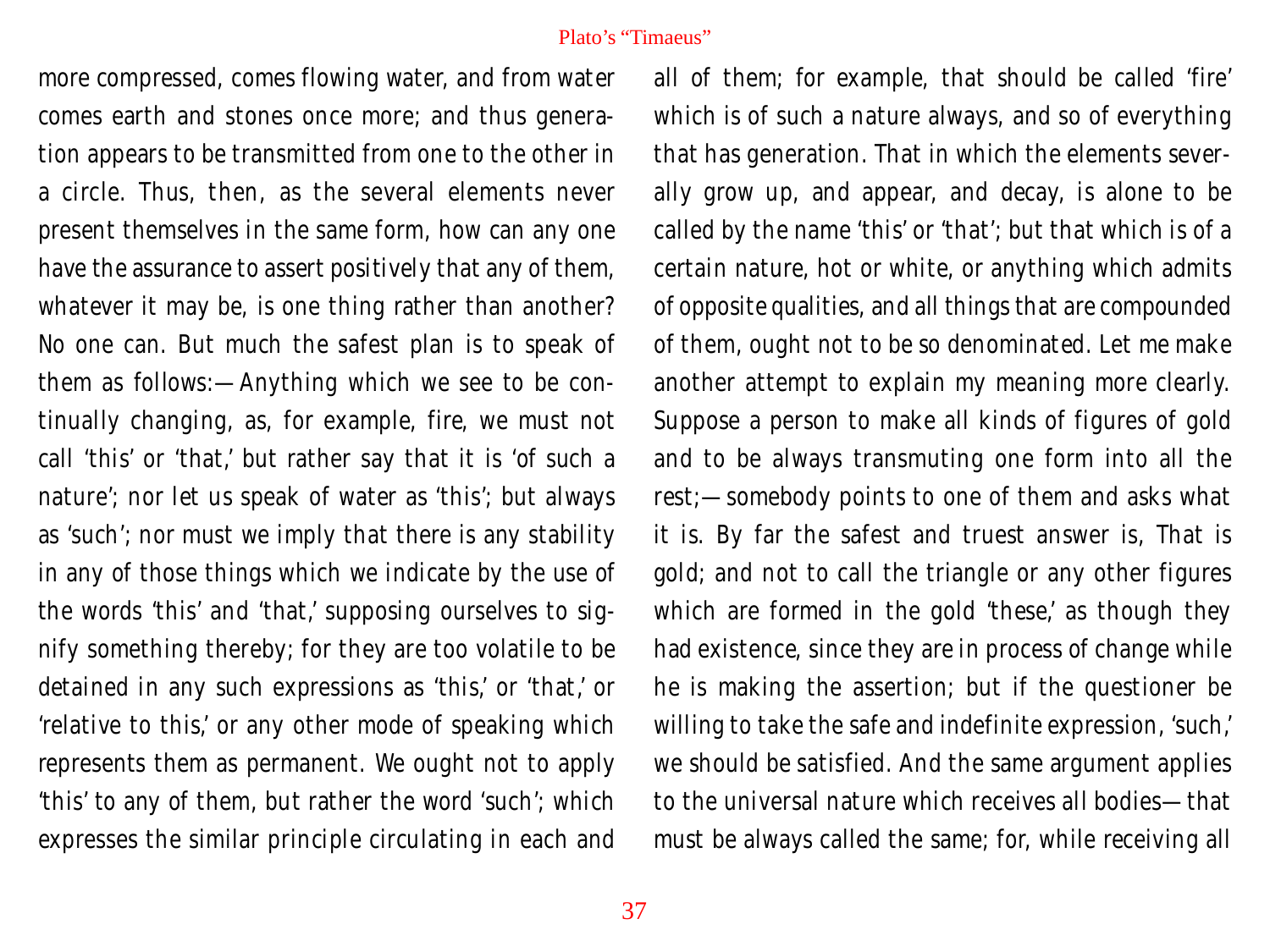more compressed, comes flowing water, and from water comes earth and stones once more; and thus generation appears to be transmitted from one to the other in a circle. Thus, then, as the several elements never present themselves in the same form, how can any one have the assurance to assert positively that any of them, whatever it may be, is one thing rather than another? No one can. But much the safest plan is to speak of them as follows:—Anything which we see to be continually changing, as, for example, fire, we must not call 'this' or 'that,' but rather say that it is 'of such a nature'; nor let us speak of water as 'this'; but always as 'such'; nor must we imply that there is any stability in any of those things which we indicate by the use of the words 'this' and 'that,' supposing ourselves to signify something thereby; for they are too volatile to be detained in any such expressions as 'this,' or 'that,' or 'relative to this,' or any other mode of speaking which represents them as permanent. We ought not to apply 'this' to any of them, but rather the word 'such'; which expresses the similar principle circulating in each and

all of them; for example, that should be called 'fire' which is of such a nature always, and so of everything that has generation. That in which the elements severally grow up, and appear, and decay, is alone to be called by the name 'this' or 'that'; but that which is of a certain nature, hot or white, or anything which admits of opposite qualities, and all things that are compounded of them, ought not to be so denominated. Let me make another attempt to explain my meaning more clearly. Suppose a person to make all kinds of figures of gold and to be always transmuting one form into all the rest;—somebody points to one of them and asks what it is. By far the safest and truest answer is, That is gold; and not to call the triangle or any other figures which are formed in the gold 'these,' as though they had existence, since they are in process of change while he is making the assertion; but if the questioner be willing to take the safe and indefinite expression, 'such,' we should be satisfied. And the same argument applies to the universal nature which receives all bodies—that must be always called the same; for, while receiving all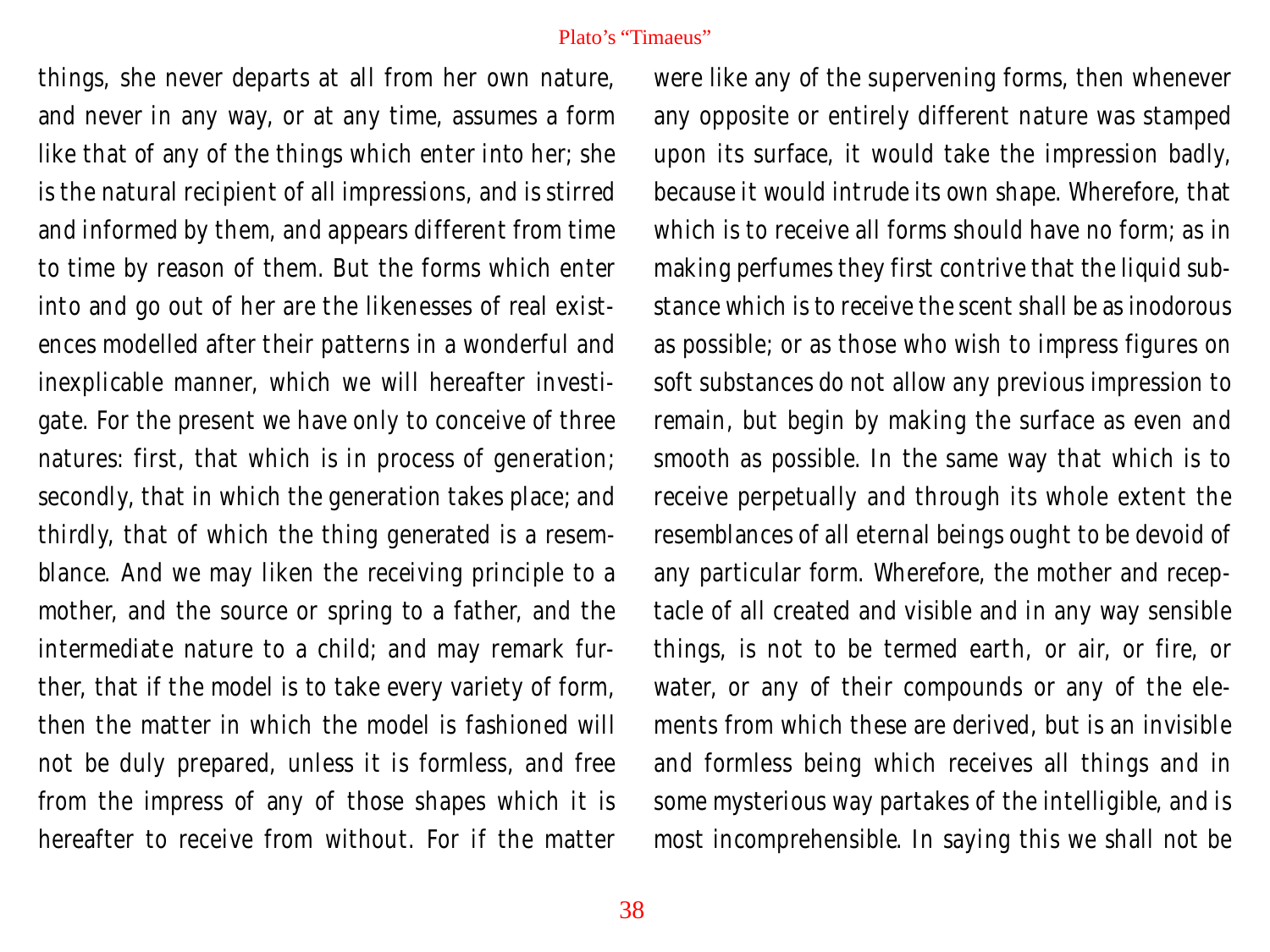things, she never departs at all from her own nature, and never in any way, or at any time, assumes a form like that of any of the things which enter into her; she is the natural recipient of all impressions, and is stirred and informed by them, and appears different from time to time by reason of them. But the forms which enter into and go out of her are the likenesses of real existences modelled after their patterns in a wonderful and inexplicable manner, which we will hereafter investigate. For the present we have only to conceive of three natures: first, that which is in process of generation; secondly, that in which the generation takes place; and thirdly, that of which the thing generated is a resemblance. And we may liken the receiving principle to a mother, and the source or spring to a father, and the intermediate nature to a child; and may remark further, that if the model is to take every variety of form, then the matter in which the model is fashioned will not be duly prepared, unless it is formless, and free from the impress of any of those shapes which it is hereafter to receive from without. For if the matter

were like any of the supervening forms, then whenever any opposite or entirely different nature was stamped upon its surface, it would take the impression badly, because it would intrude its own shape. Wherefore, that which is to receive all forms should have no form; as in making perfumes they first contrive that the liquid substance which is to receive the scent shall be as inodorous as possible; or as those who wish to impress figures on soft substances do not allow any previous impression to remain, but begin by making the surface as even and smooth as possible. In the same way that which is to receive perpetually and through its whole extent the resemblances of all eternal beings ought to be devoid of any particular form. Wherefore, the mother and receptacle of all created and visible and in any way sensible things, is not to be termed earth, or air, or fire, or water, or any of their compounds or any of the elements from which these are derived, but is an invisible and formless being which receives all things and in some mysterious way partakes of the intelligible, and is most incomprehensible. In saying this we shall not be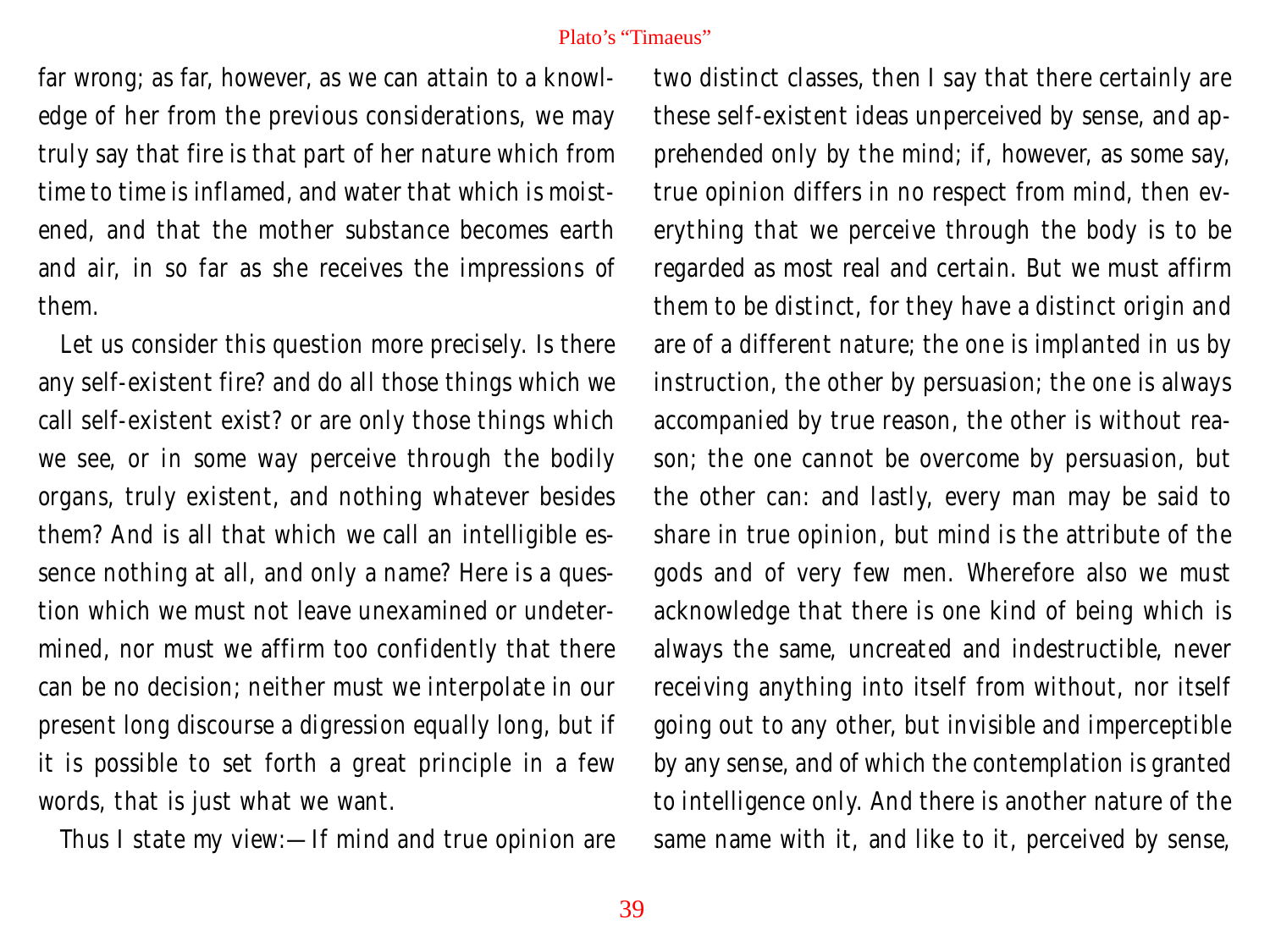far wrong; as far, however, as we can attain to a knowledge of her from the previous considerations, we may truly say that fire is that part of her nature which from time to time is inflamed, and water that which is moistened, and that the mother substance becomes earth and air, in so far as she receives the impressions of them.

Let us consider this question more precisely. Is there any self-existent fire? and do all those things which we call self-existent exist? or are only those things which we see, or in some way perceive through the bodily organs, truly existent, and nothing whatever besides them? And is all that which we call an intelligible essence nothing at all, and only a name? Here is a question which we must not leave unexamined or undetermined, nor must we affirm too confidently that there can be no decision; neither must we interpolate in our present long discourse a digression equally long, but if it is possible to set forth a great principle in a few words, that is just what we want.

Thus I state my view:—If mind and true opinion are

two distinct classes, then I say that there certainly are these self-existent ideas unperceived by sense, and apprehended only by the mind; if, however, as some say, true opinion differs in no respect from mind, then everything that we perceive through the body is to be regarded as most real and certain. But we must affirm them to be distinct, for they have a distinct origin and are of a different nature; the one is implanted in us by instruction, the other by persuasion; the one is always accompanied by true reason, the other is without reason; the one cannot be overcome by persuasion, but the other can: and lastly, every man may be said to share in true opinion, but mind is the attribute of the gods and of very few men. Wherefore also we must acknowledge that there is one kind of being which is always the same, uncreated and indestructible, never receiving anything into itself from without, nor itself going out to any other, but invisible and imperceptible by any sense, and of which the contemplation is granted to intelligence only. And there is another nature of the same name with it, and like to it, perceived by sense,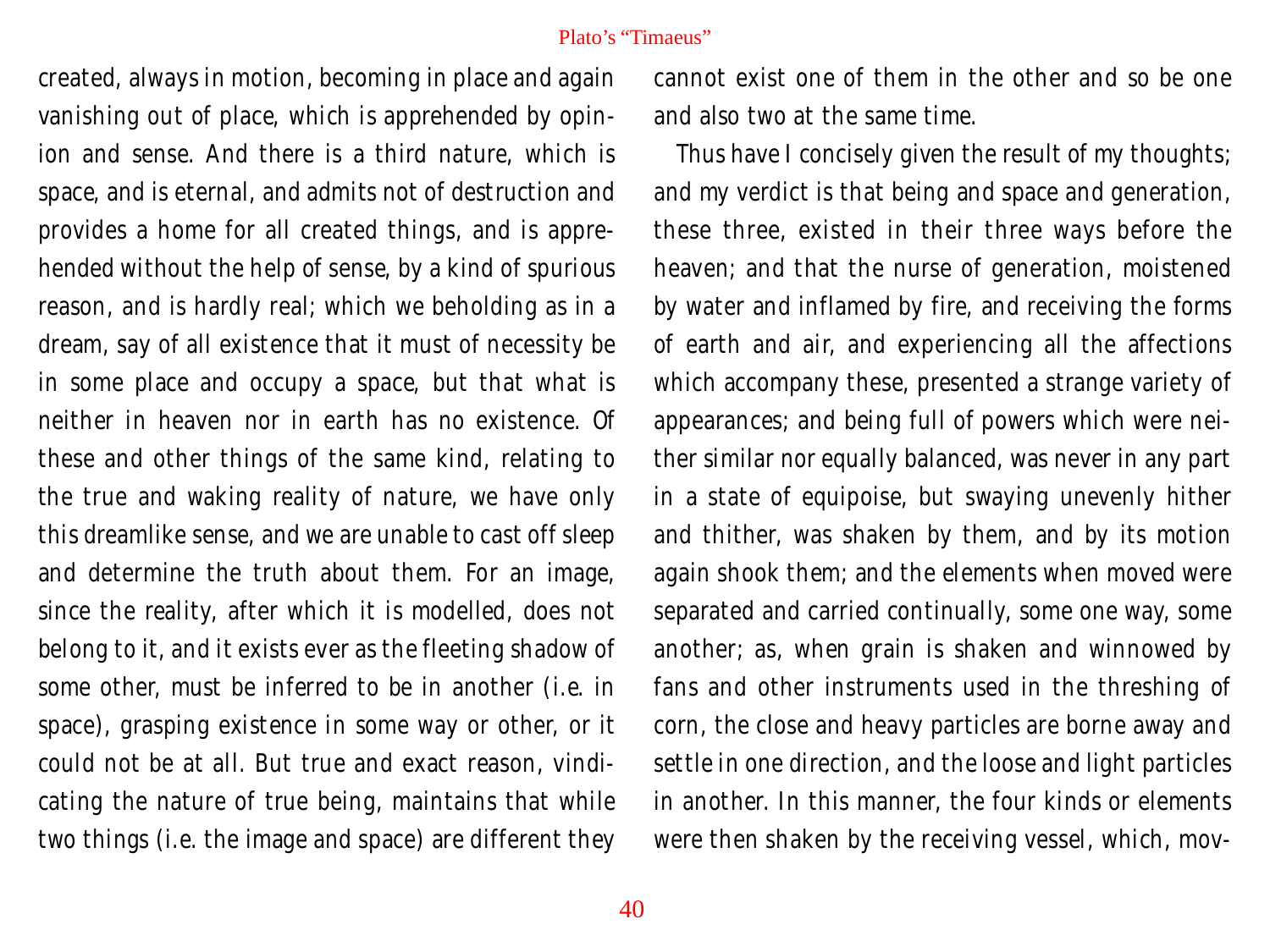created, always in motion, becoming in place and again vanishing out of place, which is apprehended by opinion and sense. And there is a third nature, which is space, and is eternal, and admits not of destruction and provides a home for all created things, and is apprehended without the help of sense, by a kind of spurious reason, and is hardly real; which we beholding as in a dream, say of all existence that it must of necessity be in some place and occupy a space, but that what is neither in heaven nor in earth has no existence. Of these and other things of the same kind, relating to the true and waking reality of nature, we have only this dreamlike sense, and we are unable to cast off sleep and determine the truth about them. For an image, since the reality, after which it is modelled, does not belong to it, and it exists ever as the fleeting shadow of some other, must be inferred to be in another (i.e. in space), grasping existence in some way or other, or it could not be at all. But true and exact reason, vindicating the nature of true being, maintains that while two things (i.e. the image and space) are different they

cannot exist one of them in the other and so be one and also two at the same time.

Thus have I concisely given the result of my thoughts; and my verdict is that being and space and generation, these three, existed in their three ways before the heaven; and that the nurse of generation, moistened by water and inflamed by fire, and receiving the forms of earth and air, and experiencing all the affections which accompany these, presented a strange variety of appearances; and being full of powers which were neither similar nor equally balanced, was never in any part in a state of equipoise, but swaying unevenly hither and thither, was shaken by them, and by its motion again shook them; and the elements when moved were separated and carried continually, some one way, some another; as, when grain is shaken and winnowed by fans and other instruments used in the threshing of corn, the close and heavy particles are borne away and settle in one direction, and the loose and light particles in another. In this manner, the four kinds or elements were then shaken by the receiving vessel, which, mov-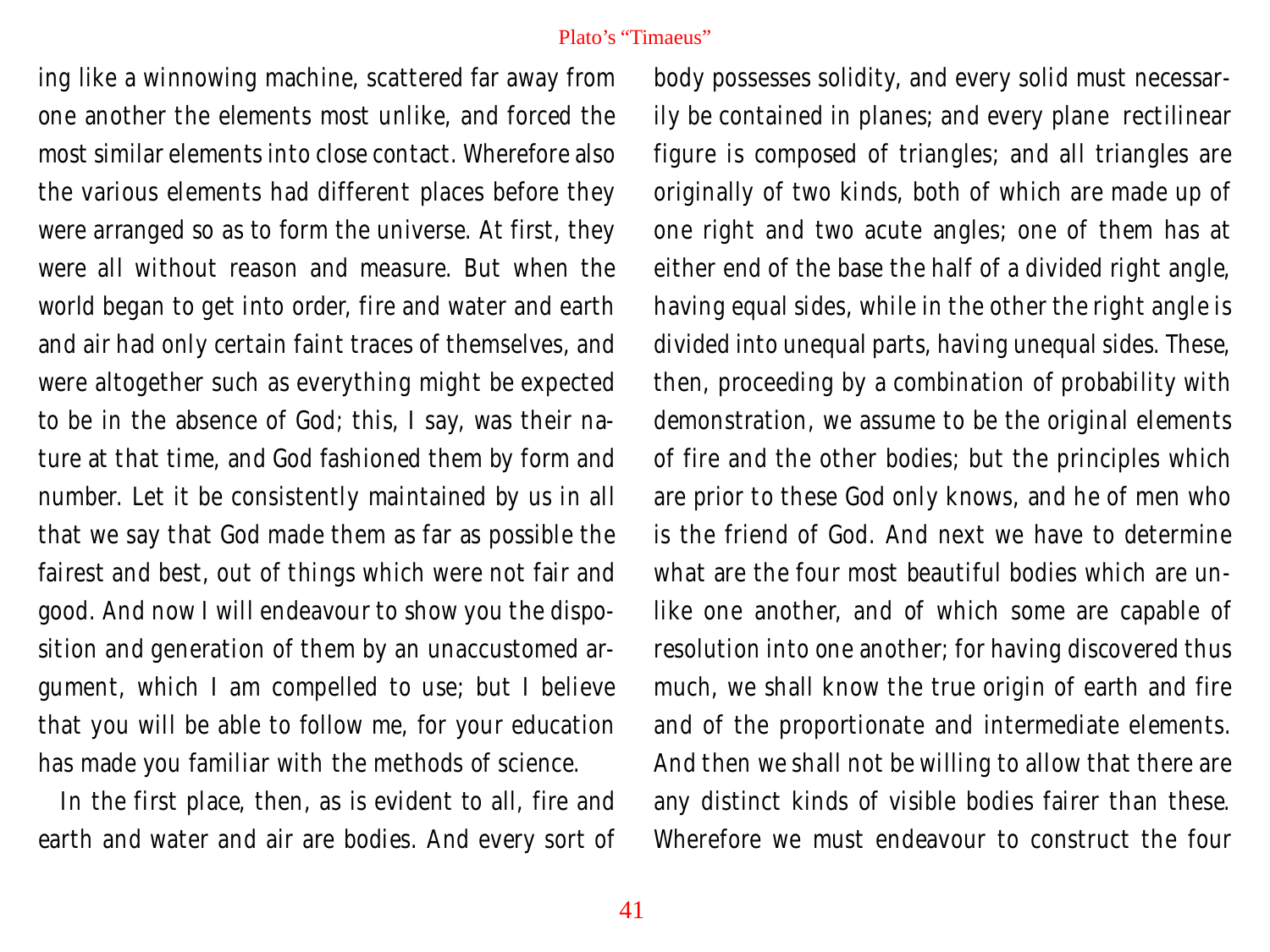ing like a winnowing machine, scattered far away from one another the elements most unlike, and forced the most similar elements into close contact. Wherefore also the various elements had different places before they were arranged so as to form the universe. At first, they were all without reason and measure. But when the world began to get into order, fire and water and earth and air had only certain faint traces of themselves, and were altogether such as everything might be expected to be in the absence of God; this, I say, was their nature at that time, and God fashioned them by form and number. Let it be consistently maintained by us in all that we say that God made them as far as possible the fairest and best, out of things which were not fair and good. And now I will endeavour to show you the disposition and generation of them by an unaccustomed argument, which I am compelled to use; but I believe that you will be able to follow me, for your education has made you familiar with the methods of science.

In the first place, then, as is evident to all, fire and earth and water and air are bodies. And every sort of

body possesses solidity, and every solid must necessarily be contained in planes; and every plane rectilinear figure is composed of triangles; and all triangles are originally of two kinds, both of which are made up of one right and two acute angles; one of them has at either end of the base the half of a divided right angle, having equal sides, while in the other the right angle is divided into unequal parts, having unequal sides. These, then, proceeding by a combination of probability with demonstration, we assume to be the original elements of fire and the other bodies; but the principles which are prior to these God only knows, and he of men who is the friend of God. And next we have to determine what are the four most beautiful bodies which are unlike one another, and of which some are capable of resolution into one another; for having discovered thus much, we shall know the true origin of earth and fire and of the proportionate and intermediate elements. And then we shall not be willing to allow that there are any distinct kinds of visible bodies fairer than these. Wherefore we must endeavour to construct the four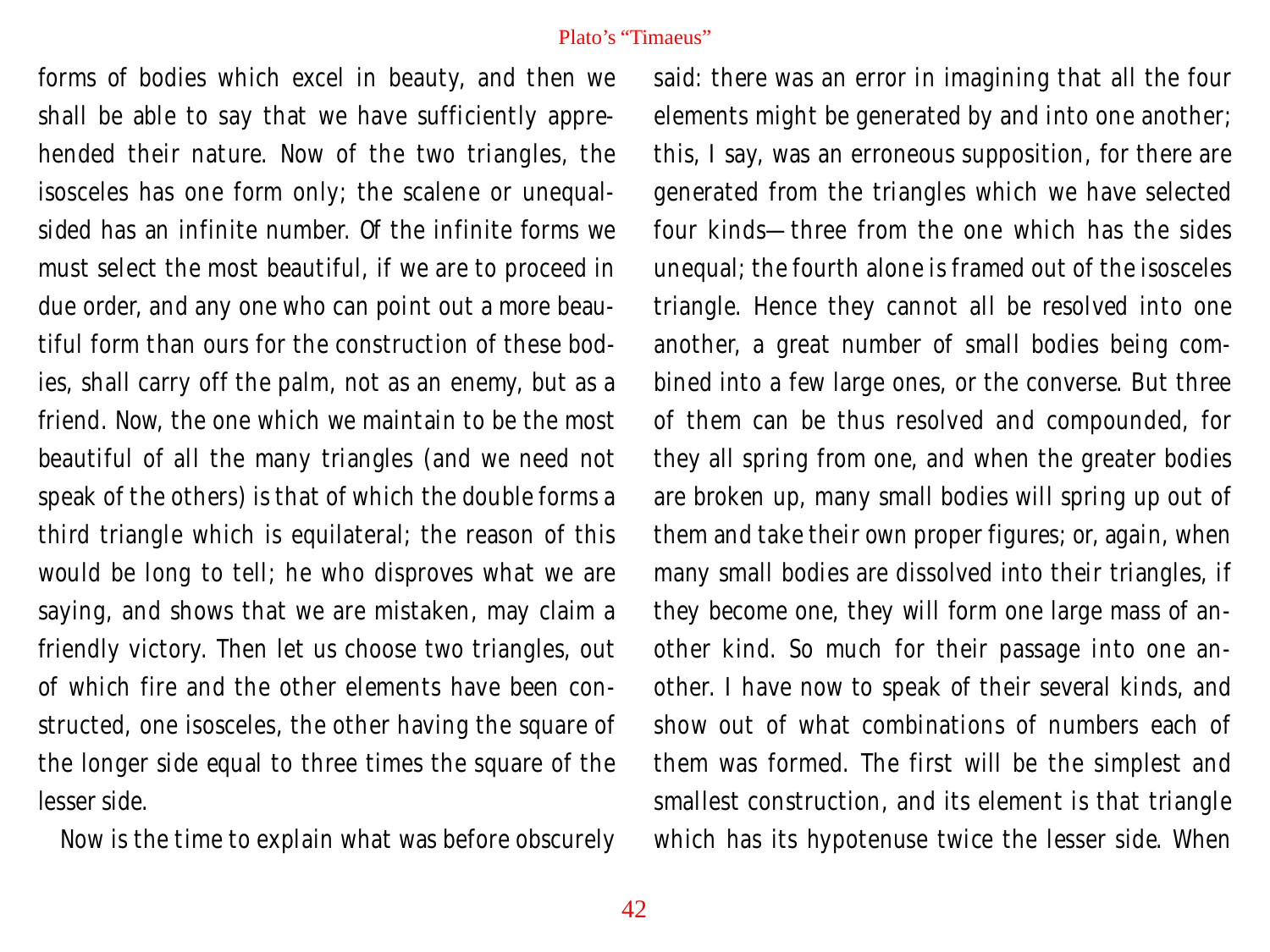forms of bodies which excel in beauty, and then we shall be able to say that we have sufficiently apprehended their nature. Now of the two triangles, the isosceles has one form only; the scalene or unequalsided has an infinite number. Of the infinite forms we must select the most beautiful, if we are to proceed in due order, and any one who can point out a more beautiful form than ours for the construction of these bodies, shall carry off the palm, not as an enemy, but as a friend. Now, the one which we maintain to be the most beautiful of all the many triangles (and we need not speak of the others) is that of which the double forms a third triangle which is equilateral; the reason of this would be long to tell; he who disproves what we are saying, and shows that we are mistaken, may claim a friendly victory. Then let us choose two triangles, out of which fire and the other elements have been constructed, one isosceles, the other having the square of the longer side equal to three times the square of the lesser side.

Now is the time to explain what was before obscurely

said: there was an error in imagining that all the four elements might be generated by and into one another; this, I say, was an erroneous supposition, for there are generated from the triangles which we have selected four kinds—three from the one which has the sides unequal; the fourth alone is framed out of the isosceles triangle. Hence they cannot all be resolved into one another, a great number of small bodies being combined into a few large ones, or the converse. But three of them can be thus resolved and compounded, for they all spring from one, and when the greater bodies are broken up, many small bodies will spring up out of them and take their own proper figures; or, again, when many small bodies are dissolved into their triangles, if they become one, they will form one large mass of another kind. So much for their passage into one another. I have now to speak of their several kinds, and show out of what combinations of numbers each of them was formed. The first will be the simplest and smallest construction, and its element is that triangle which has its hypotenuse twice the lesser side. When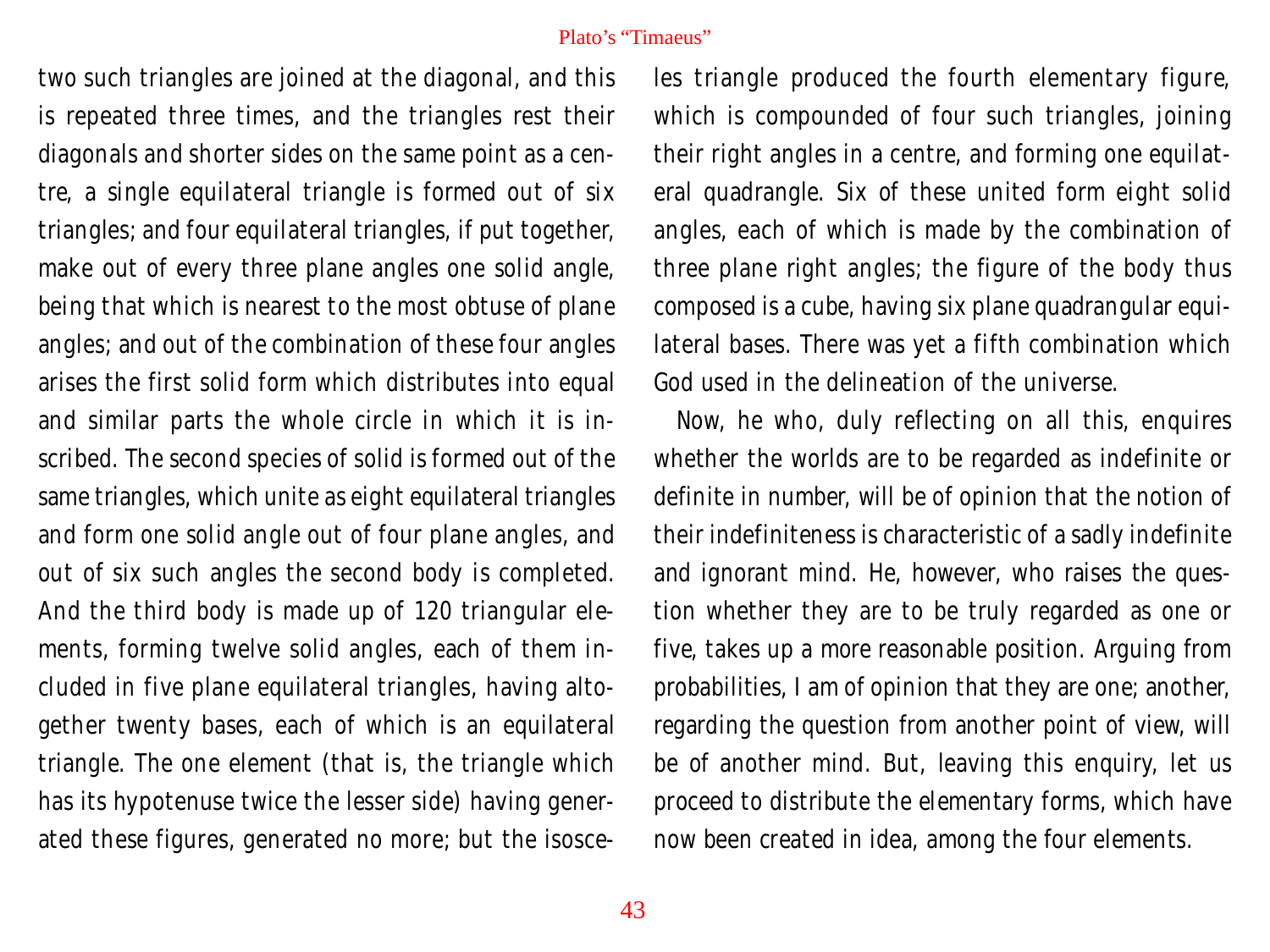two such triangles are joined at the diagonal, and this is repeated three times, and the triangles rest their diagonals and shorter sides on the same point as a centre, a single equilateral triangle is formed out of six triangles; and four equilateral triangles, if put together, make out of every three plane angles one solid angle, being that which is nearest to the most obtuse of plane angles; and out of the combination of these four angles arises the first solid form which distributes into equal and similar parts the whole circle in which it is inscribed. The second species of solid is formed out of the same triangles, which unite as eight equilateral triangles and form one solid angle out of four plane angles, and out of six such angles the second body is completed. And the third body is made up of 120 triangular elements, forming twelve solid angles, each of them included in five plane equilateral triangles, having altogether twenty bases, each of which is an equilateral triangle. The one element (that is, the triangle which has its hypotenuse twice the lesser side) having generated these figures, generated no more; but the isosceles triangle produced the fourth elementary figure, which is compounded of four such triangles, joining their right angles in a centre, and forming one equilateral quadrangle. Six of these united form eight solid angles, each of which is made by the combination of three plane right angles; the figure of the body thus composed is a cube, having six plane quadrangular equilateral bases. There was yet a fifth combination which God used in the delineation of the universe.

Now, he who, duly reflecting on all this, enquires whether the worlds are to be regarded as indefinite or definite in number, will be of opinion that the notion of their indefiniteness is characteristic of a sadly indefinite and ignorant mind. He, however, who raises the question whether they are to be truly regarded as one or five, takes up a more reasonable position. Arguing from probabilities, I am of opinion that they are one; another, regarding the question from another point of view, will be of another mind. But, leaving this enquiry, let us proceed to distribute the elementary forms, which have now been created in idea, among the four elements.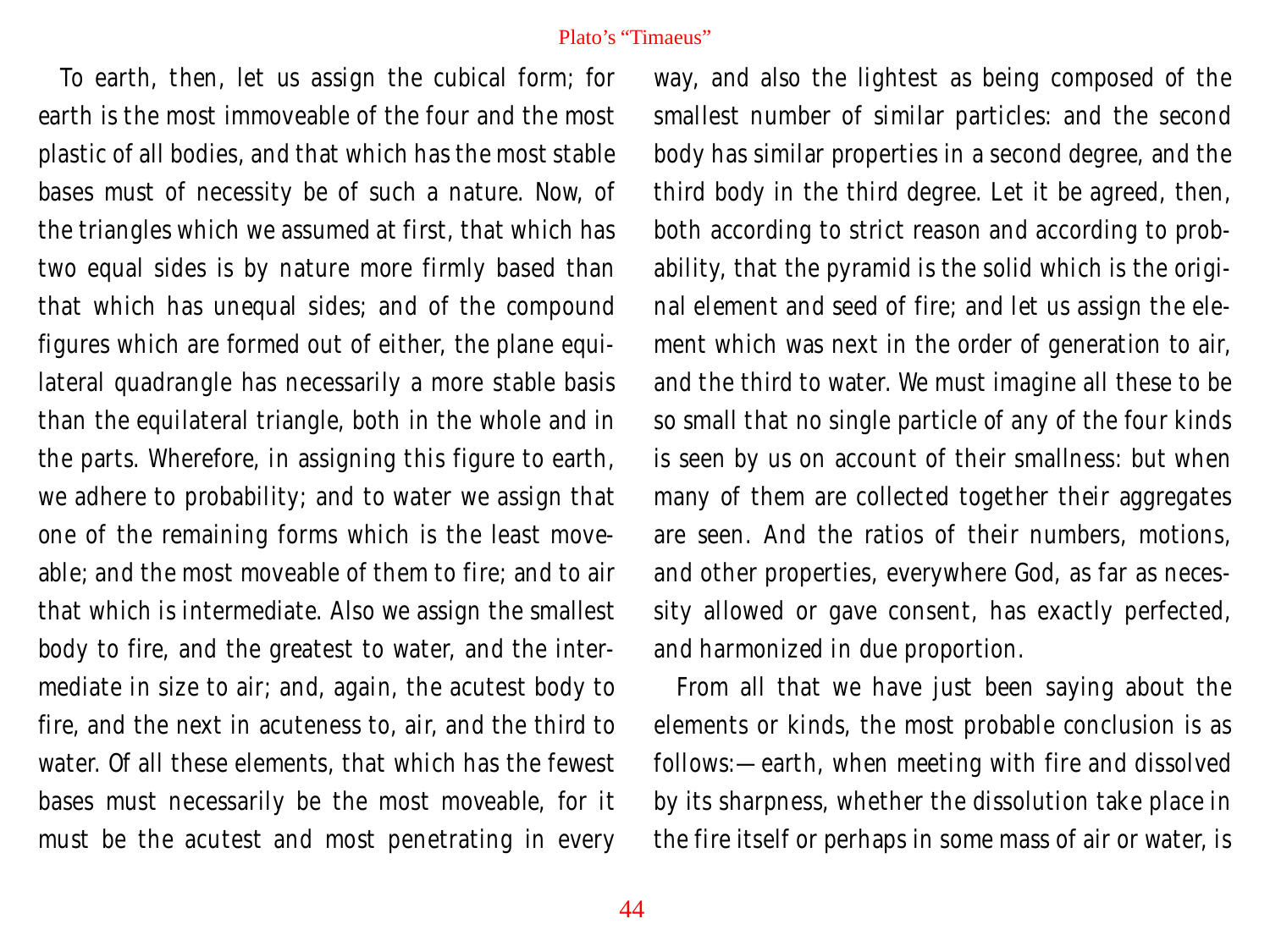To earth, then, let us assign the cubical form; for earth is the most immoveable of the four and the most plastic of all bodies, and that which has the most stable bases must of necessity be of such a nature. Now, of the triangles which we assumed at first, that which has two equal sides is by nature more firmly based than that which has unequal sides; and of the compound figures which are formed out of either, the plane equilateral quadrangle has necessarily a more stable basis than the equilateral triangle, both in the whole and in the parts. Wherefore, in assigning this figure to earth, we adhere to probability; and to water we assign that one of the remaining forms which is the least moveable; and the most moveable of them to fire; and to air that which is intermediate. Also we assign the smallest body to fire, and the greatest to water, and the intermediate in size to air; and, again, the acutest body to fire, and the next in acuteness to, air, and the third to water. Of all these elements, that which has the fewest bases must necessarily be the most moveable, for it must be the acutest and most penetrating in every

way, and also the lightest as being composed of the smallest number of similar particles: and the second body has similar properties in a second degree, and the third body in the third degree. Let it be agreed, then, both according to strict reason and according to probability, that the pyramid is the solid which is the original element and seed of fire; and let us assign the element which was next in the order of generation to air, and the third to water. We must imagine all these to be so small that no single particle of any of the four kinds is seen by us on account of their smallness: but when many of them are collected together their aggregates are seen. And the ratios of their numbers, motions, and other properties, everywhere God, as far as necessity allowed or gave consent, has exactly perfected, and harmonized in due proportion.

From all that we have just been saying about the elements or kinds, the most probable conclusion is as follows:—earth, when meeting with fire and dissolved by its sharpness, whether the dissolution take place in the fire itself or perhaps in some mass of air or water, is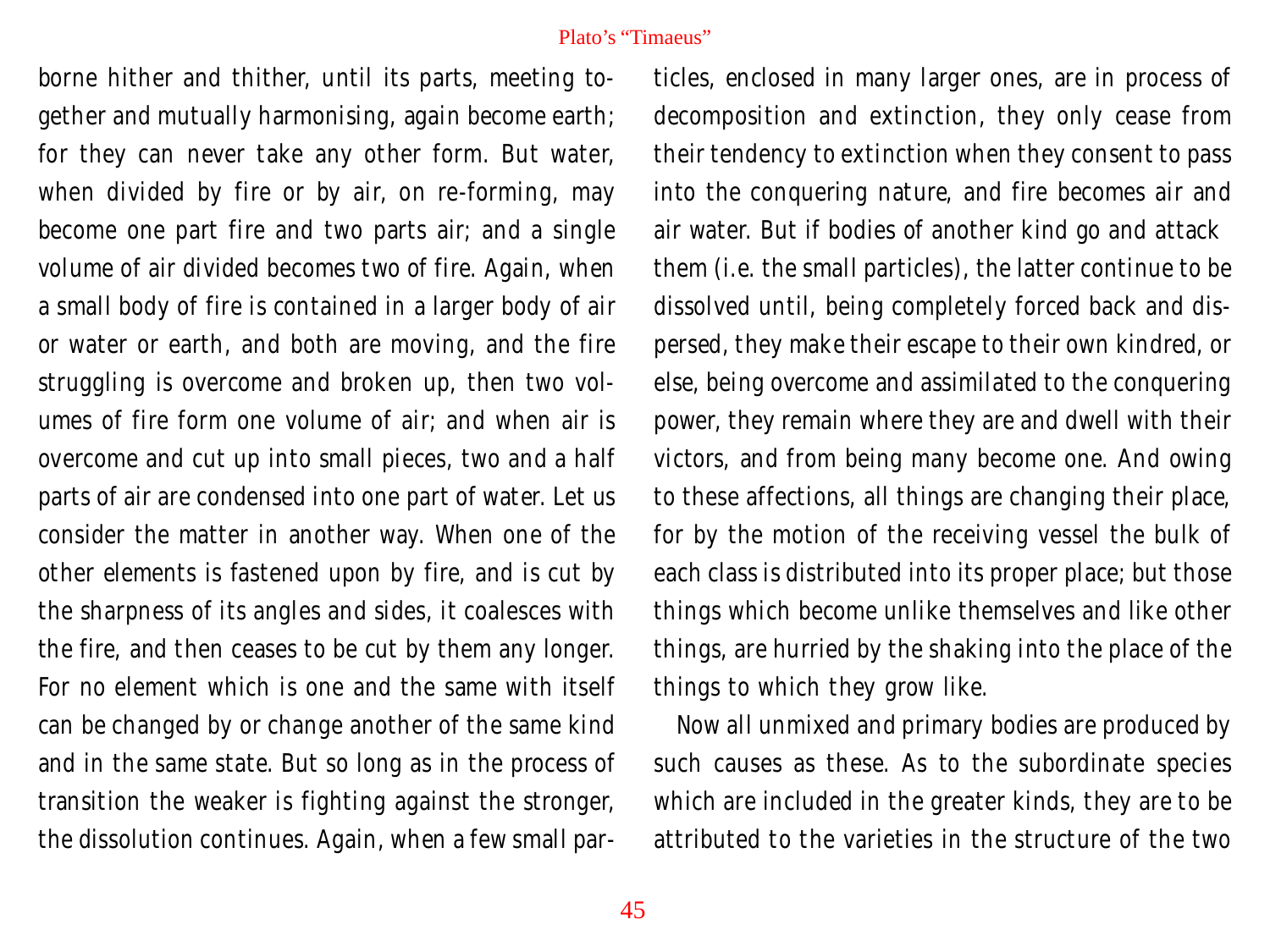borne hither and thither, until its parts, meeting together and mutually harmonising, again become earth; for they can never take any other form. But water, when divided by fire or by air, on re-forming, may become one part fire and two parts air; and a single volume of air divided becomes two of fire. Again, when a small body of fire is contained in a larger body of air or water or earth, and both are moving, and the fire struggling is overcome and broken up, then two volumes of fire form one volume of air; and when air is overcome and cut up into small pieces, two and a half parts of air are condensed into one part of water. Let us consider the matter in another way. When one of the other elements is fastened upon by fire, and is cut by the sharpness of its angles and sides, it coalesces with the fire, and then ceases to be cut by them any longer. For no element which is one and the same with itself can be changed by or change another of the same kind and in the same state. But so long as in the process of transition the weaker is fighting against the stronger, the dissolution continues. Again, when a few small particles, enclosed in many larger ones, are in process of decomposition and extinction, they only cease from their tendency to extinction when they consent to pass into the conquering nature, and fire becomes air and air water. But if bodies of another kind go and attack them (i.e. the small particles), the latter continue to be dissolved until, being completely forced back and dispersed, they make their escape to their own kindred, or else, being overcome and assimilated to the conquering power, they remain where they are and dwell with their victors, and from being many become one. And owing to these affections, all things are changing their place, for by the motion of the receiving vessel the bulk of each class is distributed into its proper place; but those things which become unlike themselves and like other things, are hurried by the shaking into the place of the things to which they grow like.

Now all unmixed and primary bodies are produced by such causes as these. As to the subordinate species which are included in the greater kinds, they are to be attributed to the varieties in the structure of the two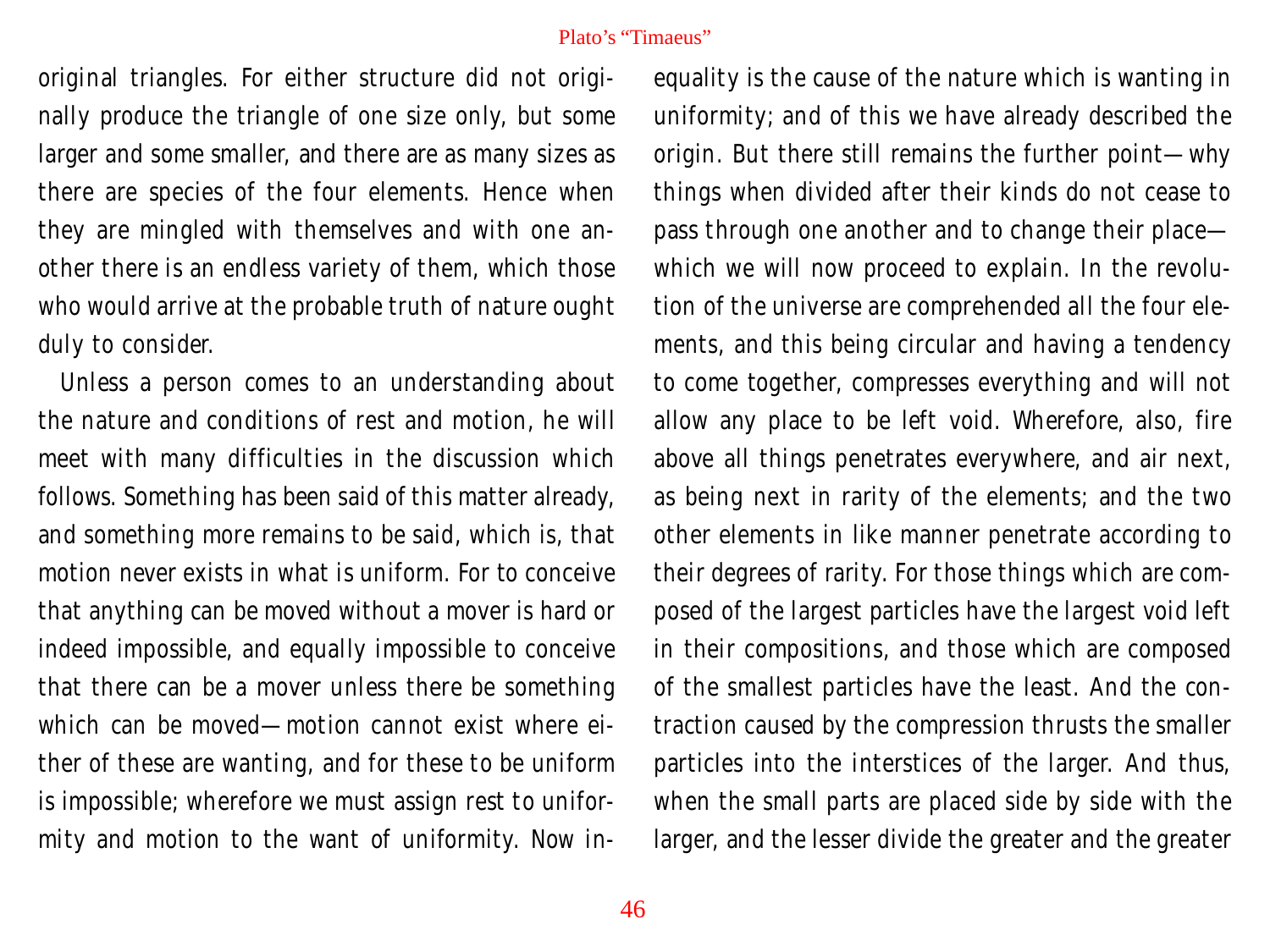original triangles. For either structure did not originally produce the triangle of one size only, but some larger and some smaller, and there are as many sizes as there are species of the four elements. Hence when they are mingled with themselves and with one another there is an endless variety of them, which those who would arrive at the probable truth of nature ought duly to consider.

Unless a person comes to an understanding about the nature and conditions of rest and motion, he will meet with many difficulties in the discussion which follows. Something has been said of this matter already, and something more remains to be said, which is, that motion never exists in what is uniform. For to conceive that anything can be moved without a mover is hard or indeed impossible, and equally impossible to conceive that there can be a mover unless there be something which can be moved—motion cannot exist where either of these are wanting, and for these to be uniform is impossible; wherefore we must assign rest to uniformity and motion to the want of uniformity. Now in-

equality is the cause of the nature which is wanting in uniformity; and of this we have already described the origin. But there still remains the further point—why things when divided after their kinds do not cease to pass through one another and to change their place which we will now proceed to explain. In the revolution of the universe are comprehended all the four elements, and this being circular and having a tendency to come together, compresses everything and will not allow any place to be left void. Wherefore, also, fire above all things penetrates everywhere, and air next, as being next in rarity of the elements; and the two other elements in like manner penetrate according to their degrees of rarity. For those things which are composed of the largest particles have the largest void left in their compositions, and those which are composed of the smallest particles have the least. And the contraction caused by the compression thrusts the smaller particles into the interstices of the larger. And thus, when the small parts are placed side by side with the larger, and the lesser divide the greater and the greater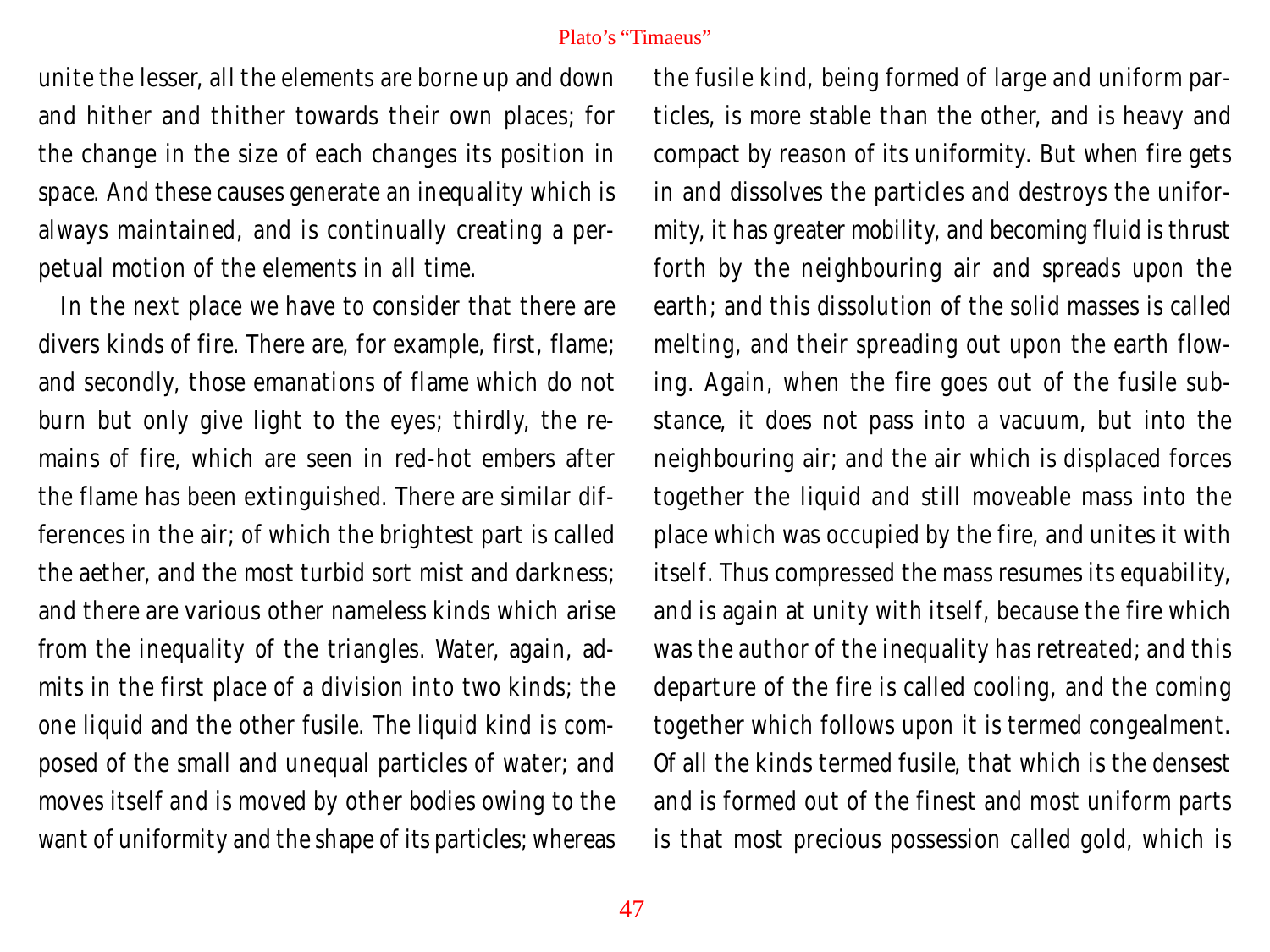unite the lesser, all the elements are borne up and down and hither and thither towards their own places; for the change in the size of each changes its position in space. And these causes generate an inequality which is always maintained, and is continually creating a perpetual motion of the elements in all time.

In the next place we have to consider that there are divers kinds of fire. There are, for example, first, flame; and secondly, those emanations of flame which do not burn but only give light to the eyes; thirdly, the remains of fire, which are seen in red-hot embers after the flame has been extinguished. There are similar differences in the air; of which the brightest part is called the aether, and the most turbid sort mist and darkness; and there are various other nameless kinds which arise from the inequality of the triangles. Water, again, admits in the first place of a division into two kinds; the one liquid and the other fusile. The liquid kind is composed of the small and unequal particles of water; and moves itself and is moved by other bodies owing to the want of uniformity and the shape of its particles; whereas the fusile kind, being formed of large and uniform particles, is more stable than the other, and is heavy and compact by reason of its uniformity. But when fire gets in and dissolves the particles and destroys the uniformity, it has greater mobility, and becoming fluid is thrust forth by the neighbouring air and spreads upon the earth; and this dissolution of the solid masses is called melting, and their spreading out upon the earth flowing. Again, when the fire goes out of the fusile substance, it does not pass into a vacuum, but into the neighbouring air; and the air which is displaced forces together the liquid and still moveable mass into the place which was occupied by the fire, and unites it with itself. Thus compressed the mass resumes its equability, and is again at unity with itself, because the fire which was the author of the inequality has retreated; and this departure of the fire is called cooling, and the coming together which follows upon it is termed congealment. Of all the kinds termed fusile, that which is the densest and is formed out of the finest and most uniform parts is that most precious possession called gold, which is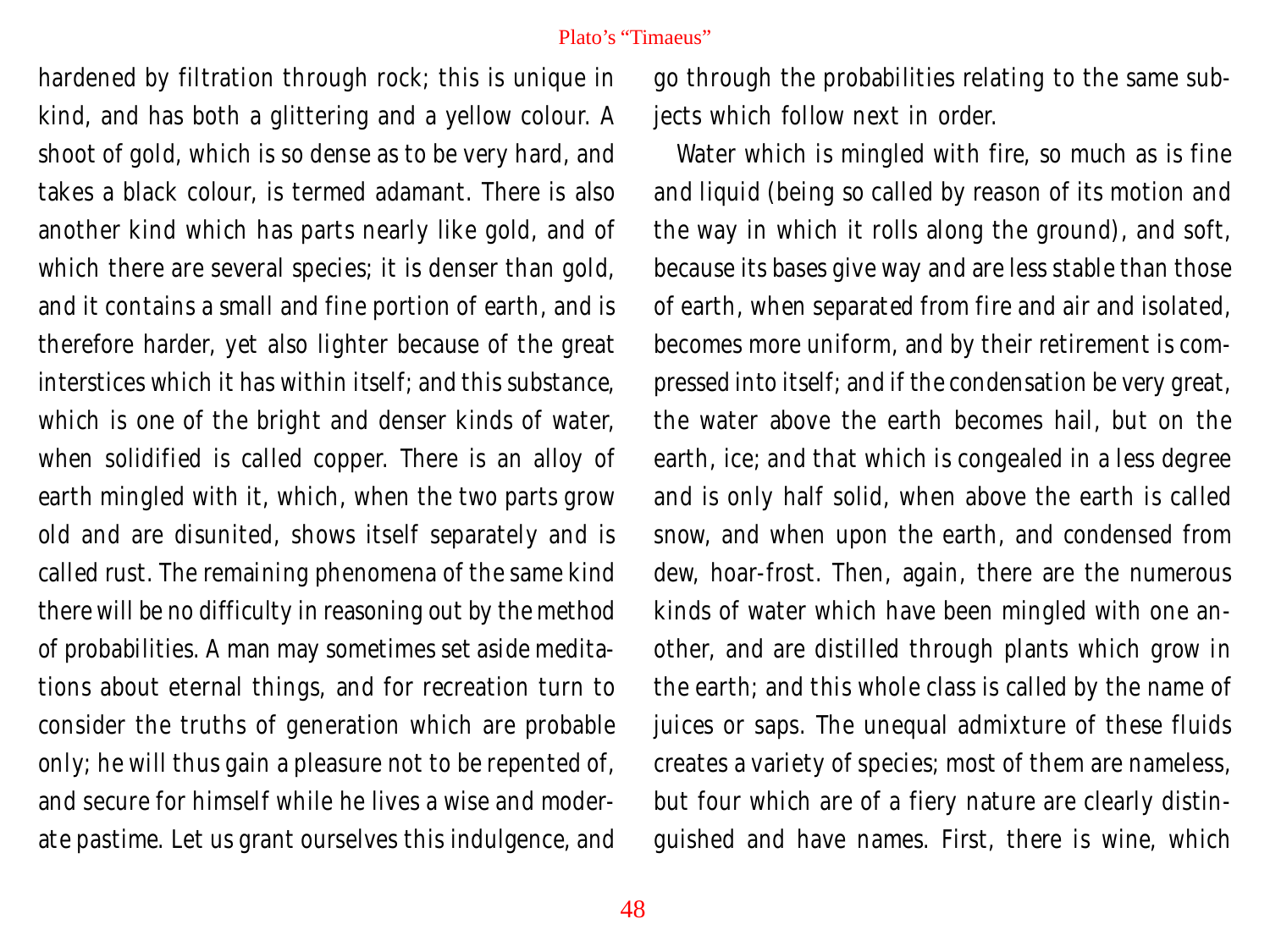hardened by filtration through rock; this is unique in kind, and has both a glittering and a yellow colour. A shoot of gold, which is so dense as to be very hard, and takes a black colour, is termed adamant. There is also another kind which has parts nearly like gold, and of which there are several species; it is denser than gold, and it contains a small and fine portion of earth, and is therefore harder, yet also lighter because of the great interstices which it has within itself; and this substance, which is one of the bright and denser kinds of water, when solidified is called copper. There is an alloy of earth mingled with it, which, when the two parts grow old and are disunited, shows itself separately and is called rust. The remaining phenomena of the same kind there will be no difficulty in reasoning out by the method of probabilities. A man may sometimes set aside meditations about eternal things, and for recreation turn to consider the truths of generation which are probable only; he will thus gain a pleasure not to be repented of, and secure for himself while he lives a wise and moderate pastime. Let us grant ourselves this indulgence, and

go through the probabilities relating to the same subjects which follow next in order.

Water which is mingled with fire, so much as is fine and liquid (being so called by reason of its motion and the way in which it rolls along the ground), and soft, because its bases give way and are less stable than those of earth, when separated from fire and air and isolated, becomes more uniform, and by their retirement is compressed into itself; and if the condensation be very great, the water above the earth becomes hail, but on the earth, ice; and that which is congealed in a less degree and is only half solid, when above the earth is called snow, and when upon the earth, and condensed from dew, hoar-frost. Then, again, there are the numerous kinds of water which have been mingled with one another, and are distilled through plants which grow in the earth; and this whole class is called by the name of juices or saps. The unequal admixture of these fluids creates a variety of species; most of them are nameless, but four which are of a fiery nature are clearly distinguished and have names. First, there is wine, which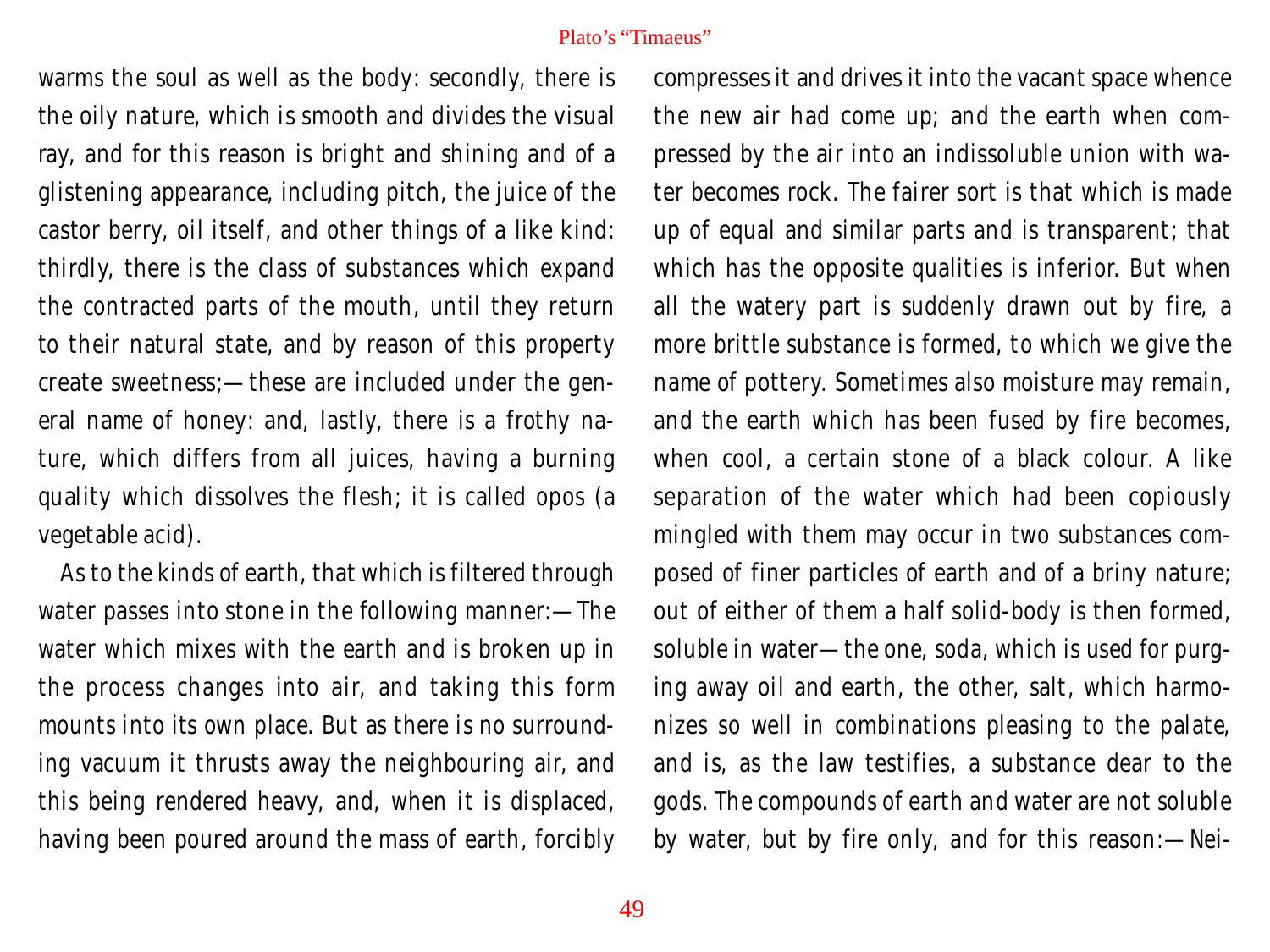warms the soul as well as the body: secondly, there is the oily nature, which is smooth and divides the visual ray, and for this reason is bright and shining and of a glistening appearance, including pitch, the juice of the castor berry, oil itself, and other things of a like kind: thirdly, there is the class of substances which expand the contracted parts of the mouth, until they return to their natural state, and by reason of this property create sweetness;—these are included under the general name of honey: and, lastly, there is a frothy nature, which differs from all juices, having a burning quality which dissolves the flesh; it is called opos (a vegetable acid).

As to the kinds of earth, that which is filtered through water passes into stone in the following manner:—The water which mixes with the earth and is broken up in the process changes into air, and taking this form mounts into its own place. But as there is no surrounding vacuum it thrusts away the neighbouring air, and this being rendered heavy, and, when it is displaced, having been poured around the mass of earth, forcibly compresses it and drives it into the vacant space whence the new air had come up; and the earth when compressed by the air into an indissoluble union with water becomes rock. The fairer sort is that which is made up of equal and similar parts and is transparent; that which has the opposite qualities is inferior. But when all the watery part is suddenly drawn out by fire, a more brittle substance is formed, to which we give the name of pottery. Sometimes also moisture may remain, and the earth which has been fused by fire becomes, when cool, a certain stone of a black colour. A like separation of the water which had been copiously mingled with them may occur in two substances composed of finer particles of earth and of a briny nature; out of either of them a half solid-body is then formed, soluble in water—the one, soda, which is used for purging away oil and earth, the other, salt, which harmonizes so well in combinations pleasing to the palate, and is, as the law testifies, a substance dear to the gods. The compounds of earth and water are not soluble by water, but by fire only, and for this reason:—Nei-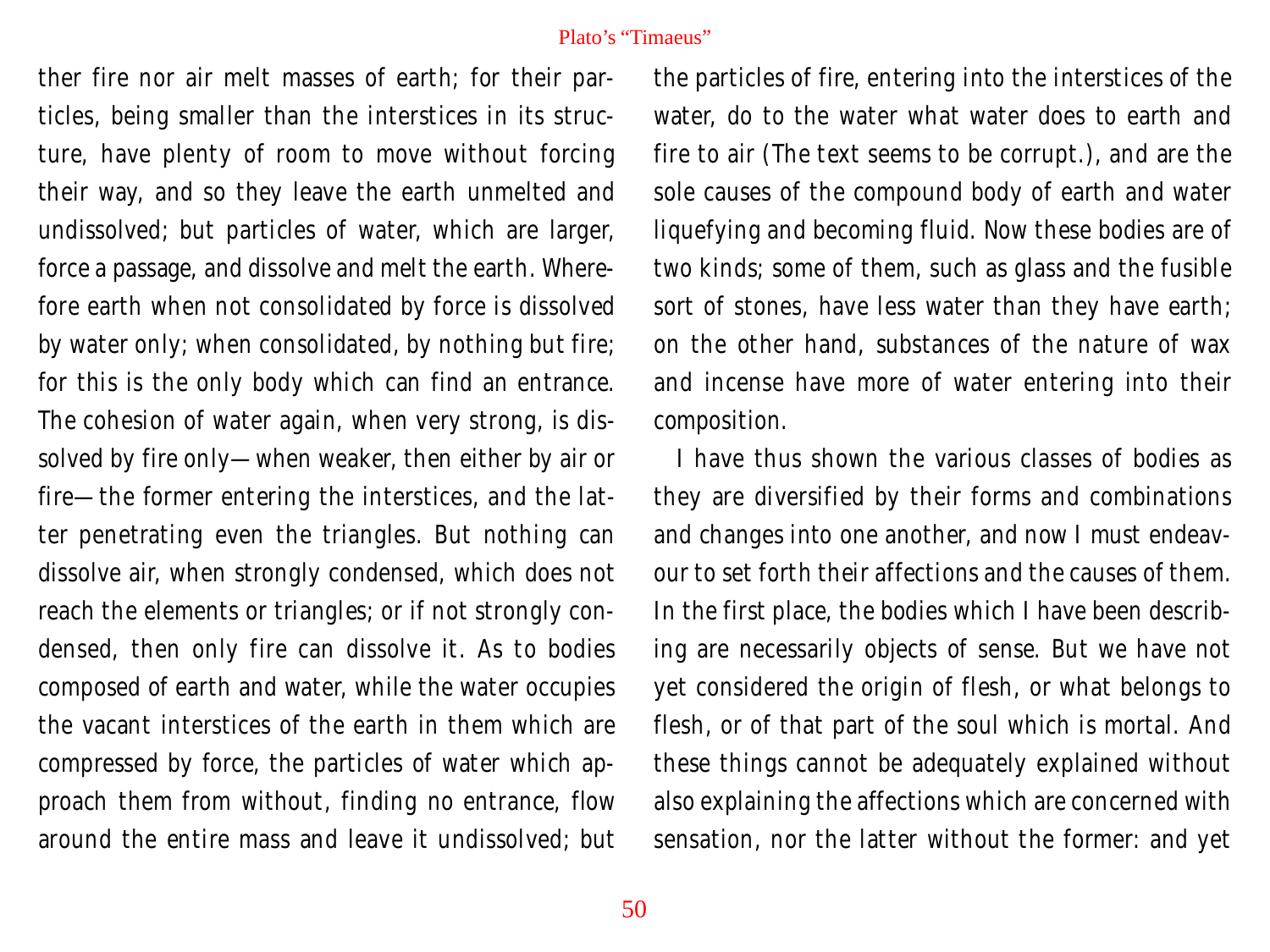ther fire nor air melt masses of earth; for their particles, being smaller than the interstices in its structure, have plenty of room to move without forcing their way, and so they leave the earth unmelted and undissolved; but particles of water, which are larger, force a passage, and dissolve and melt the earth. Wherefore earth when not consolidated by force is dissolved by water only; when consolidated, by nothing but fire; for this is the only body which can find an entrance. The cohesion of water again, when very strong, is dissolved by fire only—when weaker, then either by air or fire—the former entering the interstices, and the latter penetrating even the triangles. But nothing can dissolve air, when strongly condensed, which does not reach the elements or triangles; or if not strongly condensed, then only fire can dissolve it. As to bodies composed of earth and water, while the water occupies the vacant interstices of the earth in them which are compressed by force, the particles of water which approach them from without, finding no entrance, flow around the entire mass and leave it undissolved; but

the particles of fire, entering into the interstices of the water, do to the water what water does to earth and fire to air (The text seems to be corrupt.), and are the sole causes of the compound body of earth and water liquefying and becoming fluid. Now these bodies are of two kinds; some of them, such as glass and the fusible sort of stones, have less water than they have earth; on the other hand, substances of the nature of wax and incense have more of water entering into their composition.

I have thus shown the various classes of bodies as they are diversified by their forms and combinations and changes into one another, and now I must endeavour to set forth their affections and the causes of them. In the first place, the bodies which I have been describing are necessarily objects of sense. But we have not yet considered the origin of flesh, or what belongs to flesh, or of that part of the soul which is mortal. And these things cannot be adequately explained without also explaining the affections which are concerned with sensation, nor the latter without the former: and yet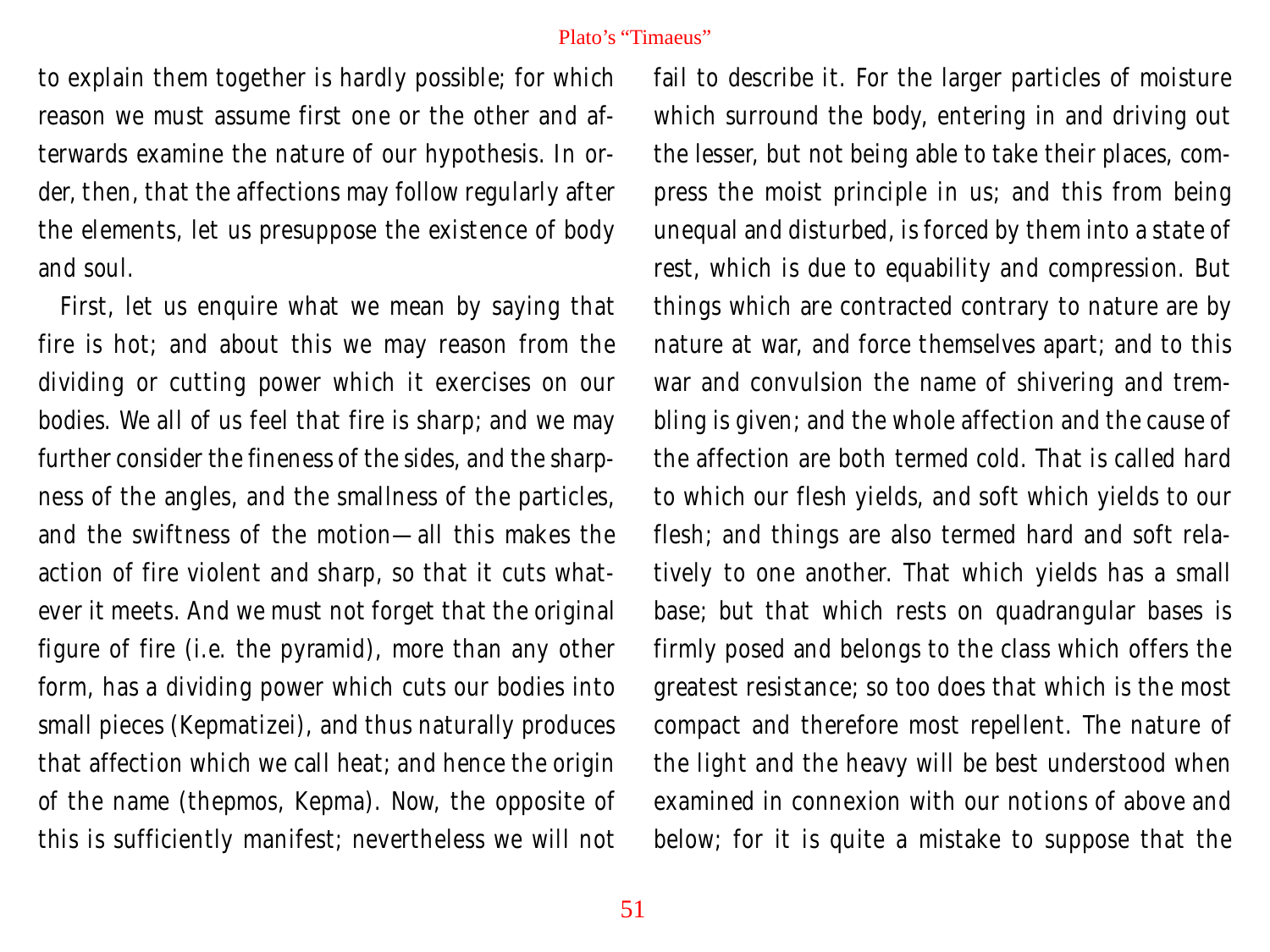to explain them together is hardly possible; for which reason we must assume first one or the other and afterwards examine the nature of our hypothesis. In order, then, that the affections may follow regularly after the elements, let us presuppose the existence of body and soul.

First, let us enquire what we mean by saying that fire is hot; and about this we may reason from the dividing or cutting power which it exercises on our bodies. We all of us feel that fire is sharp; and we may further consider the fineness of the sides, and the sharpness of the angles, and the smallness of the particles, and the swiftness of the motion—all this makes the action of fire violent and sharp, so that it cuts whatever it meets. And we must not forget that the original figure of fire (i.e. the pyramid), more than any other form, has a dividing power which cuts our bodies into small pieces (Kepmatizei), and thus naturally produces that affection which we call heat; and hence the origin of the name (thepmos, Kepma). Now, the opposite of this is sufficiently manifest; nevertheless we will not

fail to describe it. For the larger particles of moisture which surround the body, entering in and driving out the lesser, but not being able to take their places, compress the moist principle in us; and this from being unequal and disturbed, is forced by them into a state of rest, which is due to equability and compression. But things which are contracted contrary to nature are by nature at war, and force themselves apart; and to this war and convulsion the name of shivering and trembling is given; and the whole affection and the cause of the affection are both termed cold. That is called hard to which our flesh yields, and soft which yields to our flesh; and things are also termed hard and soft relatively to one another. That which yields has a small base; but that which rests on quadrangular bases is firmly posed and belongs to the class which offers the greatest resistance; so too does that which is the most compact and therefore most repellent. The nature of the light and the heavy will be best understood when examined in connexion with our notions of above and below; for it is quite a mistake to suppose that the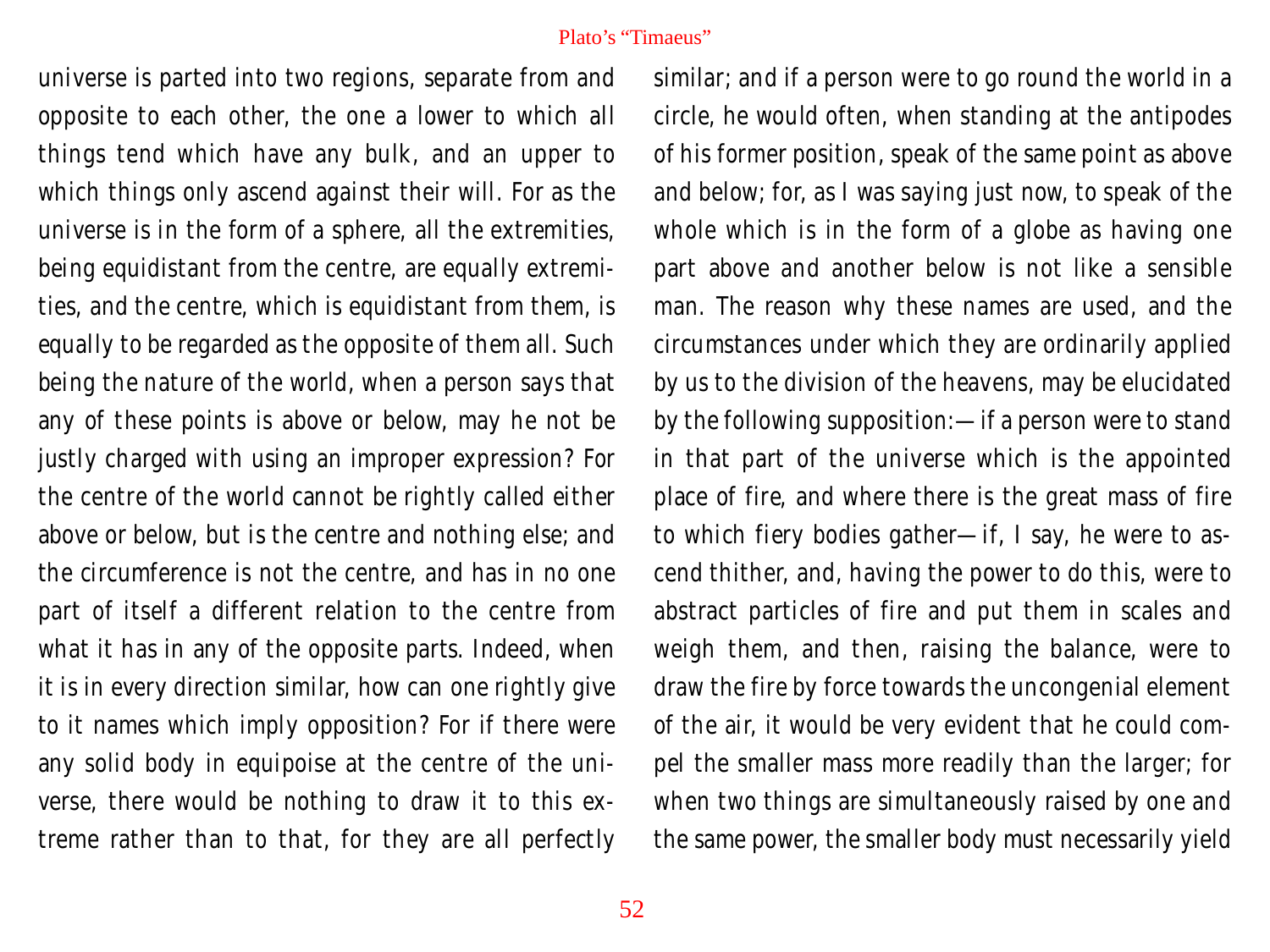universe is parted into two regions, separate from and opposite to each other, the one a lower to which all things tend which have any bulk, and an upper to which things only ascend against their will. For as the universe is in the form of a sphere, all the extremities, being equidistant from the centre, are equally extremities, and the centre, which is equidistant from them, is equally to be regarded as the opposite of them all. Such being the nature of the world, when a person says that any of these points is above or below, may he not be justly charged with using an improper expression? For the centre of the world cannot be rightly called either above or below, but is the centre and nothing else; and the circumference is not the centre, and has in no one part of itself a different relation to the centre from what it has in any of the opposite parts. Indeed, when it is in every direction similar, how can one rightly give to it names which imply opposition? For if there were any solid body in equipoise at the centre of the universe, there would be nothing to draw it to this extreme rather than to that, for they are all perfectly

similar; and if a person were to go round the world in a circle, he would often, when standing at the antipodes of his former position, speak of the same point as above and below; for, as I was saying just now, to speak of the whole which is in the form of a globe as having one part above and another below is not like a sensible man. The reason why these names are used, and the circumstances under which they are ordinarily applied by us to the division of the heavens, may be elucidated by the following supposition:—if a person were to stand in that part of the universe which is the appointed place of fire, and where there is the great mass of fire to which fiery bodies gather—if, I say, he were to ascend thither, and, having the power to do this, were to abstract particles of fire and put them in scales and weigh them, and then, raising the balance, were to draw the fire by force towards the uncongenial element of the air, it would be very evident that he could compel the smaller mass more readily than the larger; for when two things are simultaneously raised by one and the same power, the smaller body must necessarily yield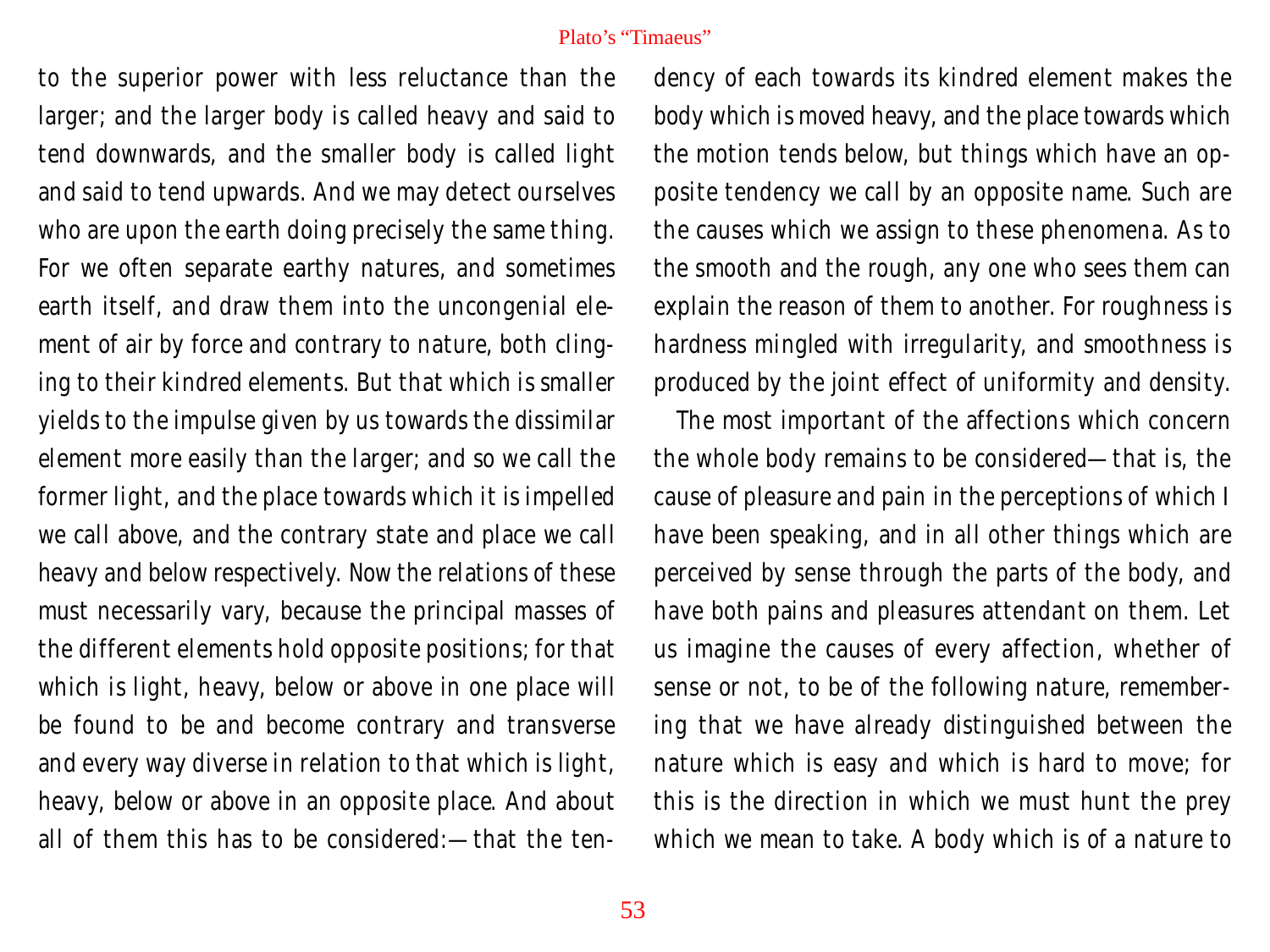to the superior power with less reluctance than the larger; and the larger body is called heavy and said to tend downwards, and the smaller body is called light and said to tend upwards. And we may detect ourselves who are upon the earth doing precisely the same thing. For we often separate earthy natures, and sometimes earth itself, and draw them into the uncongenial element of air by force and contrary to nature, both clinging to their kindred elements. But that which is smaller yields to the impulse given by us towards the dissimilar element more easily than the larger; and so we call the former light, and the place towards which it is impelled we call above, and the contrary state and place we call heavy and below respectively. Now the relations of these must necessarily vary, because the principal masses of the different elements hold opposite positions; for that which is light, heavy, below or above in one place will be found to be and become contrary and transverse and every way diverse in relation to that which is light, heavy, below or above in an opposite place. And about all of them this has to be considered:—that the ten-

dency of each towards its kindred element makes the body which is moved heavy, and the place towards which the motion tends below, but things which have an opposite tendency we call by an opposite name. Such are the causes which we assign to these phenomena. As to the smooth and the rough, any one who sees them can explain the reason of them to another. For roughness is hardness mingled with irregularity, and smoothness is produced by the joint effect of uniformity and density.

The most important of the affections which concern the whole body remains to be considered—that is, the cause of pleasure and pain in the perceptions of which I have been speaking, and in all other things which are perceived by sense through the parts of the body, and have both pains and pleasures attendant on them. Let us imagine the causes of every affection, whether of sense or not, to be of the following nature, remembering that we have already distinguished between the nature which is easy and which is hard to move; for this is the direction in which we must hunt the prey which we mean to take. A body which is of a nature to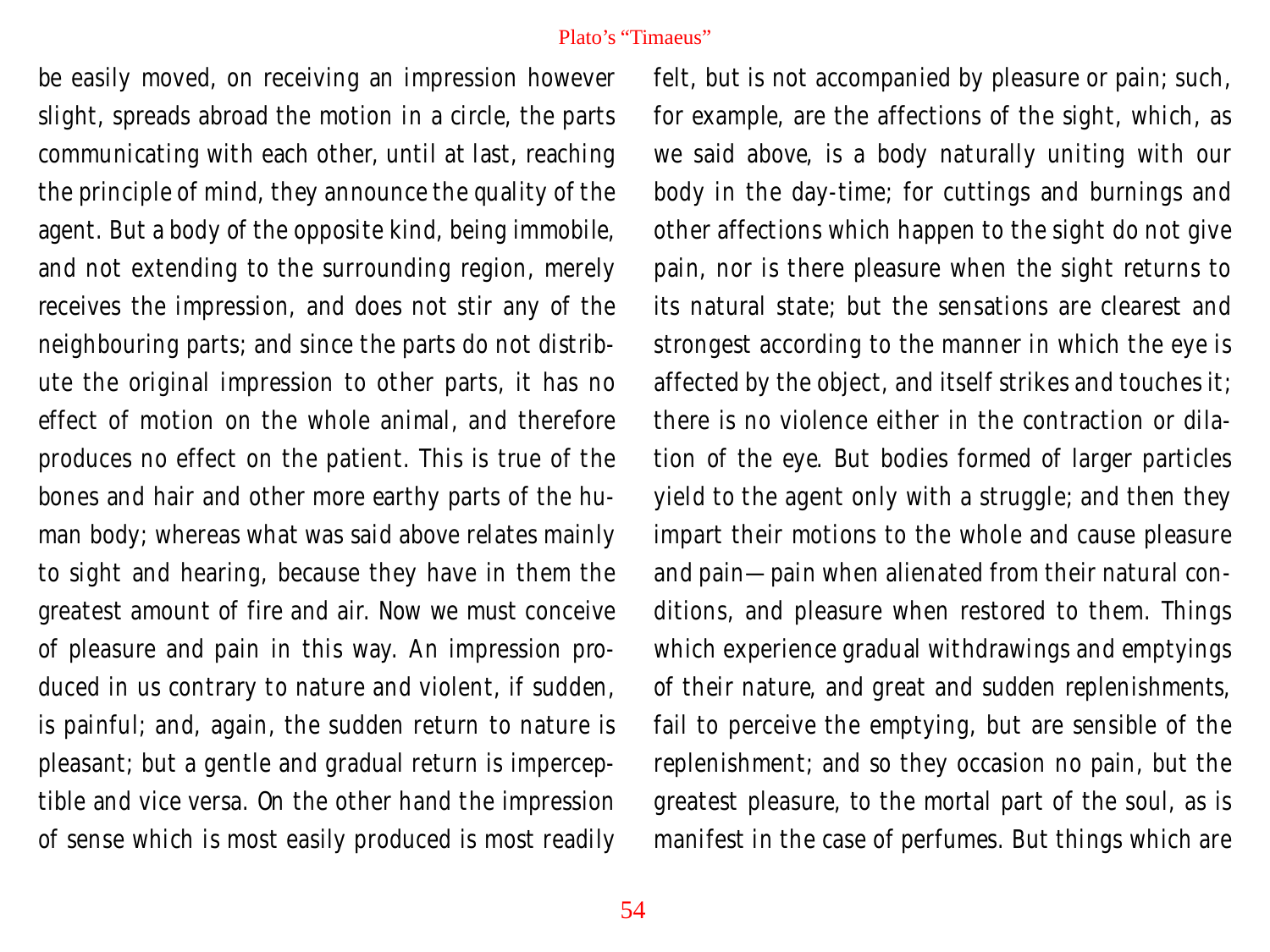be easily moved, on receiving an impression however slight, spreads abroad the motion in a circle, the parts communicating with each other, until at last, reaching the principle of mind, they announce the quality of the agent. But a body of the opposite kind, being immobile, and not extending to the surrounding region, merely receives the impression, and does not stir any of the neighbouring parts; and since the parts do not distribute the original impression to other parts, it has no effect of motion on the whole animal, and therefore produces no effect on the patient. This is true of the bones and hair and other more earthy parts of the human body; whereas what was said above relates mainly to sight and hearing, because they have in them the greatest amount of fire and air. Now we must conceive of pleasure and pain in this way. An impression produced in us contrary to nature and violent, if sudden, is painful; and, again, the sudden return to nature is pleasant; but a gentle and gradual return is imperceptible and vice versa. On the other hand the impression of sense which is most easily produced is most readily

felt, but is not accompanied by pleasure or pain; such, for example, are the affections of the sight, which, as we said above, is a body naturally uniting with our body in the day-time; for cuttings and burnings and other affections which happen to the sight do not give pain, nor is there pleasure when the sight returns to its natural state; but the sensations are clearest and strongest according to the manner in which the eye is affected by the object, and itself strikes and touches it; there is no violence either in the contraction or dilation of the eye. But bodies formed of larger particles yield to the agent only with a struggle; and then they impart their motions to the whole and cause pleasure and pain—pain when alienated from their natural conditions, and pleasure when restored to them. Things which experience gradual withdrawings and emptyings of their nature, and great and sudden replenishments, fail to perceive the emptying, but are sensible of the replenishment; and so they occasion no pain, but the greatest pleasure, to the mortal part of the soul, as is manifest in the case of perfumes. But things which are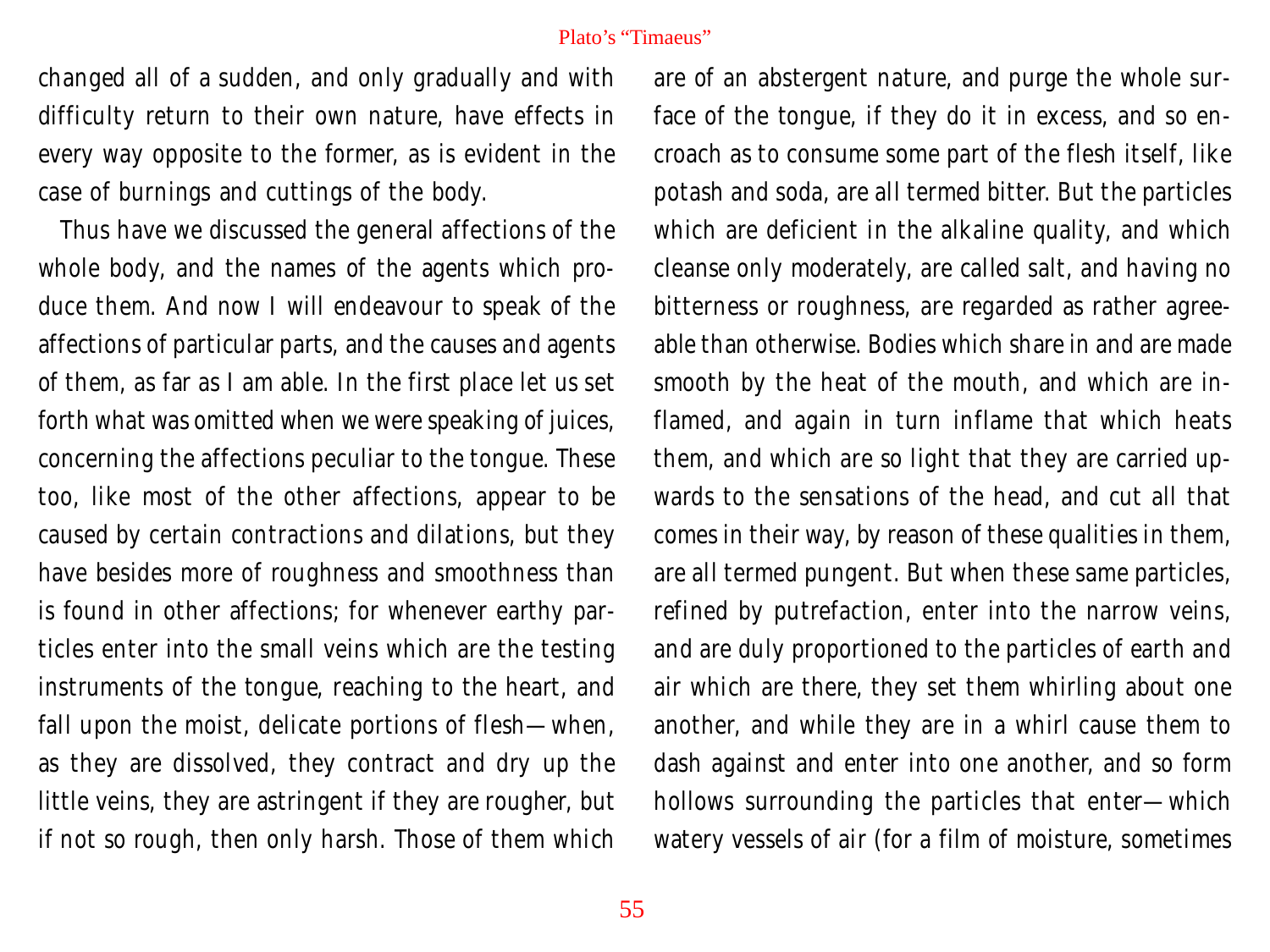changed all of a sudden, and only gradually and with difficulty return to their own nature, have effects in every way opposite to the former, as is evident in the case of burnings and cuttings of the body.

Thus have we discussed the general affections of the whole body, and the names of the agents which produce them. And now I will endeavour to speak of the affections of particular parts, and the causes and agents of them, as far as I am able. In the first place let us set forth what was omitted when we were speaking of juices, concerning the affections peculiar to the tongue. These too, like most of the other affections, appear to be caused by certain contractions and dilations, but they have besides more of roughness and smoothness than is found in other affections; for whenever earthy particles enter into the small veins which are the testing instruments of the tongue, reaching to the heart, and fall upon the moist, delicate portions of flesh—when, as they are dissolved, they contract and dry up the little veins, they are astringent if they are rougher, but if not so rough, then only harsh. Those of them which are of an abstergent nature, and purge the whole surface of the tongue, if they do it in excess, and so encroach as to consume some part of the flesh itself, like potash and soda, are all termed bitter. But the particles which are deficient in the alkaline quality, and which cleanse only moderately, are called salt, and having no bitterness or roughness, are regarded as rather agreeable than otherwise. Bodies which share in and are made smooth by the heat of the mouth, and which are inflamed, and again in turn inflame that which heats them, and which are so light that they are carried upwards to the sensations of the head, and cut all that comes in their way, by reason of these qualities in them, are all termed pungent. But when these same particles, refined by putrefaction, enter into the narrow veins, and are duly proportioned to the particles of earth and air which are there, they set them whirling about one another, and while they are in a whirl cause them to dash against and enter into one another, and so form hollows surrounding the particles that enter—which watery vessels of air (for a film of moisture, sometimes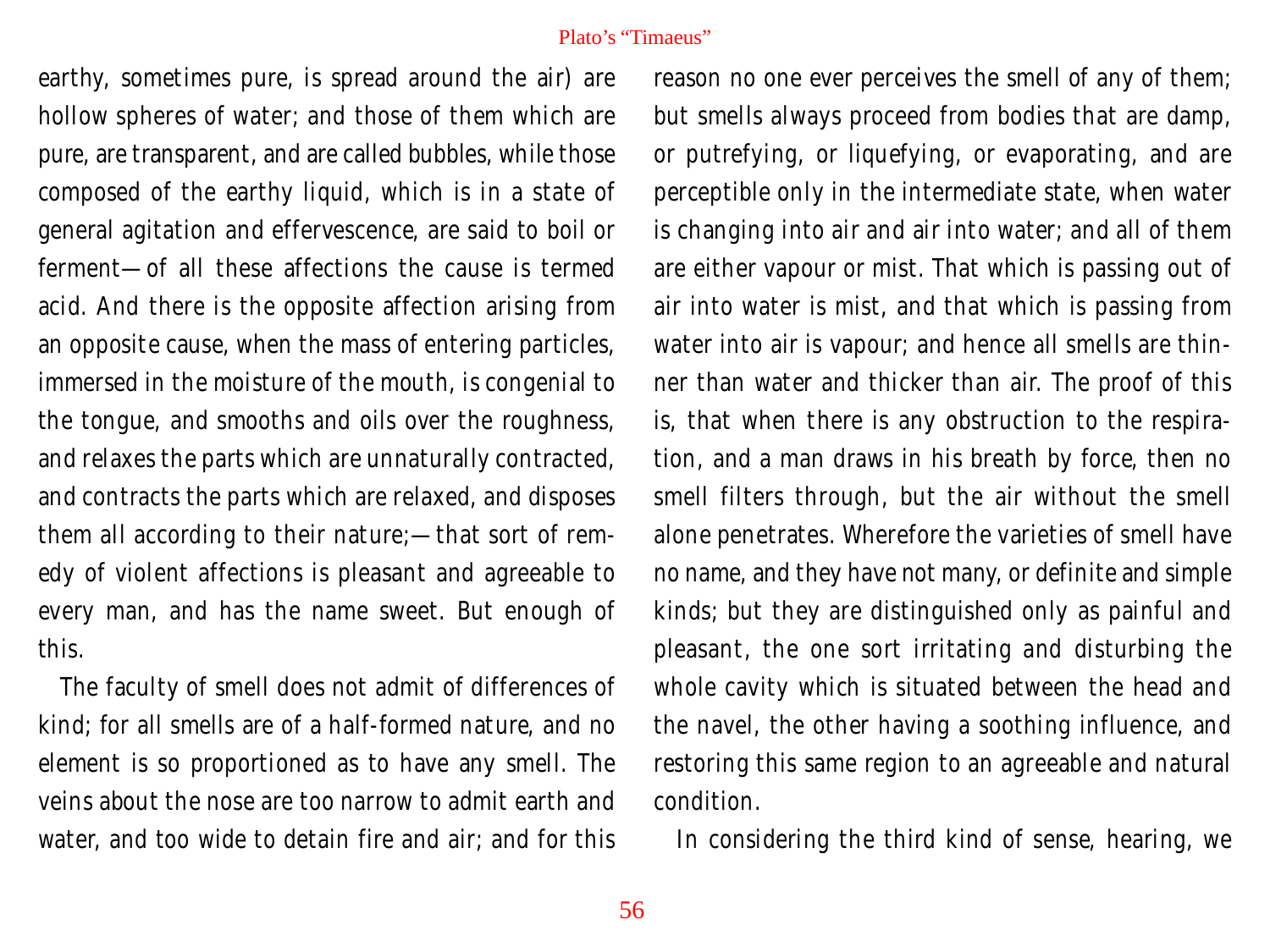earthy, sometimes pure, is spread around the air) are hollow spheres of water; and those of them which are pure, are transparent, and are called bubbles, while those composed of the earthy liquid, which is in a state of general agitation and effervescence, are said to boil or ferment—of all these affections the cause is termed acid. And there is the opposite affection arising from an opposite cause, when the mass of entering particles, immersed in the moisture of the mouth, is congenial to the tongue, and smooths and oils over the roughness, and relaxes the parts which are unnaturally contracted, and contracts the parts which are relaxed, and disposes them all according to their nature;—that sort of remedy of violent affections is pleasant and agreeable to every man, and has the name sweet. But enough of this.

The faculty of smell does not admit of differences of kind; for all smells are of a half-formed nature, and no element is so proportioned as to have any smell. The veins about the nose are too narrow to admit earth and water, and too wide to detain fire and air; and for this

reason no one ever perceives the smell of any of them; but smells always proceed from bodies that are damp, or putrefying, or liquefying, or evaporating, and are perceptible only in the intermediate state, when water is changing into air and air into water; and all of them are either vapour or mist. That which is passing out of air into water is mist, and that which is passing from water into air is vapour; and hence all smells are thinner than water and thicker than air. The proof of this is, that when there is any obstruction to the respiration, and a man draws in his breath by force, then no smell filters through, but the air without the smell alone penetrates. Wherefore the varieties of smell have no name, and they have not many, or definite and simple kinds; but they are distinguished only as painful and pleasant, the one sort irritating and disturbing the whole cavity which is situated between the head and the navel, the other having a soothing influence, and restoring this same region to an agreeable and natural condition.

In considering the third kind of sense, hearing, we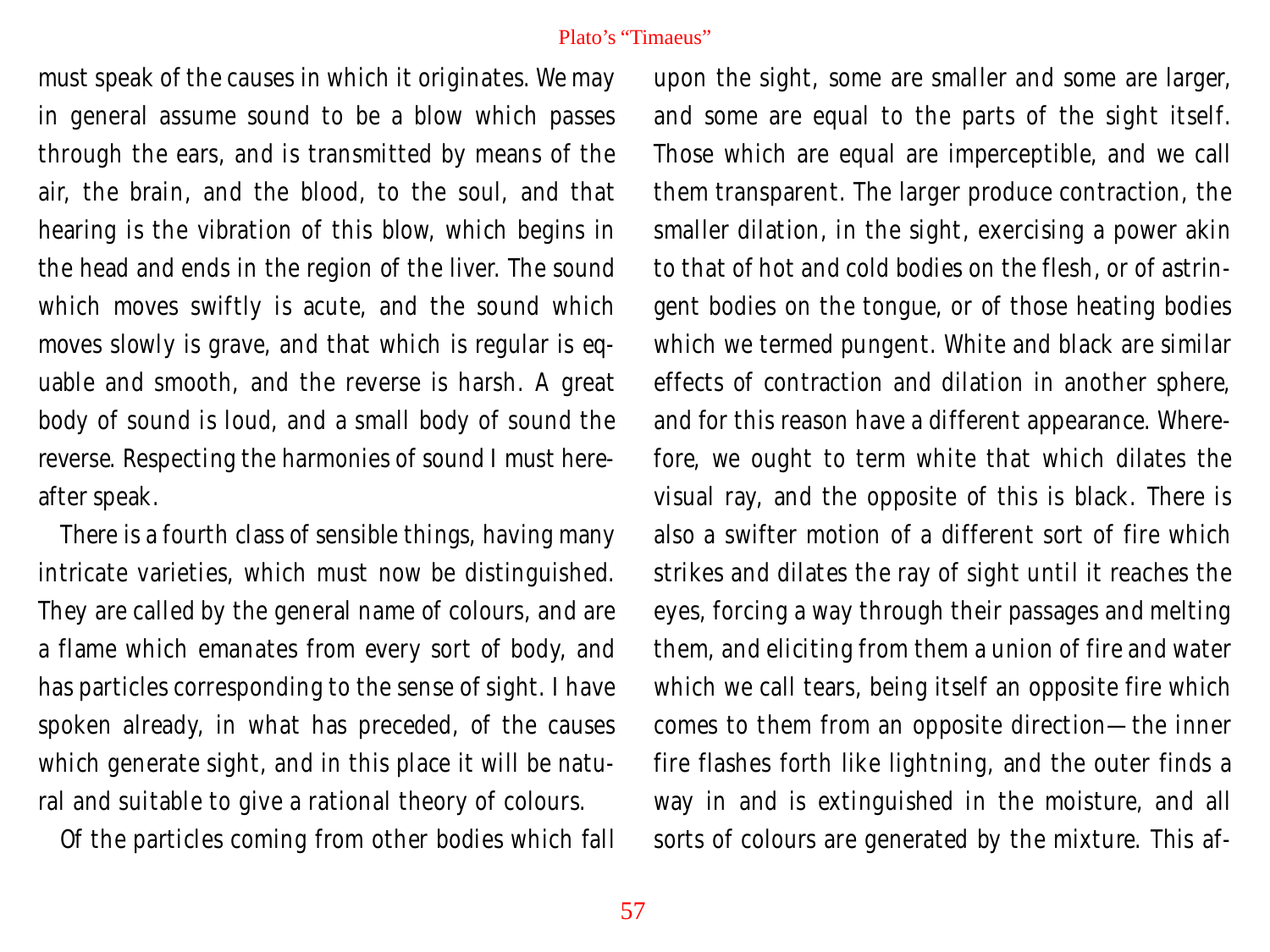must speak of the causes in which it originates. We may in general assume sound to be a blow which passes through the ears, and is transmitted by means of the air, the brain, and the blood, to the soul, and that hearing is the vibration of this blow, which begins in the head and ends in the region of the liver. The sound which moves swiftly is acute, and the sound which moves slowly is grave, and that which is regular is equable and smooth, and the reverse is harsh. A great body of sound is loud, and a small body of sound the reverse. Respecting the harmonies of sound I must hereafter speak.

There is a fourth class of sensible things, having many intricate varieties, which must now be distinguished. They are called by the general name of colours, and are a flame which emanates from every sort of body, and has particles corresponding to the sense of sight. I have spoken already, in what has preceded, of the causes which generate sight, and in this place it will be natural and suitable to give a rational theory of colours.

Of the particles coming from other bodies which fall

upon the sight, some are smaller and some are larger, and some are equal to the parts of the sight itself. Those which are equal are imperceptible, and we call them transparent. The larger produce contraction, the smaller dilation, in the sight, exercising a power akin to that of hot and cold bodies on the flesh, or of astringent bodies on the tongue, or of those heating bodies which we termed pungent. White and black are similar effects of contraction and dilation in another sphere, and for this reason have a different appearance. Wherefore, we ought to term white that which dilates the visual ray, and the opposite of this is black. There is also a swifter motion of a different sort of fire which strikes and dilates the ray of sight until it reaches the eyes, forcing a way through their passages and melting them, and eliciting from them a union of fire and water which we call tears, being itself an opposite fire which comes to them from an opposite direction—the inner fire flashes forth like lightning, and the outer finds a way in and is extinguished in the moisture, and all sorts of colours are generated by the mixture. This af-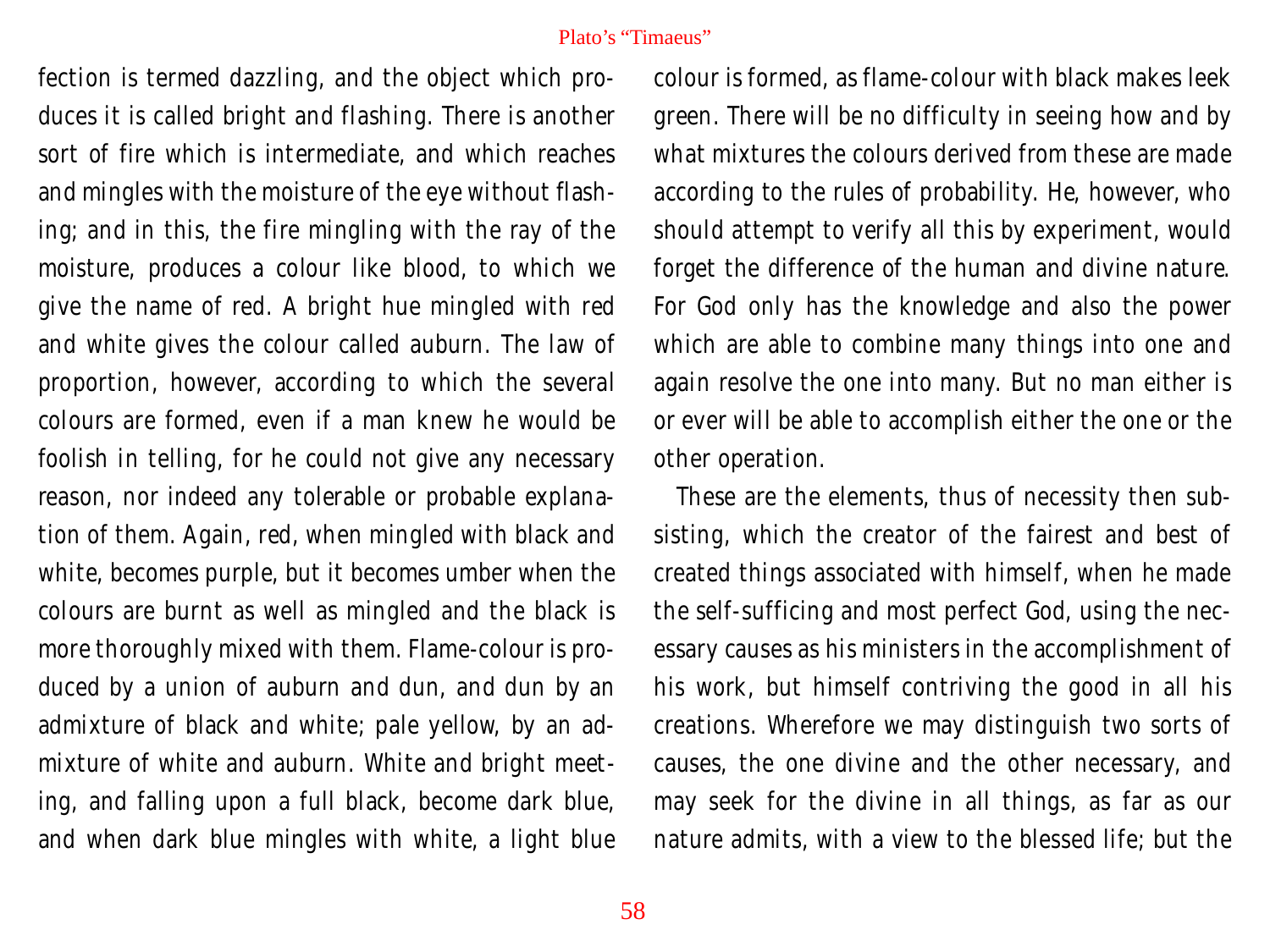fection is termed dazzling, and the object which produces it is called bright and flashing. There is another sort of fire which is intermediate, and which reaches and mingles with the moisture of the eye without flashing; and in this, the fire mingling with the ray of the moisture, produces a colour like blood, to which we give the name of red. A bright hue mingled with red and white gives the colour called auburn. The law of proportion, however, according to which the several colours are formed, even if a man knew he would be foolish in telling, for he could not give any necessary reason, nor indeed any tolerable or probable explanation of them. Again, red, when mingled with black and white, becomes purple, but it becomes umber when the colours are burnt as well as mingled and the black is more thoroughly mixed with them. Flame-colour is produced by a union of auburn and dun, and dun by an admixture of black and white; pale yellow, by an admixture of white and auburn. White and bright meeting, and falling upon a full black, become dark blue, and when dark blue mingles with white, a light blue

colour is formed, as flame-colour with black makes leek green. There will be no difficulty in seeing how and by what mixtures the colours derived from these are made according to the rules of probability. He, however, who should attempt to verify all this by experiment, would forget the difference of the human and divine nature. For God only has the knowledge and also the power which are able to combine many things into one and again resolve the one into many. But no man either is or ever will be able to accomplish either the one or the other operation.

These are the elements, thus of necessity then subsisting, which the creator of the fairest and best of created things associated with himself, when he made the self-sufficing and most perfect God, using the necessary causes as his ministers in the accomplishment of his work, but himself contriving the good in all his creations. Wherefore we may distinguish two sorts of causes, the one divine and the other necessary, and may seek for the divine in all things, as far as our nature admits, with a view to the blessed life; but the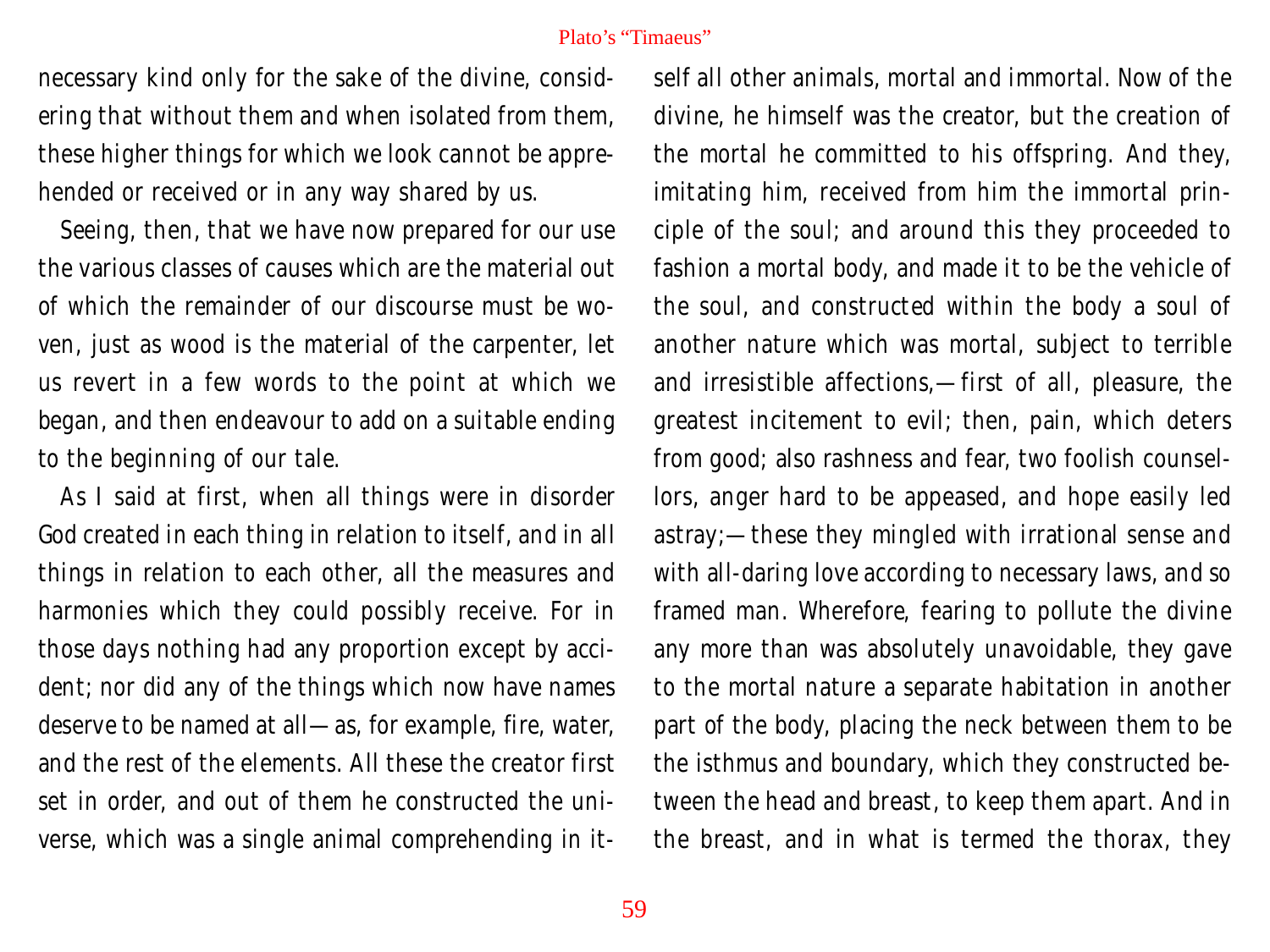necessary kind only for the sake of the divine, considering that without them and when isolated from them, these higher things for which we look cannot be apprehended or received or in any way shared by us.

Seeing, then, that we have now prepared for our use the various classes of causes which are the material out of which the remainder of our discourse must be woven, just as wood is the material of the carpenter, let us revert in a few words to the point at which we began, and then endeavour to add on a suitable ending to the beginning of our tale.

As I said at first, when all things were in disorder God created in each thing in relation to itself, and in all things in relation to each other, all the measures and harmonies which they could possibly receive. For in those days nothing had any proportion except by accident; nor did any of the things which now have names deserve to be named at all—as, for example, fire, water, and the rest of the elements. All these the creator first set in order, and out of them he constructed the universe, which was a single animal comprehending in itself all other animals, mortal and immortal. Now of the divine, he himself was the creator, but the creation of the mortal he committed to his offspring. And they, imitating him, received from him the immortal principle of the soul; and around this they proceeded to fashion a mortal body, and made it to be the vehicle of the soul, and constructed within the body a soul of another nature which was mortal, subject to terrible and irresistible affections,—first of all, pleasure, the greatest incitement to evil; then, pain, which deters from good; also rashness and fear, two foolish counsellors, anger hard to be appeased, and hope easily led astray;—these they mingled with irrational sense and with all-daring love according to necessary laws, and so framed man. Wherefore, fearing to pollute the divine any more than was absolutely unavoidable, they gave to the mortal nature a separate habitation in another part of the body, placing the neck between them to be the isthmus and boundary, which they constructed between the head and breast, to keep them apart. And in the breast, and in what is termed the thorax, they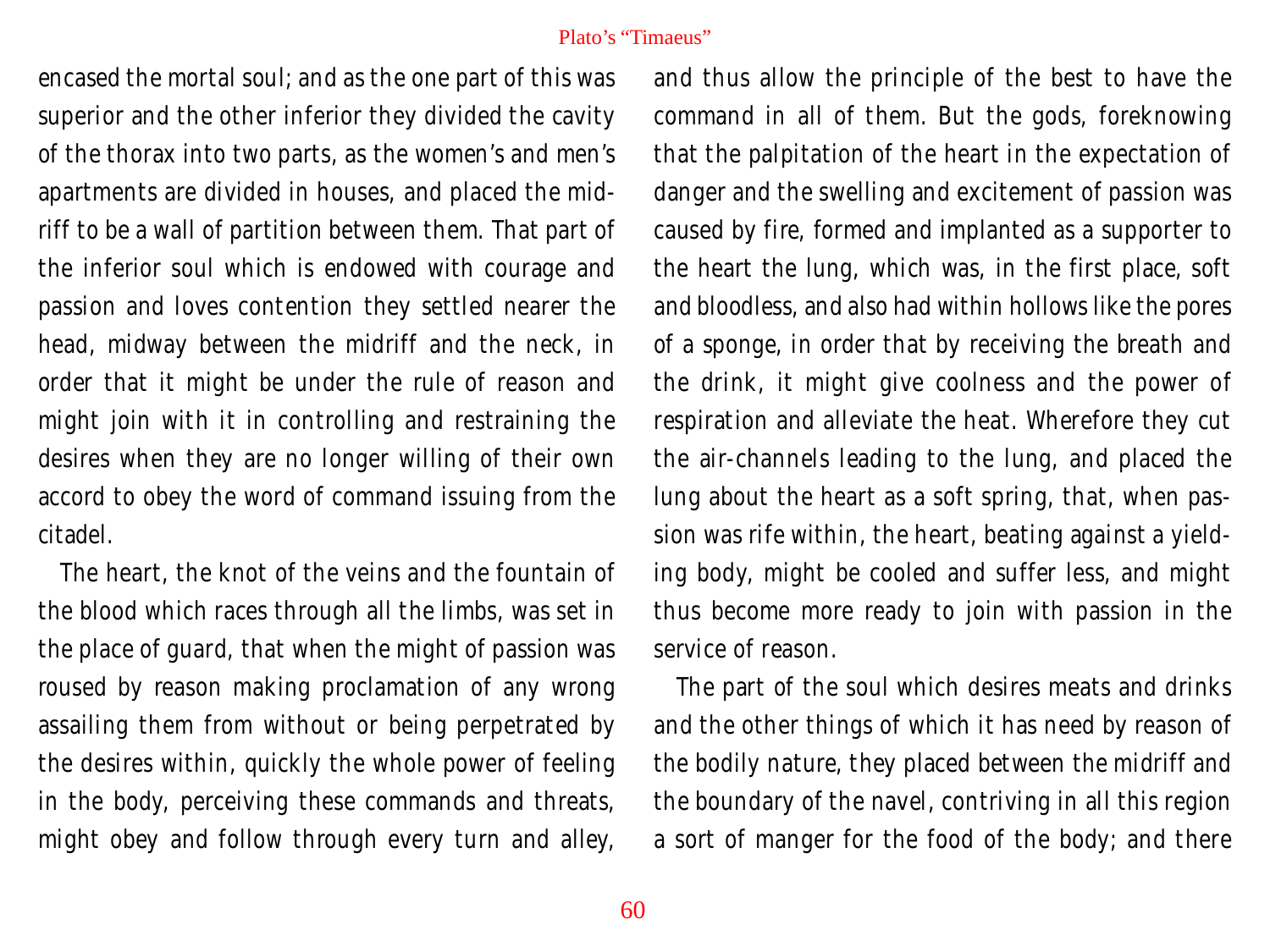encased the mortal soul; and as the one part of this was superior and the other inferior they divided the cavity of the thorax into two parts, as the women's and men's apartments are divided in houses, and placed the midriff to be a wall of partition between them. That part of the inferior soul which is endowed with courage and passion and loves contention they settled nearer the head, midway between the midriff and the neck, in order that it might be under the rule of reason and might join with it in controlling and restraining the desires when they are no longer willing of their own accord to obey the word of command issuing from the citadel.

The heart, the knot of the veins and the fountain of the blood which races through all the limbs, was set in the place of guard, that when the might of passion was roused by reason making proclamation of any wrong assailing them from without or being perpetrated by the desires within, quickly the whole power of feeling in the body, perceiving these commands and threats, might obey and follow through every turn and alley,

and thus allow the principle of the best to have the command in all of them. But the gods, foreknowing that the palpitation of the heart in the expectation of danger and the swelling and excitement of passion was caused by fire, formed and implanted as a supporter to the heart the lung, which was, in the first place, soft and bloodless, and also had within hollows like the pores of a sponge, in order that by receiving the breath and the drink, it might give coolness and the power of respiration and alleviate the heat. Wherefore they cut the air-channels leading to the lung, and placed the lung about the heart as a soft spring, that, when passion was rife within, the heart, beating against a yielding body, might be cooled and suffer less, and might thus become more ready to join with passion in the service of reason.

The part of the soul which desires meats and drinks and the other things of which it has need by reason of the bodily nature, they placed between the midriff and the boundary of the navel, contriving in all this region a sort of manger for the food of the body; and there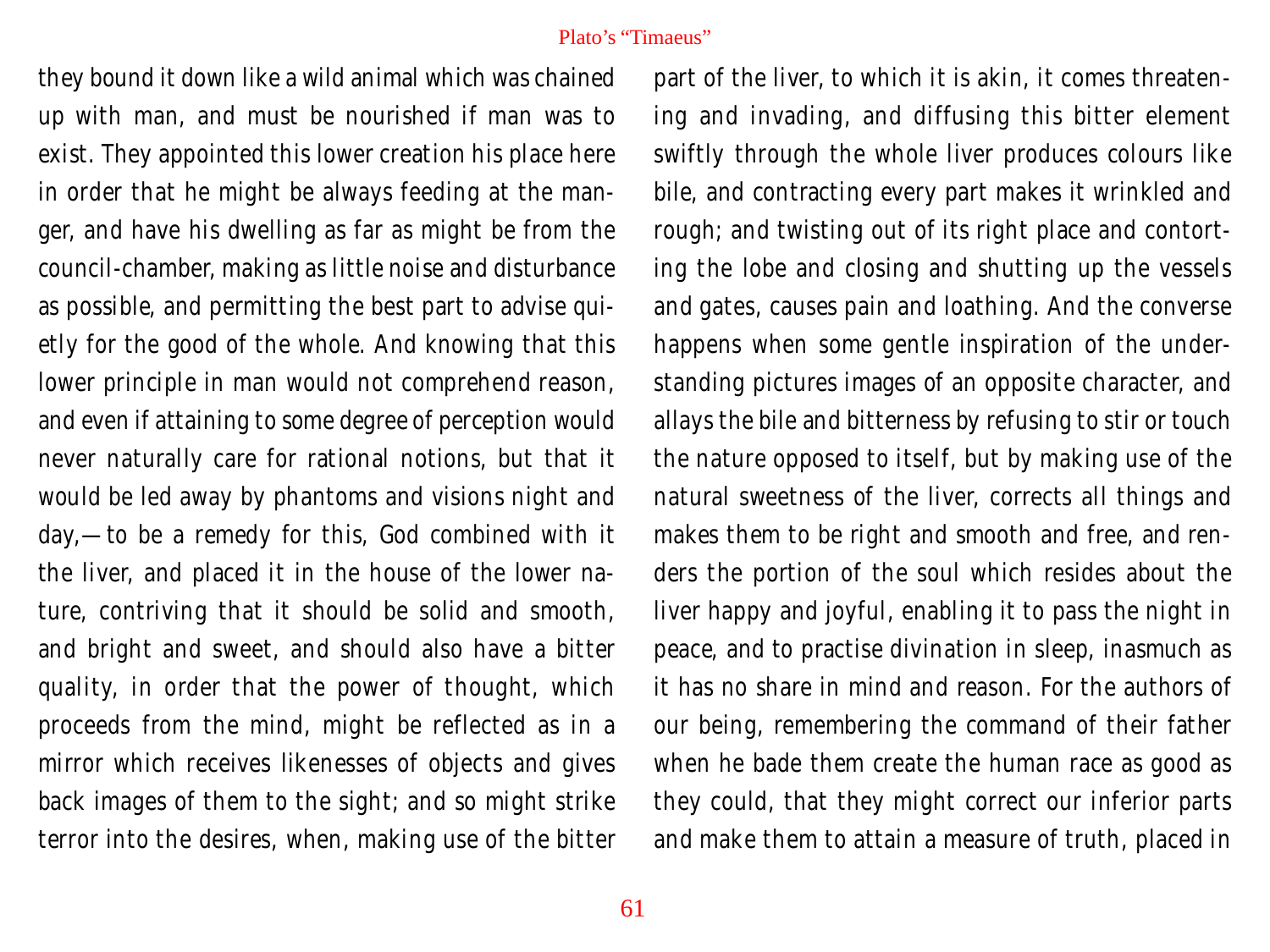they bound it down like a wild animal which was chained up with man, and must be nourished if man was to exist. They appointed this lower creation his place here in order that he might be always feeding at the manger, and have his dwelling as far as might be from the council-chamber, making as little noise and disturbance as possible, and permitting the best part to advise quietly for the good of the whole. And knowing that this lower principle in man would not comprehend reason, and even if attaining to some degree of perception would never naturally care for rational notions, but that it would be led away by phantoms and visions night and day,—to be a remedy for this, God combined with it the liver, and placed it in the house of the lower nature, contriving that it should be solid and smooth, and bright and sweet, and should also have a bitter quality, in order that the power of thought, which proceeds from the mind, might be reflected as in a mirror which receives likenesses of objects and gives back images of them to the sight; and so might strike terror into the desires, when, making use of the bitter

part of the liver, to which it is akin, it comes threatening and invading, and diffusing this bitter element swiftly through the whole liver produces colours like bile, and contracting every part makes it wrinkled and rough; and twisting out of its right place and contorting the lobe and closing and shutting up the vessels and gates, causes pain and loathing. And the converse happens when some gentle inspiration of the understanding pictures images of an opposite character, and allays the bile and bitterness by refusing to stir or touch the nature opposed to itself, but by making use of the natural sweetness of the liver, corrects all things and makes them to be right and smooth and free, and renders the portion of the soul which resides about the liver happy and joyful, enabling it to pass the night in peace, and to practise divination in sleep, inasmuch as it has no share in mind and reason. For the authors of our being, remembering the command of their father when he bade them create the human race as good as they could, that they might correct our inferior parts and make them to attain a measure of truth, placed in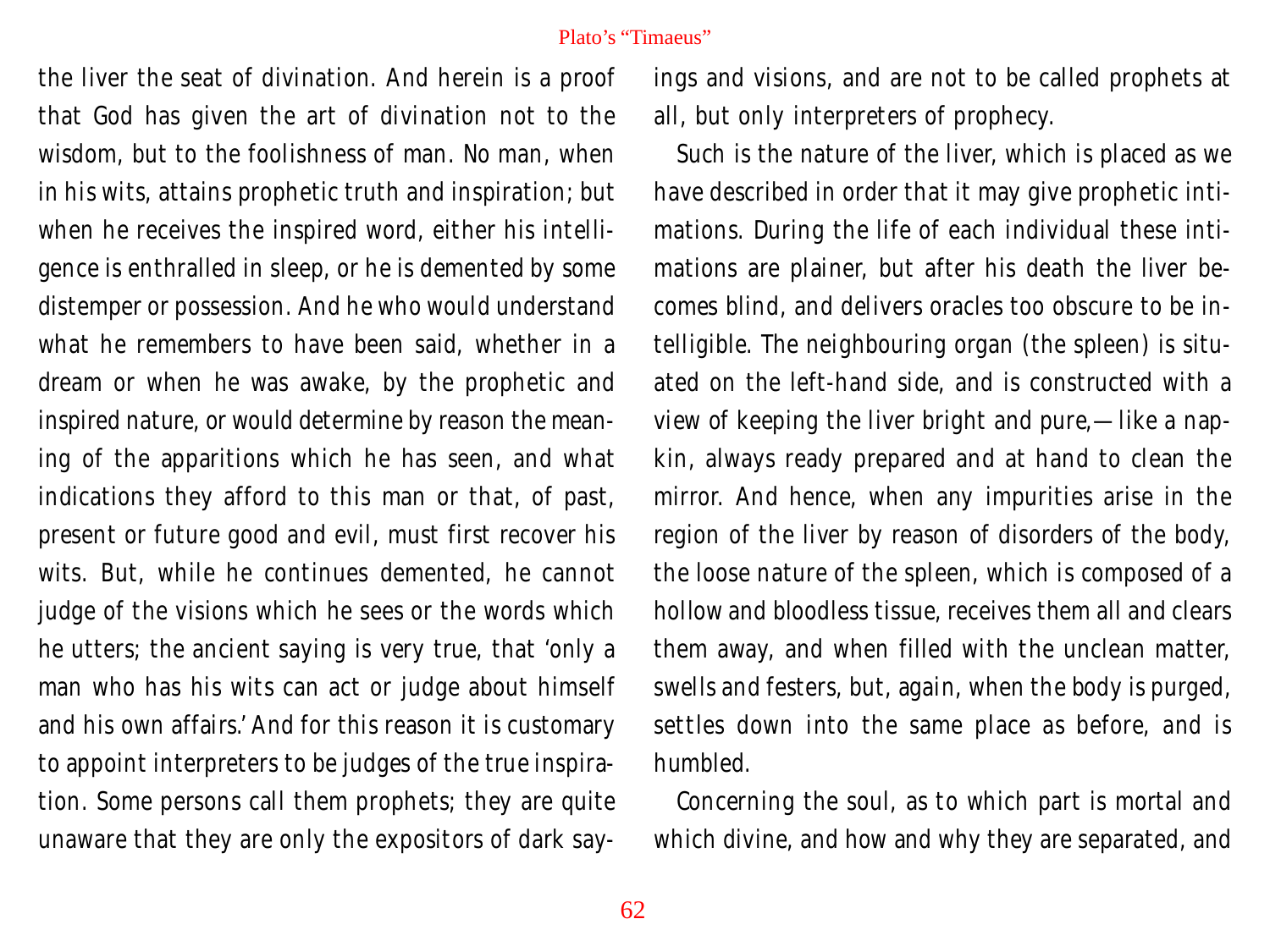the liver the seat of divination. And herein is a proof that God has given the art of divination not to the wisdom, but to the foolishness of man. No man, when in his wits, attains prophetic truth and inspiration; but when he receives the inspired word, either his intelligence is enthralled in sleep, or he is demented by some distemper or possession. And he who would understand what he remembers to have been said, whether in a dream or when he was awake, by the prophetic and inspired nature, or would determine by reason the meaning of the apparitions which he has seen, and what indications they afford to this man or that, of past, present or future good and evil, must first recover his wits. But, while he continues demented, he cannot judge of the visions which he sees or the words which he utters; the ancient saying is very true, that 'only a man who has his wits can act or judge about himself and his own affairs.' And for this reason it is customary to appoint interpreters to be judges of the true inspiration. Some persons call them prophets; they are quite unaware that they are only the expositors of dark sayings and visions, and are not to be called prophets at all, but only interpreters of prophecy.

Such is the nature of the liver, which is placed as we have described in order that it may give prophetic intimations. During the life of each individual these intimations are plainer, but after his death the liver becomes blind, and delivers oracles too obscure to be intelligible. The neighbouring organ (the spleen) is situated on the left-hand side, and is constructed with a view of keeping the liver bright and pure,—like a napkin, always ready prepared and at hand to clean the mirror. And hence, when any impurities arise in the region of the liver by reason of disorders of the body, the loose nature of the spleen, which is composed of a hollow and bloodless tissue, receives them all and clears them away, and when filled with the unclean matter, swells and festers, but, again, when the body is purged, settles down into the same place as before, and is humbled.

Concerning the soul, as to which part is mortal and which divine, and how and why they are separated, and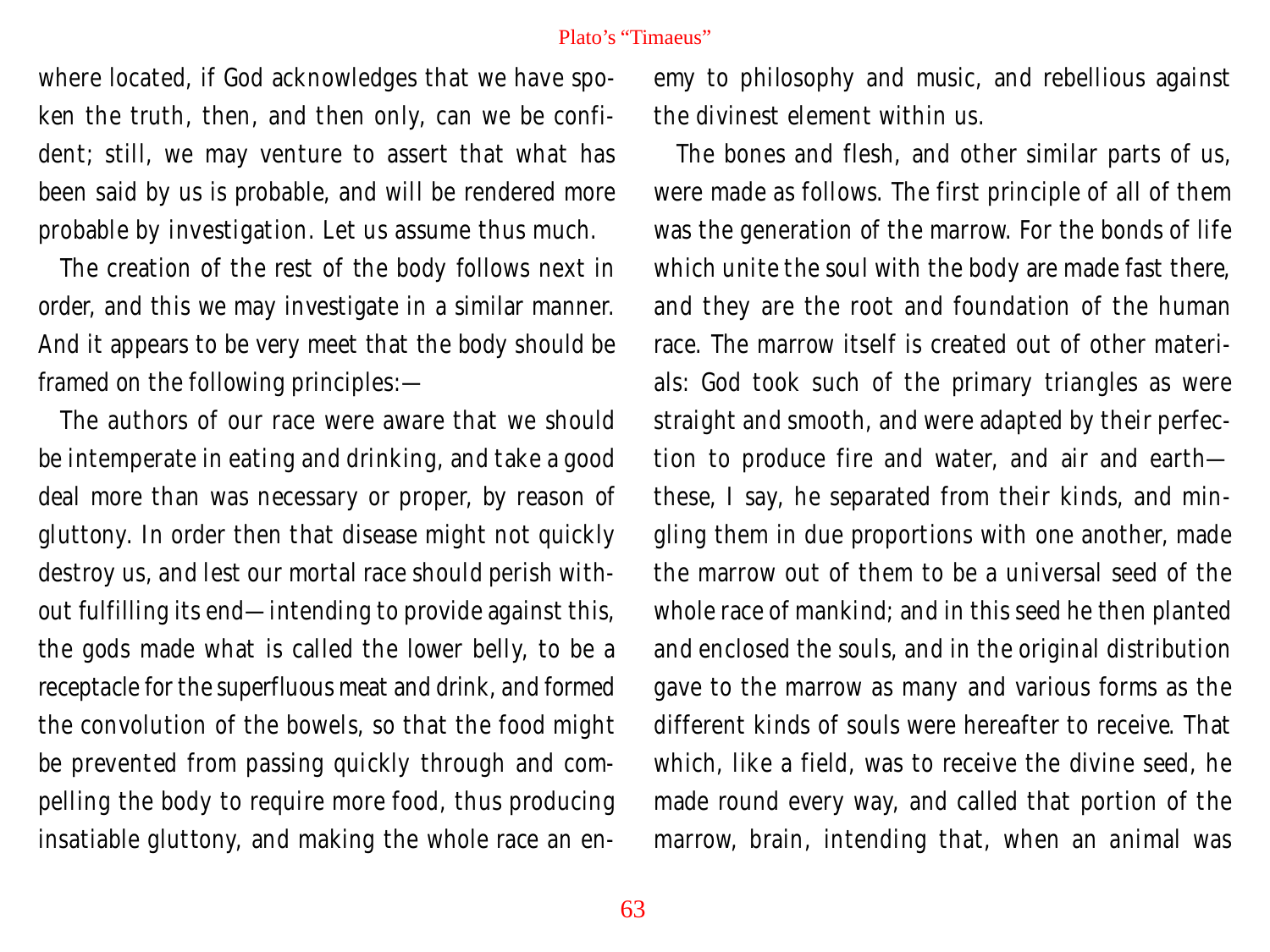where located, if God acknowledges that we have spoken the truth, then, and then only, can we be confident; still, we may venture to assert that what has been said by us is probable, and will be rendered more probable by investigation. Let us assume thus much.

The creation of the rest of the body follows next in order, and this we may investigate in a similar manner. And it appears to be very meet that the body should be framed on the following principles:—

The authors of our race were aware that we should be intemperate in eating and drinking, and take a good deal more than was necessary or proper, by reason of gluttony. In order then that disease might not quickly destroy us, and lest our mortal race should perish without fulfilling its end—intending to provide against this, the gods made what is called the lower belly, to be a receptacle for the superfluous meat and drink, and formed the convolution of the bowels, so that the food might be prevented from passing quickly through and compelling the body to require more food, thus producing insatiable gluttony, and making the whole race an enemy to philosophy and music, and rebellious against the divinest element within us.

The bones and flesh, and other similar parts of us, were made as follows. The first principle of all of them was the generation of the marrow. For the bonds of life which unite the soul with the body are made fast there, and they are the root and foundation of the human race. The marrow itself is created out of other materials: God took such of the primary triangles as were straight and smooth, and were adapted by their perfection to produce fire and water, and air and earth these, I say, he separated from their kinds, and mingling them in due proportions with one another, made the marrow out of them to be a universal seed of the whole race of mankind; and in this seed he then planted and enclosed the souls, and in the original distribution gave to the marrow as many and various forms as the different kinds of souls were hereafter to receive. That which, like a field, was to receive the divine seed, he made round every way, and called that portion of the marrow, brain, intending that, when an animal was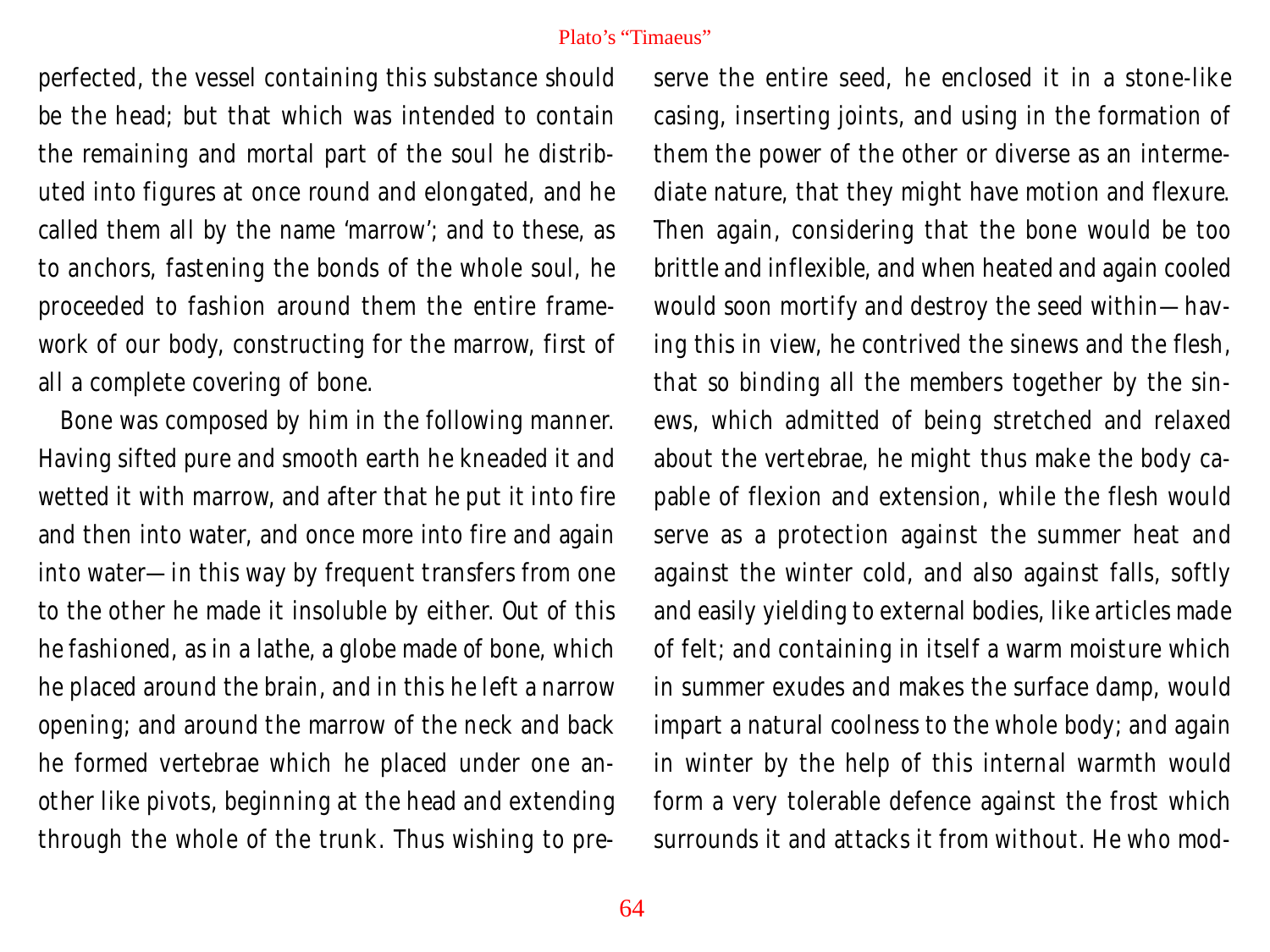perfected, the vessel containing this substance should be the head; but that which was intended to contain the remaining and mortal part of the soul he distributed into figures at once round and elongated, and he called them all by the name 'marrow'; and to these, as to anchors, fastening the bonds of the whole soul, he proceeded to fashion around them the entire framework of our body, constructing for the marrow, first of all a complete covering of bone.

Bone was composed by him in the following manner. Having sifted pure and smooth earth he kneaded it and wetted it with marrow, and after that he put it into fire and then into water, and once more into fire and again into water—in this way by frequent transfers from one to the other he made it insoluble by either. Out of this he fashioned, as in a lathe, a globe made of bone, which he placed around the brain, and in this he left a narrow opening; and around the marrow of the neck and back he formed vertebrae which he placed under one another like pivots, beginning at the head and extending through the whole of the trunk. Thus wishing to preserve the entire seed, he enclosed it in a stone-like casing, inserting joints, and using in the formation of them the power of the other or diverse as an intermediate nature, that they might have motion and flexure. Then again, considering that the bone would be too brittle and inflexible, and when heated and again cooled would soon mortify and destroy the seed within—having this in view, he contrived the sinews and the flesh, that so binding all the members together by the sinews, which admitted of being stretched and relaxed about the vertebrae, he might thus make the body capable of flexion and extension, while the flesh would serve as a protection against the summer heat and against the winter cold, and also against falls, softly and easily yielding to external bodies, like articles made of felt; and containing in itself a warm moisture which in summer exudes and makes the surface damp, would impart a natural coolness to the whole body; and again in winter by the help of this internal warmth would form a very tolerable defence against the frost which surrounds it and attacks it from without. He who mod-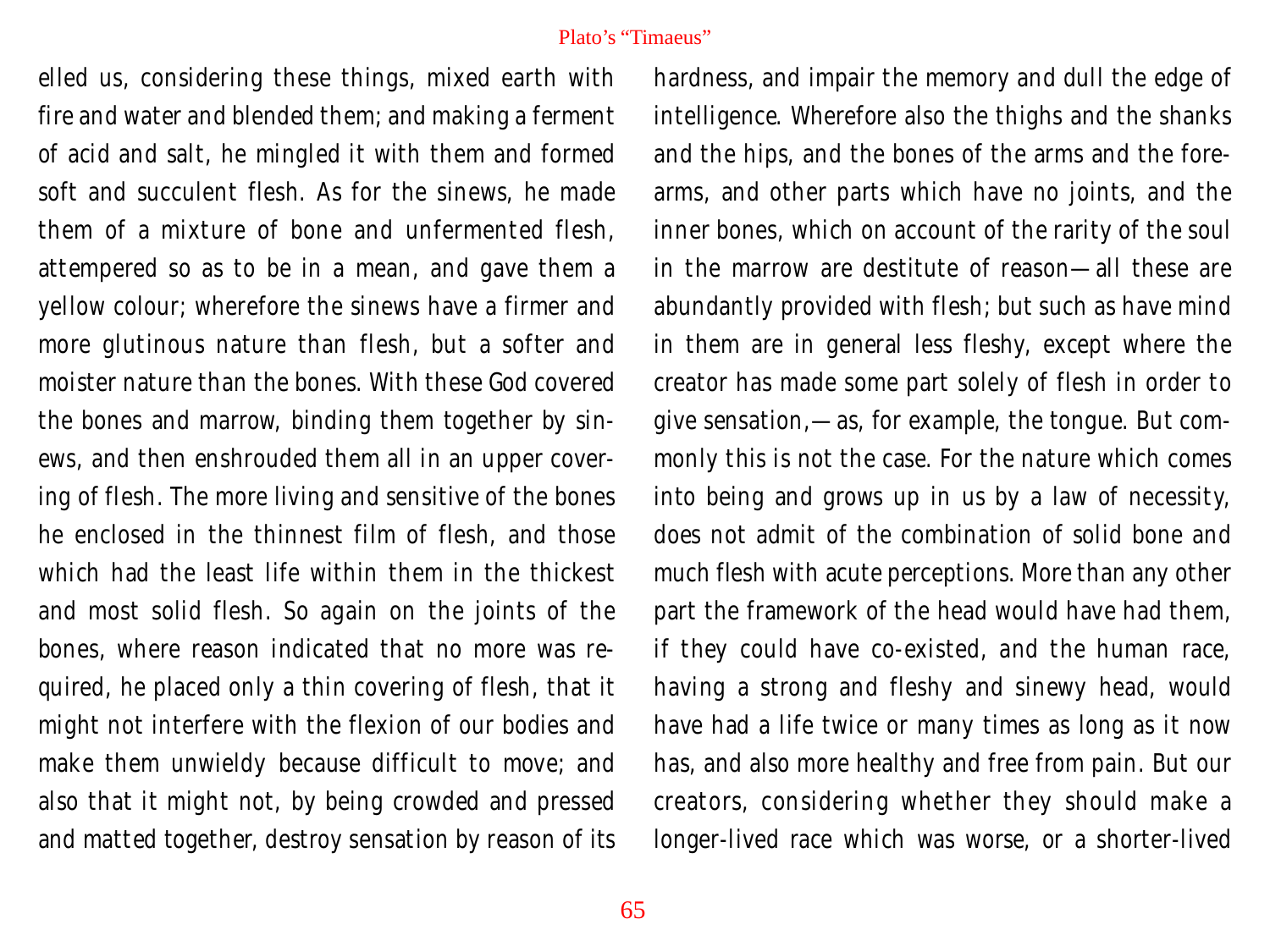elled us, considering these things, mixed earth with fire and water and blended them; and making a ferment of acid and salt, he mingled it with them and formed soft and succulent flesh. As for the sinews, he made them of a mixture of bone and unfermented flesh, attempered so as to be in a mean, and gave them a yellow colour; wherefore the sinews have a firmer and more glutinous nature than flesh, but a softer and moister nature than the bones. With these God covered the bones and marrow, binding them together by sinews, and then enshrouded them all in an upper covering of flesh. The more living and sensitive of the bones he enclosed in the thinnest film of flesh, and those which had the least life within them in the thickest and most solid flesh. So again on the joints of the bones, where reason indicated that no more was required, he placed only a thin covering of flesh, that it might not interfere with the flexion of our bodies and make them unwieldy because difficult to move; and also that it might not, by being crowded and pressed and matted together, destroy sensation by reason of its

hardness, and impair the memory and dull the edge of intelligence. Wherefore also the thighs and the shanks and the hips, and the bones of the arms and the forearms, and other parts which have no joints, and the inner bones, which on account of the rarity of the soul in the marrow are destitute of reason—all these are abundantly provided with flesh; but such as have mind in them are in general less fleshy, except where the creator has made some part solely of flesh in order to give sensation,—as, for example, the tongue. But commonly this is not the case. For the nature which comes into being and grows up in us by a law of necessity, does not admit of the combination of solid bone and much flesh with acute perceptions. More than any other part the framework of the head would have had them, if they could have co-existed, and the human race, having a strong and fleshy and sinewy head, would have had a life twice or many times as long as it now has, and also more healthy and free from pain. But our creators, considering whether they should make a longer-lived race which was worse, or a shorter-lived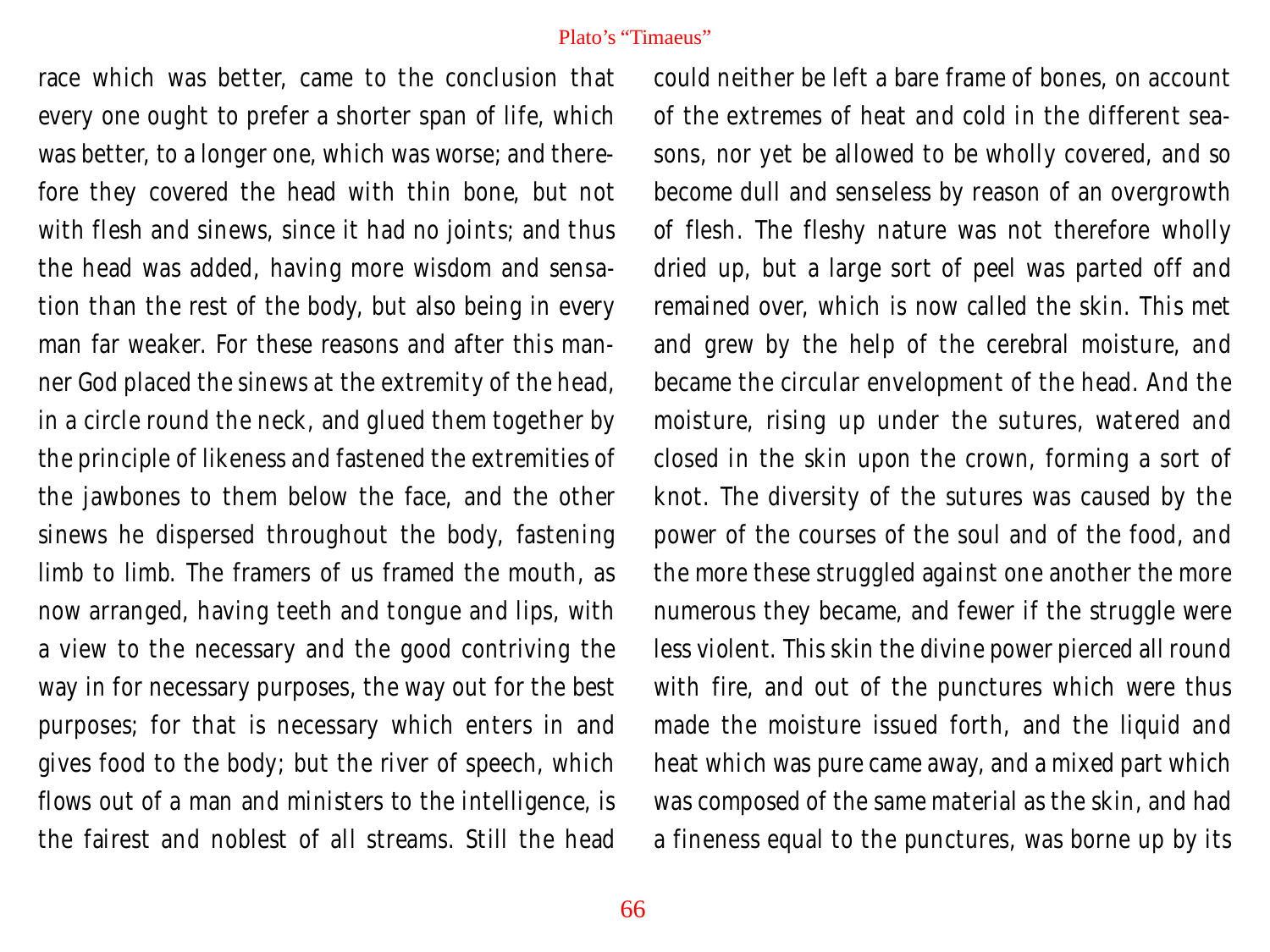race which was better, came to the conclusion that every one ought to prefer a shorter span of life, which was better, to a longer one, which was worse; and therefore they covered the head with thin bone, but not with flesh and sinews, since it had no joints; and thus the head was added, having more wisdom and sensation than the rest of the body, but also being in every man far weaker. For these reasons and after this manner God placed the sinews at the extremity of the head, in a circle round the neck, and glued them together by the principle of likeness and fastened the extremities of the jawbones to them below the face, and the other sinews he dispersed throughout the body, fastening limb to limb. The framers of us framed the mouth, as now arranged, having teeth and tongue and lips, with a view to the necessary and the good contriving the way in for necessary purposes, the way out for the best purposes; for that is necessary which enters in and gives food to the body; but the river of speech, which flows out of a man and ministers to the intelligence, is the fairest and noblest of all streams. Still the head

could neither be left a bare frame of bones, on account of the extremes of heat and cold in the different seasons, nor yet be allowed to be wholly covered, and so become dull and senseless by reason of an overgrowth of flesh. The fleshy nature was not therefore wholly dried up, but a large sort of peel was parted off and remained over, which is now called the skin. This met and grew by the help of the cerebral moisture, and became the circular envelopment of the head. And the moisture, rising up under the sutures, watered and closed in the skin upon the crown, forming a sort of knot. The diversity of the sutures was caused by the power of the courses of the soul and of the food, and the more these struggled against one another the more numerous they became, and fewer if the struggle were less violent. This skin the divine power pierced all round with fire, and out of the punctures which were thus made the moisture issued forth, and the liquid and heat which was pure came away, and a mixed part which was composed of the same material as the skin, and had a fineness equal to the punctures, was borne up by its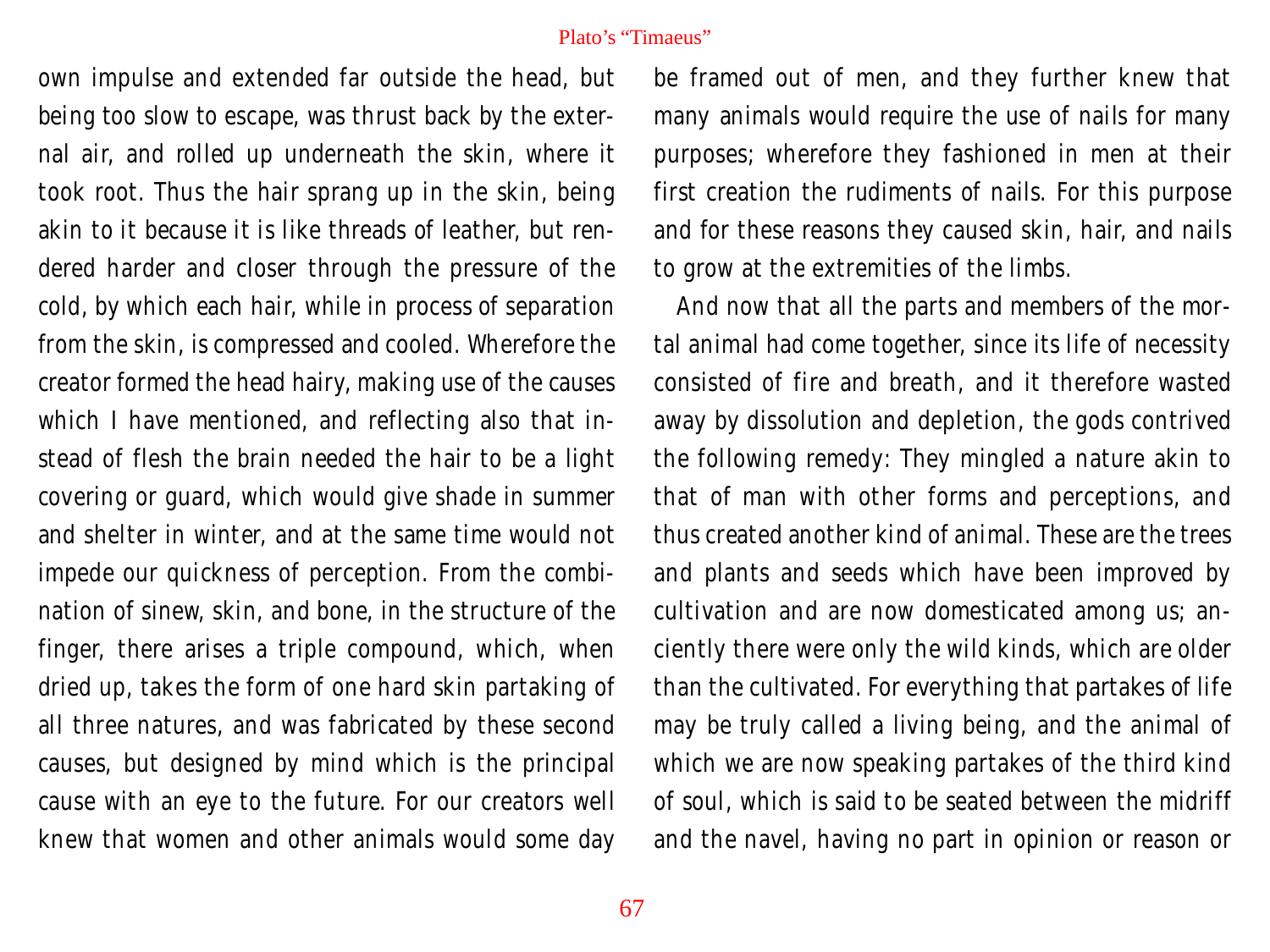own impulse and extended far outside the head, but being too slow to escape, was thrust back by the external air, and rolled up underneath the skin, where it took root. Thus the hair sprang up in the skin, being akin to it because it is like threads of leather, but rendered harder and closer through the pressure of the cold, by which each hair, while in process of separation from the skin, is compressed and cooled. Wherefore the creator formed the head hairy, making use of the causes which I have mentioned, and reflecting also that instead of flesh the brain needed the hair to be a light covering or guard, which would give shade in summer and shelter in winter, and at the same time would not impede our quickness of perception. From the combination of sinew, skin, and bone, in the structure of the finger, there arises a triple compound, which, when dried up, takes the form of one hard skin partaking of all three natures, and was fabricated by these second causes, but designed by mind which is the principal cause with an eye to the future. For our creators well knew that women and other animals would some day

be framed out of men, and they further knew that many animals would require the use of nails for many purposes; wherefore they fashioned in men at their first creation the rudiments of nails. For this purpose and for these reasons they caused skin, hair, and nails to grow at the extremities of the limbs.

And now that all the parts and members of the mortal animal had come together, since its life of necessity consisted of fire and breath, and it therefore wasted away by dissolution and depletion, the gods contrived the following remedy: They mingled a nature akin to that of man with other forms and perceptions, and thus created another kind of animal. These are the trees and plants and seeds which have been improved by cultivation and are now domesticated among us; anciently there were only the wild kinds, which are older than the cultivated. For everything that partakes of life may be truly called a living being, and the animal of which we are now speaking partakes of the third kind of soul, which is said to be seated between the midriff and the navel, having no part in opinion or reason or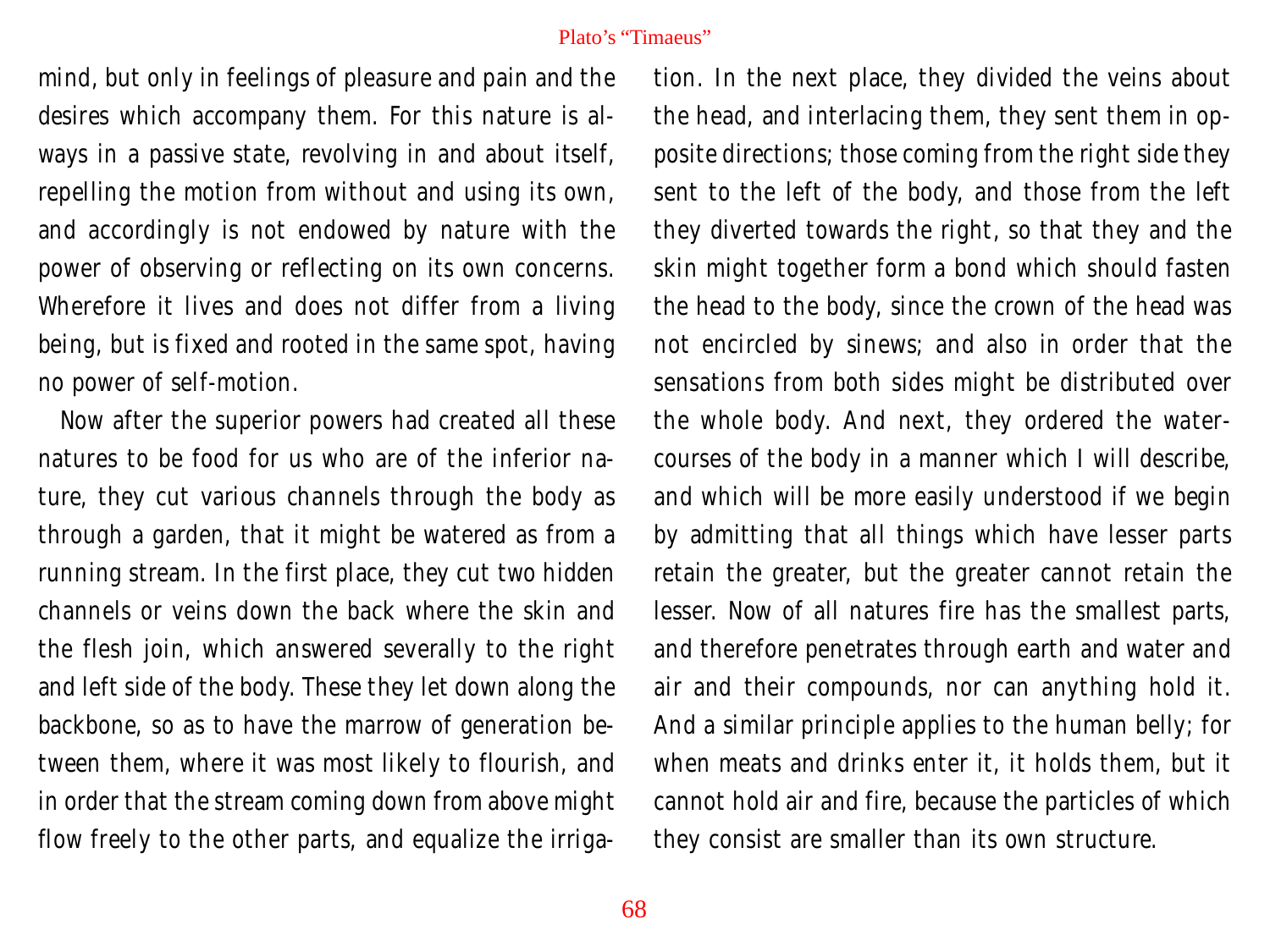mind, but only in feelings of pleasure and pain and the desires which accompany them. For this nature is always in a passive state, revolving in and about itself, repelling the motion from without and using its own, and accordingly is not endowed by nature with the power of observing or reflecting on its own concerns. Wherefore it lives and does not differ from a living being, but is fixed and rooted in the same spot, having no power of self-motion.

Now after the superior powers had created all these natures to be food for us who are of the inferior nature, they cut various channels through the body as through a garden, that it might be watered as from a running stream. In the first place, they cut two hidden channels or veins down the back where the skin and the flesh join, which answered severally to the right and left side of the body. These they let down along the backbone, so as to have the marrow of generation between them, where it was most likely to flourish, and in order that the stream coming down from above might flow freely to the other parts, and equalize the irrigation. In the next place, they divided the veins about the head, and interlacing them, they sent them in opposite directions; those coming from the right side they sent to the left of the body, and those from the left they diverted towards the right, so that they and the skin might together form a bond which should fasten the head to the body, since the crown of the head was not encircled by sinews; and also in order that the sensations from both sides might be distributed over the whole body. And next, they ordered the watercourses of the body in a manner which I will describe, and which will be more easily understood if we begin by admitting that all things which have lesser parts retain the greater, but the greater cannot retain the lesser. Now of all natures fire has the smallest parts, and therefore penetrates through earth and water and air and their compounds, nor can anything hold it. And a similar principle applies to the human belly; for when meats and drinks enter it, it holds them, but it cannot hold air and fire, because the particles of which they consist are smaller than its own structure.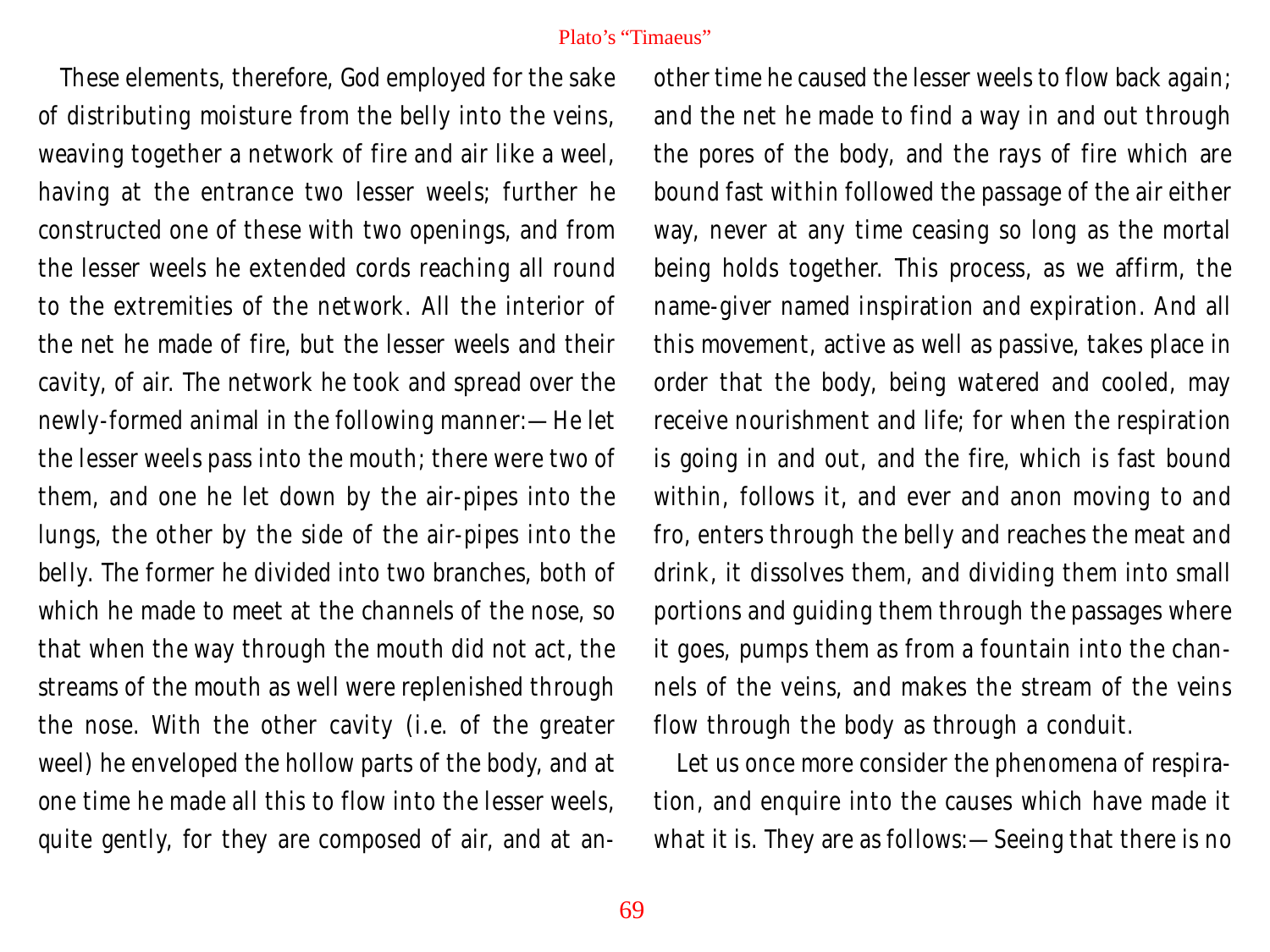These elements, therefore, God employed for the sake of distributing moisture from the belly into the veins, weaving together a network of fire and air like a weel, having at the entrance two lesser weels; further he constructed one of these with two openings, and from the lesser weels he extended cords reaching all round to the extremities of the network. All the interior of the net he made of fire, but the lesser weels and their cavity, of air. The network he took and spread over the newly-formed animal in the following manner:—He let the lesser weels pass into the mouth; there were two of them, and one he let down by the air-pipes into the lungs, the other by the side of the air-pipes into the belly. The former he divided into two branches, both of which he made to meet at the channels of the nose, so that when the way through the mouth did not act, the streams of the mouth as well were replenished through the nose. With the other cavity (i.e. of the greater weel) he enveloped the hollow parts of the body, and at one time he made all this to flow into the lesser weels, quite gently, for they are composed of air, and at another time he caused the lesser weels to flow back again; and the net he made to find a way in and out through the pores of the body, and the rays of fire which are bound fast within followed the passage of the air either way, never at any time ceasing so long as the mortal being holds together. This process, as we affirm, the name-giver named inspiration and expiration. And all this movement, active as well as passive, takes place in order that the body, being watered and cooled, may receive nourishment and life; for when the respiration is going in and out, and the fire, which is fast bound within, follows it, and ever and anon moving to and fro, enters through the belly and reaches the meat and drink, it dissolves them, and dividing them into small portions and guiding them through the passages where it goes, pumps them as from a fountain into the channels of the veins, and makes the stream of the veins flow through the body as through a conduit.

Let us once more consider the phenomena of respiration, and enquire into the causes which have made it what it is. They are as follows:—Seeing that there is no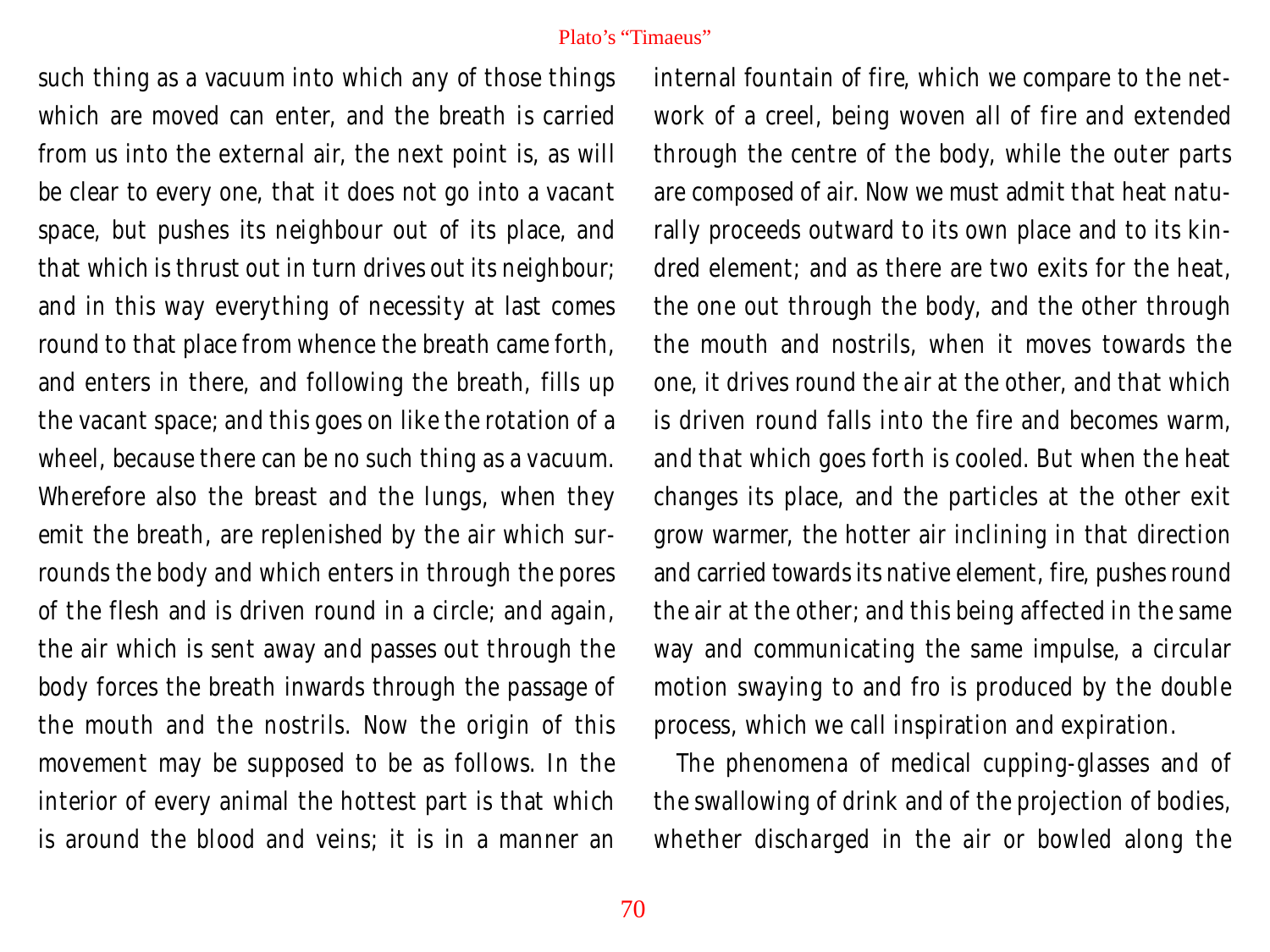such thing as a vacuum into which any of those things which are moved can enter, and the breath is carried from us into the external air, the next point is, as will be clear to every one, that it does not go into a vacant space, but pushes its neighbour out of its place, and that which is thrust out in turn drives out its neighbour; and in this way everything of necessity at last comes round to that place from whence the breath came forth, and enters in there, and following the breath, fills up the vacant space; and this goes on like the rotation of a wheel, because there can be no such thing as a vacuum. Wherefore also the breast and the lungs, when they emit the breath, are replenished by the air which surrounds the body and which enters in through the pores of the flesh and is driven round in a circle; and again, the air which is sent away and passes out through the body forces the breath inwards through the passage of the mouth and the nostrils. Now the origin of this movement may be supposed to be as follows. In the interior of every animal the hottest part is that which is around the blood and veins; it is in a manner an

internal fountain of fire, which we compare to the network of a creel, being woven all of fire and extended through the centre of the body, while the outer parts are composed of air. Now we must admit that heat naturally proceeds outward to its own place and to its kindred element; and as there are two exits for the heat, the one out through the body, and the other through the mouth and nostrils, when it moves towards the one, it drives round the air at the other, and that which is driven round falls into the fire and becomes warm, and that which goes forth is cooled. But when the heat changes its place, and the particles at the other exit grow warmer, the hotter air inclining in that direction and carried towards its native element, fire, pushes round the air at the other; and this being affected in the same way and communicating the same impulse, a circular motion swaying to and fro is produced by the double process, which we call inspiration and expiration.

The phenomena of medical cupping-glasses and of the swallowing of drink and of the projection of bodies, whether discharged in the air or bowled along the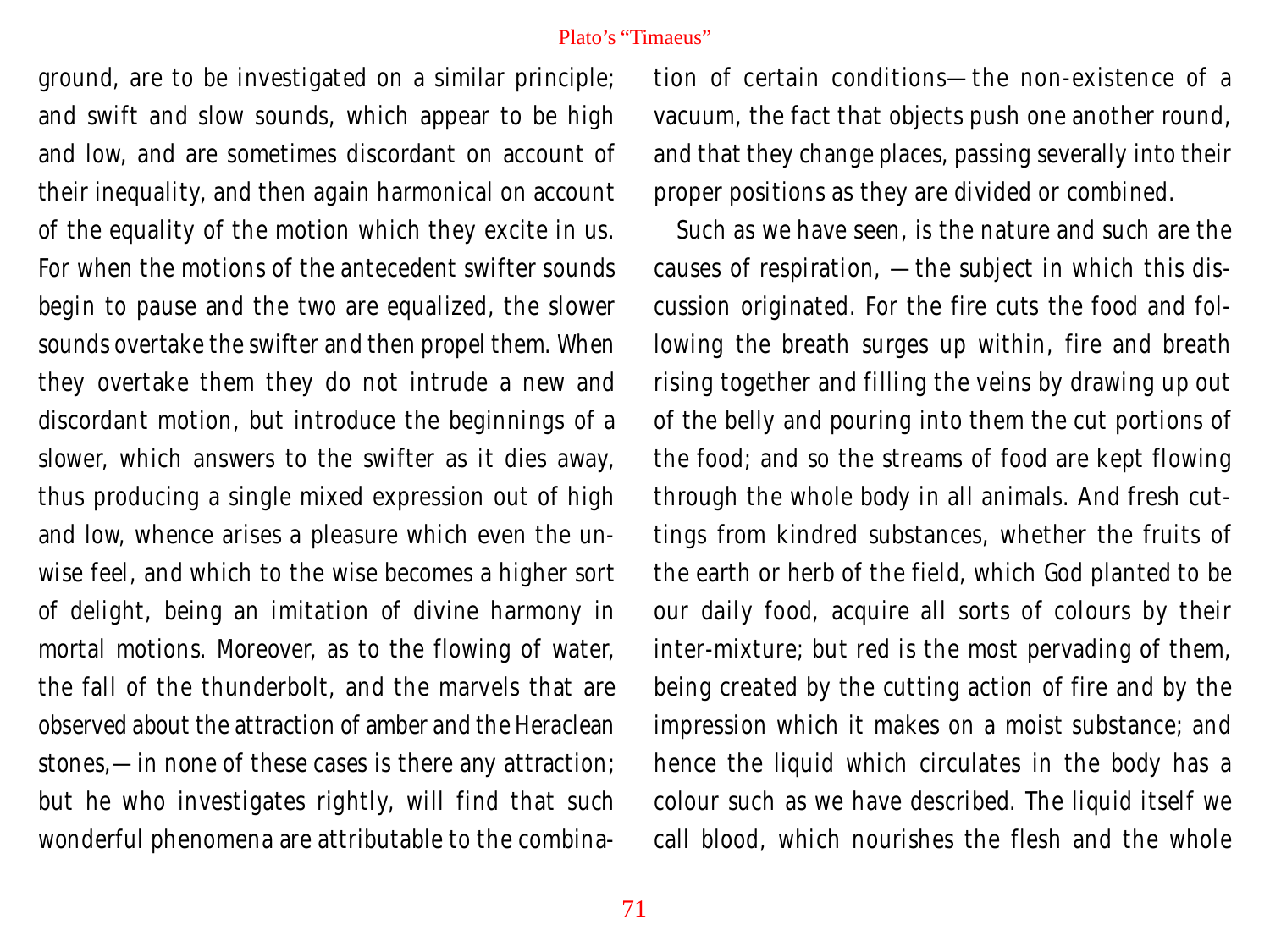ground, are to be investigated on a similar principle; and swift and slow sounds, which appear to be high and low, and are sometimes discordant on account of their inequality, and then again harmonical on account of the equality of the motion which they excite in us. For when the motions of the antecedent swifter sounds begin to pause and the two are equalized, the slower sounds overtake the swifter and then propel them. When they overtake them they do not intrude a new and discordant motion, but introduce the beginnings of a slower, which answers to the swifter as it dies away, thus producing a single mixed expression out of high and low, whence arises a pleasure which even the unwise feel, and which to the wise becomes a higher sort of delight, being an imitation of divine harmony in mortal motions. Moreover, as to the flowing of water, the fall of the thunderbolt, and the marvels that are observed about the attraction of amber and the Heraclean stones,—in none of these cases is there any attraction; but he who investigates rightly, will find that such wonderful phenomena are attributable to the combination of certain conditions—the non-existence of a vacuum, the fact that objects push one another round, and that they change places, passing severally into their proper positions as they are divided or combined.

Such as we have seen, is the nature and such are the causes of respiration, —the subject in which this discussion originated. For the fire cuts the food and following the breath surges up within, fire and breath rising together and filling the veins by drawing up out of the belly and pouring into them the cut portions of the food; and so the streams of food are kept flowing through the whole body in all animals. And fresh cuttings from kindred substances, whether the fruits of the earth or herb of the field, which God planted to be our daily food, acquire all sorts of colours by their inter-mixture; but red is the most pervading of them, being created by the cutting action of fire and by the impression which it makes on a moist substance; and hence the liquid which circulates in the body has a colour such as we have described. The liquid itself we call blood, which nourishes the flesh and the whole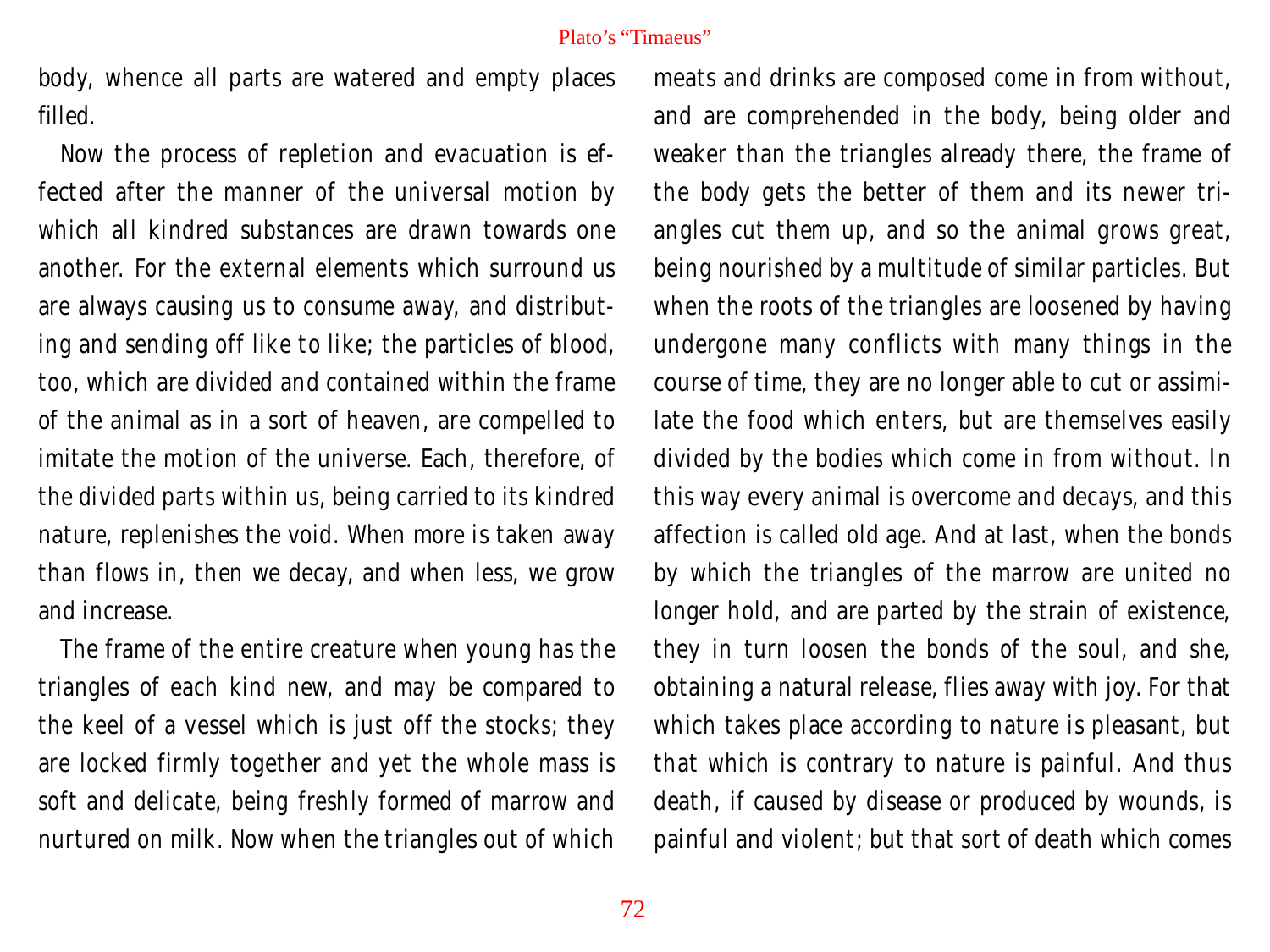body, whence all parts are watered and empty places filled.

Now the process of repletion and evacuation is effected after the manner of the universal motion by which all kindred substances are drawn towards one another. For the external elements which surround us are always causing us to consume away, and distributing and sending off like to like; the particles of blood, too, which are divided and contained within the frame of the animal as in a sort of heaven, are compelled to imitate the motion of the universe. Each, therefore, of the divided parts within us, being carried to its kindred nature, replenishes the void. When more is taken away than flows in, then we decay, and when less, we grow and increase.

The frame of the entire creature when young has the triangles of each kind new, and may be compared to the keel of a vessel which is just off the stocks; they are locked firmly together and yet the whole mass is soft and delicate, being freshly formed of marrow and nurtured on milk. Now when the triangles out of which

meats and drinks are composed come in from without, and are comprehended in the body, being older and weaker than the triangles already there, the frame of the body gets the better of them and its newer triangles cut them up, and so the animal grows great, being nourished by a multitude of similar particles. But when the roots of the triangles are loosened by having undergone many conflicts with many things in the course of time, they are no longer able to cut or assimilate the food which enters, but are themselves easily divided by the bodies which come in from without. In this way every animal is overcome and decays, and this affection is called old age. And at last, when the bonds by which the triangles of the marrow are united no longer hold, and are parted by the strain of existence, they in turn loosen the bonds of the soul, and she, obtaining a natural release, flies away with joy. For that which takes place according to nature is pleasant, but that which is contrary to nature is painful. And thus death, if caused by disease or produced by wounds, is painful and violent; but that sort of death which comes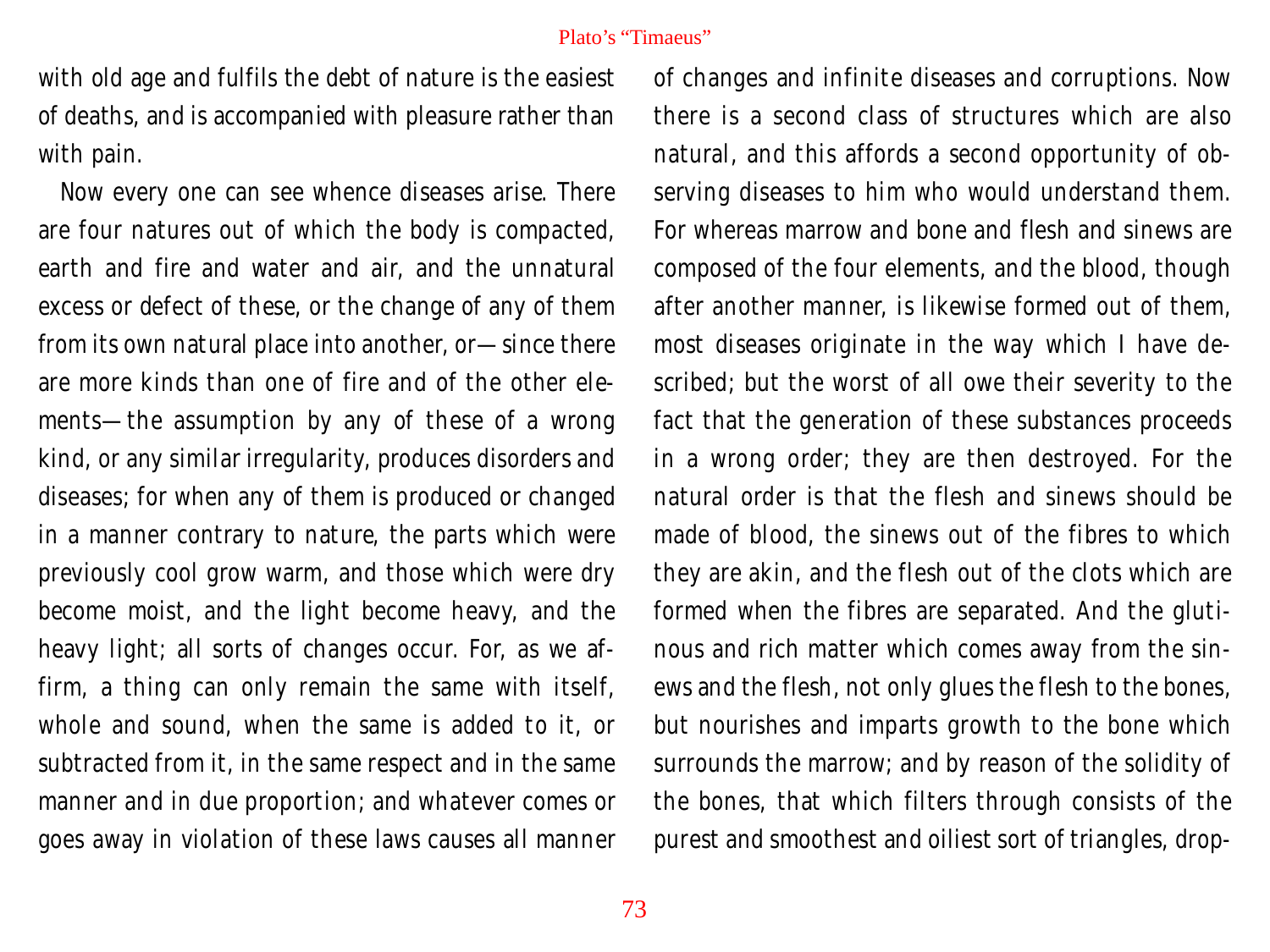with old age and fulfils the debt of nature is the easiest of deaths, and is accompanied with pleasure rather than with pain.

Now every one can see whence diseases arise. There are four natures out of which the body is compacted, earth and fire and water and air, and the unnatural excess or defect of these, or the change of any of them from its own natural place into another, or—since there are more kinds than one of fire and of the other elements—the assumption by any of these of a wrong kind, or any similar irregularity, produces disorders and diseases; for when any of them is produced or changed in a manner contrary to nature, the parts which were previously cool grow warm, and those which were dry become moist, and the light become heavy, and the heavy light; all sorts of changes occur. For, as we affirm, a thing can only remain the same with itself, whole and sound, when the same is added to it, or subtracted from it, in the same respect and in the same manner and in due proportion; and whatever comes or goes away in violation of these laws causes all manner

of changes and infinite diseases and corruptions. Now there is a second class of structures which are also natural, and this affords a second opportunity of observing diseases to him who would understand them. For whereas marrow and bone and flesh and sinews are composed of the four elements, and the blood, though after another manner, is likewise formed out of them, most diseases originate in the way which I have described; but the worst of all owe their severity to the fact that the generation of these substances proceeds in a wrong order; they are then destroyed. For the natural order is that the flesh and sinews should be made of blood, the sinews out of the fibres to which they are akin, and the flesh out of the clots which are formed when the fibres are separated. And the glutinous and rich matter which comes away from the sinews and the flesh, not only glues the flesh to the bones, but nourishes and imparts growth to the bone which surrounds the marrow; and by reason of the solidity of the bones, that which filters through consists of the purest and smoothest and oiliest sort of triangles, drop-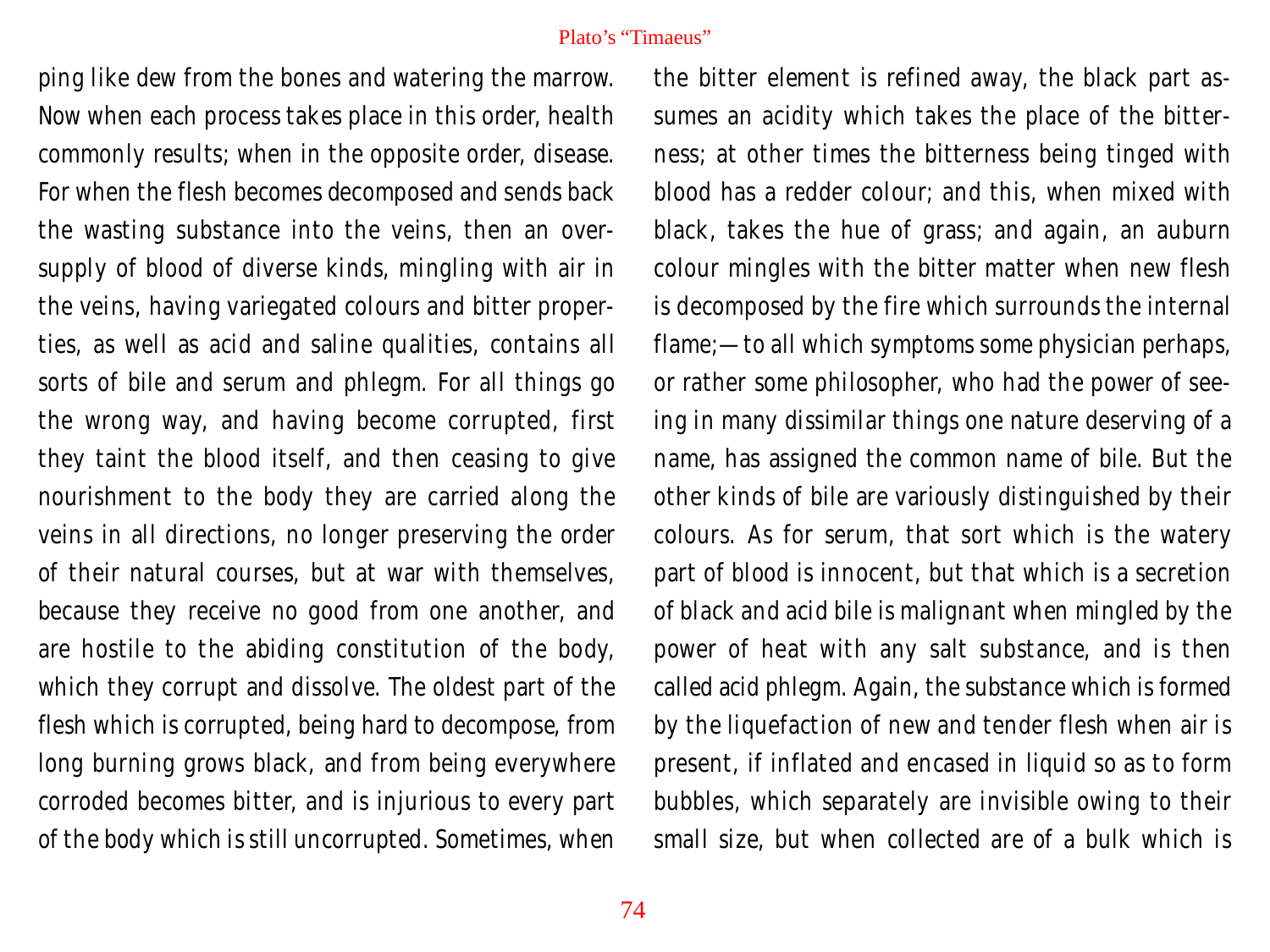ping like dew from the bones and watering the marrow. Now when each process takes place in this order, health commonly results; when in the opposite order, disease. For when the flesh becomes decomposed and sends back the wasting substance into the veins, then an oversupply of blood of diverse kinds, mingling with air in the veins, having variegated colours and bitter properties, as well as acid and saline qualities, contains all sorts of bile and serum and phlegm. For all things go the wrong way, and having become corrupted, first they taint the blood itself, and then ceasing to give nourishment to the body they are carried along the veins in all directions, no longer preserving the order of their natural courses, but at war with themselves, because they receive no good from one another, and are hostile to the abiding constitution of the body, which they corrupt and dissolve. The oldest part of the flesh which is corrupted, being hard to decompose, from long burning grows black, and from being everywhere corroded becomes bitter, and is injurious to every part of the body which is still uncorrupted. Sometimes, when the bitter element is refined away, the black part assumes an acidity which takes the place of the bitterness; at other times the bitterness being tinged with blood has a redder colour; and this, when mixed with black, takes the hue of grass; and again, an auburn colour mingles with the bitter matter when new flesh is decomposed by the fire which surrounds the internal flame;—to all which symptoms some physician perhaps, or rather some philosopher, who had the power of seeing in many dissimilar things one nature deserving of a name, has assigned the common name of bile. But the other kinds of bile are variously distinguished by their colours. As for serum, that sort which is the watery part of blood is innocent, but that which is a secretion of black and acid bile is malignant when mingled by the power of heat with any salt substance, and is then called acid phlegm. Again, the substance which is formed by the liquefaction of new and tender flesh when air is present, if inflated and encased in liquid so as to form bubbles, which separately are invisible owing to their small size, but when collected are of a bulk which is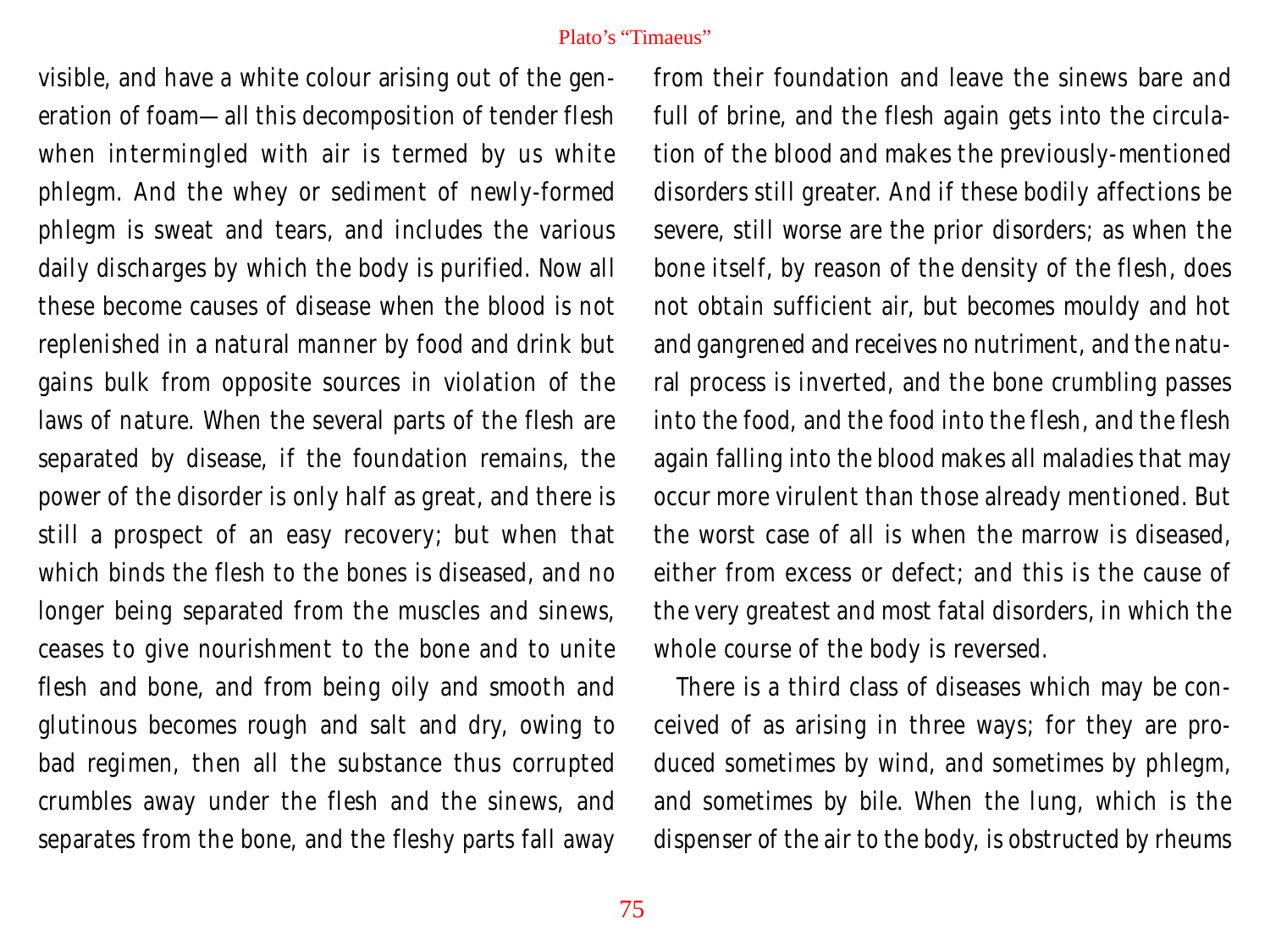visible, and have a white colour arising out of the generation of foam—all this decomposition of tender flesh when intermingled with air is termed by us white phlegm. And the whey or sediment of newly-formed phlegm is sweat and tears, and includes the various daily discharges by which the body is purified. Now all these become causes of disease when the blood is not replenished in a natural manner by food and drink but gains bulk from opposite sources in violation of the laws of nature. When the several parts of the flesh are separated by disease, if the foundation remains, the power of the disorder is only half as great, and there is still a prospect of an easy recovery; but when that which binds the flesh to the bones is diseased, and no longer being separated from the muscles and sinews, ceases to give nourishment to the bone and to unite flesh and bone, and from being oily and smooth and glutinous becomes rough and salt and dry, owing to bad regimen, then all the substance thus corrupted crumbles away under the flesh and the sinews, and separates from the bone, and the fleshy parts fall away

from their foundation and leave the sinews bare and full of brine, and the flesh again gets into the circulation of the blood and makes the previously-mentioned disorders still greater. And if these bodily affections be severe, still worse are the prior disorders; as when the bone itself, by reason of the density of the flesh, does not obtain sufficient air, but becomes mouldy and hot and gangrened and receives no nutriment, and the natural process is inverted, and the bone crumbling passes into the food, and the food into the flesh, and the flesh again falling into the blood makes all maladies that may occur more virulent than those already mentioned. But the worst case of all is when the marrow is diseased, either from excess or defect; and this is the cause of the very greatest and most fatal disorders, in which the whole course of the body is reversed.

There is a third class of diseases which may be conceived of as arising in three ways; for they are produced sometimes by wind, and sometimes by phlegm, and sometimes by bile. When the lung, which is the dispenser of the air to the body, is obstructed by rheums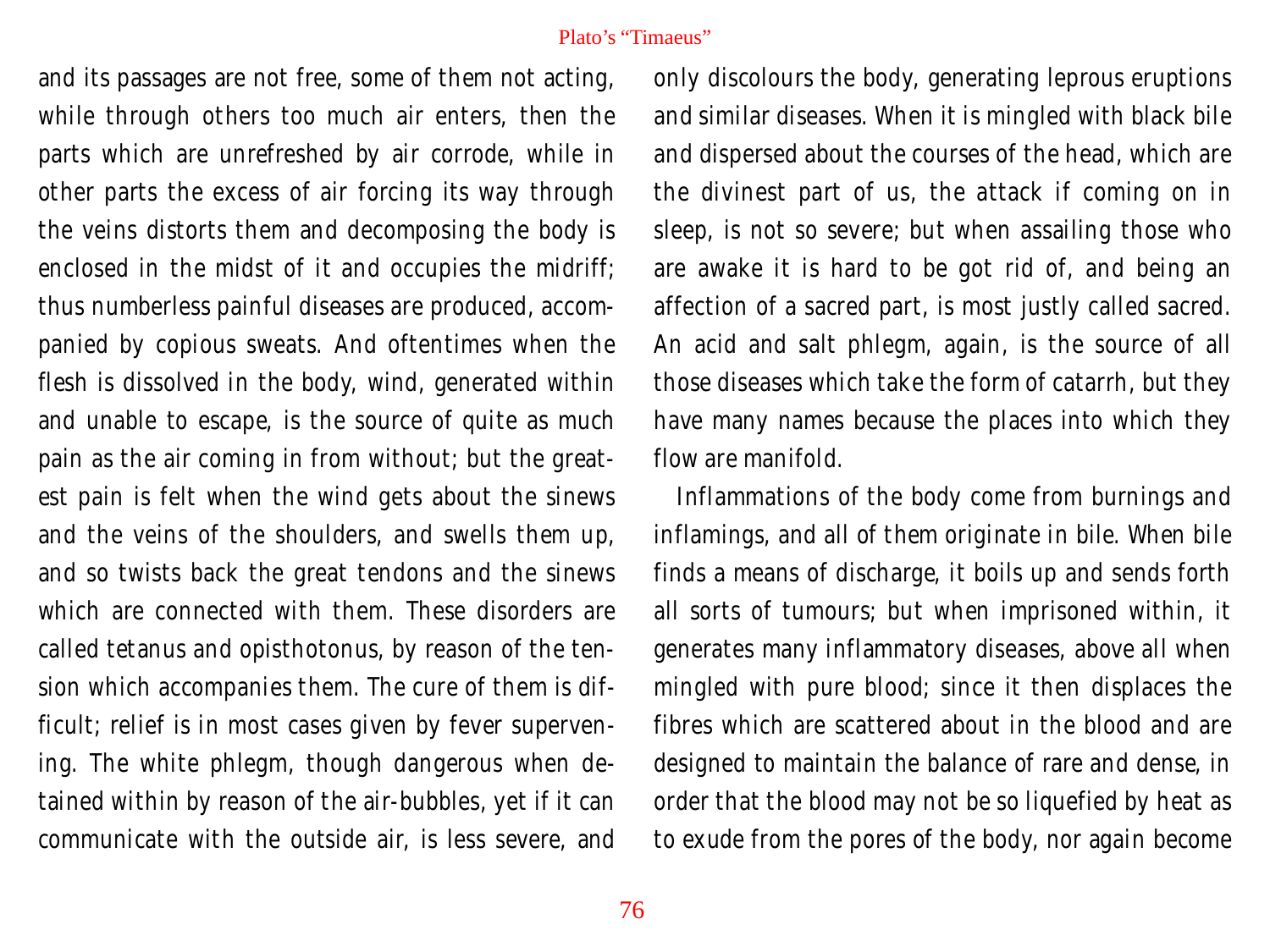and its passages are not free, some of them not acting, while through others too much air enters, then the parts which are unrefreshed by air corrode, while in other parts the excess of air forcing its way through the veins distorts them and decomposing the body is enclosed in the midst of it and occupies the midriff; thus numberless painful diseases are produced, accompanied by copious sweats. And oftentimes when the flesh is dissolved in the body, wind, generated within and unable to escape, is the source of quite as much pain as the air coming in from without; but the greatest pain is felt when the wind gets about the sinews and the veins of the shoulders, and swells them up, and so twists back the great tendons and the sinews which are connected with them. These disorders are called tetanus and opisthotonus, by reason of the tension which accompanies them. The cure of them is difficult; relief is in most cases given by fever supervening. The white phlegm, though dangerous when detained within by reason of the air-bubbles, yet if it can communicate with the outside air, is less severe, and

only discolours the body, generating leprous eruptions and similar diseases. When it is mingled with black bile and dispersed about the courses of the head, which are the divinest part of us, the attack if coming on in sleep, is not so severe; but when assailing those who are awake it is hard to be got rid of, and being an affection of a sacred part, is most justly called sacred. An acid and salt phlegm, again, is the source of all those diseases which take the form of catarrh, but they have many names because the places into which they flow are manifold.

Inflammations of the body come from burnings and inflamings, and all of them originate in bile. When bile finds a means of discharge, it boils up and sends forth all sorts of tumours; but when imprisoned within, it generates many inflammatory diseases, above all when mingled with pure blood; since it then displaces the fibres which are scattered about in the blood and are designed to maintain the balance of rare and dense, in order that the blood may not be so liquefied by heat as to exude from the pores of the body, nor again become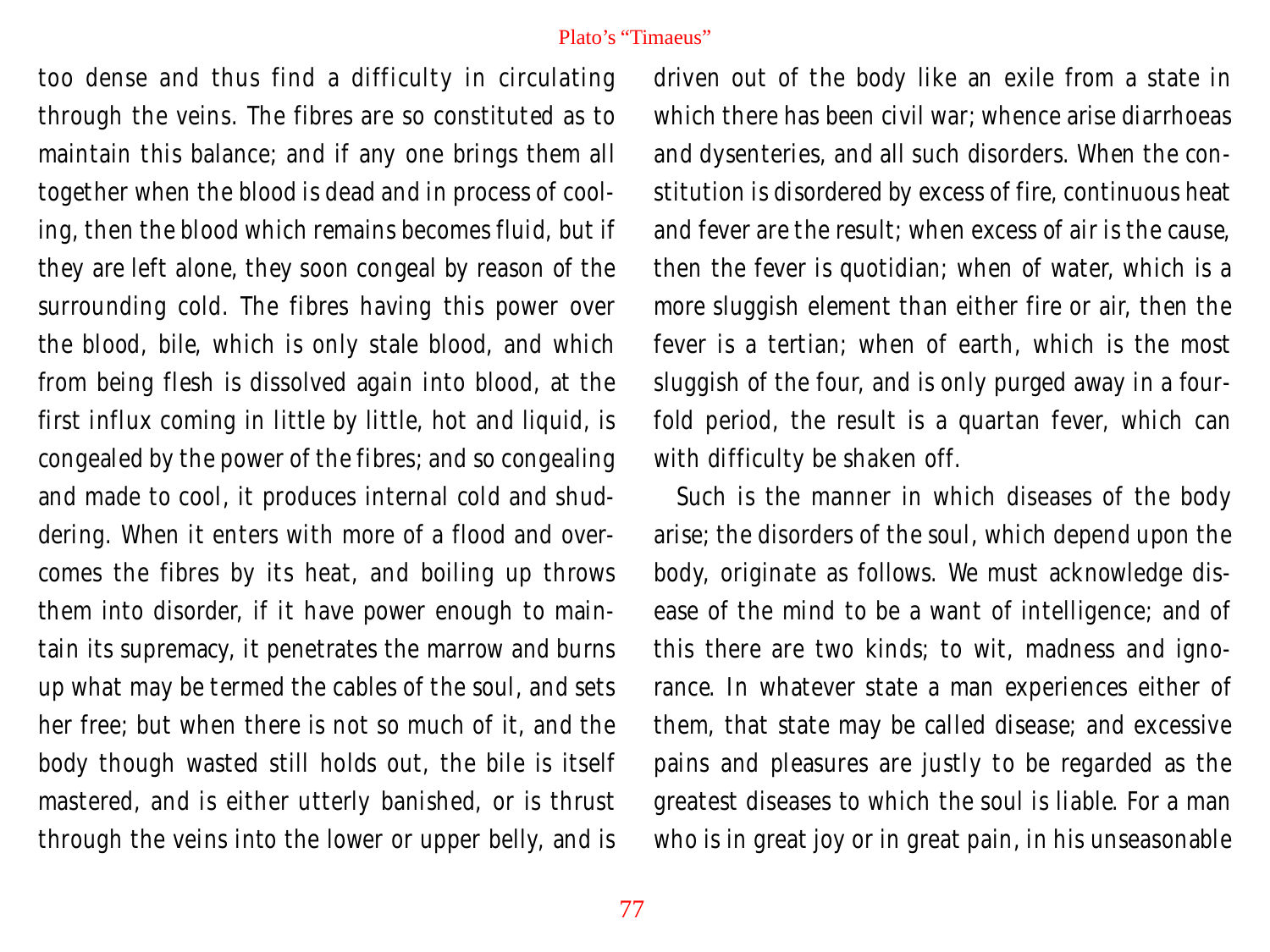too dense and thus find a difficulty in circulating through the veins. The fibres are so constituted as to maintain this balance; and if any one brings them all together when the blood is dead and in process of cooling, then the blood which remains becomes fluid, but if they are left alone, they soon congeal by reason of the surrounding cold. The fibres having this power over the blood, bile, which is only stale blood, and which from being flesh is dissolved again into blood, at the first influx coming in little by little, hot and liquid, is congealed by the power of the fibres; and so congealing and made to cool, it produces internal cold and shuddering. When it enters with more of a flood and overcomes the fibres by its heat, and boiling up throws them into disorder, if it have power enough to maintain its supremacy, it penetrates the marrow and burns up what may be termed the cables of the soul, and sets her free; but when there is not so much of it, and the body though wasted still holds out, the bile is itself mastered, and is either utterly banished, or is thrust through the veins into the lower or upper belly, and is

driven out of the body like an exile from a state in which there has been civil war; whence arise diarrhoeas and dysenteries, and all such disorders. When the constitution is disordered by excess of fire, continuous heat and fever are the result; when excess of air is the cause, then the fever is quotidian; when of water, which is a more sluggish element than either fire or air, then the fever is a tertian; when of earth, which is the most sluggish of the four, and is only purged away in a fourfold period, the result is a quartan fever, which can with difficulty be shaken off.

Such is the manner in which diseases of the body arise; the disorders of the soul, which depend upon the body, originate as follows. We must acknowledge disease of the mind to be a want of intelligence; and of this there are two kinds; to wit, madness and ignorance. In whatever state a man experiences either of them, that state may be called disease; and excessive pains and pleasures are justly to be regarded as the greatest diseases to which the soul is liable. For a man who is in great joy or in great pain, in his unseasonable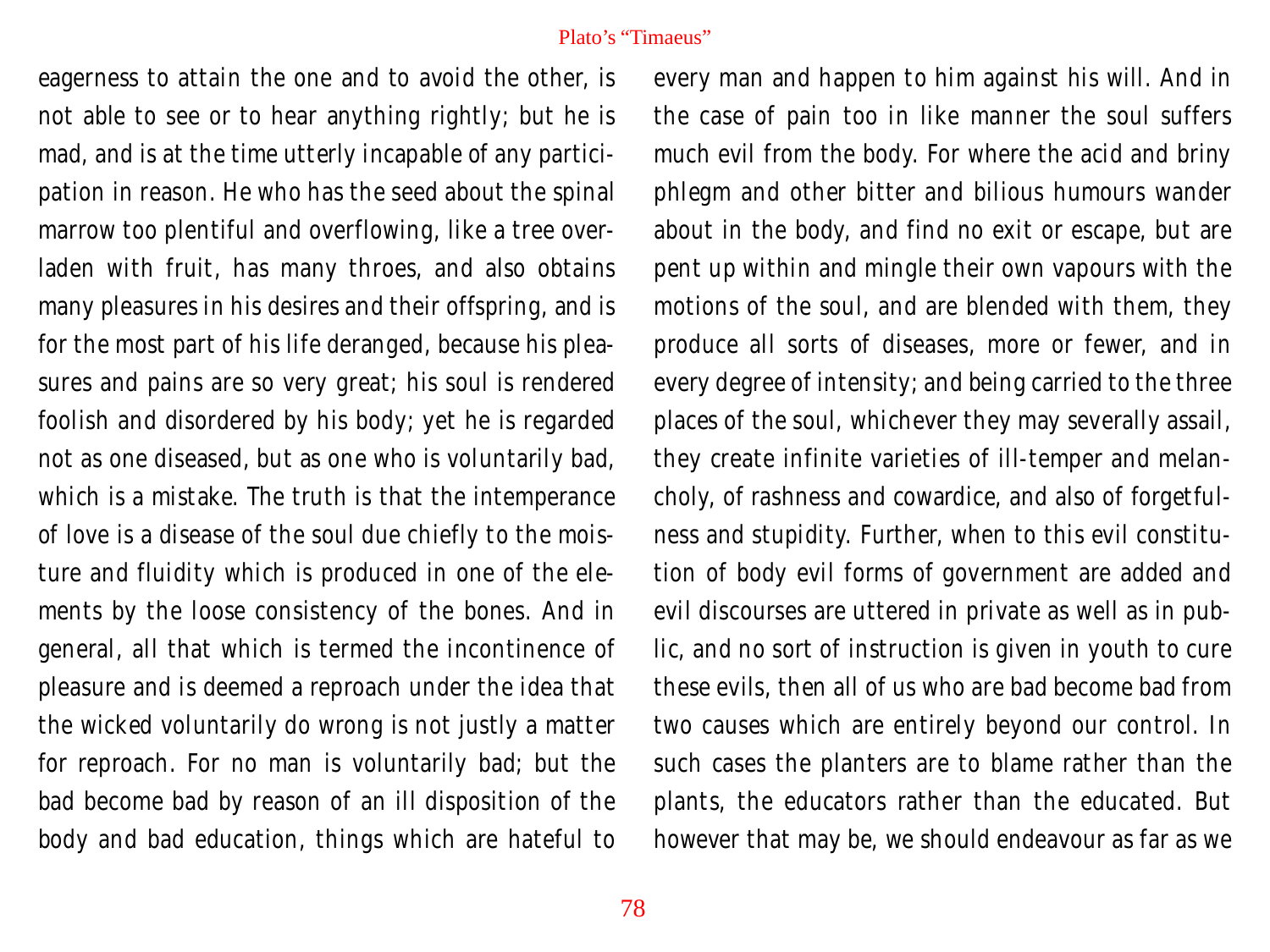eagerness to attain the one and to avoid the other, is not able to see or to hear anything rightly; but he is mad, and is at the time utterly incapable of any participation in reason. He who has the seed about the spinal marrow too plentiful and overflowing, like a tree overladen with fruit, has many throes, and also obtains many pleasures in his desires and their offspring, and is for the most part of his life deranged, because his pleasures and pains are so very great; his soul is rendered foolish and disordered by his body; yet he is regarded not as one diseased, but as one who is voluntarily bad, which is a mistake. The truth is that the intemperance of love is a disease of the soul due chiefly to the moisture and fluidity which is produced in one of the elements by the loose consistency of the bones. And in general, all that which is termed the incontinence of pleasure and is deemed a reproach under the idea that the wicked voluntarily do wrong is not justly a matter for reproach. For no man is voluntarily bad; but the bad become bad by reason of an ill disposition of the body and bad education, things which are hateful to

every man and happen to him against his will. And in the case of pain too in like manner the soul suffers much evil from the body. For where the acid and briny phlegm and other bitter and bilious humours wander about in the body, and find no exit or escape, but are pent up within and mingle their own vapours with the motions of the soul, and are blended with them, they produce all sorts of diseases, more or fewer, and in every degree of intensity; and being carried to the three places of the soul, whichever they may severally assail, they create infinite varieties of ill-temper and melancholy, of rashness and cowardice, and also of forgetfulness and stupidity. Further, when to this evil constitution of body evil forms of government are added and evil discourses are uttered in private as well as in public, and no sort of instruction is given in youth to cure these evils, then all of us who are bad become bad from two causes which are entirely beyond our control. In such cases the planters are to blame rather than the plants, the educators rather than the educated. But however that may be, we should endeavour as far as we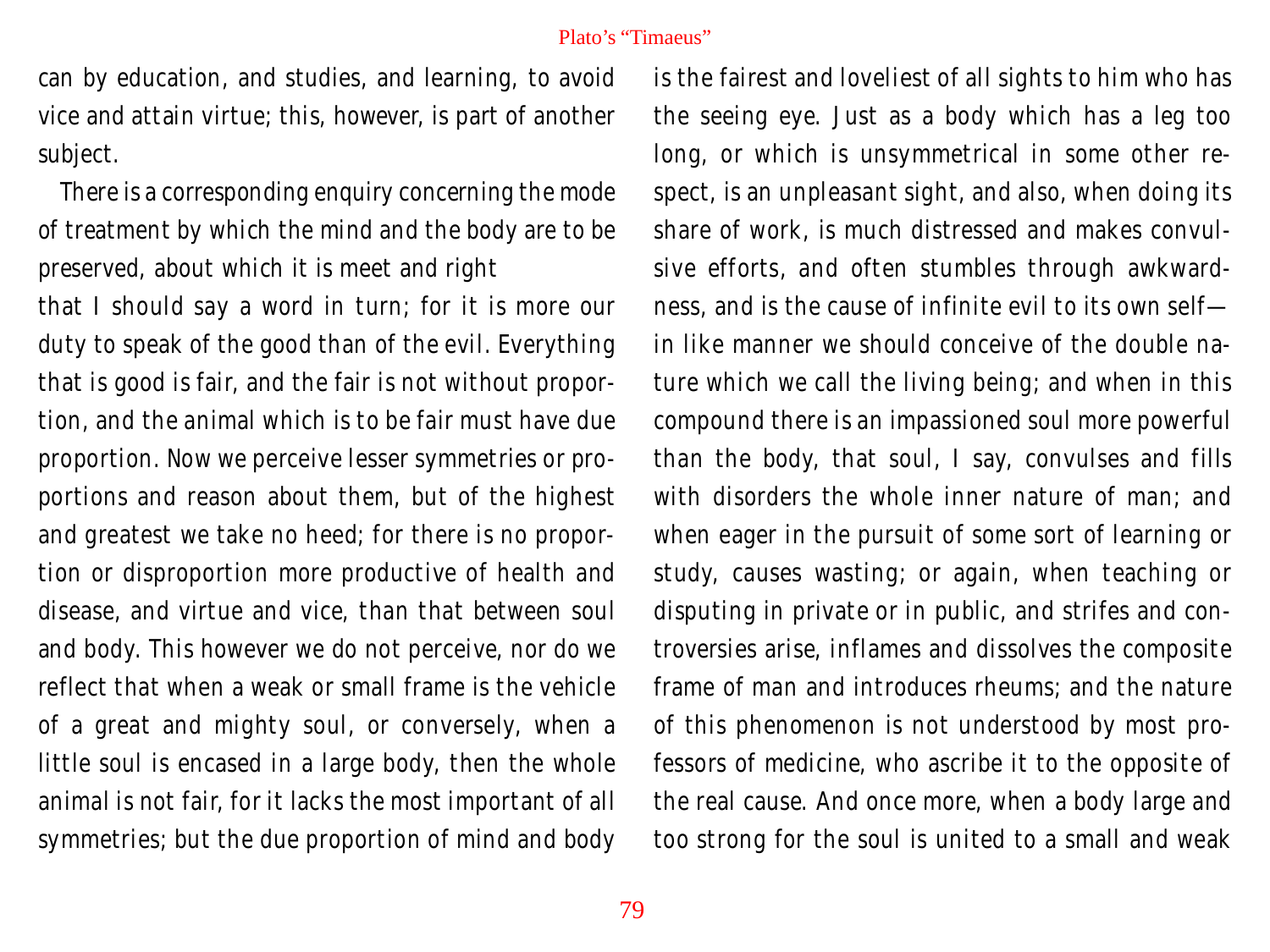can by education, and studies, and learning, to avoid vice and attain virtue; this, however, is part of another subject.

There is a corresponding enquiry concerning the mode of treatment by which the mind and the body are to be preserved, about which it is meet and right

that I should say a word in turn; for it is more our duty to speak of the good than of the evil. Everything that is good is fair, and the fair is not without proportion, and the animal which is to be fair must have due proportion. Now we perceive lesser symmetries or proportions and reason about them, but of the highest and greatest we take no heed; for there is no proportion or disproportion more productive of health and disease, and virtue and vice, than that between soul and body. This however we do not perceive, nor do we reflect that when a weak or small frame is the vehicle of a great and mighty soul, or conversely, when a little soul is encased in a large body, then the whole animal is not fair, for it lacks the most important of all symmetries; but the due proportion of mind and body is the fairest and loveliest of all sights to him who has the seeing eye. Just as a body which has a leg too long, or which is unsymmetrical in some other respect, is an unpleasant sight, and also, when doing its share of work, is much distressed and makes convulsive efforts, and often stumbles through awkwardness, and is the cause of infinite evil to its own self in like manner we should conceive of the double nature which we call the living being; and when in this compound there is an impassioned soul more powerful than the body, that soul, I say, convulses and fills with disorders the whole inner nature of man; and when eager in the pursuit of some sort of learning or study, causes wasting; or again, when teaching or disputing in private or in public, and strifes and controversies arise, inflames and dissolves the composite frame of man and introduces rheums; and the nature of this phenomenon is not understood by most professors of medicine, who ascribe it to the opposite of the real cause. And once more, when a body large and too strong for the soul is united to a small and weak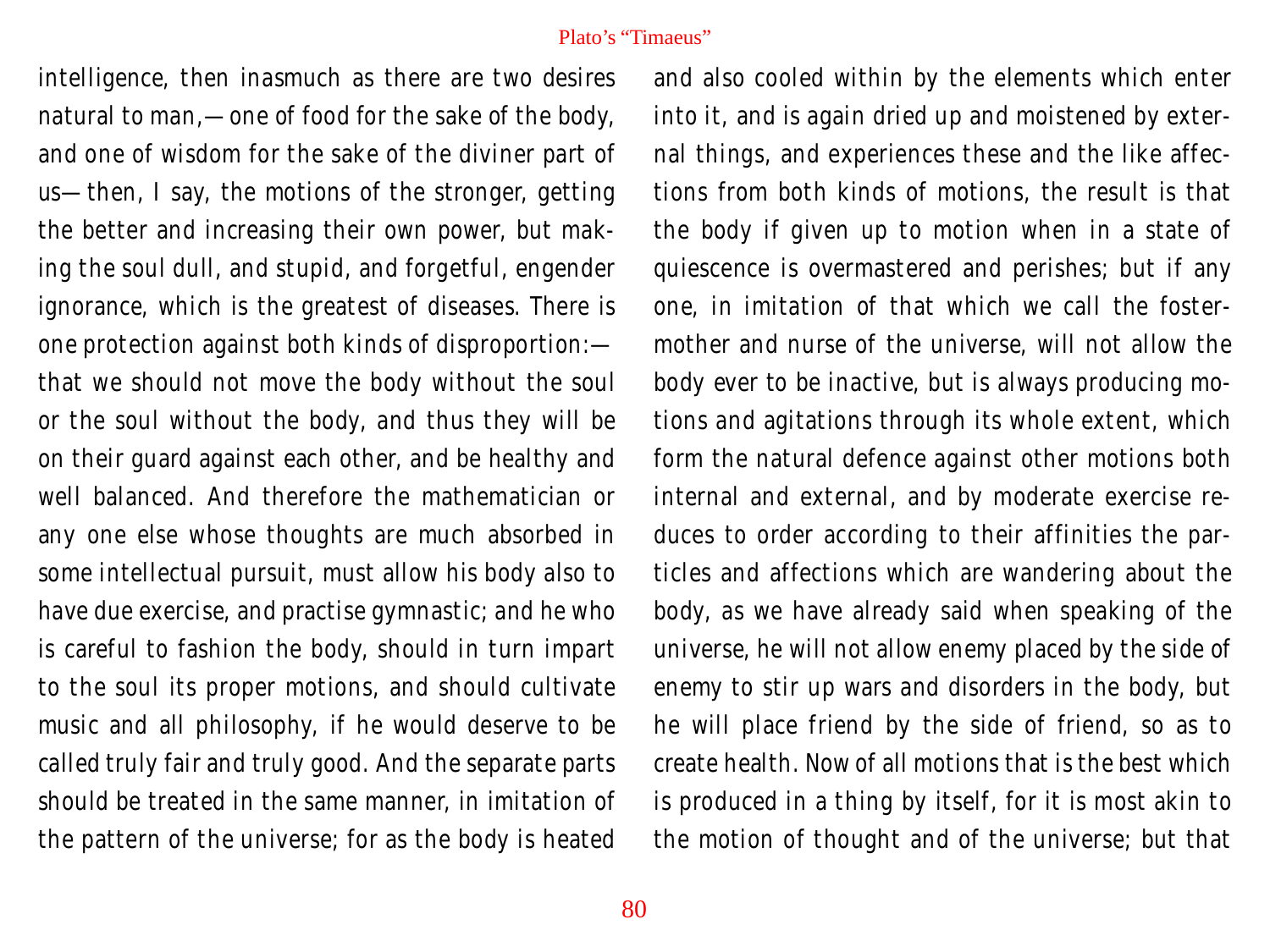intelligence, then inasmuch as there are two desires natural to man,—one of food for the sake of the body, and one of wisdom for the sake of the diviner part of us—then, I say, the motions of the stronger, getting the better and increasing their own power, but making the soul dull, and stupid, and forgetful, engender ignorance, which is the greatest of diseases. There is one protection against both kinds of disproportion: that we should not move the body without the soul or the soul without the body, and thus they will be on their guard against each other, and be healthy and well balanced. And therefore the mathematician or any one else whose thoughts are much absorbed in some intellectual pursuit, must allow his body also to have due exercise, and practise gymnastic; and he who is careful to fashion the body, should in turn impart to the soul its proper motions, and should cultivate music and all philosophy, if he would deserve to be called truly fair and truly good. And the separate parts should be treated in the same manner, in imitation of the pattern of the universe; for as the body is heated

and also cooled within by the elements which enter into it, and is again dried up and moistened by external things, and experiences these and the like affections from both kinds of motions, the result is that the body if given up to motion when in a state of quiescence is overmastered and perishes; but if any one, in imitation of that which we call the fostermother and nurse of the universe, will not allow the body ever to be inactive, but is always producing motions and agitations through its whole extent, which form the natural defence against other motions both internal and external, and by moderate exercise reduces to order according to their affinities the particles and affections which are wandering about the body, as we have already said when speaking of the universe, he will not allow enemy placed by the side of enemy to stir up wars and disorders in the body, but he will place friend by the side of friend, so as to create health. Now of all motions that is the best which is produced in a thing by itself, for it is most akin to the motion of thought and of the universe; but that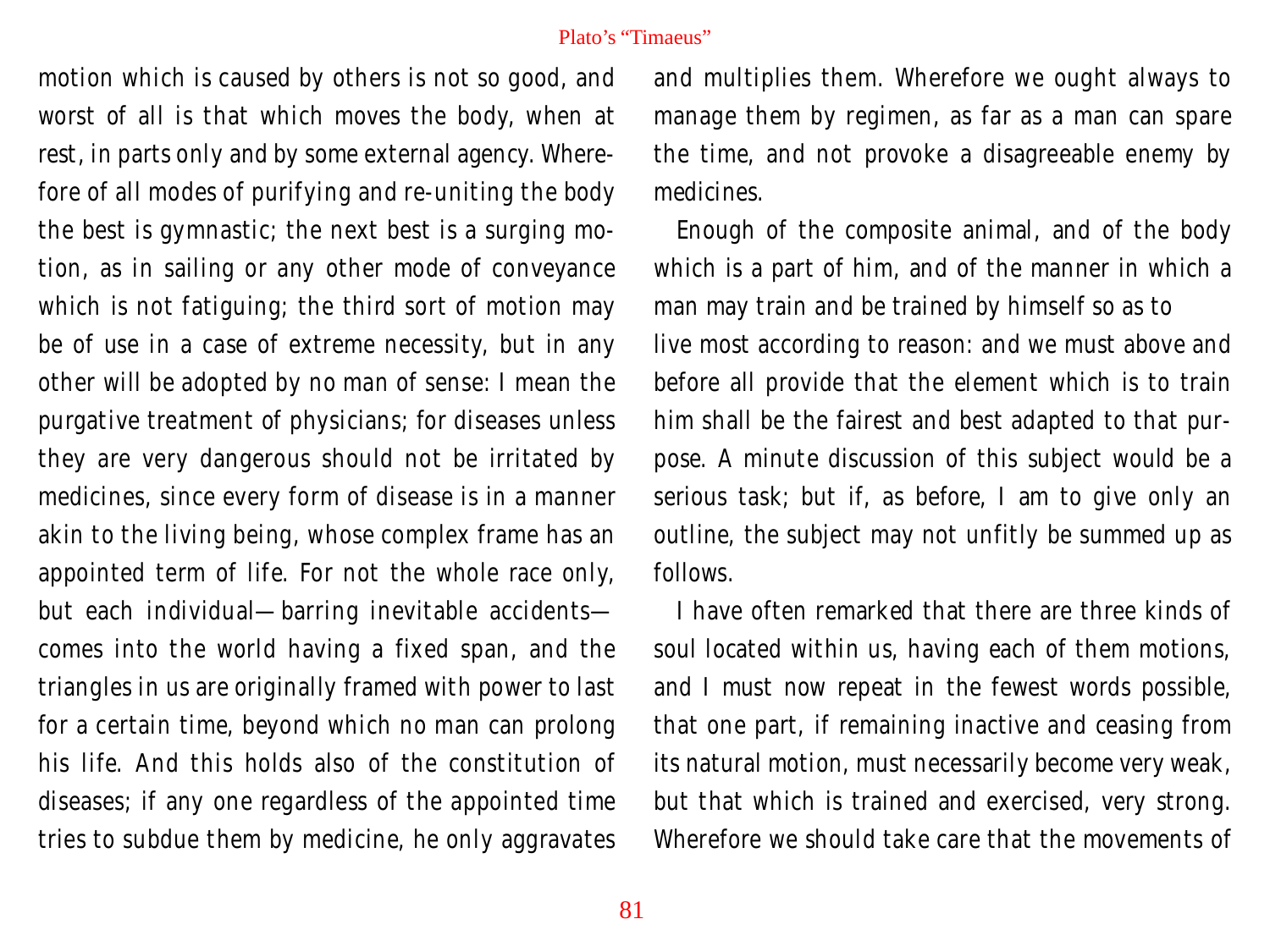motion which is caused by others is not so good, and worst of all is that which moves the body, when at rest, in parts only and by some external agency. Wherefore of all modes of purifying and re-uniting the body the best is gymnastic; the next best is a surging motion, as in sailing or any other mode of conveyance which is not fatiguing; the third sort of motion may be of use in a case of extreme necessity, but in any other will be adopted by no man of sense: I mean the purgative treatment of physicians; for diseases unless they are very dangerous should not be irritated by medicines, since every form of disease is in a manner akin to the living being, whose complex frame has an appointed term of life. For not the whole race only, but each individual—barring inevitable accidents comes into the world having a fixed span, and the triangles in us are originally framed with power to last for a certain time, beyond which no man can prolong his life. And this holds also of the constitution of diseases; if any one regardless of the appointed time tries to subdue them by medicine, he only aggravates

and multiplies them. Wherefore we ought always to manage them by regimen, as far as a man can spare the time, and not provoke a disagreeable enemy by medicines.

Enough of the composite animal, and of the body which is a part of him, and of the manner in which a man may train and be trained by himself so as to live most according to reason: and we must above and before all provide that the element which is to train him shall be the fairest and best adapted to that purpose. A minute discussion of this subject would be a serious task; but if, as before, I am to give only an outline, the subject may not unfitly be summed up as follows.

I have often remarked that there are three kinds of soul located within us, having each of them motions, and I must now repeat in the fewest words possible, that one part, if remaining inactive and ceasing from its natural motion, must necessarily become very weak, but that which is trained and exercised, very strong. Wherefore we should take care that the movements of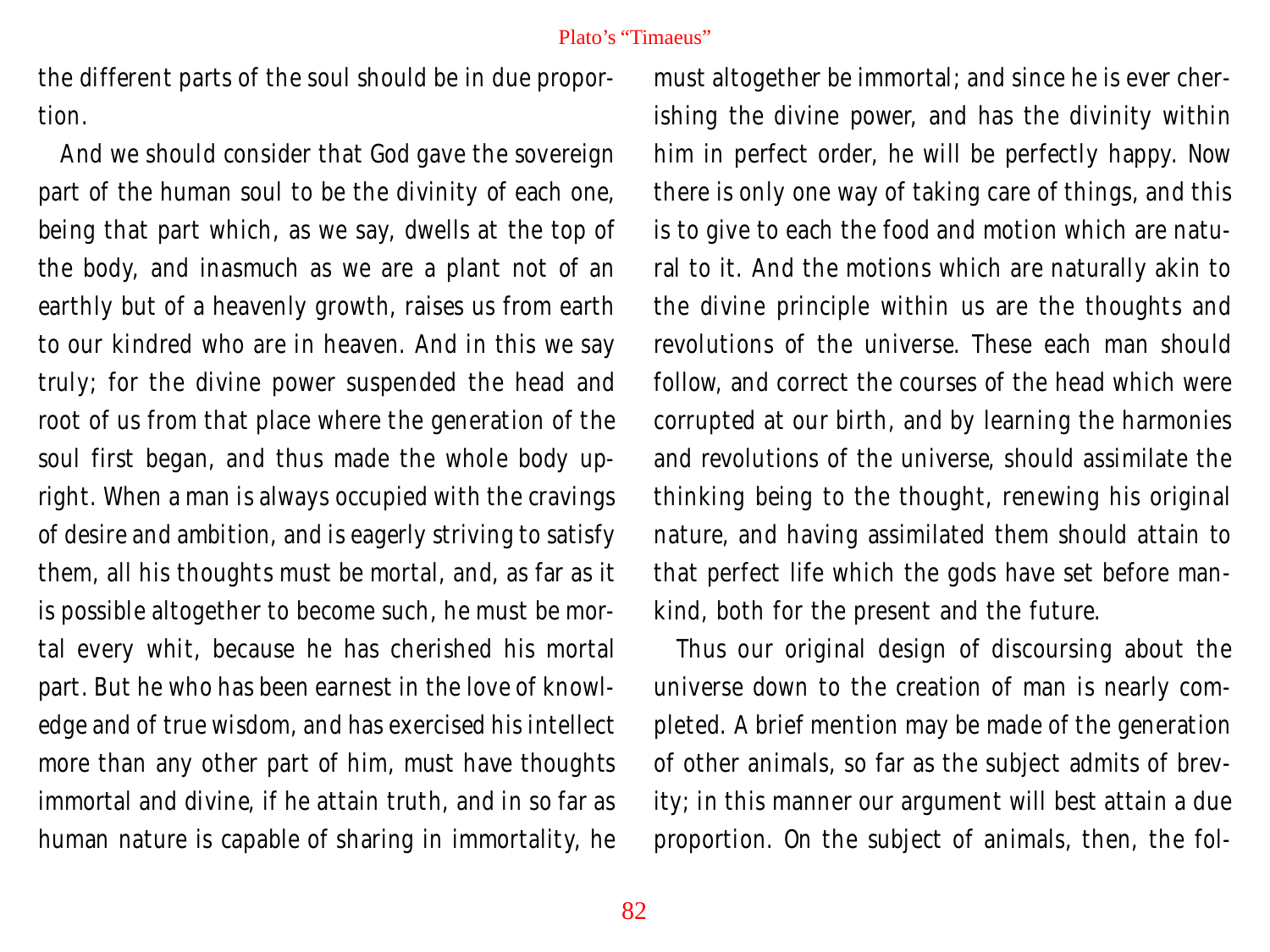the different parts of the soul should be in due proportion.

And we should consider that God gave the sovereign part of the human soul to be the divinity of each one, being that part which, as we say, dwells at the top of the body, and inasmuch as we are a plant not of an earthly but of a heavenly growth, raises us from earth to our kindred who are in heaven. And in this we say truly; for the divine power suspended the head and root of us from that place where the generation of the soul first began, and thus made the whole body upright. When a man is always occupied with the cravings of desire and ambition, and is eagerly striving to satisfy them, all his thoughts must be mortal, and, as far as it is possible altogether to become such, he must be mortal every whit, because he has cherished his mortal part. But he who has been earnest in the love of knowledge and of true wisdom, and has exercised his intellect more than any other part of him, must have thoughts immortal and divine, if he attain truth, and in so far as human nature is capable of sharing in immortality, he

must altogether be immortal; and since he is ever cherishing the divine power, and has the divinity within him in perfect order, he will be perfectly happy. Now there is only one way of taking care of things, and this is to give to each the food and motion which are natural to it. And the motions which are naturally akin to the divine principle within us are the thoughts and revolutions of the universe. These each man should follow, and correct the courses of the head which were corrupted at our birth, and by learning the harmonies and revolutions of the universe, should assimilate the thinking being to the thought, renewing his original nature, and having assimilated them should attain to that perfect life which the gods have set before mankind, both for the present and the future.

Thus our original design of discoursing about the universe down to the creation of man is nearly completed. A brief mention may be made of the generation of other animals, so far as the subject admits of brevity; in this manner our argument will best attain a due proportion. On the subject of animals, then, the fol-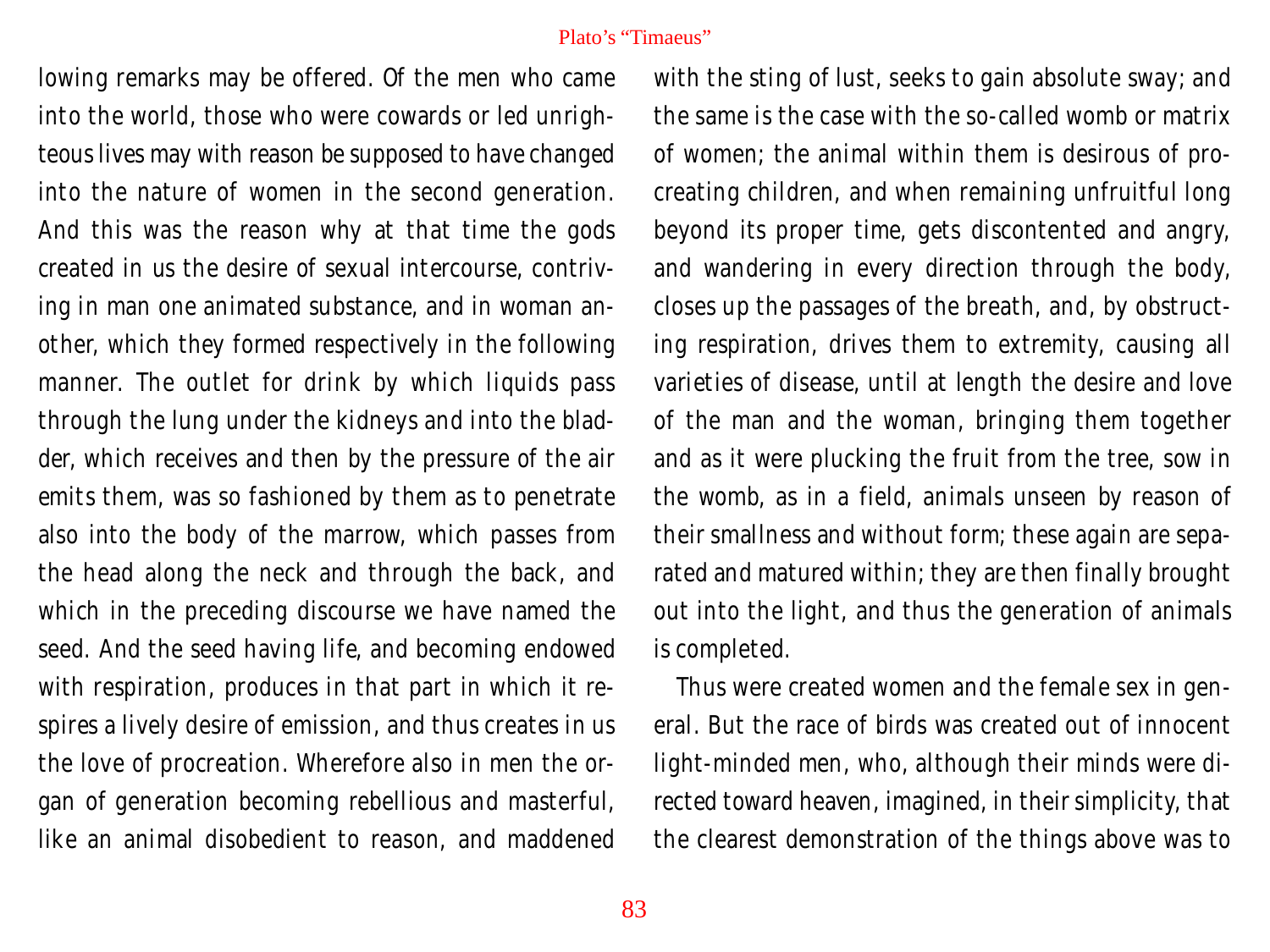lowing remarks may be offered. Of the men who came into the world, those who were cowards or led unrighteous lives may with reason be supposed to have changed into the nature of women in the second generation. And this was the reason why at that time the gods created in us the desire of sexual intercourse, contriving in man one animated substance, and in woman another, which they formed respectively in the following manner. The outlet for drink by which liquids pass through the lung under the kidneys and into the bladder, which receives and then by the pressure of the air emits them, was so fashioned by them as to penetrate also into the body of the marrow, which passes from the head along the neck and through the back, and which in the preceding discourse we have named the seed. And the seed having life, and becoming endowed with respiration, produces in that part in which it respires a lively desire of emission, and thus creates in us the love of procreation. Wherefore also in men the organ of generation becoming rebellious and masterful, like an animal disobedient to reason, and maddened

with the sting of lust, seeks to gain absolute sway; and the same is the case with the so-called womb or matrix of women; the animal within them is desirous of procreating children, and when remaining unfruitful long beyond its proper time, gets discontented and angry, and wandering in every direction through the body, closes up the passages of the breath, and, by obstructing respiration, drives them to extremity, causing all varieties of disease, until at length the desire and love of the man and the woman, bringing them together and as it were plucking the fruit from the tree, sow in the womb, as in a field, animals unseen by reason of their smallness and without form; these again are separated and matured within; they are then finally brought out into the light, and thus the generation of animals is completed.

Thus were created women and the female sex in general. But the race of birds was created out of innocent light-minded men, who, although their minds were directed toward heaven, imagined, in their simplicity, that the clearest demonstration of the things above was to